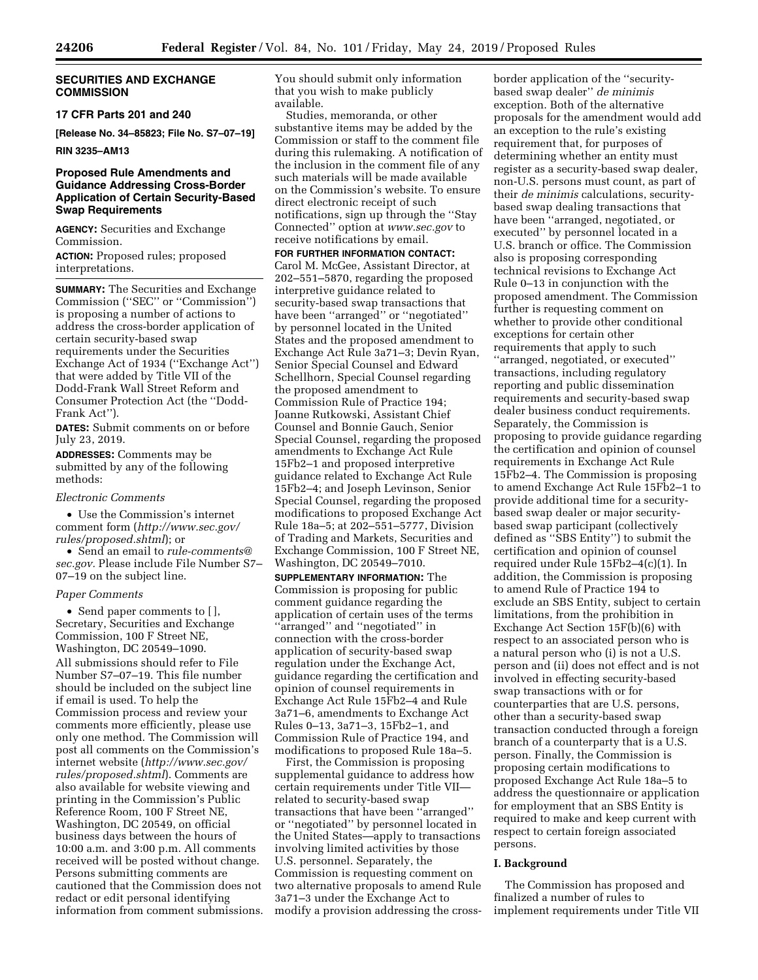# **SECURITIES AND EXCHANGE COMMISSION**

#### **17 CFR Parts 201 and 240**

**[Release No. 34–85823; File No. S7–07–19]** 

## **RIN 3235–AM13**

# **Proposed Rule Amendments and Guidance Addressing Cross-Border Application of Certain Security-Based Swap Requirements**

**AGENCY:** Securities and Exchange Commission. **ACTION:** Proposed rules; proposed interpretations.

**SUMMARY:** The Securities and Exchange Commission (''SEC'' or ''Commission'') is proposing a number of actions to address the cross-border application of certain security-based swap requirements under the Securities Exchange Act of 1934 (''Exchange Act'') that were added by Title VII of the Dodd-Frank Wall Street Reform and Consumer Protection Act (the ''Dodd-Frank Act'').

**DATES:** Submit comments on or before July 23, 2019.

**ADDRESSES:** Comments may be submitted by any of the following methods:

#### *Electronic Comments*

• Use the Commission's internet comment form (*[http://www.sec.gov/](http://www.sec.gov/rules/proposed.shtml)  [rules/proposed.shtml](http://www.sec.gov/rules/proposed.shtml)*); or

• Send an email to *[rule-comments@](mailto:rule-comments@sec.gov) [sec.gov.](mailto:rule-comments@sec.gov)* Please include File Number S7– 07–19 on the subject line.

#### *Paper Comments*

• Send paper comments to [ ], Secretary, Securities and Exchange Commission, 100 F Street NE, Washington, DC 20549–1090.

All submissions should refer to File Number S7–07–19. This file number should be included on the subject line if email is used. To help the Commission process and review your comments more efficiently, please use only one method. The Commission will post all comments on the Commission's internet website (*[http://www.sec.gov/](http://www.sec.gov/rules/proposed.shtml)  [rules/proposed.shtml](http://www.sec.gov/rules/proposed.shtml)*). Comments are also available for website viewing and printing in the Commission's Public Reference Room, 100 F Street NE, Washington, DC 20549, on official business days between the hours of 10:00 a.m. and 3:00 p.m. All comments received will be posted without change. Persons submitting comments are cautioned that the Commission does not redact or edit personal identifying information from comment submissions. You should submit only information that you wish to make publicly available.

Studies, memoranda, or other substantive items may be added by the Commission or staff to the comment file during this rulemaking. A notification of the inclusion in the comment file of any such materials will be made available on the Commission's website. To ensure direct electronic receipt of such notifications, sign up through the ''Stay Connected'' option at *[www.sec.gov](http://www.sec.gov)* to receive notifications by email.

**FOR FURTHER INFORMATION CONTACT:**  Carol M. McGee, Assistant Director, at 202–551–5870, regarding the proposed interpretive guidance related to security-based swap transactions that have been ''arranged'' or ''negotiated'' by personnel located in the United States and the proposed amendment to Exchange Act Rule 3a71–3; Devin Ryan, Senior Special Counsel and Edward Schellhorn, Special Counsel regarding the proposed amendment to Commission Rule of Practice 194; Joanne Rutkowski, Assistant Chief Counsel and Bonnie Gauch, Senior Special Counsel, regarding the proposed amendments to Exchange Act Rule 15Fb2–1 and proposed interpretive guidance related to Exchange Act Rule 15Fb2–4; and Joseph Levinson, Senior Special Counsel, regarding the proposed modifications to proposed Exchange Act Rule 18a–5; at 202–551–5777, Division of Trading and Markets, Securities and Exchange Commission, 100 F Street NE, Washington, DC 20549–7010.

**SUPPLEMENTARY INFORMATION:** The Commission is proposing for public comment guidance regarding the application of certain uses of the terms ''arranged'' and ''negotiated'' in connection with the cross-border application of security-based swap regulation under the Exchange Act, guidance regarding the certification and opinion of counsel requirements in Exchange Act Rule 15Fb2–4 and Rule 3a71–6, amendments to Exchange Act Rules 0–13, 3a71–3, 15Fb2–1, and Commission Rule of Practice 194, and modifications to proposed Rule 18a–5.

First, the Commission is proposing supplemental guidance to address how certain requirements under Title VII related to security-based swap transactions that have been ''arranged'' or ''negotiated'' by personnel located in the United States—apply to transactions involving limited activities by those U.S. personnel. Separately, the Commission is requesting comment on two alternative proposals to amend Rule 3a71–3 under the Exchange Act to modify a provision addressing the cross-

border application of the ''securitybased swap dealer'' *de minimis*  exception. Both of the alternative proposals for the amendment would add an exception to the rule's existing requirement that, for purposes of determining whether an entity must register as a security-based swap dealer, non-U.S. persons must count, as part of their *de minimis* calculations, securitybased swap dealing transactions that have been ''arranged, negotiated, or executed'' by personnel located in a U.S. branch or office. The Commission also is proposing corresponding technical revisions to Exchange Act Rule 0–13 in conjunction with the proposed amendment. The Commission further is requesting comment on whether to provide other conditional exceptions for certain other requirements that apply to such ''arranged, negotiated, or executed'' transactions, including regulatory reporting and public dissemination requirements and security-based swap dealer business conduct requirements. Separately, the Commission is proposing to provide guidance regarding the certification and opinion of counsel requirements in Exchange Act Rule 15Fb2–4. The Commission is proposing to amend Exchange Act Rule 15Fb2–1 to provide additional time for a securitybased swap dealer or major securitybased swap participant (collectively defined as ''SBS Entity'') to submit the certification and opinion of counsel required under Rule 15Fb2–4(c)(1). In addition, the Commission is proposing to amend Rule of Practice 194 to exclude an SBS Entity, subject to certain limitations, from the prohibition in Exchange Act Section 15F(b)(6) with respect to an associated person who is a natural person who (i) is not a U.S. person and (ii) does not effect and is not involved in effecting security-based swap transactions with or for counterparties that are U.S. persons, other than a security-based swap transaction conducted through a foreign branch of a counterparty that is a U.S. person. Finally, the Commission is proposing certain modifications to proposed Exchange Act Rule 18a–5 to address the questionnaire or application for employment that an SBS Entity is required to make and keep current with respect to certain foreign associated persons.

#### **I. Background**

The Commission has proposed and finalized a number of rules to implement requirements under Title VII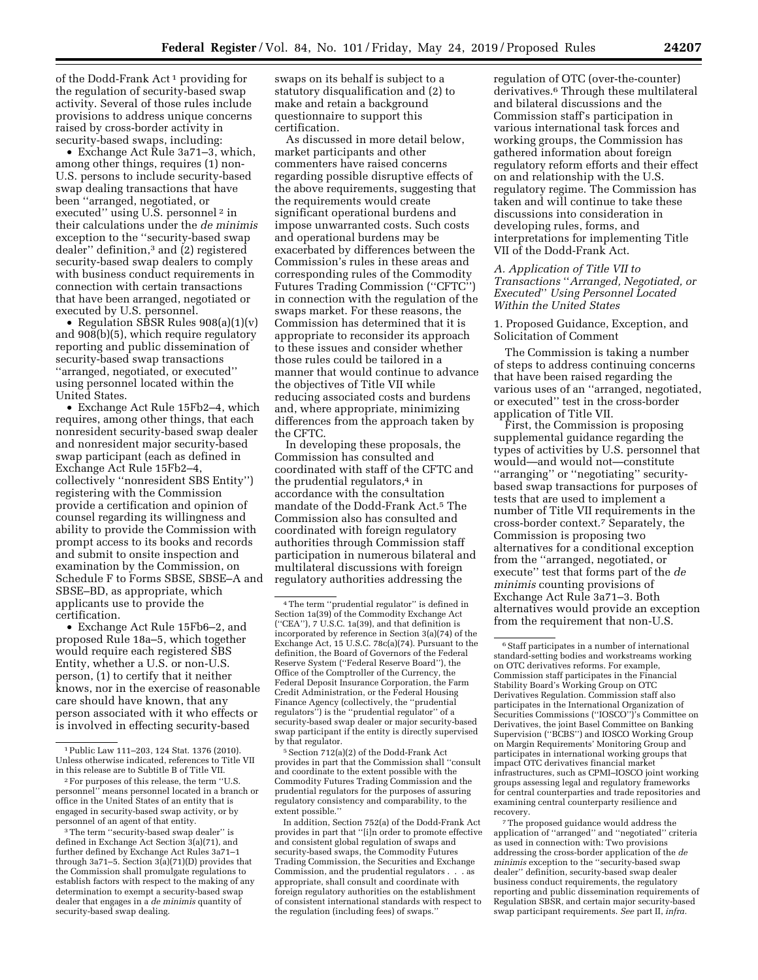of the Dodd-Frank Act 1 providing for the regulation of security-based swap activity. Several of those rules include provisions to address unique concerns raised by cross-border activity in security-based swaps, including:

• Exchange Act Rule 3a71–3, which, among other things, requires (1) non-U.S. persons to include security-based swap dealing transactions that have been ''arranged, negotiated, or executed" using U.S. personnel<sup>2</sup> in their calculations under the *de minimis*  exception to the ''security-based swap dealer'' definition,3 and (2) registered security-based swap dealers to comply with business conduct requirements in connection with certain transactions that have been arranged, negotiated or executed by U.S. personnel.

• Regulation SBSR Rules 908(a)(1)(v) and 908(b)(5), which require regulatory reporting and public dissemination of security-based swap transactions ''arranged, negotiated, or executed'' using personnel located within the United States.

• Exchange Act Rule 15Fb2–4, which requires, among other things, that each nonresident security-based swap dealer and nonresident major security-based swap participant (each as defined in Exchange Act Rule 15Fb2–4, collectively ''nonresident SBS Entity'') registering with the Commission provide a certification and opinion of counsel regarding its willingness and ability to provide the Commission with prompt access to its books and records and submit to onsite inspection and examination by the Commission, on Schedule F to Forms SBSE, SBSE–A and SBSE–BD, as appropriate, which applicants use to provide the certification.

• Exchange Act Rule 15Fb6–2, and proposed Rule 18a–5, which together would require each registered SBS Entity, whether a U.S. or non-U.S. person, (1) to certify that it neither knows, nor in the exercise of reasonable care should have known, that any person associated with it who effects or is involved in effecting security-based

swaps on its behalf is subject to a statutory disqualification and (2) to make and retain a background questionnaire to support this certification.

As discussed in more detail below, market participants and other commenters have raised concerns regarding possible disruptive effects of the above requirements, suggesting that the requirements would create significant operational burdens and impose unwarranted costs. Such costs and operational burdens may be exacerbated by differences between the Commission's rules in these areas and corresponding rules of the Commodity Futures Trading Commission (''CFTC'') in connection with the regulation of the swaps market. For these reasons, the Commission has determined that it is appropriate to reconsider its approach to these issues and consider whether those rules could be tailored in a manner that would continue to advance the objectives of Title VII while reducing associated costs and burdens and, where appropriate, minimizing differences from the approach taken by the CFTC.

In developing these proposals, the Commission has consulted and coordinated with staff of the CFTC and the prudential regulators,<sup>4</sup> in accordance with the consultation mandate of the Dodd-Frank Act.5 The Commission also has consulted and coordinated with foreign regulatory authorities through Commission staff participation in numerous bilateral and multilateral discussions with foreign regulatory authorities addressing the

In addition, Section 752(a) of the Dodd-Frank Act provides in part that ''[i]n order to promote effective and consistent global regulation of swaps and security-based swaps, the Commodity Futures Trading Commission, the Securities and Exchange Commission, and the prudential regulators . . . as appropriate, shall consult and coordinate with foreign regulatory authorities on the establishment of consistent international standards with respect to the regulation (including fees) of swaps.''

regulation of OTC (over-the-counter) derivatives.6 Through these multilateral and bilateral discussions and the Commission staff's participation in various international task forces and working groups, the Commission has gathered information about foreign regulatory reform efforts and their effect on and relationship with the U.S. regulatory regime. The Commission has taken and will continue to take these discussions into consideration in developing rules, forms, and interpretations for implementing Title VII of the Dodd-Frank Act.

# *A. Application of Title VII to Transactions* ''*Arranged, Negotiated, or Executed*'' *Using Personnel Located Within the United States*

1. Proposed Guidance, Exception, and Solicitation of Comment

The Commission is taking a number of steps to address continuing concerns that have been raised regarding the various uses of an ''arranged, negotiated, or executed'' test in the cross-border application of Title VII.

First, the Commission is proposing supplemental guidance regarding the types of activities by U.S. personnel that would—and would not—constitute ''arranging'' or ''negotiating'' securitybased swap transactions for purposes of tests that are used to implement a number of Title VII requirements in the cross-border context.7 Separately, the Commission is proposing two alternatives for a conditional exception from the ''arranged, negotiated, or execute'' test that forms part of the *de minimis* counting provisions of Exchange Act Rule 3a71–3. Both alternatives would provide an exception from the requirement that non-U.S.

7The proposed guidance would address the application of ''arranged'' and ''negotiated'' criteria as used in connection with: Two provisions addressing the cross-border application of the *de minimis* exception to the ''security-based swap dealer'' definition, security-based swap dealer business conduct requirements, the regulatory reporting and public dissemination requirements of Regulation SBSR, and certain major security-based swap participant requirements. *See* part II, *infra.* 

<sup>1</sup>Public Law 111–203, 124 Stat. 1376 (2010). Unless otherwise indicated, references to Title VII in this release are to Subtitle B of Title VII.

<sup>2</sup>For purposes of this release, the term ''U.S. personnel'' means personnel located in a branch or office in the United States of an entity that is engaged in security-based swap activity, or by personnel of an agent of that entity.

<sup>&</sup>lt;sup>3</sup>The term "security-based swap dealer" is defined in Exchange Act Section 3(a)(71), and further defined by Exchange Act Rules 3a71–1 through 3a71-5. Section  $3(a)(71)(D)$  provides that the Commission shall promulgate regulations to establish factors with respect to the making of any determination to exempt a security-based swap dealer that engages in a *de minimis* quantity of security-based swap dealing.

<sup>4</sup>The term ''prudential regulator'' is defined in Section 1a(39) of the Commodity Exchange Act (''CEA''), 7 U.S.C. 1a(39), and that definition is incorporated by reference in Section 3(a)(74) of the Exchange Act, 15 U.S.C. 78c(a)(74). Pursuant to the definition, the Board of Governors of the Federal Reserve System (''Federal Reserve Board''), the Office of the Comptroller of the Currency, the Federal Deposit Insurance Corporation, the Farm Credit Administration, or the Federal Housing Finance Agency (collectively, the ''prudential regulators'') is the ''prudential regulator'' of a security-based swap dealer or major security-based swap participant if the entity is directly supervised by that regulator.

<sup>5</sup>Section 712(a)(2) of the Dodd-Frank Act provides in part that the Commission shall ''consult and coordinate to the extent possible with the Commodity Futures Trading Commission and the prudential regulators for the purposes of assuring regulatory consistency and comparability, to the extent possible.''

<sup>&</sup>lt;sup>6</sup> Staff participates in a number of international standard-setting bodies and workstreams working on OTC derivatives reforms. For example, Commission staff participates in the Financial Stability Board's Working Group on OTC Derivatives Regulation. Commission staff also participates in the International Organization of Securities Commissions (''IOSCO'')'s Committee on Derivatives, the joint Basel Committee on Banking Supervision (''BCBS'') and IOSCO Working Group on Margin Requirements' Monitoring Group and participates in international working groups that impact OTC derivatives financial market infrastructures, such as CPMI–IOSCO joint working groups assessing legal and regulatory frameworks for central counterparties and trade repositories and examining central counterparty resilience and recovery.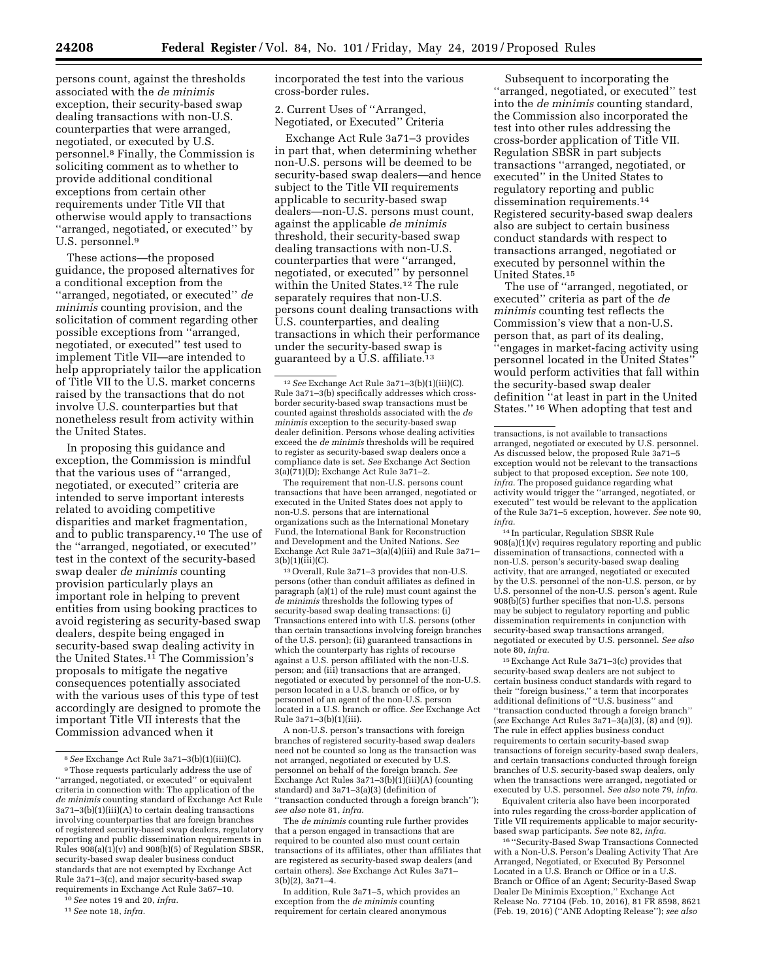persons count, against the thresholds associated with the *de minimis*  exception, their security-based swap dealing transactions with non-U.S. counterparties that were arranged, negotiated, or executed by U.S. personnel.8 Finally, the Commission is soliciting comment as to whether to provide additional conditional exceptions from certain other requirements under Title VII that otherwise would apply to transactions ''arranged, negotiated, or executed'' by U.S. personnel.9

These actions—the proposed guidance, the proposed alternatives for a conditional exception from the ''arranged, negotiated, or executed'' *de minimis* counting provision, and the solicitation of comment regarding other possible exceptions from ''arranged, negotiated, or executed'' test used to implement Title VII—are intended to help appropriately tailor the application of Title VII to the U.S. market concerns raised by the transactions that do not involve U.S. counterparties but that nonetheless result from activity within the United States.

In proposing this guidance and exception, the Commission is mindful that the various uses of ''arranged, negotiated, or executed'' criteria are intended to serve important interests related to avoiding competitive disparities and market fragmentation, and to public transparency.10 The use of the ''arranged, negotiated, or executed'' test in the context of the security-based swap dealer *de minimis* counting provision particularly plays an important role in helping to prevent entities from using booking practices to avoid registering as security-based swap dealers, despite being engaged in security-based swap dealing activity in the United States.<sup>11</sup> The Commission's proposals to mitigate the negative consequences potentially associated with the various uses of this type of test accordingly are designed to promote the important Title VII interests that the Commission advanced when it

10*See* notes 19 and 20, *infra.* 

incorporated the test into the various cross-border rules.

2. Current Uses of ''Arranged, Negotiated, or Executed'' Criteria

Exchange Act Rule 3a71–3 provides in part that, when determining whether non-U.S. persons will be deemed to be security-based swap dealers—and hence subject to the Title VII requirements applicable to security-based swap dealers—non-U.S. persons must count, against the applicable *de minimis*  threshold, their security-based swap dealing transactions with non-U.S. counterparties that were ''arranged, negotiated, or executed'' by personnel within the United States.<sup>12</sup> The rule separately requires that non-U.S. persons count dealing transactions with U.S. counterparties, and dealing transactions in which their performance under the security-based swap is guaranteed by a U.S. affiliate.<sup>13</sup>

12*See* Exchange Act Rule 3a71–3(b)(1)(iii)(C). Rule 3a71–3(b) specifically addresses which crossborder security-based swap transactions must be counted against thresholds associated with the *de minimis* exception to the security-based swap dealer definition. Persons whose dealing activities exceed the *de minimis* thresholds will be required to register as security-based swap dealers once a compliance date is set. *See* Exchange Act Section 3(a)(71)(D); Exchange Act Rule 3a71–2.

The requirement that non-U.S. persons count transactions that have been arranged, negotiated or executed in the United States does not apply to non-U.S. persons that are international organizations such as the International Monetary Fund, the International Bank for Reconstruction and Development and the United Nations. *See*  Exchange Act Rule 3a71–3(a)(4)(iii) and Rule 3a71– 3(b)(1)(iii)(C).

13Overall, Rule 3a71–3 provides that non-U.S. persons (other than conduit affiliates as defined in paragraph (a)(1) of the rule) must count against the *de minimis* thresholds the following types of security-based swap dealing transactions: (i) Transactions entered into with U.S. persons (other than certain transactions involving foreign branches of the U.S. person); (ii) guaranteed transactions in which the counterparty has rights of recourse against a U.S. person affiliated with the non-U.S. person; and (iii) transactions that are arranged, negotiated or executed by personnel of the non-U.S. person located in a U.S. branch or office, or by personnel of an agent of the non-U.S. person located in a U.S. branch or office. *See* Exchange Act Rule 3a71–3(b)(1)(iii).

A non-U.S. person's transactions with foreign branches of registered security-based swap dealers need not be counted so long as the transaction was not arranged, negotiated or executed by U.S. personnel on behalf of the foreign branch. *See*  Exchange Act Rules 3a71–3(b)(1)(iii)(A) (counting standard) and 3a71–3(a)(3) (definition of ''transaction conducted through a foreign branch''); *see also* note 81, *infra.* 

The *de minimis* counting rule further provides that a person engaged in transactions that are required to be counted also must count certain transactions of its affiliates, other than affiliates that are registered as security-based swap dealers (and certain others). *See* Exchange Act Rules 3a71– 3(b)(2), 3a71–4.

In addition, Rule 3a71–5, which provides an exception from the *de minimis* counting requirement for certain cleared anonymous

Subsequent to incorporating the ''arranged, negotiated, or executed'' test into the *de minimis* counting standard, the Commission also incorporated the test into other rules addressing the cross-border application of Title VII. Regulation SBSR in part subjects transactions ''arranged, negotiated, or executed'' in the United States to regulatory reporting and public dissemination requirements.<sup>14</sup> Registered security-based swap dealers also are subject to certain business conduct standards with respect to transactions arranged, negotiated or executed by personnel within the United States.15

The use of ''arranged, negotiated, or executed'' criteria as part of the *de minimis* counting test reflects the Commission's view that a non-U.S. person that, as part of its dealing, ''engages in market-facing activity using personnel located in the United States'' would perform activities that fall within the security-based swap dealer definition ''at least in part in the United States.'' 16 When adopting that test and

14 In particular, Regulation SBSR Rule  $908(a)(1)(v)$  requires regulatory reporting and public dissemination of transactions, connected with a non-U.S. person's security-based swap dealing activity, that are arranged, negotiated or executed by the U.S. personnel of the non-U.S. person, or by U.S. personnel of the non-U.S. person's agent. Rule  $908(\hat{b})(5)$  further specifies that non-U.S. persons may be subject to regulatory reporting and public dissemination requirements in conjunction with security-based swap transactions arranged, negotiated or executed by U.S. personnel. *See also*  note 80, *infra.* 

15Exchange Act Rule 3a71–3(c) provides that security-based swap dealers are not subject to certain business conduct standards with regard to their ''foreign business,'' a term that incorporates additional definitions of ''U.S. business'' and ''transaction conducted through a foreign branch'' (*see* Exchange Act Rules 3a71–3(a)(3), (8) and (9)). The rule in effect applies business conduct requirements to certain security-based swap transactions of foreign security-based swap dealers, and certain transactions conducted through foreign branches of U.S. security-based swap dealers, only when the transactions were arranged, negotiated or executed by U.S. personnel. *See also* note 79, *infra.* 

Equivalent criteria also have been incorporated into rules regarding the cross-border application of Title VII requirements applicable to major securitybased swap participants. *See* note 82, *infra.* 

16 ''Security-Based Swap Transactions Connected with a Non-U.S. Person's Dealing Activity That Are Arranged, Negotiated, or Executed By Personnel Located in a U.S. Branch or Office or in a U.S. Branch or Office of an Agent; Security-Based Swap Dealer De Minimis Exception,'' Exchange Act Release No. 77104 (Feb. 10, 2016), 81 FR 8598, 8621 (Feb. 19, 2016) (''ANE Adopting Release''); *see also* 

<sup>8</sup>*See* Exchange Act Rule 3a71–3(b)(1)(iii)(C).

<sup>9</sup>Those requests particularly address the use of ''arranged, negotiated, or executed'' or equivalent criteria in connection with: The application of the *de minimis* counting standard of Exchange Act Rule 3a71–3(b)(1)(iii)(A) to certain dealing transactions involving counterparties that are foreign branches of registered security-based swap dealers, regulatory reporting and public dissemination requirements in Rules  $908(a)(1)(v)$  and  $908(b)(5)$  of Regulation SBSR, security-based swap dealer business conduct standards that are not exempted by Exchange Act Rule 3a71–3(c), and major security-based swap requirements in Exchange Act Rule 3a67–10.

<sup>11</sup>*See* note 18, *infra.* 

transactions, is not available to transactions arranged, negotiated or executed by U.S. personnel. As discussed below, the proposed Rule 3a71–5 exception would not be relevant to the transactions subject to that proposed exception. *See* note 100, *infra.* The proposed guidance regarding what activity would trigger the ''arranged, negotiated, or executed'' test would be relevant to the application of the Rule 3a71–5 exception, however. *See* note 90, *infra.*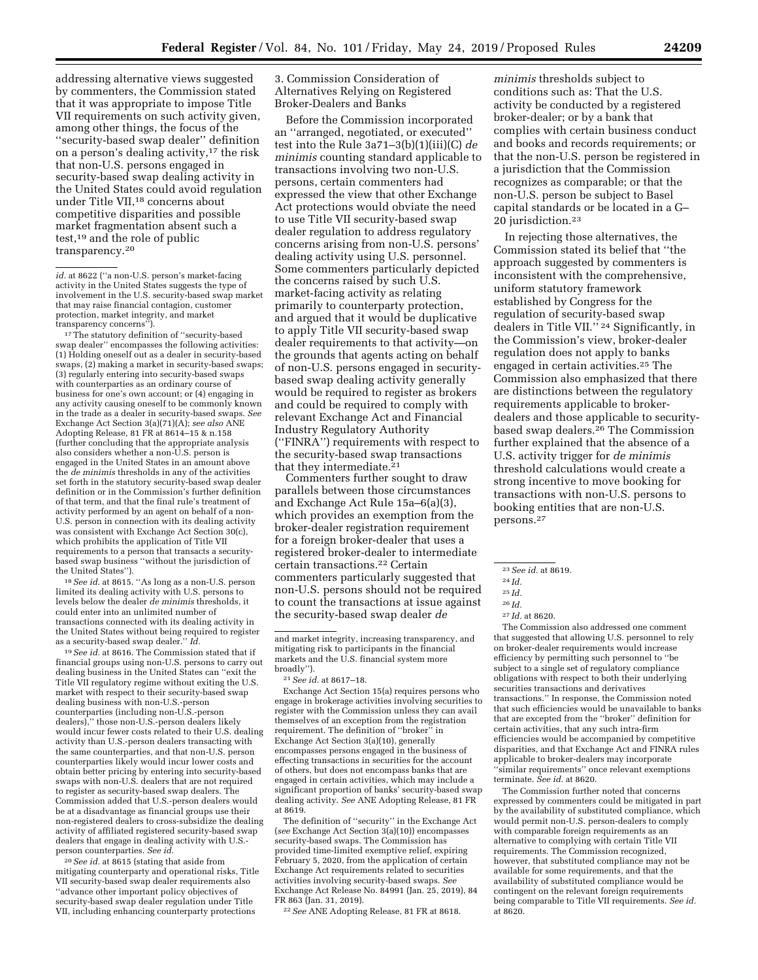addressing alternative views suggested by commenters, the Commission stated that it was appropriate to impose Title VII requirements on such activity given, among other things, the focus of the ''security-based swap dealer'' definition on a person's dealing activity,17 the risk that non-U.S. persons engaged in security-based swap dealing activity in the United States could avoid regulation under Title VII,<sup>18</sup> concerns about competitive disparities and possible market fragmentation absent such a test,19 and the role of public transparency.20

*id.* at 8622 (''a non-U.S. person's market-facing activity in the United States suggests the type of involvement in the U.S. security-based swap market that may raise financial contagion, customer protection, market integrity, and market transparency concerns'').

17The statutory definition of ''security-based swap dealer'' encompasses the following activities: (1) Holding oneself out as a dealer in security-based swaps, (2) making a market in security-based swaps; (3) regularly entering into security-based swaps with counterparties as an ordinary course of business for one's own account; or (4) engaging in any activity causing oneself to be commonly known in the trade as a dealer in security-based swaps. *See*  Exchange Act Section 3(a)(71)(A); *see also* ANE Adopting Release, 81 FR at 8614–15 & n.158 (further concluding that the appropriate analysis also considers whether a non-U.S. person is engaged in the United States in an amount above the *de minimis* thresholds in any of the activities set forth in the statutory security-based swap dealer definition or in the Commission's further definition of that term, and that the final rule's treatment of activity performed by an agent on behalf of a non-U.S. person in connection with its dealing activity was consistent with Exchange Act Section 30(c), which prohibits the application of Title VII requirements to a person that transacts a securitybased swap business ''without the jurisdiction of the United States'').

18*See id.* at 8615. ''As long as a non-U.S. person limited its dealing activity with U.S. persons to levels below the dealer *de minimis* thresholds, it could enter into an unlimited number of transactions connected with its dealing activity in the United States without being required to register as a security-based swap dealer.'' *Id.* 

19*See id.* at 8616. The Commission stated that if financial groups using non-U.S. persons to carry out dealing business in the United States can ''exit the Title VII regulatory regime without exiting the U.S. market with respect to their security-based swap dealing business with non-U.S.-person counterparties (including non-U.S.-person dealers),'' those non-U.S.-person dealers likely would incur fewer costs related to their U.S. dealing activity than U.S.-person dealers transacting with the same counterparties, and that non-U.S. person counterparties likely would incur lower costs and obtain better pricing by entering into security-based swaps with non-U.S. dealers that are not required to register as security-based swap dealers. The Commission added that U.S.-person dealers would be at a disadvantage as financial groups use their non-registered dealers to cross-subsidize the dealing activity of affiliated registered security-based swap dealers that engage in dealing activity with U.S. person counterparties. *See id.* 

20*See id.* at 8615 (stating that aside from mitigating counterparty and operational risks, Title VII security-based swap dealer requirements also ''advance other important policy objectives of security-based swap dealer regulation under Title VII, including enhancing counterparty protections

3. Commission Consideration of Alternatives Relying on Registered Broker-Dealers and Banks

Before the Commission incorporated an ''arranged, negotiated, or executed'' test into the Rule 3a71–3(b)(1)(iii)(C) *de minimis* counting standard applicable to transactions involving two non-U.S. persons, certain commenters had expressed the view that other Exchange Act protections would obviate the need to use Title VII security-based swap dealer regulation to address regulatory concerns arising from non-U.S. persons' dealing activity using U.S. personnel. Some commenters particularly depicted the concerns raised by such U.S. market-facing activity as relating primarily to counterparty protection, and argued that it would be duplicative to apply Title VII security-based swap dealer requirements to that activity—on the grounds that agents acting on behalf of non-U.S. persons engaged in securitybased swap dealing activity generally would be required to register as brokers and could be required to comply with relevant Exchange Act and Financial Industry Regulatory Authority (''FINRA'') requirements with respect to the security-based swap transactions that they intermediate.21

Commenters further sought to draw parallels between those circumstances and Exchange Act Rule 15a–6(a)(3), which provides an exemption from the broker-dealer registration requirement for a foreign broker-dealer that uses a registered broker-dealer to intermediate certain transactions.22 Certain commenters particularly suggested that non-U.S. persons should not be required to count the transactions at issue against the security-based swap dealer *de* 

Exchange Act Section 15(a) requires persons who engage in brokerage activities involving securities to register with the Commission unless they can avail themselves of an exception from the registration requirement. The definition of ''broker'' in Exchange Act Section 3(a)(10), generally encompasses persons engaged in the business of effecting transactions in securities for the account of others, but does not encompass banks that are engaged in certain activities, which may include a significant proportion of banks' security-based swap dealing activity. *See* ANE Adopting Release, 81 FR at 8619.

The definition of ''security'' in the Exchange Act (*see* Exchange Act Section 3(a)(10)) encompasses security-based swaps. The Commission has provided time-limited exemptive relief, expiring February 5, 2020, from the application of certain Exchange Act requirements related to securities activities involving security-based swaps. *See*  Exchange Act Release No. 84991 (Jan. 25, 2019), 84 FR 863 (Jan. 31, 2019).

22*See* ANE Adopting Release, 81 FR at 8618.

*minimis* thresholds subject to conditions such as: That the U.S. activity be conducted by a registered broker-dealer; or by a bank that complies with certain business conduct and books and records requirements; or that the non-U.S. person be registered in a jurisdiction that the Commission recognizes as comparable; or that the non-U.S. person be subject to Basel capital standards or be located in a G– 20 jurisdiction.23

In rejecting those alternatives, the Commission stated its belief that ''the approach suggested by commenters is inconsistent with the comprehensive, uniform statutory framework established by Congress for the regulation of security-based swap dealers in Title VII.'' 24 Significantly, in the Commission's view, broker-dealer regulation does not apply to banks engaged in certain activities.25 The Commission also emphasized that there are distinctions between the regulatory requirements applicable to brokerdealers and those applicable to securitybased swap dealers.26 The Commission further explained that the absence of a U.S. activity trigger for *de minimis*  threshold calculations would create a strong incentive to move booking for transactions with non-U.S. persons to booking entities that are non-U.S. persons.27

The Commission also addressed one comment that suggested that allowing U.S. personnel to rely on broker-dealer requirements would increase efficiency by permitting such personnel to ''be subject to a single set of regulatory compliance obligations with respect to both their underlying securities transactions and derivatives transactions.'' In response, the Commission noted that such efficiencies would be unavailable to banks that are excepted from the ''broker'' definition for certain activities, that any such intra-firm efficiencies would be accompanied by competitive disparities, and that Exchange Act and FINRA rules applicable to broker-dealers may incorporate ''similar requirements'' once relevant exemptions terminate. *See id.* at 8620.

The Commission further noted that concerns expressed by commenters could be mitigated in part by the availability of substituted compliance, which would permit non-U.S. person-dealers to comply with comparable foreign requirements as an alternative to complying with certain Title VII requirements. The Commission recognized, however, that substituted compliance may not be available for some requirements, and that the availability of substituted compliance would be contingent on the relevant foreign requirements being comparable to Title VII requirements. *See id.*  at 8620.

and market integrity, increasing transparency, and mitigating risk to participants in the financial markets and the U.S. financial system more broadly'').

<sup>21</sup>*See id.* at 8617–18.

<sup>23</sup>*See id.* at 8619.

<sup>24</sup> *Id.* 

<sup>25</sup> *Id.* 

<sup>26</sup> *Id.*  27 *Id.* at 8620.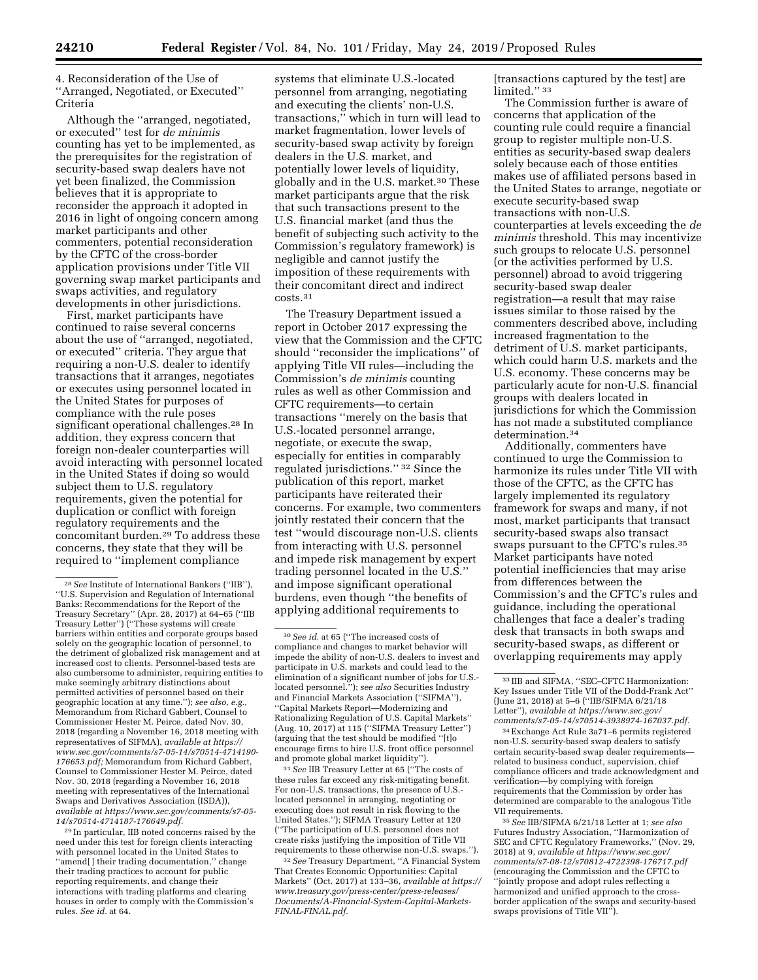4. Reconsideration of the Use of ''Arranged, Negotiated, or Executed'' Criteria

Although the ''arranged, negotiated, or executed'' test for *de minimis*  counting has yet to be implemented, as the prerequisites for the registration of security-based swap dealers have not yet been finalized, the Commission believes that it is appropriate to reconsider the approach it adopted in 2016 in light of ongoing concern among market participants and other commenters, potential reconsideration by the CFTC of the cross-border application provisions under Title VII governing swap market participants and swaps activities, and regulatory developments in other jurisdictions.

First, market participants have continued to raise several concerns about the use of ''arranged, negotiated, or executed'' criteria. They argue that requiring a non-U.S. dealer to identify transactions that it arranges, negotiates or executes using personnel located in the United States for purposes of compliance with the rule poses significant operational challenges.<sup>28</sup> In addition, they express concern that foreign non-dealer counterparties will avoid interacting with personnel located in the United States if doing so would subject them to U.S. regulatory requirements, given the potential for duplication or conflict with foreign regulatory requirements and the concomitant burden.29 To address these concerns, they state that they will be required to ''implement compliance

29 In particular, IIB noted concerns raised by the need under this test for foreign clients interacting with personnel located in the United States to ''amend[ ] their trading documentation,'' change their trading practices to account for public reporting requirements, and change their interactions with trading platforms and clearing houses in order to comply with the Commission's rules. *See id.* at 64.

systems that eliminate U.S.-located personnel from arranging, negotiating and executing the clients' non-U.S. transactions,'' which in turn will lead to market fragmentation, lower levels of security-based swap activity by foreign dealers in the U.S. market, and potentially lower levels of liquidity, globally and in the U.S. market.30 These market participants argue that the risk that such transactions present to the U.S. financial market (and thus the benefit of subjecting such activity to the Commission's regulatory framework) is negligible and cannot justify the imposition of these requirements with their concomitant direct and indirect costs.31

The Treasury Department issued a report in October 2017 expressing the view that the Commission and the CFTC should ''reconsider the implications'' of applying Title VII rules—including the Commission's *de minimis* counting rules as well as other Commission and CFTC requirements—to certain transactions ''merely on the basis that U.S.-located personnel arrange, negotiate, or execute the swap, especially for entities in comparably regulated jurisdictions.'' 32 Since the publication of this report, market participants have reiterated their concerns. For example, two commenters jointly restated their concern that the test ''would discourage non-U.S. clients from interacting with U.S. personnel and impede risk management by expert trading personnel located in the U.S.'' and impose significant operational burdens, even though ''the benefits of applying additional requirements to

31*See* IIB Treasury Letter at 65 (''The costs of these rules far exceed any risk-mitigating benefit. For non-U.S. transactions, the presence of U.S.located personnel in arranging, negotiating or executing does not result in risk flowing to the United States.''); SIFMA Treasury Letter at 120 (''The participation of U.S. personnel does not create risks justifying the imposition of Title VII requirements to these otherwise non-U.S. swaps.'

32*See* Treasury Department, ''A Financial System That Creates Economic Opportunities: Capital Markets'' (Oct. 2017) at 133–36, *available at [https://](https://www.treasury.gov/press-center/press-releases/Documents/A-Financial-System-Capital-Markets-FINAL-FINAL.pdf)  [www.treasury.gov/press-center/press-releases/](https://www.treasury.gov/press-center/press-releases/Documents/A-Financial-System-Capital-Markets-FINAL-FINAL.pdf)  [Documents/A-Financial-System-Capital-Markets-](https://www.treasury.gov/press-center/press-releases/Documents/A-Financial-System-Capital-Markets-FINAL-FINAL.pdf)[FINAL-FINAL.pdf.](https://www.treasury.gov/press-center/press-releases/Documents/A-Financial-System-Capital-Markets-FINAL-FINAL.pdf)* 

[transactions captured by the test] are limited.'' 33

The Commission further is aware of concerns that application of the counting rule could require a financial group to register multiple non-U.S. entities as security-based swap dealers solely because each of those entities makes use of affiliated persons based in the United States to arrange, negotiate or execute security-based swap transactions with non-U.S. counterparties at levels exceeding the *de minimis* threshold. This may incentivize such groups to relocate U.S. personnel (or the activities performed by U.S. personnel) abroad to avoid triggering security-based swap dealer registration—a result that may raise issues similar to those raised by the commenters described above, including increased fragmentation to the detriment of U.S. market participants, which could harm U.S. markets and the U.S. economy. These concerns may be particularly acute for non-U.S. financial groups with dealers located in jurisdictions for which the Commission has not made a substituted compliance determination.34

Additionally, commenters have continued to urge the Commission to harmonize its rules under Title VII with those of the CFTC, as the CFTC has largely implemented its regulatory framework for swaps and many, if not most, market participants that transact security-based swaps also transact swaps pursuant to the CFTC's rules.35 Market participants have noted potential inefficiencies that may arise from differences between the Commission's and the CFTC's rules and guidance, including the operational challenges that face a dealer's trading desk that transacts in both swaps and security-based swaps, as different or overlapping requirements may apply

35*See* IIB/SIFMA 6/21/18 Letter at 1; *see also*  Futures Industry Association, ''Harmonization of SEC and CFTC Regulatory Frameworks,'' (Nov. 29, 2018) at 9, *available at [https://www.sec.gov/](https://www.sec.gov/comments/s7-08-12/s70812-4722398-176717.pdf) [comments/s7-08-12/s70812-4722398-176717.pdf](https://www.sec.gov/comments/s7-08-12/s70812-4722398-176717.pdf)*  (encouraging the Commission and the CFTC to ''jointly propose and adopt rules reflecting a harmonized and unified approach to the crossborder application of the swaps and security-based swaps provisions of Title VII'').

<sup>28</sup>*See* Institute of International Bankers (''IIB''), ''U.S. Supervision and Regulation of International Banks: Recommendations for the Report of the Treasury Secretary'' (Apr. 28, 2017) at 64–65 (''IIB Treasury Letter'') (''These systems will create barriers within entities and corporate groups based solely on the geographic location of personnel, to the detriment of globalized risk management and at increased cost to clients. Personnel-based tests are also cumbersome to administer, requiring entities to make seemingly arbitrary distinctions about permitted activities of personnel based on their geographic location at any time.''); *see also, e.g.,*  Memorandum from Richard Gabbert, Counsel to Commissioner Hester M. Peirce, dated Nov. 30, 2018 (regarding a November 16, 2018 meeting with representatives of SIFMA), *available at [https://](https://www.sec.gov/comments/s7-05-14/s70514-4714190-176653.pdf) [www.sec.gov/comments/s7-05-14/s70514-4714190-](https://www.sec.gov/comments/s7-05-14/s70514-4714190-176653.pdf)  [176653.pdf;](https://www.sec.gov/comments/s7-05-14/s70514-4714190-176653.pdf)* Memorandum from Richard Gabbert, Counsel to Commissioner Hester M. Peirce, dated Nov. 30, 2018 (regarding a November 16, 2018 meeting with representatives of the International Swaps and Derivatives Association (ISDA)), *available at [https://www.sec.gov/comments/s7-05-](https://www.sec.gov/comments/s7-05-14/s70514-4714187-176649.pdf) [14/s70514-4714187-176649.pdf.](https://www.sec.gov/comments/s7-05-14/s70514-4714187-176649.pdf)* 

<sup>30</sup>*See id.* at 65 (''The increased costs of compliance and changes to market behavior will impede the ability of non-U.S. dealers to invest and participate in U.S. markets and could lead to the elimination of a significant number of jobs for U.S. located personnel.''); *see also* Securities Industry and Financial Markets Association (''SIFMA''), ''Capital Markets Report—Modernizing and Rationalizing Regulation of U.S. Capital Markets'' (Aug. 10, 2017) at 115 (''SIFMA Treasury Letter'') (arguing that the test should be modified ''[t]o encourage firms to hire U.S. front office personnel and promote global market liquidity'').

<sup>33</sup> IIB and SIFMA, ''SEC–CFTC Harmonization: Key Issues under Title VII of the Dodd-Frank Act'' (June 21, 2018) at 5–6 (''IIB/SIFMA 6/21/18 Letter''), *available at [https://www.sec.gov/](https://www.sec.gov/comments/s7-05-14/s70514-3938974-167037.pdf)  [comments/s7-05-14/s70514-3938974-167037.pdf.](https://www.sec.gov/comments/s7-05-14/s70514-3938974-167037.pdf)* 

<sup>34</sup>Exchange Act Rule 3a71–6 permits registered non-U.S. security-based swap dealers to satisfy certain security-based swap dealer requirements related to business conduct, supervision, chief compliance officers and trade acknowledgment and verification—by complying with foreign requirements that the Commission by order has determined are comparable to the analogous Title VII requirements.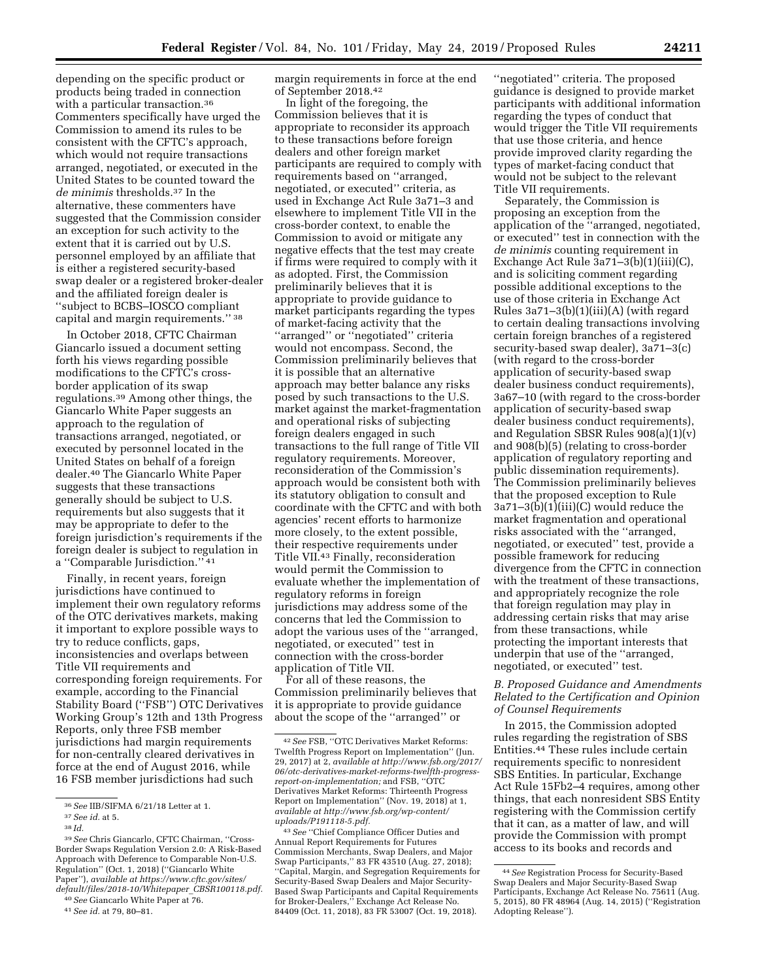depending on the specific product or products being traded in connection with a particular transaction.<sup>36</sup> Commenters specifically have urged the Commission to amend its rules to be consistent with the CFTC's approach, which would not require transactions arranged, negotiated, or executed in the United States to be counted toward the *de minimis* thresholds.37 In the alternative, these commenters have suggested that the Commission consider an exception for such activity to the extent that it is carried out by U.S. personnel employed by an affiliate that is either a registered security-based swap dealer or a registered broker-dealer and the affiliated foreign dealer is ''subject to BCBS–IOSCO compliant capital and margin requirements.'' 38

In October 2018, CFTC Chairman Giancarlo issued a document setting forth his views regarding possible modifications to the CFTC's crossborder application of its swap regulations.39 Among other things, the Giancarlo White Paper suggests an approach to the regulation of transactions arranged, negotiated, or executed by personnel located in the United States on behalf of a foreign dealer.40 The Giancarlo White Paper suggests that these transactions generally should be subject to U.S. requirements but also suggests that it may be appropriate to defer to the foreign jurisdiction's requirements if the foreign dealer is subject to regulation in a ''Comparable Jurisdiction.'' 41

Finally, in recent years, foreign jurisdictions have continued to implement their own regulatory reforms of the OTC derivatives markets, making it important to explore possible ways to try to reduce conflicts, gaps, inconsistencies and overlaps between Title VII requirements and corresponding foreign requirements. For example, according to the Financial Stability Board (''FSB'') OTC Derivatives Working Group's 12th and 13th Progress Reports, only three FSB member jurisdictions had margin requirements for non-centrally cleared derivatives in force at the end of August 2016, while 16 FSB member jurisdictions had such

40*See* Giancarlo White Paper at 76. 41*See id.* at 79, 80–81.

In light of the foregoing, the Commission believes that it is appropriate to reconsider its approach to these transactions before foreign dealers and other foreign market participants are required to comply with requirements based on ''arranged, negotiated, or executed'' criteria, as used in Exchange Act Rule 3a71–3 and elsewhere to implement Title VII in the cross-border context, to enable the Commission to avoid or mitigate any negative effects that the test may create if firms were required to comply with it as adopted. First, the Commission preliminarily believes that it is appropriate to provide guidance to market participants regarding the types of market-facing activity that the ''arranged'' or ''negotiated'' criteria would not encompass. Second, the Commission preliminarily believes that it is possible that an alternative approach may better balance any risks posed by such transactions to the U.S. market against the market-fragmentation and operational risks of subjecting foreign dealers engaged in such transactions to the full range of Title VII regulatory requirements. Moreover, reconsideration of the Commission's approach would be consistent both with its statutory obligation to consult and coordinate with the CFTC and with both agencies' recent efforts to harmonize more closely, to the extent possible, their respective requirements under Title VII.43 Finally, reconsideration would permit the Commission to evaluate whether the implementation of regulatory reforms in foreign jurisdictions may address some of the concerns that led the Commission to adopt the various uses of the ''arranged, negotiated, or executed'' test in connection with the cross-border application of Title VII.

For all of these reasons, the Commission preliminarily believes that it is appropriate to provide guidance about the scope of the ''arranged'' or

''negotiated'' criteria. The proposed guidance is designed to provide market participants with additional information regarding the types of conduct that would trigger the Title VII requirements that use those criteria, and hence provide improved clarity regarding the types of market-facing conduct that would not be subject to the relevant Title VII requirements.

Separately, the Commission is proposing an exception from the application of the "arranged, negotiated, or executed'' test in connection with the *de minimis* counting requirement in Exchange Act Rule 3a71–3(b)(1)(iii)(C), and is soliciting comment regarding possible additional exceptions to the use of those criteria in Exchange Act Rules 3a71–3(b)(1)(iii)(A) (with regard to certain dealing transactions involving certain foreign branches of a registered security-based swap dealer), 3a71–3(c) (with regard to the cross-border application of security-based swap dealer business conduct requirements), 3a67–10 (with regard to the cross-border application of security-based swap dealer business conduct requirements), and Regulation SBSR Rules 908(a)(1)(v) and 908(b)(5) (relating to cross-border application of regulatory reporting and public dissemination requirements). The Commission preliminarily believes that the proposed exception to Rule 3a71–3(b)(1)(iii)(C) would reduce the market fragmentation and operational risks associated with the ''arranged, negotiated, or executed'' test, provide a possible framework for reducing divergence from the CFTC in connection with the treatment of these transactions, and appropriately recognize the role that foreign regulation may play in addressing certain risks that may arise from these transactions, while protecting the important interests that underpin that use of the ''arranged, negotiated, or executed'' test.

# *B. Proposed Guidance and Amendments Related to the Certification and Opinion of Counsel Requirements*

In 2015, the Commission adopted rules regarding the registration of SBS Entities.44 These rules include certain requirements specific to nonresident SBS Entities. In particular, Exchange Act Rule 15Fb2–4 requires, among other things, that each nonresident SBS Entity registering with the Commission certify that it can, as a matter of law, and will provide the Commission with prompt access to its books and records and

<sup>36</sup>*See* IIB/SIFMA 6/21/18 Letter at 1.

<sup>37</sup>*See id.* at 5.

<sup>38</sup> *Id.* 

<sup>39</sup>*See* Chris Giancarlo, CFTC Chairman, ''Cross-Border Swaps Regulation Version 2.0: A Risk-Based Approach with Deference to Comparable Non-U.S. Regulation'' (Oct. 1, 2018) (''Giancarlo White Paper''), *available at [https://www.cftc.gov/sites/](https://www.cftc.gov/sites/default/files/2018-10/Whitepaper_CBSR100118.pdf)  [default/files/2018-10/Whitepaper](https://www.cftc.gov/sites/default/files/2018-10/Whitepaper_CBSR100118.pdf)*\_*CBSR100118.pdf.* 

margin requirements in force at the end of September 2018.42

<sup>42</sup>*See* FSB, ''OTC Derivatives Market Reforms: Twelfth Progress Report on Implementation'' (Jun. 29, 2017) at 2, *available at [http://www.fsb.org/2017/](http://www.fsb.org/2017/06/otc-derivatives-market-reforms-twelfth-progress-report-on-implementation) [06/otc-derivatives-market-reforms-twelfth-progress](http://www.fsb.org/2017/06/otc-derivatives-market-reforms-twelfth-progress-report-on-implementation)[report-on-implementation;](http://www.fsb.org/2017/06/otc-derivatives-market-reforms-twelfth-progress-report-on-implementation)* and FSB, ''OTC Derivatives Market Reforms: Thirteenth Progress Report on Implementation'' (Nov. 19, 2018) at 1, *available at [http://www.fsb.org/wp-content/](http://www.fsb.org/wp-content/uploads/P191118-5.pdf)  [uploads/P191118-5.pdf.](http://www.fsb.org/wp-content/uploads/P191118-5.pdf)* 

<sup>43</sup>*See* ''Chief Compliance Officer Duties and Annual Report Requirements for Futures Commission Merchants, Swap Dealers, and Major Swap Participants,'' 83 FR 43510 (Aug. 27, 2018); ''Capital, Margin, and Segregation Requirements for Security-Based Swap Dealers and Major Security-Based Swap Participants and Capital Requirements for Broker-Dealers,'' Exchange Act Release No. 84409 (Oct. 11, 2018), 83 FR 53007 (Oct. 19, 2018).

<sup>44</sup>*See* Registration Process for Security-Based Swap Dealers and Major Security-Based Swap Participants, Exchange Act Release No. 75611 (Aug. 5, 2015), 80 FR 48964 (Aug. 14, 2015) (''Registration Adopting Release'').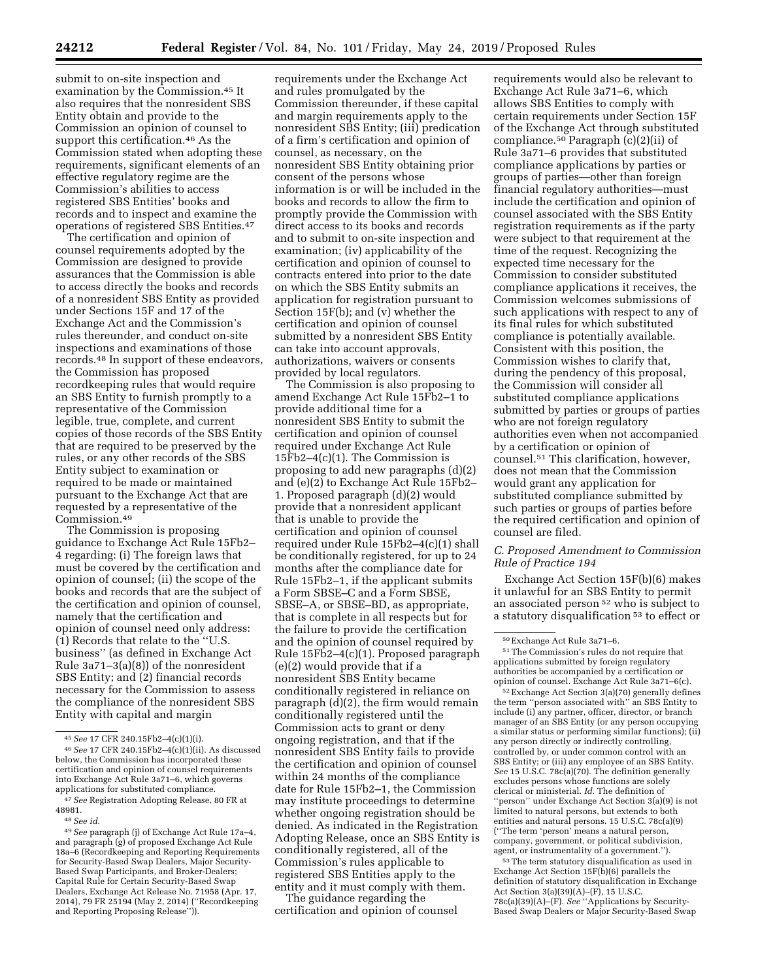submit to on-site inspection and examination by the Commission.45 It also requires that the nonresident SBS Entity obtain and provide to the Commission an opinion of counsel to support this certification.<sup>46</sup> As the Commission stated when adopting these requirements, significant elements of an effective regulatory regime are the Commission's abilities to access registered SBS Entities' books and records and to inspect and examine the operations of registered SBS Entities.47

The certification and opinion of counsel requirements adopted by the Commission are designed to provide assurances that the Commission is able to access directly the books and records of a nonresident SBS Entity as provided under Sections 15F and 17 of the Exchange Act and the Commission's rules thereunder, and conduct on-site inspections and examinations of those records.48 In support of these endeavors, the Commission has proposed recordkeeping rules that would require an SBS Entity to furnish promptly to a representative of the Commission legible, true, complete, and current copies of those records of the SBS Entity that are required to be preserved by the rules, or any other records of the SBS Entity subject to examination or required to be made or maintained pursuant to the Exchange Act that are requested by a representative of the Commission.49

The Commission is proposing guidance to Exchange Act Rule 15Fb2– 4 regarding: (i) The foreign laws that must be covered by the certification and opinion of counsel; (ii) the scope of the books and records that are the subject of the certification and opinion of counsel, namely that the certification and opinion of counsel need only address:  $(1)$  Records that relate to the "U.S. business'' (as defined in Exchange Act Rule 3a71–3(a)(8)) of the nonresident SBS Entity; and (2) financial records necessary for the Commission to assess the compliance of the nonresident SBS Entity with capital and margin

requirements under the Exchange Act and rules promulgated by the Commission thereunder, if these capital and margin requirements apply to the nonresident SBS Entity; (iii) predication of a firm's certification and opinion of counsel, as necessary, on the nonresident SBS Entity obtaining prior consent of the persons whose information is or will be included in the books and records to allow the firm to promptly provide the Commission with direct access to its books and records and to submit to on-site inspection and examination; (iv) applicability of the certification and opinion of counsel to contracts entered into prior to the date on which the SBS Entity submits an application for registration pursuant to Section 15F(b); and (v) whether the certification and opinion of counsel submitted by a nonresident SBS Entity can take into account approvals, authorizations, waivers or consents provided by local regulators.

The Commission is also proposing to amend Exchange Act Rule 15Fb2–1 to provide additional time for a nonresident SBS Entity to submit the certification and opinion of counsel required under Exchange Act Rule  $15Fb2-4(c)(1)$ . The Commission is proposing to add new paragraphs (d)(2) and (e)(2) to Exchange Act Rule 15Fb2– 1. Proposed paragraph (d)(2) would provide that a nonresident applicant that is unable to provide the certification and opinion of counsel required under Rule 15Fb2–4(c)(1) shall be conditionally registered, for up to 24 months after the compliance date for Rule 15Fb2–1, if the applicant submits a Form SBSE–C and a Form SBSE, SBSE–A, or SBSE–BD, as appropriate, that is complete in all respects but for the failure to provide the certification and the opinion of counsel required by Rule 15Fb2–4(c)(1). Proposed paragraph (e)(2) would provide that if a nonresident SBS Entity became conditionally registered in reliance on paragraph (d)(2), the firm would remain conditionally registered until the Commission acts to grant or deny ongoing registration, and that if the nonresident SBS Entity fails to provide the certification and opinion of counsel within 24 months of the compliance date for Rule 15Fb2–1, the Commission may institute proceedings to determine whether ongoing registration should be denied. As indicated in the Registration Adopting Release, once an SBS Entity is conditionally registered, all of the Commission's rules applicable to registered SBS Entities apply to the entity and it must comply with them.

The guidance regarding the certification and opinion of counsel

requirements would also be relevant to Exchange Act Rule 3a71–6, which allows SBS Entities to comply with certain requirements under Section 15F of the Exchange Act through substituted compliance.<sup>50</sup> Paragraph  $(c)(2)(ii)$  of Rule 3a71–6 provides that substituted compliance applications by parties or groups of parties—other than foreign financial regulatory authorities—must include the certification and opinion of counsel associated with the SBS Entity registration requirements as if the party were subject to that requirement at the time of the request. Recognizing the expected time necessary for the Commission to consider substituted compliance applications it receives, the Commission welcomes submissions of such applications with respect to any of its final rules for which substituted compliance is potentially available. Consistent with this position, the Commission wishes to clarify that, during the pendency of this proposal, the Commission will consider all substituted compliance applications submitted by parties or groups of parties who are not foreign regulatory authorities even when not accompanied by a certification or opinion of counsel.51 This clarification, however, does not mean that the Commission would grant any application for substituted compliance submitted by such parties or groups of parties before the required certification and opinion of counsel are filed.

# *C. Proposed Amendment to Commission Rule of Practice 194*

Exchange Act Section 15F(b)(6) makes it unlawful for an SBS Entity to permit an associated person 52 who is subject to a statutory disqualification 53 to effect or

53The term statutory disqualification as used in Exchange Act Section 15F(b)(6) parallels the definition of statutory disqualification in Exchange Act Section 3(a)(39)(A)–(F), 15 U.S.C. 78c(a)(39)(A)–(F). *See* ''Applications by Security-Based Swap Dealers or Major Security-Based Swap

<sup>45</sup>*See* 17 CFR 240.15Fb2–4(c)(1)(i).

<sup>46</sup>*See* 17 CFR 240.15Fb2–4(c)(1)(ii). As discussed below, the Commission has incorporated these certification and opinion of counsel requirements into Exchange Act Rule 3a71–6, which governs applications for substituted compliance.

<sup>47</sup>*See* Registration Adopting Release, 80 FR at 48981.

<sup>48</sup>*See id.* 

<sup>49</sup>*See* paragraph (j) of Exchange Act Rule 17a–4, and paragraph (g) of proposed Exchange Act Rule 18a–6 (Recordkeeping and Reporting Requirements for Security-Based Swap Dealers, Major Security-Based Swap Participants, and Broker-Dealers; Capital Rule for Certain Security-Based Swap Dealers, Exchange Act Release No. 71958 (Apr. 17, 2014), 79 FR 25194 (May 2, 2014) (''Recordkeeping and Reporting Proposing Release'')).

<sup>50</sup>Exchange Act Rule 3a71–6.

<sup>51</sup>The Commission's rules do not require that applications submitted by foreign regulatory authorities be accompanied by a certification or opinion of counsel. Exchange Act Rule 3a71–6(c).

<sup>52</sup>Exchange Act Section 3(a)(70) generally defines the term ''person associated with'' an SBS Entity to include (i) any partner, officer, director, or branch manager of an SBS Entity (or any person occupying a similar status or performing similar functions); (ii) any person directly or indirectly controlling, controlled by, or under common control with an SBS Entity; or (iii) any employee of an SBS Entity. *See* 15 U.S.C. 78c(a)(70). The definition generally excludes persons whose functions are solely clerical or ministerial. *Id.* The definition of ''person'' under Exchange Act Section 3(a)(9) is not limited to natural persons, but extends to both entities and natural persons. 15 U.S.C. 78c(a)(9) (''The term 'person' means a natural person, company, government, or political subdivision, agent, or instrumentality of a government.'').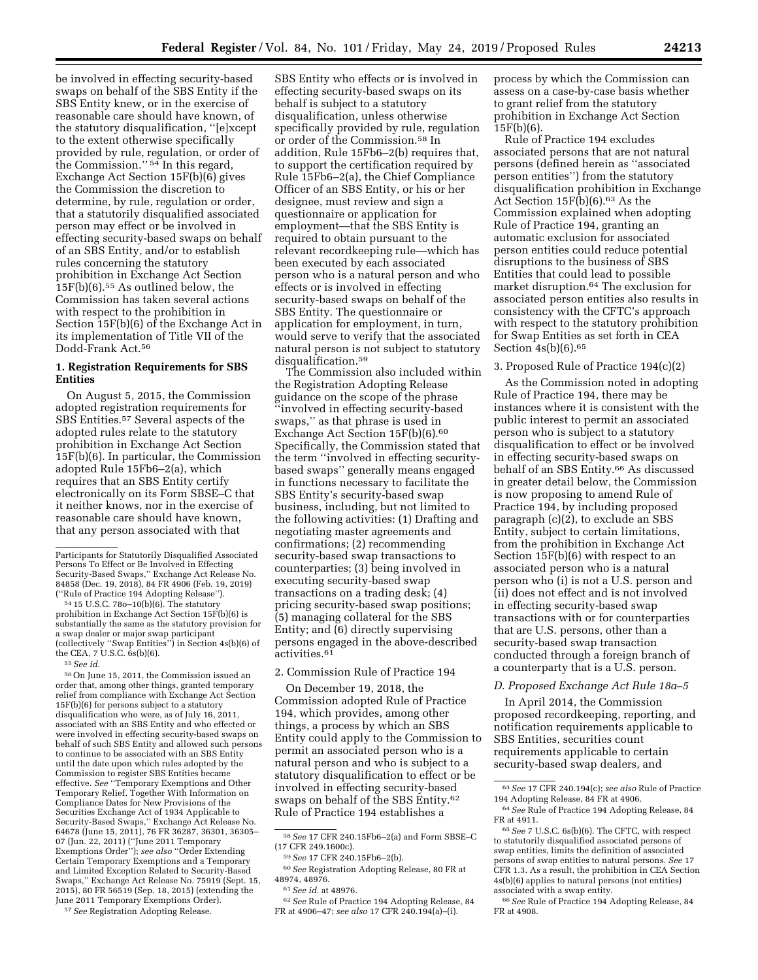be involved in effecting security-based swaps on behalf of the SBS Entity if the SBS Entity knew, or in the exercise of reasonable care should have known, of the statutory disqualification, ''[e]xcept to the extent otherwise specifically provided by rule, regulation, or order of the Commission."<sup>54</sup> In this regard, Exchange Act Section 15F(b)(6) gives the Commission the discretion to determine, by rule, regulation or order, that a statutorily disqualified associated person may effect or be involved in effecting security-based swaps on behalf of an SBS Entity, and/or to establish rules concerning the statutory prohibition in Exchange Act Section 15F(b)(6).55 As outlined below, the Commission has taken several actions with respect to the prohibition in Section 15F(b)(6) of the Exchange Act in its implementation of Title VII of the Dodd-Frank Act.56

# **1. Registration Requirements for SBS Entities**

On August 5, 2015, the Commission adopted registration requirements for SBS Entities.57 Several aspects of the adopted rules relate to the statutory prohibition in Exchange Act Section 15F(b)(6). In particular, the Commission adopted Rule 15Fb6–2(a), which requires that an SBS Entity certify electronically on its Form SBSE–C that it neither knows, nor in the exercise of reasonable care should have known, that any person associated with that

 $54$  15 U.S.C. 78o–10(b)(6). The statutory prohibition in Exchange Act Section 15F(b)(6) is substantially the same as the statutory provision for a swap dealer or major swap participant (collectively ''Swap Entities'') in Section 4s(b)(6) of the CEA, 7 U.S.C. 6s(b)(6).

55*See id.* 

56On June 15, 2011, the Commission issued an order that, among other things, granted temporary relief from compliance with Exchange Act Section 15F(b)(6) for persons subject to a statutory disqualification who were, as of July 16, 2011, associated with an SBS Entity and who effected or were involved in effecting security-based swaps on behalf of such SBS Entity and allowed such persons to continue to be associated with an SBS Entity until the date upon which rules adopted by the Commission to register SBS Entities became effective. *See* ''Temporary Exemptions and Other Temporary Relief, Together With Information on Compliance Dates for New Provisions of the Securities Exchange Act of 1934 Applicable to Security-Based Swaps,'' Exchange Act Release No. 64678 (June 15, 2011), 76 FR 36287, 36301, 36305– 07 (Jun. 22, 2011) (''June 2011 Temporary Exemptions Order''); *see also* ''Order Extending Certain Temporary Exemptions and a Temporary and Limited Exception Related to Security-Based Swaps,'' Exchange Act Release No. 75919 (Sept. 15, 2015), 80 FR 56519 (Sep. 18, 2015) (extending the June 2011 Temporary Exemptions Order).

57*See* Registration Adopting Release.

SBS Entity who effects or is involved in effecting security-based swaps on its behalf is subject to a statutory disqualification, unless otherwise specifically provided by rule, regulation or order of the Commission.58 In addition, Rule 15Fb6–2(b) requires that, to support the certification required by Rule 15Fb6–2(a), the Chief Compliance Officer of an SBS Entity, or his or her designee, must review and sign a questionnaire or application for employment—that the SBS Entity is required to obtain pursuant to the relevant recordkeeping rule—which has been executed by each associated person who is a natural person and who effects or is involved in effecting security-based swaps on behalf of the SBS Entity. The questionnaire or application for employment, in turn, would serve to verify that the associated natural person is not subject to statutory disqualification.59

The Commission also included within the Registration Adopting Release guidance on the scope of the phrase ''involved in effecting security-based swaps,'' as that phrase is used in Exchange Act Section 15F(b)(6).<sup>60</sup> Specifically, the Commission stated that the term ''involved in effecting securitybased swaps'' generally means engaged in functions necessary to facilitate the SBS Entity's security-based swap business, including, but not limited to the following activities: (1) Drafting and negotiating master agreements and confirmations; (2) recommending security-based swap transactions to counterparties; (3) being involved in executing security-based swap transactions on a trading desk; (4) pricing security-based swap positions; (5) managing collateral for the SBS Entity; and (6) directly supervising persons engaged in the above-described activities.<sup>61</sup>

# 2. Commission Rule of Practice 194

On December 19, 2018, the Commission adopted Rule of Practice 194, which provides, among other things, a process by which an SBS Entity could apply to the Commission to permit an associated person who is a natural person and who is subject to a statutory disqualification to effect or be involved in effecting security-based swaps on behalf of the SBS Entity.62 Rule of Practice 194 establishes a

62*See* Rule of Practice 194 Adopting Release, 84 FR at 4906–47; *see also* 17 CFR 240.194(a)–(i).

process by which the Commission can assess on a case-by-case basis whether to grant relief from the statutory prohibition in Exchange Act Section 15F(b)(6).

Rule of Practice 194 excludes associated persons that are not natural persons (defined herein as ''associated person entities'') from the statutory disqualification prohibition in Exchange Act Section 15F(b)(6).63 As the Commission explained when adopting Rule of Practice 194, granting an automatic exclusion for associated person entities could reduce potential disruptions to the business of SBS Entities that could lead to possible market disruption.64 The exclusion for associated person entities also results in consistency with the CFTC's approach with respect to the statutory prohibition for Swap Entities as set forth in CEA Section  $4s(b)(6)$ .<sup>65</sup>

#### 3. Proposed Rule of Practice 194(c)(2)

As the Commission noted in adopting Rule of Practice 194, there may be instances where it is consistent with the public interest to permit an associated person who is subject to a statutory disqualification to effect or be involved in effecting security-based swaps on behalf of an SBS Entity.66 As discussed in greater detail below, the Commission is now proposing to amend Rule of Practice 194, by including proposed paragraph (c)(2), to exclude an SBS Entity, subject to certain limitations, from the prohibition in Exchange Act Section 15F(b)(6) with respect to an associated person who is a natural person who (i) is not a U.S. person and (ii) does not effect and is not involved in effecting security-based swap transactions with or for counterparties that are U.S. persons, other than a security-based swap transaction conducted through a foreign branch of a counterparty that is a U.S. person.

## *D. Proposed Exchange Act Rule 18a–5*

In April 2014, the Commission proposed recordkeeping, reporting, and notification requirements applicable to SBS Entities, securities count requirements applicable to certain security-based swap dealers, and

Participants for Statutorily Disqualified Associated Persons To Effect or Be Involved in Effecting Security-Based Swaps,'' Exchange Act Release No. 84858 (Dec. 19, 2018), 84 FR 4906 (Feb. 19, 2019)

<sup>58</sup>*See* 17 CFR 240.15Fb6–2(a) and Form SBSE–C (17 CFR 249.1600c).

<sup>59</sup>*See* 17 CFR 240.15Fb6–2(b).

<sup>60</sup>*See* Registration Adopting Release, 80 FR at 48974, 48976.

<sup>61</sup>*See id.* at 48976.

<sup>63</sup>*See* 17 CFR 240.194(c); *see also* Rule of Practice 194 Adopting Release, 84 FR at 4906.

<sup>64</sup>*See* Rule of Practice 194 Adopting Release, 84 FR at 4911.

<sup>65</sup>*See* 7 U.S.C. 6s(b)(6). The CFTC, with respect to statutorily disqualified associated persons of swap entities, limits the definition of associated persons of swap entities to natural persons. *See* 17 CFR 1.3. As a result, the prohibition in CEA Section 4s(b)(6) applies to natural persons (not entities) associated with a swap entity.

<sup>66</sup>*See* Rule of Practice 194 Adopting Release, 84 FR at 4908.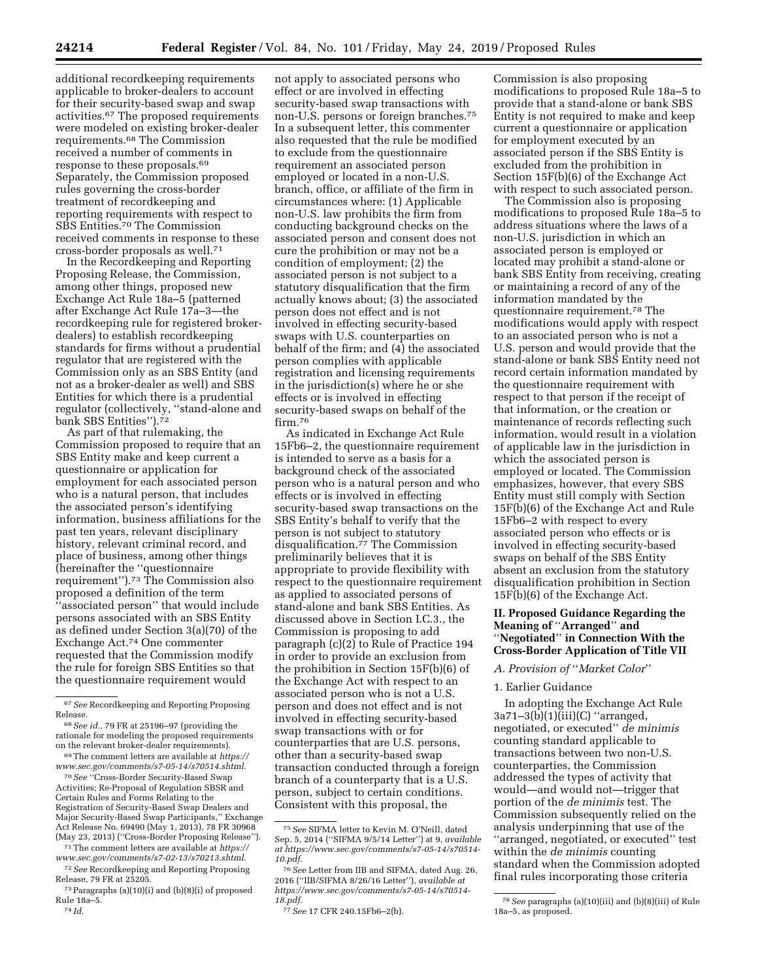additional recordkeeping requirements applicable to broker-dealers to account for their security-based swap and swap activities.67 The proposed requirements were modeled on existing broker-dealer requirements.68 The Commission received a number of comments in response to these proposals.69 Separately, the Commission proposed rules governing the cross-border treatment of recordkeeping and reporting requirements with respect to SBS Entities.70 The Commission received comments in response to these cross-border proposals as well.71

In the Recordkeeping and Reporting Proposing Release, the Commission, among other things, proposed new Exchange Act Rule 18a–5 (patterned after Exchange Act Rule 17a–3—the recordkeeping rule for registered brokerdealers) to establish recordkeeping standards for firms without a prudential regulator that are registered with the Commission only as an SBS Entity (and not as a broker-dealer as well) and SBS Entities for which there is a prudential regulator (collectively, ''stand-alone and bank SBS Entities'').72

As part of that rulemaking, the Commission proposed to require that an SBS Entity make and keep current a questionnaire or application for employment for each associated person who is a natural person, that includes the associated person's identifying information, business affiliations for the past ten years, relevant disciplinary history, relevant criminal record, and place of business, among other things (hereinafter the ''questionnaire requirement'').73 The Commission also proposed a definition of the term ''associated person'' that would include persons associated with an SBS Entity as defined under Section 3(a)(70) of the Exchange Act.74 One commenter requested that the Commission modify the rule for foreign SBS Entities so that the questionnaire requirement would

69The comment letters are available at *[https://](https://www.sec.gov/comments/s7-05-14/s70514.shtml) [www.sec.gov/comments/s7-05-14/s70514.shtml.](https://www.sec.gov/comments/s7-05-14/s70514.shtml)* 

70*See* ''Cross-Border Security-Based Swap Activities; Re-Proposal of Regulation SBSR and Certain Rules and Forms Relating to the Registration of Security-Based Swap Dealers and Major Security-Based Swap Participants,'' Exchange Act Release No. 69490 (May 1, 2013), 78 FR 30968 (May 23, 2013) (''Cross-Border Proposing Release'').

71The comment letters are available at *[https://](https://www.sec.gov/comments/s7-02-13/s70213.shtml) [www.sec.gov/comments/s7-02-13/s70213.shtml.](https://www.sec.gov/comments/s7-02-13/s70213.shtml)* 

72*See* Recordkeeping and Reporting Proposing Release, 79 FR at 25205.

74 *Id.* 

not apply to associated persons who effect or are involved in effecting security-based swap transactions with non-U.S. persons or foreign branches.75 In a subsequent letter, this commenter also requested that the rule be modified to exclude from the questionnaire requirement an associated person employed or located in a non-U.S. branch, office, or affiliate of the firm in circumstances where: (1) Applicable non-U.S. law prohibits the firm from conducting background checks on the associated person and consent does not cure the prohibition or may not be a condition of employment; (2) the associated person is not subject to a statutory disqualification that the firm actually knows about; (3) the associated person does not effect and is not involved in effecting security-based swaps with U.S. counterparties on behalf of the firm; and (4) the associated person complies with applicable registration and licensing requirements in the jurisdiction(s) where he or she effects or is involved in effecting security-based swaps on behalf of the firm.<sup>76</sup>

As indicated in Exchange Act Rule 15Fb6–2, the questionnaire requirement is intended to serve as a basis for a background check of the associated person who is a natural person and who effects or is involved in effecting security-based swap transactions on the SBS Entity's behalf to verify that the person is not subject to statutory disqualification.77 The Commission preliminarily believes that it is appropriate to provide flexibility with respect to the questionnaire requirement as applied to associated persons of stand-alone and bank SBS Entities. As discussed above in Section I.C.3., the Commission is proposing to add paragraph (c)(2) to Rule of Practice 194 in order to provide an exclusion from the prohibition in Section 15F(b)(6) of the Exchange Act with respect to an associated person who is not a U.S. person and does not effect and is not involved in effecting security-based swap transactions with or for counterparties that are U.S. persons, other than a security-based swap transaction conducted through a foreign branch of a counterparty that is a U.S. person, subject to certain conditions. Consistent with this proposal, the

Commission is also proposing modifications to proposed Rule 18a–5 to provide that a stand-alone or bank SBS Entity is not required to make and keep current a questionnaire or application for employment executed by an associated person if the SBS Entity is excluded from the prohibition in Section 15F(b)(6) of the Exchange Act with respect to such associated person.

The Commission also is proposing modifications to proposed Rule 18a–5 to address situations where the laws of a non-U.S. jurisdiction in which an associated person is employed or located may prohibit a stand-alone or bank SBS Entity from receiving, creating or maintaining a record of any of the information mandated by the questionnaire requirement.78 The modifications would apply with respect to an associated person who is not a U.S. person and would provide that the stand-alone or bank SBS Entity need not record certain information mandated by the questionnaire requirement with respect to that person if the receipt of that information, or the creation or maintenance of records reflecting such information, would result in a violation of applicable law in the jurisdiction in which the associated person is employed or located. The Commission emphasizes, however, that every SBS Entity must still comply with Section 15F(b)(6) of the Exchange Act and Rule 15Fb6–2 with respect to every associated person who effects or is involved in effecting security-based swaps on behalf of the SBS Entity absent an exclusion from the statutory disqualification prohibition in Section 15F(b)(6) of the Exchange Act.

# **II. Proposed Guidance Regarding the Meaning of** ''**Arranged**'' **and**  ''**Negotiated**'' **in Connection With the Cross-Border Application of Title VII**

#### *A. Provision of* ''*Market Color*''

## 1. Earlier Guidance

In adopting the Exchange Act Rule 3a71–3(b)(1)(iii)(C) ''arranged, negotiated, or executed'' *de minimis*  counting standard applicable to transactions between two non-U.S. counterparties, the Commission addressed the types of activity that would—and would not—trigger that portion of the *de minimis* test. The Commission subsequently relied on the analysis underpinning that use of the ''arranged, negotiated, or executed'' test within the *de minimis* counting standard when the Commission adopted final rules incorporating those criteria

<sup>67</sup>*See* Recordkeeping and Reporting Proposing Release.

<sup>68</sup>*See id.,* 79 FR at 25196–97 (providing the rationale for modeling the proposed requirements on the relevant broker-dealer requirements).

<sup>73</sup>Paragraphs (a)(10)(i) and (b)(8)(i) of proposed Rule 18a–5.

<sup>75</sup>*See* SIFMA letter to Kevin M. O'Neill, dated Sep. 5, 2014 (''SIFMA 9/5/14 Letter'') at 9, *available at [https://www.sec.gov/comments/s7-05-14/s70514-](https://www.sec.gov/comments/s7-05-14/s70514-10.pdf) [10.pdf.](https://www.sec.gov/comments/s7-05-14/s70514-10.pdf)* 

<sup>76</sup>*See* Letter from IIB and SIFMA, dated Aug. 26, 2016 (''IIB/SIFMA 8/26/16 Letter''), *available at [https://www.sec.gov/comments/s7-05-14/s70514-](https://www.sec.gov/comments/s7-05-14/s70514-18.pdf) [18.pdf.](https://www.sec.gov/comments/s7-05-14/s70514-18.pdf)* 

<sup>77</sup>*See* 17 CFR 240.15Fb6–2(b).

<sup>78</sup>*See* paragraphs (a)(10)(iii) and (b)(8)(iii) of Rule 18a–5, as proposed.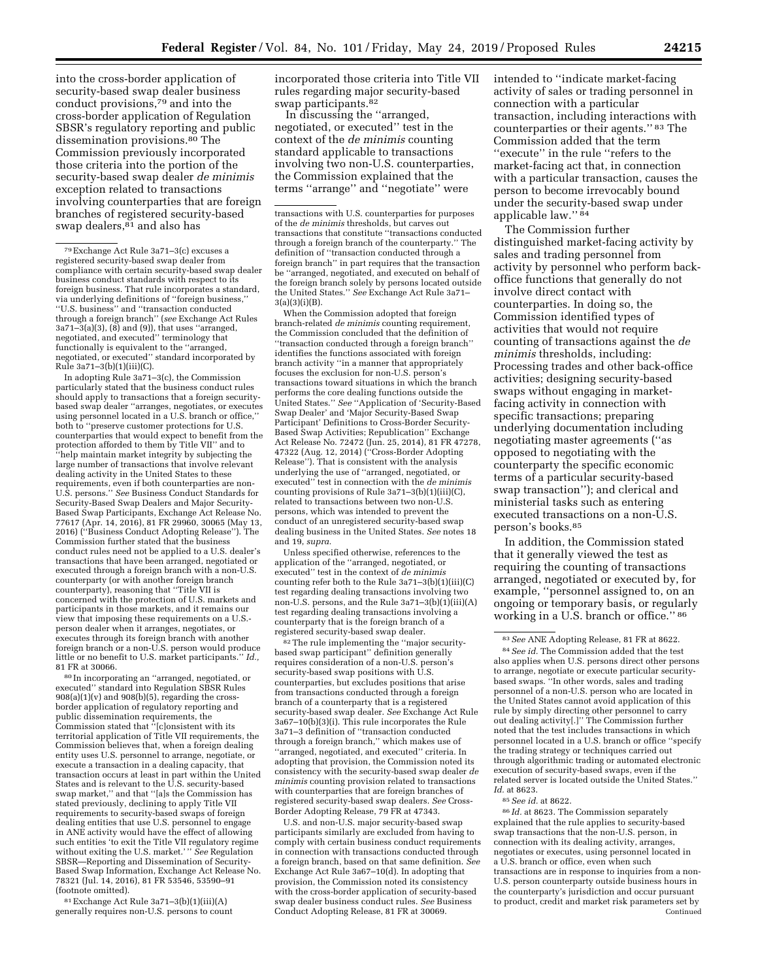into the cross-border application of security-based swap dealer business conduct provisions,79 and into the cross-border application of Regulation SBSR's regulatory reporting and public dissemination provisions.<sup>80</sup> The Commission previously incorporated those criteria into the portion of the security-based swap dealer *de minimis*  exception related to transactions involving counterparties that are foreign branches of registered security-based swap dealers,<sup>81</sup> and also has

In adopting Rule 3a71–3(c), the Commission particularly stated that the business conduct rules should apply to transactions that a foreign securitybased swap dealer ''arranges, negotiates, or executes using personnel located in a U.S. branch or office,'' both to ''preserve customer protections for U.S. counterparties that would expect to benefit from the protection afforded to them by Title VII'' and to ''help maintain market integrity by subjecting the large number of transactions that involve relevant dealing activity in the United States to these requirements, even if both counterparties are non-U.S. persons.'' *See* Business Conduct Standards for Security-Based Swap Dealers and Major Security-Based Swap Participants, Exchange Act Release No. 77617 (Apr. 14, 2016), 81 FR 29960, 30065 (May 13, 2016) (''Business Conduct Adopting Release''). The Commission further stated that the business conduct rules need not be applied to a U.S. dealer's transactions that have been arranged, negotiated or executed through a foreign branch with a non-U.S. counterparty (or with another foreign branch counterparty), reasoning that ''Title VII is concerned with the protection of U.S. markets and participants in those markets, and it remains our view that imposing these requirements on a U.S. person dealer when it arranges, negotiates, or executes through its foreign branch with another foreign branch or a non-U.S. person would produce little or no benefit to U.S. market participants.'' *Id.,*  81 FR at 30066.

80 In incorporating an ''arranged, negotiated, or executed'' standard into Regulation SBSR Rules  $908(a)(1)(v)$  and  $908(b)(5)$ , regarding the crossborder application of regulatory reporting and public dissemination requirements, the Commission stated that ''[c]onsistent with its territorial application of Title VII requirements, the Commission believes that, when a foreign dealing entity uses U.S. personnel to arrange, negotiate, or execute a transaction in a dealing capacity, that transaction occurs at least in part within the United States and is relevant to the U.S. security-based swap market,'' and that ''[a]s the Commission has stated previously, declining to apply Title VII requirements to security-based swaps of foreign dealing entities that use U.S. personnel to engage in ANE activity would have the effect of allowing such entities 'to exit the Title VII regulatory regime without exiting the U.S. market.' '' *See* Regulation SBSR—Reporting and Dissemination of Security-Based Swap Information, Exchange Act Release No. 78321 (Jul. 14, 2016), 81 FR 53546, 53590–91 (footnote omitted).

81Exchange Act Rule 3a71–3(b)(1)(iii)(A) generally requires non-U.S. persons to count incorporated those criteria into Title VII rules regarding major security-based swap participants.82

In discussing the ''arranged, negotiated, or executed'' test in the context of the *de minimis* counting standard applicable to transactions involving two non-U.S. counterparties, the Commission explained that the terms ''arrange'' and ''negotiate'' were

When the Commission adopted that foreign branch-related *de minimis* counting requirement, the Commission concluded that the definition of ''transaction conducted through a foreign branch'' identifies the functions associated with foreign branch activity ''in a manner that appropriately focuses the exclusion for non-U.S. person's transactions toward situations in which the branch performs the core dealing functions outside the United States.'' *See* ''Application of 'Security-Based Swap Dealer' and 'Major Security-Based Swap Participant' Definitions to Cross-Border Security-Based Swap Activities; Republication'' Exchange Act Release No. 72472 (Jun. 25, 2014), 81 FR 47278, 47322 (Aug. 12, 2014) (''Cross-Border Adopting Release''). That is consistent with the analysis underlying the use of ''arranged, negotiated, or executed'' test in connection with the *de minimis*  counting provisions of Rule 3a71–3(b)(1)(iii)(C), related to transactions between two non-U.S. persons, which was intended to prevent the conduct of an unregistered security-based swap dealing business in the United States. *See* notes 18 and 19, *supra.* 

Unless specified otherwise, references to the application of the ''arranged, negotiated, or executed'' test in the context of *de minimis*  counting refer both to the Rule 3a71–3(b)(1)(iii)(C) test regarding dealing transactions involving two non-U.S. persons, and the Rule 3a71–3(b)(1)(iii)(A) test regarding dealing transactions involving a counterparty that is the foreign branch of a registered security-based swap dealer.

82The rule implementing the ''major securitybased swap participant'' definition generally requires consideration of a non-U.S. person's security-based swap positions with U.S. counterparties, but excludes positions that arise from transactions conducted through a foreign branch of a counterparty that is a registered security-based swap dealer. *See* Exchange Act Rule 3a67–10(b)(3)(i). This rule incorporates the Rule 3a71–3 definition of ''transaction conducted through a foreign branch,'' which makes use of 'arranged, negotiated, and executed" criteria. In adopting that provision, the Commission noted its consistency with the security-based swap dealer *de minimis* counting provision related to transactions with counterparties that are foreign branches of registered security-based swap dealers. *See* Cross-Border Adopting Release, 79 FR at 47343.

U.S. and non-U.S. major security-based swap participants similarly are excluded from having to comply with certain business conduct requirements in connection with transactions conducted through a foreign branch, based on that same definition. *See*  Exchange Act Rule 3a67–10(d). In adopting that provision, the Commission noted its consistency with the cross-border application of security-based swap dealer business conduct rules. *See* Business Conduct Adopting Release, 81 FR at 30069.

intended to ''indicate market-facing activity of sales or trading personnel in connection with a particular transaction, including interactions with counterparties or their agents.'' 83 The Commission added that the term ''execute'' in the rule ''refers to the market-facing act that, in connection with a particular transaction, causes the person to become irrevocably bound under the security-based swap under applicable law.'' 84

The Commission further distinguished market-facing activity by sales and trading personnel from activity by personnel who perform backoffice functions that generally do not involve direct contact with counterparties. In doing so, the Commission identified types of activities that would not require counting of transactions against the *de minimis* thresholds, including: Processing trades and other back-office activities; designing security-based swaps without engaging in marketfacing activity in connection with specific transactions; preparing underlying documentation including negotiating master agreements (''as opposed to negotiating with the counterparty the specific economic terms of a particular security-based swap transaction''); and clerical and ministerial tasks such as entering executed transactions on a non-U.S. person's books.85

In addition, the Commission stated that it generally viewed the test as requiring the counting of transactions arranged, negotiated or executed by, for example, ''personnel assigned to, on an ongoing or temporary basis, or regularly working in a U.S. branch or office.'' 86

86 *Id.* at 8623. The Commission separately explained that the rule applies to security-based swap transactions that the non-U.S. person, in connection with its dealing activity, arranges, negotiates or executes, using personnel located in a U.S. branch or office, even when such transactions are in response to inquiries from a non-U.S. person counterparty outside business hours in the counterparty's jurisdiction and occur pursuant to product, credit and market risk parameters set by Continued

<sup>79</sup>Exchange Act Rule 3a71–3(c) excuses a registered security-based swap dealer from compliance with certain security-based swap dealer business conduct standards with respect to its foreign business. That rule incorporates a standard, via underlying definitions of ''foreign business,'' ''U.S. business'' and ''transaction conducted through a foreign branch'' (*see* Exchange Act Rules 3a71–3(a)(3), (8) and (9)), that uses ''arranged, negotiated, and executed'' terminology that functionally is equivalent to the ''arranged, negotiated, or executed'' standard incorporated by Rule 3a71–3(b)(1)(iii)(C).

transactions with U.S. counterparties for purposes of the *de minimis* thresholds, but carves out transactions that constitute ''transactions conducted through a foreign branch of the counterparty.'' The definition of ''transaction conducted through a foreign branch'' in part requires that the transaction be ''arranged, negotiated, and executed on behalf of the foreign branch solely by persons located outside the United States.'' *See* Exchange Act Rule 3a71–  $3(a)(3)(i)(B)$ .

<sup>83</sup>*See* ANE Adopting Release, 81 FR at 8622. 84*See id.* The Commission added that the test also applies when U.S. persons direct other persons to arrange, negotiate or execute particular securitybased swaps. ''In other words, sales and trading personnel of a non-U.S. person who are located in the United States cannot avoid application of this rule by simply directing other personnel to carry out dealing activity[.]'' The Commission further noted that the test includes transactions in which personnel located in a U.S. branch or office ''specify the trading strategy or techniques carried out through algorithmic trading or automated electronic execution of security-based swaps, even if the related server is located outside the United States.'' *Id.* at 8623.

<sup>85</sup>*See id.* at 8622.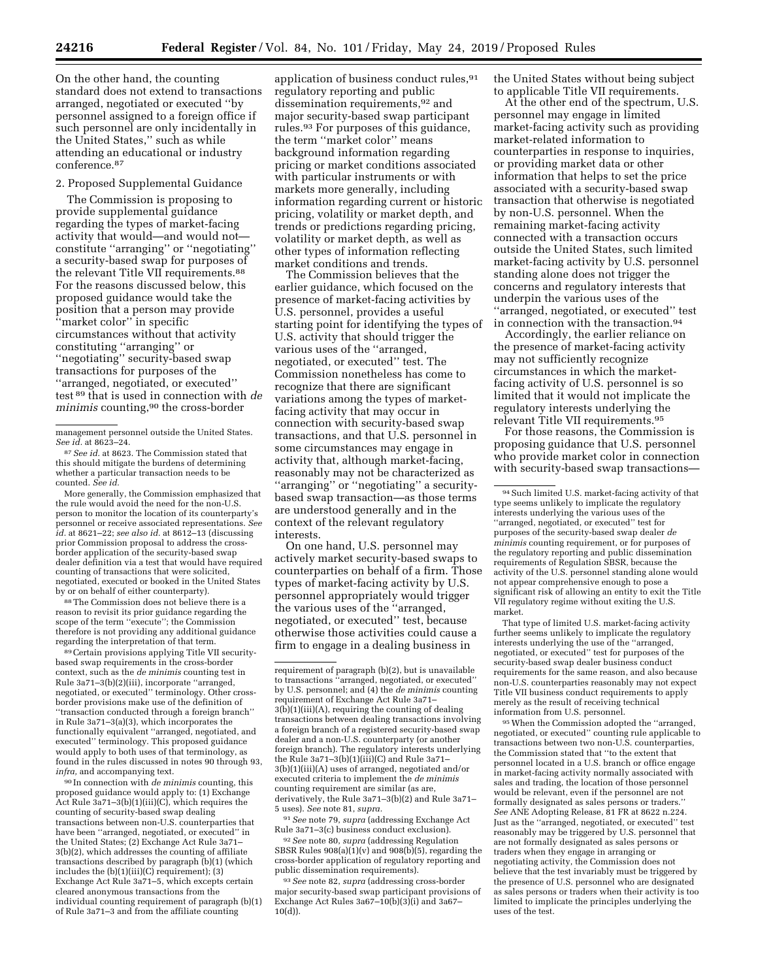On the other hand, the counting standard does not extend to transactions arranged, negotiated or executed ''by personnel assigned to a foreign office if such personnel are only incidentally in the United States,'' such as while attending an educational or industry conference.87

## 2. Proposed Supplemental Guidance

The Commission is proposing to provide supplemental guidance regarding the types of market-facing activity that would—and would not constitute ''arranging'' or ''negotiating'' a security-based swap for purposes of the relevant Title VII requirements.<sup>88</sup> For the reasons discussed below, this proposed guidance would take the position that a person may provide ''market color'' in specific circumstances without that activity constituting ''arranging'' or ''negotiating'' security-based swap transactions for purposes of the ''arranged, negotiated, or executed'' test 89 that is used in connection with *de minimis* counting,90 the cross-border

More generally, the Commission emphasized that the rule would avoid the need for the non-U.S. person to monitor the location of its counterparty's personnel or receive associated representations. *See id.* at 8621–22; *see also id.* at 8612–13 (discussing prior Commission proposal to address the cross-border application of the security-based swap dealer definition via a test that would have required counting of transactions that were solicited, negotiated, executed or booked in the United States by or on behalf of either counterparty).

88The Commission does not believe there is a reason to revisit its prior guidance regarding the scope of the term ''execute''; the Commission therefore is not providing any additional guidance regarding the interpretation of that term.

89Certain provisions applying Title VII securitybased swap requirements in the cross-border context, such as the *de minimis* counting test in Rule 3a71–3(b)(2)(iii), incorporate ''arranged, negotiated, or executed'' terminology. Other crossborder provisions make use of the definition of ''transaction conducted through a foreign branch'' in Rule 3a71–3(a)(3), which incorporates the functionally equivalent ''arranged, negotiated, and executed'' terminology. This proposed guidance would apply to both uses of that terminology, as found in the rules discussed in notes 90 through 93, *infra,* and accompanying text.

90 In connection with *de minimis* counting, this proposed guidance would apply to: (1) Exchange Act Rule 3a71–3(b)(1)(iii)(C), which requires the counting of security-based swap dealing transactions between non-U.S. counterparties that have been ''arranged, negotiated, or executed'' in the United States; (2) Exchange Act Rule 3a71– 3(b)(2), which addresses the counting of affiliate transactions described by paragraph (b)(1) (which includes the (b)(1)(iii)(C) requirement); (3) Exchange Act Rule 3a71–5, which excepts certain cleared anonymous transactions from the individual counting requirement of paragraph (b)(1) of Rule 3a71–3 and from the affiliate counting

application of business conduct rules, 91 regulatory reporting and public dissemination requirements,92 and major security-based swap participant rules.93 For purposes of this guidance, the term ''market color'' means background information regarding pricing or market conditions associated with particular instruments or with markets more generally, including information regarding current or historic pricing, volatility or market depth, and trends or predictions regarding pricing, volatility or market depth, as well as other types of information reflecting market conditions and trends.

The Commission believes that the earlier guidance, which focused on the presence of market-facing activities by U.S. personnel, provides a useful starting point for identifying the types of U.S. activity that should trigger the various uses of the ''arranged, negotiated, or executed'' test. The Commission nonetheless has come to recognize that there are significant variations among the types of marketfacing activity that may occur in connection with security-based swap transactions, and that U.S. personnel in some circumstances may engage in activity that, although market-facing, reasonably may not be characterized as ''arranging'' or ''negotiating'' a securitybased swap transaction—as those terms are understood generally and in the context of the relevant regulatory interests.

On one hand, U.S. personnel may actively market security-based swaps to counterparties on behalf of a firm. Those types of market-facing activity by U.S. personnel appropriately would trigger the various uses of the ''arranged, negotiated, or executed'' test, because otherwise those activities could cause a firm to engage in a dealing business in

91*See* note 79, *supra* (addressing Exchange Act Rule 3a71–3(c) business conduct exclusion).

92*See* note 80, *supra* (addressing Regulation SBSR Rules  $908(a)(1)(v)$  and  $908(b)(5)$ , regarding the cross-border application of regulatory reporting and public dissemination requirements).

93*See* note 82, *supra* (addressing cross-border major security-based swap participant provisions of Exchange Act Rules  $3a67-10(b)(3)(i)$  and  $3a67-$ 10(d)).

the United States without being subject to applicable Title VII requirements.

At the other end of the spectrum, U.S. personnel may engage in limited market-facing activity such as providing market-related information to counterparties in response to inquiries, or providing market data or other information that helps to set the price associated with a security-based swap transaction that otherwise is negotiated by non-U.S. personnel. When the remaining market-facing activity connected with a transaction occurs outside the United States, such limited market-facing activity by U.S. personnel standing alone does not trigger the concerns and regulatory interests that underpin the various uses of the ''arranged, negotiated, or executed'' test in connection with the transaction.94

Accordingly, the earlier reliance on the presence of market-facing activity may not sufficiently recognize circumstances in which the marketfacing activity of U.S. personnel is so limited that it would not implicate the regulatory interests underlying the relevant Title VII requirements.95

For those reasons, the Commission is proposing guidance that U.S. personnel who provide market color in connection with security-based swap transactions—

That type of limited U.S. market-facing activity further seems unlikely to implicate the regulatory interests underlying the use of the ''arranged, negotiated, or executed'' test for purposes of the security-based swap dealer business conduct requirements for the same reason, and also because non-U.S. counterparties reasonably may not expect Title VII business conduct requirements to apply merely as the result of receiving technical information from U.S. personnel.

95When the Commission adopted the ''arranged, negotiated, or executed'' counting rule applicable to transactions between two non-U.S. counterparties, the Commission stated that ''to the extent that personnel located in a U.S. branch or office engage in market-facing activity normally associated with sales and trading, the location of those personnel would be relevant, even if the personnel are not formally designated as sales persons or traders.'' *See* ANE Adopting Release, 81 FR at 8622 n.224. Just as the ''arranged, negotiated, or executed'' test reasonably may be triggered by U.S. personnel that are not formally designated as sales persons or traders when they engage in arranging or negotiating activity, the Commission does not believe that the test invariably must be triggered by the presence of U.S. personnel who are designated as sales persons or traders when their activity is too limited to implicate the principles underlying the uses of the test.

management personnel outside the United States. *See id.* at 8623–24.

<sup>87</sup>*See id.* at 8623. The Commission stated that this should mitigate the burdens of determining whether a particular transaction needs to be counted. *See id.* 

requirement of paragraph (b)(2), but is unavailable to transactions ''arranged, negotiated, or executed'' by U.S. personnel; and (4) the *de minimis* counting requirement of Exchange Act Rule 3a71– 3(b)(1)(iii)(A), requiring the counting of dealing transactions between dealing transactions involving a foreign branch of a registered security-based swap dealer and a non-U.S. counterparty (or another foreign branch). The regulatory interests underlying the Rule 3a71–3(b)(1)(iii)(C) and Rule 3a71– 3(b)(1)(iii)(A) uses of arranged, negotiated and/or executed criteria to implement the *de minimis*  counting requirement are similar (as are, derivatively, the Rule 3a71–3(b)(2) and Rule 3a71– 5 uses). *See* note 81, *supra.* 

<sup>94</sup>Such limited U.S. market-facing activity of that type seems unlikely to implicate the regulatory interests underlying the various uses of the ''arranged, negotiated, or executed'' test for purposes of the security-based swap dealer *de minimis* counting requirement, or for purposes of the regulatory reporting and public dissemination requirements of Regulation SBSR, because the activity of the U.S. personnel standing alone would not appear comprehensive enough to pose a significant risk of allowing an entity to exit the Title VII regulatory regime without exiting the U.S. market.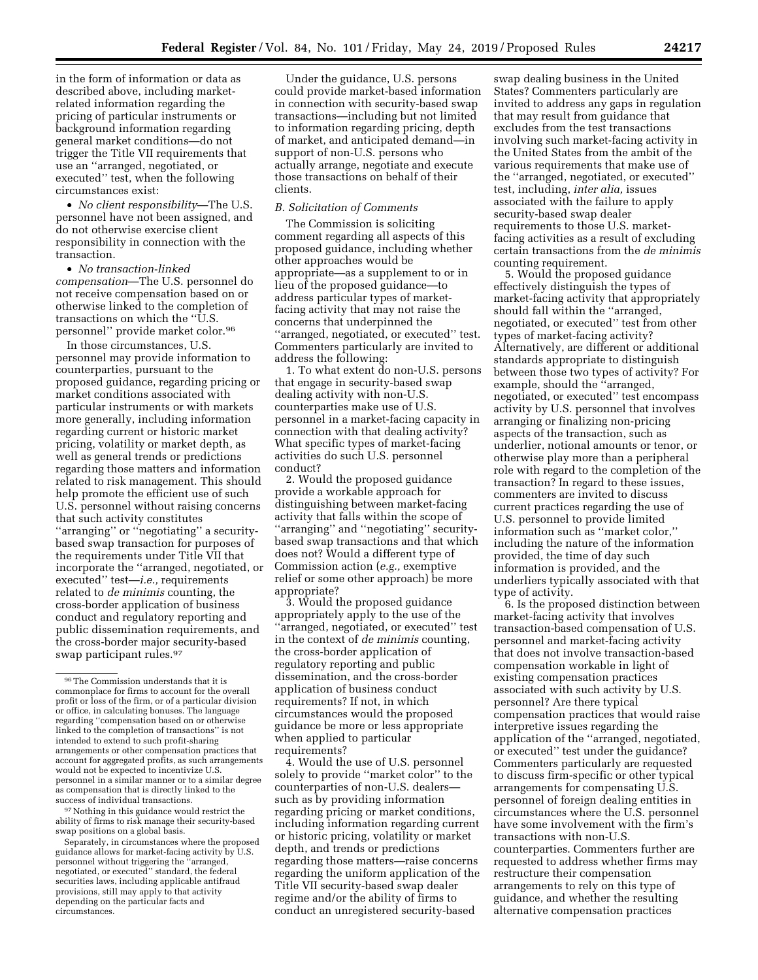in the form of information or data as described above, including marketrelated information regarding the pricing of particular instruments or background information regarding general market conditions—do not trigger the Title VII requirements that use an ''arranged, negotiated, or executed'' test, when the following circumstances exist:

• *No client responsibility*—The U.S. personnel have not been assigned, and do not otherwise exercise client responsibility in connection with the transaction.

• *No transaction-linked compensation*—The U.S. personnel do not receive compensation based on or otherwise linked to the completion of transactions on which the "U.S. personnel'' provide market color.96

In those circumstances, U.S. personnel may provide information to counterparties, pursuant to the proposed guidance, regarding pricing or market conditions associated with particular instruments or with markets more generally, including information regarding current or historic market pricing, volatility or market depth, as well as general trends or predictions regarding those matters and information related to risk management. This should help promote the efficient use of such U.S. personnel without raising concerns that such activity constitutes ''arranging'' or ''negotiating'' a securitybased swap transaction for purposes of the requirements under Title VII that incorporate the ''arranged, negotiated, or executed'' test—*i.e.,* requirements related to *de minimis* counting, the cross-border application of business conduct and regulatory reporting and public dissemination requirements, and the cross-border major security-based swap participant rules.97

97Nothing in this guidance would restrict the ability of firms to risk manage their security-based swap positions on a global basis.

Separately, in circumstances where the proposed guidance allows for market-facing activity by U.S. personnel without triggering the ''arranged, negotiated, or executed'' standard, the federal securities laws, including applicable antifraud provisions, still may apply to that activity depending on the particular facts and circumstances.

Under the guidance, U.S. persons could provide market-based information in connection with security-based swap transactions—including but not limited to information regarding pricing, depth of market, and anticipated demand—in support of non-U.S. persons who actually arrange, negotiate and execute those transactions on behalf of their clients.

#### *B. Solicitation of Comments*

The Commission is soliciting comment regarding all aspects of this proposed guidance, including whether other approaches would be appropriate—as a supplement to or in lieu of the proposed guidance—to address particular types of marketfacing activity that may not raise the concerns that underpinned the ''arranged, negotiated, or executed'' test. Commenters particularly are invited to address the following:

1. To what extent do non-U.S. persons that engage in security-based swap dealing activity with non-U.S. counterparties make use of U.S. personnel in a market-facing capacity in connection with that dealing activity? What specific types of market-facing activities do such U.S. personnel conduct?

2. Would the proposed guidance provide a workable approach for distinguishing between market-facing activity that falls within the scope of ''arranging'' and ''negotiating'' securitybased swap transactions and that which does not? Would a different type of Commission action (*e.g.,* exemptive relief or some other approach) be more appropriate?

3. Would the proposed guidance appropriately apply to the use of the 'arranged, negotiated, or executed'' test in the context of *de minimis* counting, the cross-border application of regulatory reporting and public dissemination, and the cross-border application of business conduct requirements? If not, in which circumstances would the proposed guidance be more or less appropriate when applied to particular requirements?

4. Would the use of U.S. personnel solely to provide ''market color'' to the counterparties of non-U.S. dealers such as by providing information regarding pricing or market conditions, including information regarding current or historic pricing, volatility or market depth, and trends or predictions regarding those matters—raise concerns regarding the uniform application of the Title VII security-based swap dealer regime and/or the ability of firms to conduct an unregistered security-based

swap dealing business in the United States? Commenters particularly are invited to address any gaps in regulation that may result from guidance that excludes from the test transactions involving such market-facing activity in the United States from the ambit of the various requirements that make use of the ''arranged, negotiated, or executed'' test, including, *inter alia,* issues associated with the failure to apply security-based swap dealer requirements to those U.S. marketfacing activities as a result of excluding certain transactions from the *de minimis*  counting requirement.

5. Would the proposed guidance effectively distinguish the types of market-facing activity that appropriately should fall within the ''arranged, negotiated, or executed'' test from other types of market-facing activity? Alternatively, are different or additional standards appropriate to distinguish between those two types of activity? For example, should the ''arranged, negotiated, or executed'' test encompass activity by U.S. personnel that involves arranging or finalizing non-pricing aspects of the transaction, such as underlier, notional amounts or tenor, or otherwise play more than a peripheral role with regard to the completion of the transaction? In regard to these issues, commenters are invited to discuss current practices regarding the use of U.S. personnel to provide limited information such as ''market color,'' including the nature of the information provided, the time of day such information is provided, and the underliers typically associated with that type of activity.

6. Is the proposed distinction between market-facing activity that involves transaction-based compensation of U.S. personnel and market-facing activity that does not involve transaction-based compensation workable in light of existing compensation practices associated with such activity by U.S. personnel? Are there typical compensation practices that would raise interpretive issues regarding the application of the ''arranged, negotiated, or executed'' test under the guidance? Commenters particularly are requested to discuss firm-specific or other typical arrangements for compensating U.S. personnel of foreign dealing entities in circumstances where the U.S. personnel have some involvement with the firm's transactions with non-U.S. counterparties. Commenters further are requested to address whether firms may restructure their compensation arrangements to rely on this type of guidance, and whether the resulting alternative compensation practices

<sup>96</sup>The Commission understands that it is commonplace for firms to account for the overall profit or loss of the firm, or of a particular division or office, in calculating bonuses. The language regarding ''compensation based on or otherwise linked to the completion of transactions'' is not intended to extend to such profit-sharing arrangements or other compensation practices that account for aggregated profits, as such arrangements would not be expected to incentivize U.S. personnel in a similar manner or to a similar degree as compensation that is directly linked to the success of individual transactions.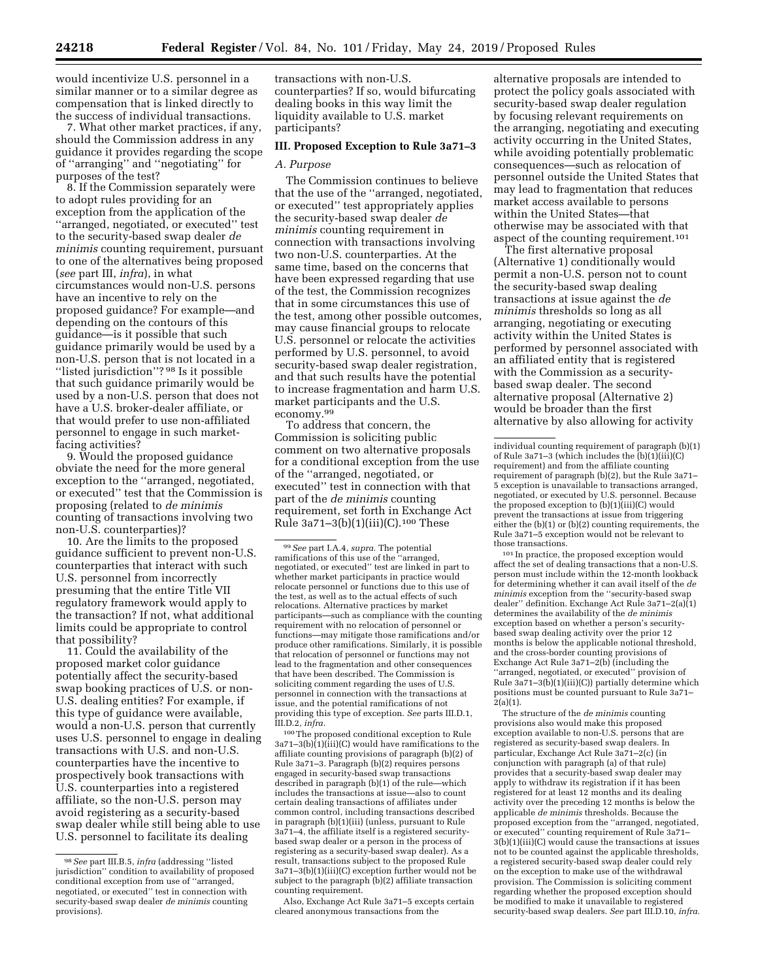would incentivize U.S. personnel in a similar manner or to a similar degree as compensation that is linked directly to the success of individual transactions.

7. What other market practices, if any, should the Commission address in any guidance it provides regarding the scope of ''arranging'' and ''negotiating'' for purposes of the test?

8. If the Commission separately were to adopt rules providing for an exception from the application of the ''arranged, negotiated, or executed'' test to the security-based swap dealer *de minimis* counting requirement, pursuant to one of the alternatives being proposed (*see* part III, *infra*), in what circumstances would non-U.S. persons have an incentive to rely on the proposed guidance? For example—and depending on the contours of this guidance—is it possible that such guidance primarily would be used by a non-U.S. person that is not located in a "listed jurisdiction"? 98 Is it possible that such guidance primarily would be used by a non-U.S. person that does not have a U.S. broker-dealer affiliate, or that would prefer to use non-affiliated personnel to engage in such marketfacing activities?

9. Would the proposed guidance obviate the need for the more general exception to the ''arranged, negotiated, or executed'' test that the Commission is proposing (related to *de minimis*  counting of transactions involving two non-U.S. counterparties)?

10. Are the limits to the proposed guidance sufficient to prevent non-U.S. counterparties that interact with such U.S. personnel from incorrectly presuming that the entire Title VII regulatory framework would apply to the transaction? If not, what additional limits could be appropriate to control that possibility?

11. Could the availability of the proposed market color guidance potentially affect the security-based swap booking practices of U.S. or non-U.S. dealing entities? For example, if this type of guidance were available, would a non-U.S. person that currently uses U.S. personnel to engage in dealing transactions with U.S. and non-U.S. counterparties have the incentive to prospectively book transactions with U.S. counterparties into a registered affiliate, so the non-U.S. person may avoid registering as a security-based swap dealer while still being able to use U.S. personnel to facilitate its dealing

transactions with non-U.S. counterparties? If so, would bifurcating dealing books in this way limit the liquidity available to U.S. market participants?

### **III. Proposed Exception to Rule 3a71–3**

#### *A. Purpose*

The Commission continues to believe that the use of the ''arranged, negotiated, or executed'' test appropriately applies the security-based swap dealer *de minimis* counting requirement in connection with transactions involving two non-U.S. counterparties. At the same time, based on the concerns that have been expressed regarding that use of the test, the Commission recognizes that in some circumstances this use of the test, among other possible outcomes, may cause financial groups to relocate U.S. personnel or relocate the activities performed by U.S. personnel, to avoid security-based swap dealer registration, and that such results have the potential to increase fragmentation and harm U.S. market participants and the U.S. economy.99

To address that concern, the Commission is soliciting public comment on two alternative proposals for a conditional exception from the use of the ''arranged, negotiated, or executed'' test in connection with that part of the *de minimis* counting requirement, set forth in Exchange Act Rule 3a71–3(b)(1)(iii)(C).100 These

99*See* part I.A.4, *supra.* The potential ramifications of this use of the ''arranged, negotiated, or executed'' test are linked in part to whether market participants in practice would relocate personnel or functions due to this use of the test, as well as to the actual effects of such relocations. Alternative practices by market participants—such as compliance with the counting requirement with no relocation of personnel or functions—may mitigate those ramifications and/or produce other ramifications. Similarly, it is possible that relocation of personnel or functions may not lead to the fragmentation and other consequences that have been described. The Commission is soliciting comment regarding the uses of U.S. personnel in connection with the transactions at issue, and the potential ramifications of not providing this type of exception. *See* parts III.D.1, III.D.2, *infra.* 

100The proposed conditional exception to Rule  $3a71-3(b)(1)(iii)(C)$  would have ramifications to the affiliate counting provisions of paragraph (b)(2) of Rule 3a71–3. Paragraph (b)(2) requires persons engaged in security-based swap transactions described in paragraph (b)(1) of the rule—which includes the transactions at issue—also to count certain dealing transactions of affiliates under common control, including transactions described in paragraph (b)(1)(iii) (unless, pursuant to Rule 3a71–4, the affiliate itself is a registered securitybased swap dealer or a person in the process of registering as a security-based swap dealer). As a result, transactions subject to the proposed Rule 3a71–3(b)(1)(iii)(C) exception further would not be subject to the paragraph (b)(2) affiliate transaction counting requirement.

Also, Exchange Act Rule 3a71–5 excepts certain cleared anonymous transactions from the

alternative proposals are intended to protect the policy goals associated with security-based swap dealer regulation by focusing relevant requirements on the arranging, negotiating and executing activity occurring in the United States, while avoiding potentially problematic consequences—such as relocation of personnel outside the United States that may lead to fragmentation that reduces market access available to persons within the United States—that otherwise may be associated with that aspect of the counting requirement.101

The first alternative proposal (Alternative 1) conditionally would permit a non-U.S. person not to count the security-based swap dealing transactions at issue against the *de minimis* thresholds so long as all arranging, negotiating or executing activity within the United States is performed by personnel associated with an affiliated entity that is registered with the Commission as a securitybased swap dealer. The second alternative proposal (Alternative 2) would be broader than the first alternative by also allowing for activity

101 In practice, the proposed exception would affect the set of dealing transactions that a non-U.S. person must include within the 12-month lookback for determining whether it can avail itself of the *de minimis* exception from the ''security-based swap dealer'' definition. Exchange Act Rule 3a71–2(a)(1) determines the availability of the *de minimis*  exception based on whether a person's securitybased swap dealing activity over the prior 12 months is below the applicable notional threshold, and the cross-border counting provisions of Exchange Act Rule 3a71–2(b) (including the ''arranged, negotiated, or executed'' provision of Rule  $3a71-3(b)(1)(iii)(C)$ ) partially determine which positions must be counted pursuant to Rule 3a71–  $2(a)(1)$ .

The structure of the *de minimis* counting provisions also would make this proposed exception available to non-U.S. persons that are registered as security-based swap dealers. In particular, Exchange Act Rule 3a71–2(c) (in conjunction with paragraph (a) of that rule) provides that a security-based swap dealer may apply to withdraw its registration if it has been registered for at least 12 months and its dealing activity over the preceding 12 months is below the applicable *de minimis* thresholds. Because the proposed exception from the ''arranged, negotiated, or executed'' counting requirement of Rule 3a71– 3(b)(1)(iii)(C) would cause the transactions at issues not to be counted against the applicable thresholds, a registered security-based swap dealer could rely on the exception to make use of the withdrawal provision. The Commission is soliciting comment regarding whether the proposed exception should be modified to make it unavailable to registered security-based swap dealers. *See* part III.D.10, *infra.* 

<sup>98</sup>*See* part III.B.5, *infra* (addressing ''listed jurisdiction'' condition to availability of proposed conditional exception from use of ''arranged, negotiated, or executed'' test in connection with security-based swap dealer *de minimis* counting provisions).

individual counting requirement of paragraph (b)(1) of Rule 3a71–3 (which includes the  $(b)(1)(iii)(C)$ requirement) and from the affiliate counting requirement of paragraph (b)(2), but the Rule 3a71– 5 exception is unavailable to transactions arranged, negotiated, or executed by U.S. personnel. Because the proposed exception to (b)(1)(iii)(C) would prevent the transactions at issue from triggering either the (b)(1) or (b)(2) counting requirements, the Rule 3a71–5 exception would not be relevant to those transactions.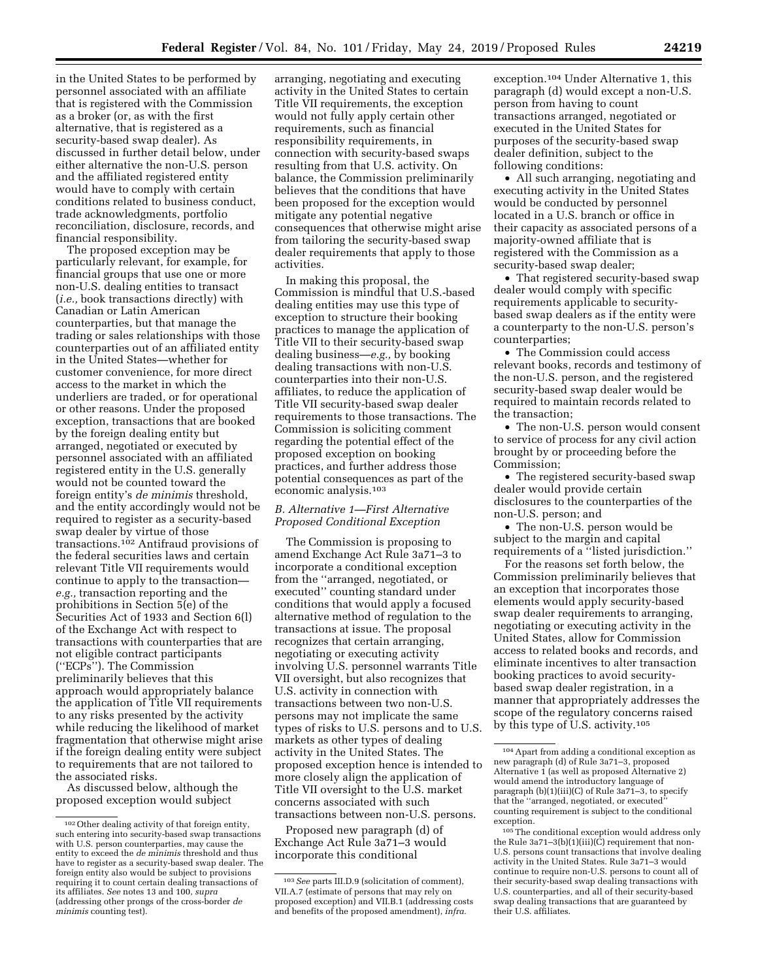in the United States to be performed by personnel associated with an affiliate that is registered with the Commission as a broker (or, as with the first alternative, that is registered as a security-based swap dealer). As discussed in further detail below, under either alternative the non-U.S. person and the affiliated registered entity would have to comply with certain conditions related to business conduct, trade acknowledgments, portfolio reconciliation, disclosure, records, and financial responsibility.

The proposed exception may be particularly relevant, for example, for financial groups that use one or more non-U.S. dealing entities to transact (*i.e.,* book transactions directly) with Canadian or Latin American counterparties, but that manage the trading or sales relationships with those counterparties out of an affiliated entity in the United States—whether for customer convenience, for more direct access to the market in which the underliers are traded, or for operational or other reasons. Under the proposed exception, transactions that are booked by the foreign dealing entity but arranged, negotiated or executed by personnel associated with an affiliated registered entity in the U.S. generally would not be counted toward the foreign entity's *de minimis* threshold, and the entity accordingly would not be required to register as a security-based swap dealer by virtue of those transactions.102 Antifraud provisions of the federal securities laws and certain relevant Title VII requirements would continue to apply to the transaction *e.g.,* transaction reporting and the prohibitions in Section 5(e) of the Securities Act of 1933 and Section 6(l) of the Exchange Act with respect to transactions with counterparties that are not eligible contract participants (''ECPs''). The Commission preliminarily believes that this approach would appropriately balance the application of Title VII requirements to any risks presented by the activity while reducing the likelihood of market fragmentation that otherwise might arise if the foreign dealing entity were subject to requirements that are not tailored to the associated risks.

As discussed below, although the proposed exception would subject

arranging, negotiating and executing activity in the United States to certain Title VII requirements, the exception would not fully apply certain other requirements, such as financial responsibility requirements, in connection with security-based swaps resulting from that U.S. activity. On balance, the Commission preliminarily believes that the conditions that have been proposed for the exception would mitigate any potential negative consequences that otherwise might arise from tailoring the security-based swap dealer requirements that apply to those activities.

In making this proposal, the Commission is mindful that U.S.-based dealing entities may use this type of exception to structure their booking practices to manage the application of Title VII to their security-based swap dealing business—*e.g.,* by booking dealing transactions with non-U.S. counterparties into their non-U.S. affiliates, to reduce the application of Title VII security-based swap dealer requirements to those transactions. The Commission is soliciting comment regarding the potential effect of the proposed exception on booking practices, and further address those potential consequences as part of the economic analysis.103

# *B. Alternative 1—First Alternative Proposed Conditional Exception*

The Commission is proposing to amend Exchange Act Rule 3a71–3 to incorporate a conditional exception from the ''arranged, negotiated, or executed'' counting standard under conditions that would apply a focused alternative method of regulation to the transactions at issue. The proposal recognizes that certain arranging, negotiating or executing activity involving U.S. personnel warrants Title VII oversight, but also recognizes that U.S. activity in connection with transactions between two non-U.S. persons may not implicate the same types of risks to U.S. persons and to U.S. markets as other types of dealing activity in the United States. The proposed exception hence is intended to more closely align the application of Title VII oversight to the U.S. market concerns associated with such transactions between non-U.S. persons.

Proposed new paragraph (d) of Exchange Act Rule 3a71–3 would incorporate this conditional

exception.104 Under Alternative 1, this paragraph (d) would except a non-U.S. person from having to count transactions arranged, negotiated or executed in the United States for purposes of the security-based swap dealer definition, subject to the following conditions:

• All such arranging, negotiating and executing activity in the United States would be conducted by personnel located in a U.S. branch or office in their capacity as associated persons of a majority-owned affiliate that is registered with the Commission as a security-based swap dealer;

• That registered security-based swap dealer would comply with specific requirements applicable to securitybased swap dealers as if the entity were a counterparty to the non-U.S. person's counterparties;

• The Commission could access relevant books, records and testimony of the non-U.S. person, and the registered security-based swap dealer would be required to maintain records related to the transaction;

• The non-U.S. person would consent to service of process for any civil action brought by or proceeding before the Commission;

• The registered security-based swap dealer would provide certain disclosures to the counterparties of the non-U.S. person; and

• The non-U.S. person would be subject to the margin and capital requirements of a ''listed jurisdiction.''

For the reasons set forth below, the Commission preliminarily believes that an exception that incorporates those elements would apply security-based swap dealer requirements to arranging, negotiating or executing activity in the United States, allow for Commission access to related books and records, and eliminate incentives to alter transaction booking practices to avoid securitybased swap dealer registration, in a manner that appropriately addresses the scope of the regulatory concerns raised by this type of U.S. activity.105

 $^{\rm 102}\,$  Other dealing activity of that foreign entity, such entering into security-based swap transactions with U.S. person counterparties, may cause the entity to exceed the *de minimis* threshold and thus have to register as a security-based swap dealer. The foreign entity also would be subject to provisions requiring it to count certain dealing transactions of its affiliates. *See* notes 13 and 100, *supra*  (addressing other prongs of the cross-border *de minimis* counting test).

<sup>103</sup>*See* parts III.D.9 (solicitation of comment), VII.A.7 (estimate of persons that may rely on proposed exception) and VII.B.1 (addressing costs and benefits of the proposed amendment), *infra.* 

<sup>104</sup>Apart from adding a conditional exception as new paragraph (d) of Rule 3a71–3, proposed Alternative 1 (as well as proposed Alternative 2) would amend the introductory language of paragraph (b)(1)(iii)(C) of Rule 3a71–3, to specify that the ''arranged, negotiated, or executed'' counting requirement is subject to the conditional exception.

<sup>105</sup>The conditional exception would address only the Rule 3a71–3(b)(1)(iii)( $\dot{C}$ ) requirement that non-U.S. persons count transactions that involve dealing activity in the United States. Rule 3a71–3 would continue to require non-U.S. persons to count all of their security-based swap dealing transactions with U.S. counterparties, and all of their security-based swap dealing transactions that are guaranteed by their U.S. affiliates.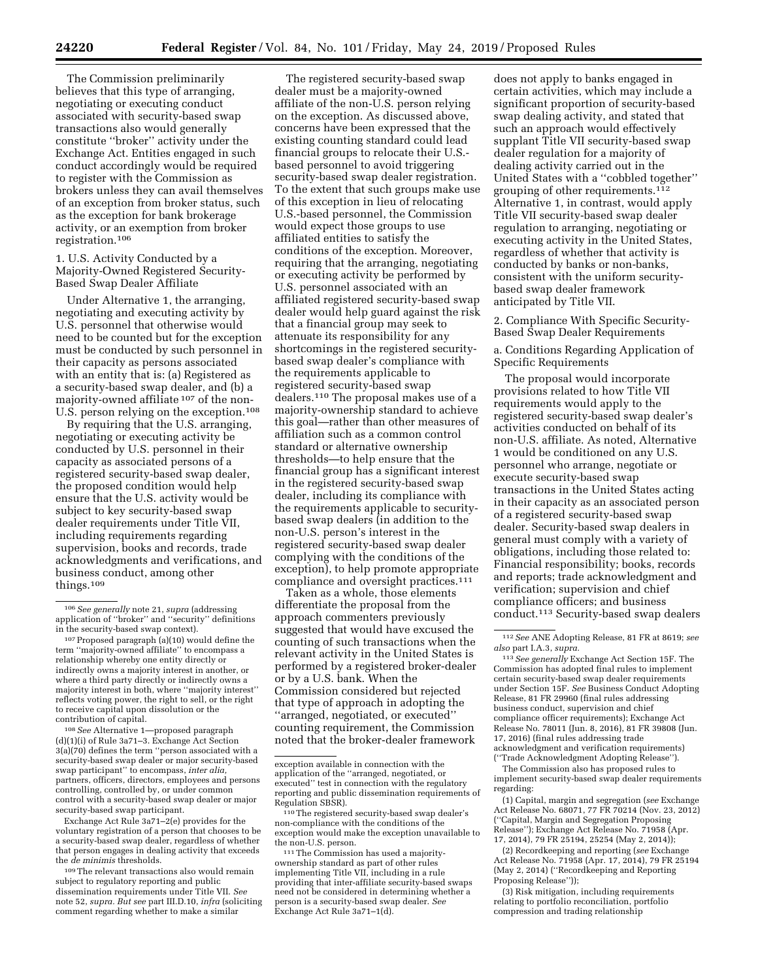The Commission preliminarily believes that this type of arranging, negotiating or executing conduct associated with security-based swap transactions also would generally constitute ''broker'' activity under the Exchange Act. Entities engaged in such conduct accordingly would be required to register with the Commission as brokers unless they can avail themselves of an exception from broker status, such as the exception for bank brokerage activity, or an exemption from broker registration.106

## 1. U.S. Activity Conducted by a Majority-Owned Registered Security-Based Swap Dealer Affiliate

Under Alternative 1, the arranging, negotiating and executing activity by U.S. personnel that otherwise would need to be counted but for the exception must be conducted by such personnel in their capacity as persons associated with an entity that is: (a) Registered as a security-based swap dealer, and (b) a majority-owned affiliate 107 of the non-U.S. person relying on the exception.108

By requiring that the U.S. arranging, negotiating or executing activity be conducted by U.S. personnel in their capacity as associated persons of a registered security-based swap dealer, the proposed condition would help ensure that the U.S. activity would be subject to key security-based swap dealer requirements under Title VII, including requirements regarding supervision, books and records, trade acknowledgments and verifications, and business conduct, among other things.109

108*See* Alternative 1—proposed paragraph (d)(1)(i) of Rule 3a71–3. Exchange Act Section 3(a)(70) defines the term ''person associated with a security-based swap dealer or major security-based swap participant'' to encompass, *inter alia,*  partners, officers, directors, employees and persons controlling, controlled by, or under common control with a security-based swap dealer or major security-based swap participant.

Exchange Act Rule 3a71–2(e) provides for the voluntary registration of a person that chooses to be a security-based swap dealer, regardless of whether that person engages in dealing activity that exceeds the *de minimis* thresholds.

109The relevant transactions also would remain subject to regulatory reporting and public dissemination requirements under Title VII. *See*  note 52, *supra. But see* part III.D.10, *infra* (soliciting comment regarding whether to make a similar

The registered security-based swap dealer must be a majority-owned affiliate of the non-U.S. person relying on the exception. As discussed above, concerns have been expressed that the existing counting standard could lead financial groups to relocate their U.S. based personnel to avoid triggering security-based swap dealer registration. To the extent that such groups make use of this exception in lieu of relocating U.S.-based personnel, the Commission would expect those groups to use affiliated entities to satisfy the conditions of the exception. Moreover, requiring that the arranging, negotiating or executing activity be performed by U.S. personnel associated with an affiliated registered security-based swap dealer would help guard against the risk that a financial group may seek to attenuate its responsibility for any shortcomings in the registered securitybased swap dealer's compliance with the requirements applicable to registered security-based swap dealers.110 The proposal makes use of a majority-ownership standard to achieve this goal—rather than other measures of affiliation such as a common control standard or alternative ownership thresholds—to help ensure that the financial group has a significant interest in the registered security-based swap dealer, including its compliance with the requirements applicable to securitybased swap dealers (in addition to the non-U.S. person's interest in the registered security-based swap dealer complying with the conditions of the exception), to help promote appropriate compliance and oversight practices.111

Taken as a whole, those elements differentiate the proposal from the approach commenters previously suggested that would have excused the counting of such transactions when the relevant activity in the United States is performed by a registered broker-dealer or by a U.S. bank. When the Commission considered but rejected that type of approach in adopting the ''arranged, negotiated, or executed'' counting requirement, the Commission noted that the broker-dealer framework

<sup>110</sup>The registered security-based swap dealer's non-compliance with the conditions of the exception would make the exception unavailable to

<sup>111</sup> The Commission has used a majorityownership standard as part of other rules implementing Title VII, including in a rule providing that inter-affiliate security-based swaps need not be considered in determining whether a person is a security-based swap dealer. *See*  Exchange Act Rule 3a71–1(d).

does not apply to banks engaged in certain activities, which may include a significant proportion of security-based swap dealing activity, and stated that such an approach would effectively supplant Title VII security-based swap dealer regulation for a majority of dealing activity carried out in the United States with a ''cobbled together'' grouping of other requirements.112 Alternative 1, in contrast, would apply Title VII security-based swap dealer regulation to arranging, negotiating or executing activity in the United States, regardless of whether that activity is conducted by banks or non-banks, consistent with the uniform securitybased swap dealer framework anticipated by Title VII.

2. Compliance With Specific Security-Based Swap Dealer Requirements

a. Conditions Regarding Application of Specific Requirements

The proposal would incorporate provisions related to how Title VII requirements would apply to the registered security-based swap dealer's activities conducted on behalf of its non-U.S. affiliate. As noted, Alternative 1 would be conditioned on any U.S. personnel who arrange, negotiate or execute security-based swap transactions in the United States acting in their capacity as an associated person of a registered security-based swap dealer. Security-based swap dealers in general must comply with a variety of obligations, including those related to: Financial responsibility; books, records and reports; trade acknowledgment and verification; supervision and chief compliance officers; and business conduct.113 Security-based swap dealers

The Commission also has proposed rules to implement security-based swap dealer requirements regarding:

(1) Capital, margin and segregation (*see* Exchange Act Release No. 68071, 77 FR 70214 (Nov. 23, 2012) (''Capital, Margin and Segregation Proposing Release''); Exchange Act Release No. 71958 (Apr. 17, 2014), 79 FR 25194, 25254 (May 2, 2014));

(2) Recordkeeping and reporting (*see* Exchange Act Release No. 71958 (Apr. 17, 2014), 79 FR 25194 (May 2, 2014) (''Recordkeeping and Reporting Proposing Release''));

(3) Risk mitigation, including requirements relating to portfolio reconciliation, portfolio compression and trading relationship

<sup>106</sup>*See generally* note 21, *supra* (addressing application of ''broker'' and ''security'' definitions in the security-based swap context).

<sup>107</sup>Proposed paragraph (a)(10) would define the term ''majority-owned affiliate'' to encompass a relationship whereby one entity directly or indirectly owns a majority interest in another, or where a third party directly or indirectly owns a majority interest in both, where ''majority interest'' reflects voting power, the right to sell, or the right to receive capital upon dissolution or the contribution of capital.

exception available in connection with the application of the ''arranged, negotiated, or executed'' test in connection with the regulatory reporting and public dissemination requirements of

<sup>112</sup>*See* ANE Adopting Release, 81 FR at 8619; *see also* part I.A.3, *supra.* 

<sup>113</sup>*See generally* Exchange Act Section 15F. The Commission has adopted final rules to implement certain security-based swap dealer requirements under Section 15F. *See* Business Conduct Adopting Release, 81 FR 29960 (final rules addressing business conduct, supervision and chief compliance officer requirements); Exchange Act Release No. 78011 (Jun. 8, 2016), 81 FR 39808 (Jun. 17, 2016) (final rules addressing trade acknowledgment and verification requirements) (''Trade Acknowledgment Adopting Release'').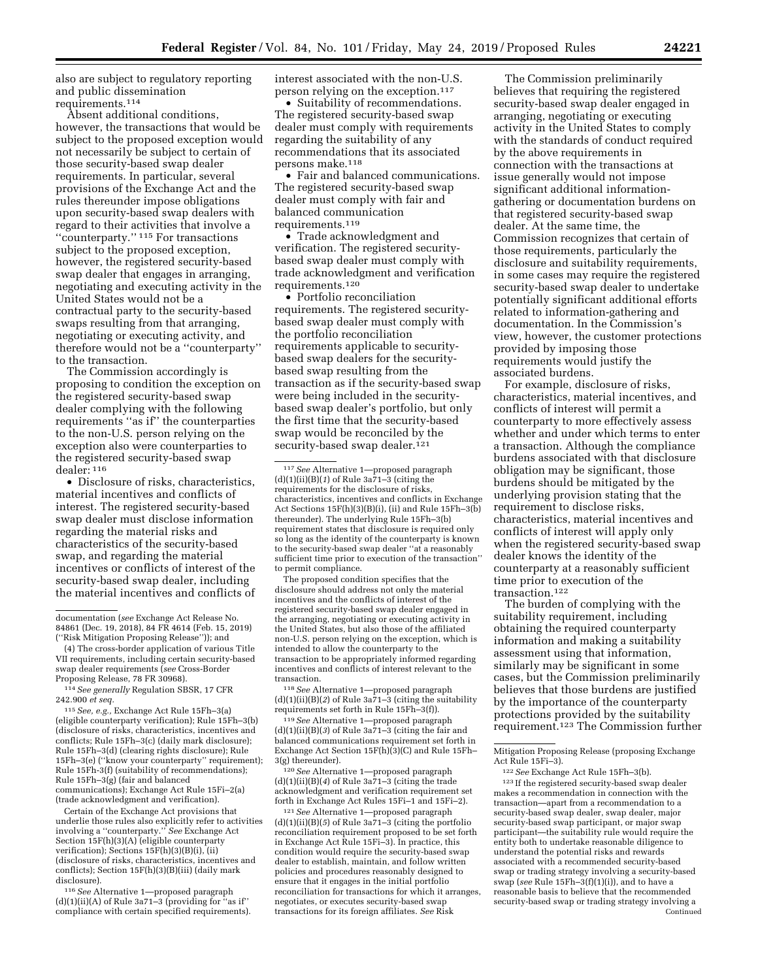also are subject to regulatory reporting and public dissemination requirements.114

Absent additional conditions, however, the transactions that would be subject to the proposed exception would not necessarily be subject to certain of those security-based swap dealer requirements. In particular, several provisions of the Exchange Act and the rules thereunder impose obligations upon security-based swap dealers with regard to their activities that involve a ''counterparty.'' 115 For transactions subject to the proposed exception, however, the registered security-based swap dealer that engages in arranging, negotiating and executing activity in the United States would not be a contractual party to the security-based swaps resulting from that arranging, negotiating or executing activity, and therefore would not be a ''counterparty'' to the transaction.

The Commission accordingly is proposing to condition the exception on the registered security-based swap dealer complying with the following requirements ''as if'' the counterparties to the non-U.S. person relying on the exception also were counterparties to the registered security-based swap dealer: 116

• Disclosure of risks, characteristics, material incentives and conflicts of interest. The registered security-based swap dealer must disclose information regarding the material risks and characteristics of the security-based swap, and regarding the material incentives or conflicts of interest of the security-based swap dealer, including the material incentives and conflicts of

(4) The cross-border application of various Title VII requirements, including certain security-based swap dealer requirements (*see* Cross-Border Proposing Release, 78 FR 30968).

114*See generally* Regulation SBSR, 17 CFR 242.900 *et seq.* 

115*See, e.g.,* Exchange Act Rule 15Fh–3(a) (eligible counterparty verification); Rule 15Fh–3(b) (disclosure of risks, characteristics, incentives and conflicts; Rule 15Fh–3(c) (daily mark disclosure); Rule 15Fh–3(d) (clearing rights disclosure); Rule 15Fh–3(e) (''know your counterparty'' requirement); Rule 15Fh-3(f) (suitability of recommendations); Rule 15Fh–3(g) (fair and balanced communications); Exchange Act Rule 15Fi–2(a) (trade acknowledgment and verification).

Certain of the Exchange Act provisions that underlie those rules also explicitly refer to activities involving a ''counterparty.'' *See* Exchange Act Section 15F(h)(3)(A) (eligible counterparty verification); Sections 15F(h)(3)(B)(i), (ii) (disclosure of risks, characteristics, incentives and conflicts); Section 15F(h)(3)(B)(iii) (daily mark disclosure).

116*See* Alternative 1—proposed paragraph  $(d)(1)(ii)(A)$  of Rule 3a71–3 (providing for "as if" compliance with certain specified requirements). interest associated with the non-U.S. person relying on the exception.117

• Suitability of recommendations. The registered security-based swap dealer must comply with requirements regarding the suitability of any recommendations that its associated persons make.<sup>118</sup>

• Fair and balanced communications. The registered security-based swap dealer must comply with fair and balanced communication requirements.119

• Trade acknowledgment and verification. The registered securitybased swap dealer must comply with trade acknowledgment and verification requirements.120

• Portfolio reconciliation requirements. The registered securitybased swap dealer must comply with the portfolio reconciliation requirements applicable to securitybased swap dealers for the securitybased swap resulting from the transaction as if the security-based swap were being included in the securitybased swap dealer's portfolio, but only the first time that the security-based swap would be reconciled by the security-based swap dealer.<sup>121</sup>

The proposed condition specifies that the disclosure should address not only the material incentives and the conflicts of interest of the registered security-based swap dealer engaged in the arranging, negotiating or executing activity in the United States, but also those of the affiliated non-U.S. person relying on the exception, which is intended to allow the counterparty to the transaction to be appropriately informed regarding incentives and conflicts of interest relevant to the transaction.

118*See* Alternative 1—proposed paragraph (d)(1)(ii)(B)(*2*) of Rule 3a71–3 (citing the suitability requirements set forth in Rule 15Fh–3(f)).

119*See* Alternative 1—proposed paragraph  $(d)(1)(ii)(B)(3)$  of Rule 3a71-3 (citing the fair and balanced communications requirement set forth in Exchange Act Section 15F(h)(3)(C) and Rule 15Fh– 3(g) thereunder).

120*See* Alternative 1—proposed paragraph (d)(1)(ii)(B)(*4*) of Rule 3a71–3 (citing the trade acknowledgment and verification requirement set forth in Exchange Act Rules 15Fi–1 and 15Fi–2).

121*See* Alternative 1—proposed paragraph  $(d)(1)(ii)(B)(5)$  of Rule  $3a\overline{7}1-\overline{3}$  (citing the portfolio reconciliation requirement proposed to be set forth in Exchange Act Rule 15Fi–3). In practice, this condition would require the security-based swap dealer to establish, maintain, and follow written policies and procedures reasonably designed to ensure that it engages in the initial portfolio reconciliation for transactions for which it arranges, negotiates, or executes security-based swap transactions for its foreign affiliates. *See* Risk

The Commission preliminarily believes that requiring the registered security-based swap dealer engaged in arranging, negotiating or executing activity in the United States to comply with the standards of conduct required by the above requirements in connection with the transactions at issue generally would not impose significant additional informationgathering or documentation burdens on that registered security-based swap dealer. At the same time, the Commission recognizes that certain of those requirements, particularly the disclosure and suitability requirements, in some cases may require the registered security-based swap dealer to undertake potentially significant additional efforts related to information-gathering and documentation. In the Commission's view, however, the customer protections provided by imposing those requirements would justify the associated burdens.

For example, disclosure of risks, characteristics, material incentives, and conflicts of interest will permit a counterparty to more effectively assess whether and under which terms to enter a transaction. Although the compliance burdens associated with that disclosure obligation may be significant, those burdens should be mitigated by the underlying provision stating that the requirement to disclose risks, characteristics, material incentives and conflicts of interest will apply only when the registered security-based swap dealer knows the identity of the counterparty at a reasonably sufficient time prior to execution of the transaction.122

The burden of complying with the suitability requirement, including obtaining the required counterparty information and making a suitability assessment using that information, similarly may be significant in some cases, but the Commission preliminarily believes that those burdens are justified by the importance of the counterparty protections provided by the suitability requirement.123 The Commission further

123 If the registered security-based swap dealer makes a recommendation in connection with the transaction—apart from a recommendation to a security-based swap dealer, swap dealer, major security-based swap participant, or major swap participant—the suitability rule would require the entity both to undertake reasonable diligence to understand the potential risks and rewards associated with a recommended security-based swap or trading strategy involving a security-based swap (*see* Rule 15Fh–3(f)(1)(i)), and to have a reasonable basis to believe that the recommended security-based swap or trading strategy involving a Continued

documentation (*see* Exchange Act Release No. 84861 (Dec. 19, 2018), 84 FR 4614 (Feb. 15, 2019) (''Risk Mitigation Proposing Release'')); and

<sup>117</sup>*See* Alternative 1—proposed paragraph (d)(1)(ii)(B)(*1*) of Rule 3a71–3 (citing the requirements for the disclosure of risks, characteristics, incentives and conflicts in Exchange Act Sections 15F(h)(3)(B)(i), (ii) and Rule 15Fh–3(b) thereunder). The underlying Rule 15Fh–3(b) requirement states that disclosure is required only so long as the identity of the counterparty is known to the security-based swap dealer ''at a reasonably sufficient time prior to execution of the transaction'' to permit compliance.

Mitigation Proposing Release (proposing Exchange Act Rule 15Fi–3).

<sup>122</sup>*See* Exchange Act Rule 15Fh–3(b).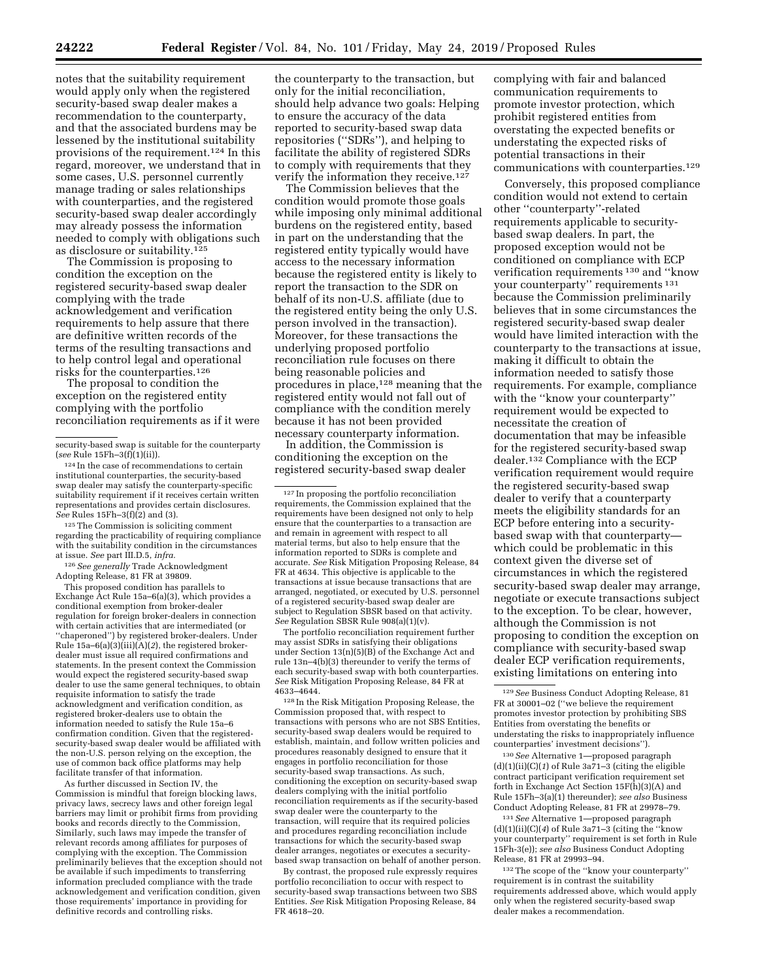notes that the suitability requirement would apply only when the registered security-based swap dealer makes a recommendation to the counterparty, and that the associated burdens may be lessened by the institutional suitability provisions of the requirement.124 In this regard, moreover, we understand that in some cases, U.S. personnel currently manage trading or sales relationships with counterparties, and the registered security-based swap dealer accordingly may already possess the information needed to comply with obligations such as disclosure or suitability.125

The Commission is proposing to condition the exception on the registered security-based swap dealer complying with the trade acknowledgement and verification requirements to help assure that there are definitive written records of the terms of the resulting transactions and to help control legal and operational risks for the counterparties.126

The proposal to condition the exception on the registered entity complying with the portfolio reconciliation requirements as if it were

125The Commission is soliciting comment regarding the practicability of requiring compliance with the suitability condition in the circumstances at issue. *See* part III.D.5, *infra.* 

126*See generally* Trade Acknowledgment Adopting Release, 81 FR at 39809.

This proposed condition has parallels to Exchange Act Rule 15a–6(a)(3), which provides a conditional exemption from broker-dealer regulation for foreign broker-dealers in connection with certain activities that are intermediated (or ''chaperoned'') by registered broker-dealers. Under Rule 15a–6(a)(3)(iii)(A)(*2*), the registered brokerdealer must issue all required confirmations and statements. In the present context the Commission would expect the registered security-based swap dealer to use the same general techniques, to obtain requisite information to satisfy the trade acknowledgment and verification condition, as registered broker-dealers use to obtain the information needed to satisfy the Rule 15a–6 confirmation condition. Given that the registeredsecurity-based swap dealer would be affiliated with the non-U.S. person relying on the exception, the use of common back office platforms may help facilitate transfer of that information.

As further discussed in Section IV, the Commission is mindful that foreign blocking laws, privacy laws, secrecy laws and other foreign legal barriers may limit or prohibit firms from providing books and records directly to the Commission, Similarly, such laws may impede the transfer of relevant records among affiliates for purposes of complying with the exception. The Commission preliminarily believes that the exception should not be available if such impediments to transferring information precluded compliance with the trade acknowledgement and verification condition, given those requirements' importance in providing for definitive records and controlling risks.

the counterparty to the transaction, but only for the initial reconciliation, should help advance two goals: Helping to ensure the accuracy of the data reported to security-based swap data repositories (''SDRs''), and helping to facilitate the ability of registered SDRs to comply with requirements that they verify the information they receive.127

The Commission believes that the condition would promote those goals while imposing only minimal additional burdens on the registered entity, based in part on the understanding that the registered entity typically would have access to the necessary information because the registered entity is likely to report the transaction to the SDR on behalf of its non-U.S. affiliate (due to the registered entity being the only U.S. person involved in the transaction). Moreover, for these transactions the underlying proposed portfolio reconciliation rule focuses on there being reasonable policies and procedures in place,128 meaning that the registered entity would not fall out of compliance with the condition merely because it has not been provided necessary counterparty information.

In addition, the Commission is conditioning the exception on the registered security-based swap dealer

The portfolio reconciliation requirement further may assist SDRs in satisfying their obligations under Section 13(n)(5)(B) of the Exchange Act and rule 13n–4(b)(3) thereunder to verify the terms of each security-based swap with both counterparties. *See* Risk Mitigation Proposing Release, 84 FR at 4633–4644.

128 In the Risk Mitigation Proposing Release, the Commission proposed that, with respect to transactions with persons who are not SBS Entities, security-based swap dealers would be required to establish, maintain, and follow written policies and procedures reasonably designed to ensure that it engages in portfolio reconciliation for those security-based swap transactions. As such, conditioning the exception on security-based swap dealers complying with the initial portfolio reconciliation requirements as if the security-based swap dealer were the counterparty to the transaction, will require that its required policies and procedures regarding reconciliation include transactions for which the security-based swap dealer arranges, negotiates or executes a securitybased swap transaction on behalf of another person.

By contrast, the proposed rule expressly requires portfolio reconciliation to occur with respect to security-based swap transactions between two SBS Entities. *See* Risk Mitigation Proposing Release, 84 FR 4618–20.

complying with fair and balanced communication requirements to promote investor protection, which prohibit registered entities from overstating the expected benefits or understating the expected risks of potential transactions in their communications with counterparties.129

Conversely, this proposed compliance condition would not extend to certain other ''counterparty''-related requirements applicable to securitybased swap dealers. In part, the proposed exception would not be conditioned on compliance with ECP verification requirements 130 and ''know your counterparty'' requirements 131 because the Commission preliminarily believes that in some circumstances the registered security-based swap dealer would have limited interaction with the counterparty to the transactions at issue, making it difficult to obtain the information needed to satisfy those requirements. For example, compliance with the "know your counterparty" requirement would be expected to necessitate the creation of documentation that may be infeasible for the registered security-based swap dealer.132 Compliance with the ECP verification requirement would require the registered security-based swap dealer to verify that a counterparty meets the eligibility standards for an ECP before entering into a securitybased swap with that counterparty which could be problematic in this context given the diverse set of circumstances in which the registered security-based swap dealer may arrange, negotiate or execute transactions subject to the exception. To be clear, however, although the Commission is not proposing to condition the exception on compliance with security-based swap dealer ECP verification requirements, existing limitations on entering into

131*See* Alternative 1—proposed paragraph  $(d)(1)(ii)(C)(4)$  of Rule  $3a71-3$  (citing the "know your counterparty'' requirement is set forth in Rule 15Fh-3(e)); *see also* Business Conduct Adopting Release, 81 FR at 29993–94.

132The scope of the ''know your counterparty'' requirement is in contrast the suitability requirements addressed above, which would apply only when the registered security-based swap dealer makes a recommendation.

security-based swap is suitable for the counterparty (*see* Rule 15Fh–3(f)(1)(ii)).

<sup>124</sup> In the case of recommendations to certain institutional counterparties, the security-based swap dealer may satisfy the counterparty-specific suitability requirement if it receives certain written representations and provides certain disclosures. *See* Rules 15Fh–3(f)(2) and (3).

<sup>127</sup> In proposing the portfolio reconciliation requirements, the Commission explained that the requirements have been designed not only to help ensure that the counterparties to a transaction are and remain in agreement with respect to all material terms, but also to help ensure that the information reported to SDRs is complete and accurate. *See* Risk Mitigation Proposing Release, 84 FR at 4634. This objective is applicable to the transactions at issue because transactions that are arranged, negotiated, or executed by U.S. personnel of a registered security-based swap dealer are subject to Regulation SBSR based on that activity. *See* Regulation SBSR Rule 908(a)(1)(v).

<sup>129</sup>*See* Business Conduct Adopting Release, 81 FR at 30001–02 (''we believe the requirement promotes investor protection by prohibiting SBS Entities from overstating the benefits or understating the risks to inappropriately influence counterparties' investment decisions'').

<sup>130</sup>*See* Alternative 1—proposed paragraph (d)(1)(ii)(C)(*1*) of Rule 3a71–3 (citing the eligible contract participant verification requirement set forth in Exchange Act Section 15F(h)(3)(A) and Rule 15Fh–3(a)(1) thereunder); *see also* Business Conduct Adopting Release, 81 FR at 29978–79.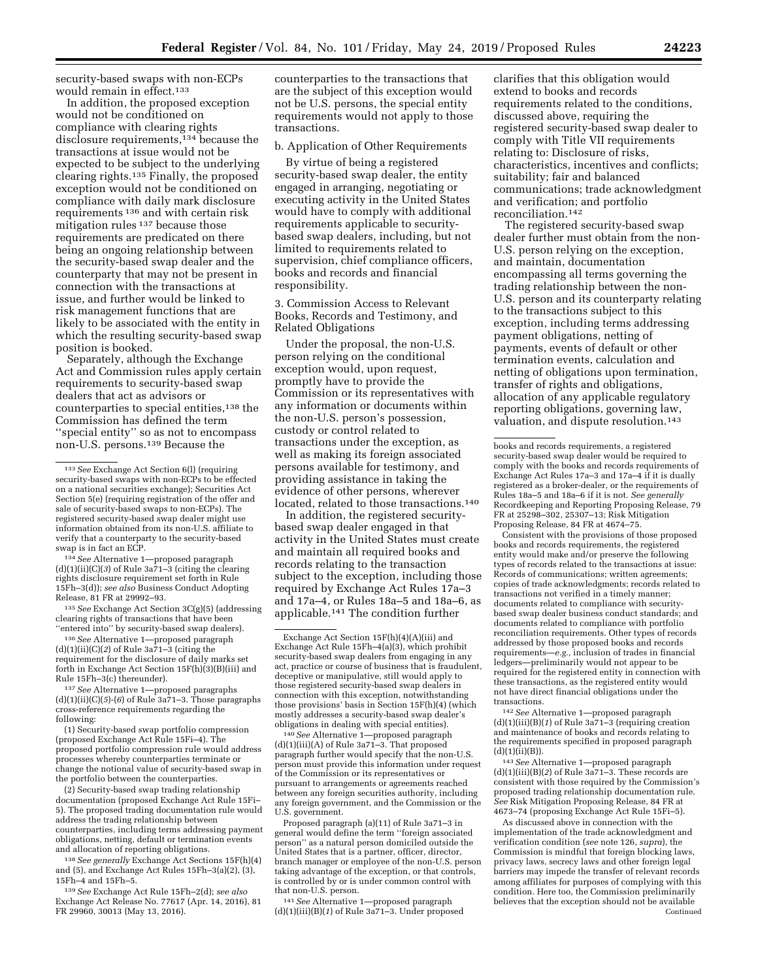security-based swaps with non-ECPs would remain in effect.<sup>133</sup>

In addition, the proposed exception would not be conditioned on compliance with clearing rights disclosure requirements,134 because the transactions at issue would not be expected to be subject to the underlying clearing rights.135 Finally, the proposed exception would not be conditioned on compliance with daily mark disclosure requirements 136 and with certain risk mitigation rules 137 because those requirements are predicated on there being an ongoing relationship between the security-based swap dealer and the counterparty that may not be present in connection with the transactions at issue, and further would be linked to risk management functions that are likely to be associated with the entity in which the resulting security-based swap position is booked.

Separately, although the Exchange Act and Commission rules apply certain requirements to security-based swap dealers that act as advisors or counterparties to special entities,<sup>138</sup> the Commission has defined the term ''special entity'' so as not to encompass non-U.S. persons.139 Because the

134*See* Alternative 1—proposed paragraph  $(d)(1)(ii)(C)(3)$  of Rule  $3a\overline{7}1-\overline{3}$  (citing the clearing rights disclosure requirement set forth in Rule 15Fh–3(d)); *see also* Business Conduct Adopting Release, 81 FR at 29992–93.

135*See* Exchange Act Section 3C(g)(5) (addressing clearing rights of transactions that have been ''entered into'' by security-based swap dealers).

136*See* Alternative 1—proposed paragraph (d)(1)(ii)(C)(*2*) of Rule 3a71–3 (citing the requirement for the disclosure of daily marks set forth in Exchange Act Section 15F(h)(3)(B)(iii) and Rule 15Fh–3(c) thereunder).

137*See* Alternative 1—proposed paragraphs  $(d)(1)(ii)(C)(5)-(6)$  of Rule  $3a\overline{7}1-3$ . Those paragraphs cross-reference requirements regarding the following:

(1) Security-based swap portfolio compression (proposed Exchange Act Rule 15Fi–4). The proposed portfolio compression rule would address processes whereby counterparties terminate or change the notional value of security-based swap in the portfolio between the counterparties.

(2) Security-based swap trading relationship documentation (proposed Exchange Act Rule 15Fi– 5). The proposed trading documentation rule would address the trading relationship between counterparties, including terms addressing payment obligations, netting, default or termination events and allocation of reporting obligations.

138*See generally* Exchange Act Sections 15F(h)(4) and (5), and Exchange Act Rules 15Fh–3(a)(2), (3), 15Fh–4 and 15Fh–5.

139*See* Exchange Act Rule 15Fh–2(d); *see also*  Exchange Act Release No. 77617 (Apr. 14, 2016), 81 FR 29960, 30013 (May 13, 2016).

counterparties to the transactions that are the subject of this exception would not be U.S. persons, the special entity requirements would not apply to those transactions.

## b. Application of Other Requirements

By virtue of being a registered security-based swap dealer, the entity engaged in arranging, negotiating or executing activity in the United States would have to comply with additional requirements applicable to securitybased swap dealers, including, but not limited to requirements related to supervision, chief compliance officers, books and records and financial responsibility.

3. Commission Access to Relevant Books, Records and Testimony, and Related Obligations

Under the proposal, the non-U.S. person relying on the conditional exception would, upon request, promptly have to provide the Commission or its representatives with any information or documents within the non-U.S. person's possession, custody or control related to transactions under the exception, as well as making its foreign associated persons available for testimony, and providing assistance in taking the evidence of other persons, wherever located, related to those transactions.140

In addition, the registered securitybased swap dealer engaged in that activity in the United States must create and maintain all required books and records relating to the transaction subject to the exception, including those required by Exchange Act Rules 17a–3 and 17a–4, or Rules 18a–5 and 18a–6, as applicable.141 The condition further

140*See* Alternative 1—proposed paragraph  $(d)(1)(iii)(A)$  of Rule 3a71-3. That proposed paragraph further would specify that the non-U.S. person must provide this information under request of the Commission or its representatives or pursuant to arrangements or agreements reached between any foreign securities authority, including any foreign government, and the Commission or the U.S. government.

Proposed paragraph (a)(11) of Rule 3a71–3 in general would define the term ''foreign associated person'' as a natural person domiciled outside the United States that is a partner, officer, director, branch manager or employee of the non-U.S. person taking advantage of the exception, or that controls, is controlled by or is under common control with that non-U.S. person.

141*See* Alternative 1—proposed paragraph (d)(1)(iii)(B)(*1*) of Rule 3a71–3. Under proposed clarifies that this obligation would extend to books and records requirements related to the conditions, discussed above, requiring the registered security-based swap dealer to comply with Title VII requirements relating to: Disclosure of risks, characteristics, incentives and conflicts; suitability; fair and balanced communications; trade acknowledgment and verification; and portfolio reconciliation.142

The registered security-based swap dealer further must obtain from the non-U.S. person relying on the exception, and maintain, documentation encompassing all terms governing the trading relationship between the non-U.S. person and its counterparty relating to the transactions subject to this exception, including terms addressing payment obligations, netting of payments, events of default or other termination events, calculation and netting of obligations upon termination, transfer of rights and obligations, allocation of any applicable regulatory reporting obligations, governing law, valuation, and dispute resolution.143

Consistent with the provisions of those proposed books and records requirements, the registered entity would make and/or preserve the following types of records related to the transactions at issue: Records of communications; written agreements; copies of trade acknowledgments; records related to transactions not verified in a timely manner; documents related to compliance with securitybased swap dealer business conduct standards; and documents related to compliance with portfolio reconciliation requirements. Other types of records addressed by those proposed books and records requirements—*e.g.,* inclusion of trades in financial ledgers—preliminarily would not appear to be required for the registered entity in connection with these transactions, as the registered entity would not have direct financial obligations under the transactions.

142*See* Alternative 1—proposed paragraph (d)(1)(iii)(B)(*1*) of Rule 3a71–3 (requiring creation and maintenance of books and records relating to the requirements specified in proposed paragraph  $(d)(1)(ii)(B)).$ 

143*See* Alternative 1—proposed paragraph  $(d)(1)(iii)(B)(2)$  of Rule  $3a71-3$ . These records are consistent with those required by the Commission's proposed trading relationship documentation rule. *See* Risk Mitigation Proposing Release, 84 FR at 4673–74 (proposing Exchange Act Rule 15Fi–5).

As discussed above in connection with the implementation of the trade acknowledgment and verification condition (*see* note 126, *supra*), the Commission is mindful that foreign blocking laws, privacy laws, secrecy laws and other foreign legal barriers may impede the transfer of relevant records among affiliates for purposes of complying with this condition. Here too, the Commission preliminarily believes that the exception should not be available Continued

<sup>133</sup>*See* Exchange Act Section 6(l) (requiring security-based swaps with non-ECPs to be effected on a national securities exchange); Securities Act Section 5(e) (requiring registration of the offer and sale of security-based swaps to non-ECPs). The registered security-based swap dealer might use information obtained from its non-U.S. affiliate to verify that a counterparty to the security-based swap is in fact an ECP.

Exchange Act Section 15F(h)(4)(A)(iii) and Exchange Act Rule 15Fh–4(a)(3), which prohibit security-based swap dealers from engaging in any act, practice or course of business that is fraudulent, deceptive or manipulative, still would apply to those registered security-based swap dealers in connection with this exception, notwithstanding those provisions' basis in Section 15F(h)(4) (which mostly addresses a security-based swap dealer's obligations in dealing with special entities).

books and records requirements, a registered security-based swap dealer would be required to comply with the books and records requirements of Exchange Act Rules 17a–3 and 17a–4 if it is dually registered as a broker-dealer, or the requirements of Rules 18a–5 and 18a–6 if it is not. *See generally*  Recordkeeping and Reporting Proposing Release, 79 FR at 25298–302, 25307–13; Risk Mitigation Proposing Release, 84 FR at 4674–75.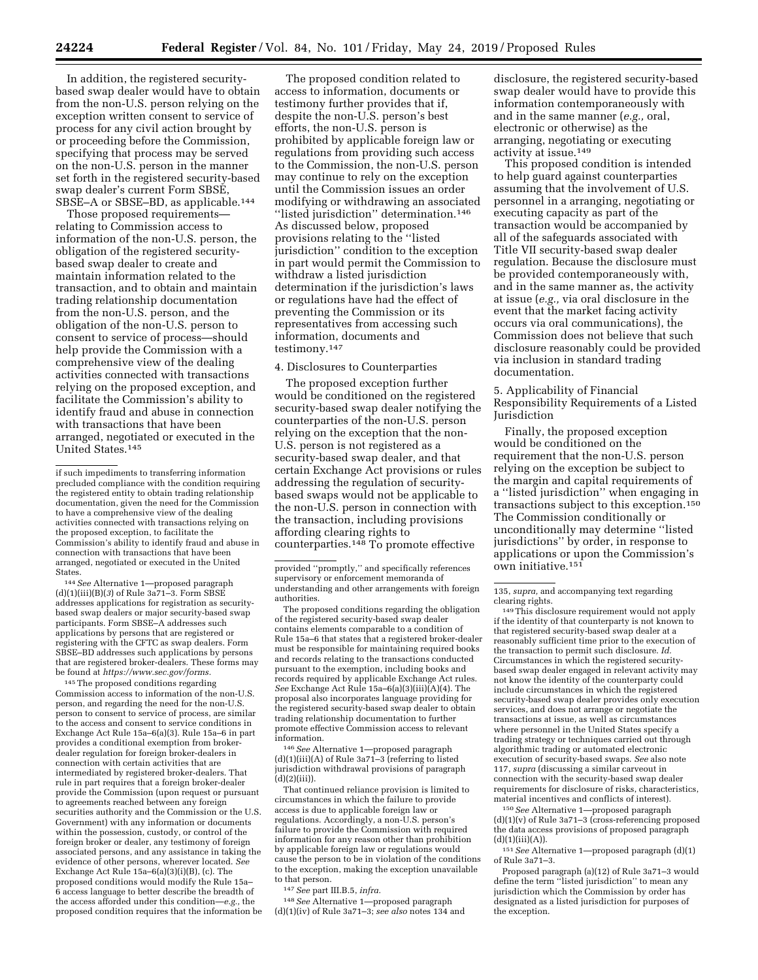In addition, the registered securitybased swap dealer would have to obtain from the non-U.S. person relying on the exception written consent to service of process for any civil action brought by or proceeding before the Commission, specifying that process may be served on the non-U.S. person in the manner set forth in the registered security-based swap dealer's current Form SBSE, SBSE-A or SBSE-BD, as applicable.<sup>144</sup>

Those proposed requirements relating to Commission access to information of the non-U.S. person, the obligation of the registered securitybased swap dealer to create and maintain information related to the transaction, and to obtain and maintain trading relationship documentation from the non-U.S. person, and the obligation of the non-U.S. person to consent to service of process—should help provide the Commission with a comprehensive view of the dealing activities connected with transactions relying on the proposed exception, and facilitate the Commission's ability to identify fraud and abuse in connection with transactions that have been arranged, negotiated or executed in the United States.145

144*See* Alternative 1—proposed paragraph (d)(1)(iii)(B)(*3*) of Rule 3a71–3. Form SBSE addresses applications for registration as securitybased swap dealers or major security-based swap participants. Form SBSE–A addresses such applications by persons that are registered or registering with the CFTC as swap dealers. Form SBSE–BD addresses such applications by persons that are registered broker-dealers. These forms may be found at *[https://www.sec.gov/forms.](https://www.sec.gov/forms)* 

145The proposed conditions regarding Commission access to information of the non-U.S. person, and regarding the need for the non-U.S. person to consent to service of process, are similar to the access and consent to service conditions in Exchange Act Rule 15a–6(a)(3). Rule 15a–6 in part provides a conditional exemption from brokerdealer regulation for foreign broker-dealers in connection with certain activities that are intermediated by registered broker-dealers. That rule in part requires that a foreign broker-dealer provide the Commission (upon request or pursuant to agreements reached between any foreign securities authority and the Commission or the U.S. Government) with any information or documents within the possession, custody, or control of the foreign broker or dealer, any testimony of foreign associated persons, and any assistance in taking the evidence of other persons, wherever located. *See*  Exchange Act Rule 15a–6(a)(3)(i)(B), (c). The proposed conditions would modify the Rule 15a– 6 access language to better describe the breadth of the access afforded under this condition—*e.g.,* the proposed condition requires that the information be

The proposed condition related to access to information, documents or testimony further provides that if, despite the non-U.S. person's best efforts, the non-U.S. person is prohibited by applicable foreign law or regulations from providing such access to the Commission, the non-U.S. person may continue to rely on the exception until the Commission issues an order modifying or withdrawing an associated ''listed jurisdiction'' determination.146 As discussed below, proposed provisions relating to the ''listed jurisdiction'' condition to the exception in part would permit the Commission to withdraw a listed jurisdiction determination if the jurisdiction's laws or regulations have had the effect of preventing the Commission or its representatives from accessing such information, documents and testimony.147

#### 4. Disclosures to Counterparties

The proposed exception further would be conditioned on the registered security-based swap dealer notifying the counterparties of the non-U.S. person relying on the exception that the non-U.S. person is not registered as a security-based swap dealer, and that certain Exchange Act provisions or rules addressing the regulation of securitybased swaps would not be applicable to the non-U.S. person in connection with the transaction, including provisions affording clearing rights to counterparties.148 To promote effective

The proposed conditions regarding the obligation of the registered security-based swap dealer contains elements comparable to a condition of Rule 15a–6 that states that a registered broker-dealer must be responsible for maintaining required books and records relating to the transactions conducted pursuant to the exemption, including books and records required by applicable Exchange Act rules. *See* Exchange Act Rule 15a–6(a)(3)(iii)(A)(4). The proposal also incorporates language providing for the registered security-based swap dealer to obtain trading relationship documentation to further promote effective Commission access to relevant information.

146*See* Alternative 1—proposed paragraph (d)(1)(iii)(A) of Rule 3a71–3 (referring to listed jurisdiction withdrawal provisions of paragraph  $(d)(2)(iii)$ ).

That continued reliance provision is limited to circumstances in which the failure to provide access is due to applicable foreign law or regulations. Accordingly, a non-U.S. person's failure to provide the Commission with required information for any reason other than prohibition by applicable foreign law or regulations would cause the person to be in violation of the conditions to the exception, making the exception unavailable to that person.

147*See* part III.B.5, *infra.* 

148*See* Alternative 1—proposed paragraph (d)(1)(iv) of Rule 3a71–3; *see also* notes 134 and

disclosure, the registered security-based swap dealer would have to provide this information contemporaneously with and in the same manner (*e.g.,* oral, electronic or otherwise) as the arranging, negotiating or executing activity at issue.149

This proposed condition is intended to help guard against counterparties assuming that the involvement of U.S. personnel in a arranging, negotiating or executing capacity as part of the transaction would be accompanied by all of the safeguards associated with Title VII security-based swap dealer regulation. Because the disclosure must be provided contemporaneously with, and in the same manner as, the activity at issue (*e.g.,* via oral disclosure in the event that the market facing activity occurs via oral communications), the Commission does not believe that such disclosure reasonably could be provided via inclusion in standard trading documentation.

5. Applicability of Financial Responsibility Requirements of a Listed Jurisdiction

Finally, the proposed exception would be conditioned on the requirement that the non-U.S. person relying on the exception be subject to the margin and capital requirements of a ''listed jurisdiction'' when engaging in transactions subject to this exception.150 The Commission conditionally or unconditionally may determine ''listed jurisdictions'' by order, in response to applications or upon the Commission's own initiative.151

149This disclosure requirement would not apply if the identity of that counterparty is not known to that registered security-based swap dealer at a reasonably sufficient time prior to the execution of the transaction to permit such disclosure. *Id.*  Circumstances in which the registered securitybased swap dealer engaged in relevant activity may not know the identity of the counterparty could include circumstances in which the registered security-based swap dealer provides only execution services, and does not arrange or negotiate the transactions at issue, as well as circumstances where personnel in the United States specify a trading strategy or techniques carried out through algorithmic trading or automated electronic execution of security-based swaps. *See* also note 117, *supra* (discussing a similar carveout in connection with the security-based swap dealer requirements for disclosure of risks, characteristics, material incentives and conflicts of interest).

150*See* Alternative 1—proposed paragraph  $(d)(1)(v)$  of Rule 3a71–3 (cross-referencing proposed the data access provisions of proposed paragraph  $(d)(1)(iii)(A)).$ 

151*See* Alternative 1—proposed paragraph (d)(1) of Rule 3a71–3.

Proposed paragraph (a)(12) of Rule 3a71–3 would define the term ''listed jurisdiction'' to mean any jurisdiction which the Commission by order has designated as a listed jurisdiction for purposes of the exception.

if such impediments to transferring information precluded compliance with the condition requiring the registered entity to obtain trading relationship documentation, given the need for the Commission to have a comprehensive view of the dealing activities connected with transactions relying on the proposed exception, to facilitate the Commission's ability to identify fraud and abuse in connection with transactions that have been arranged, negotiated or executed in the United States.

provided ''promptly,'' and specifically references supervisory or enforcement memoranda of understanding and other arrangements with foreign authorities.

<sup>135,</sup> *supra,* and accompanying text regarding clearing rights.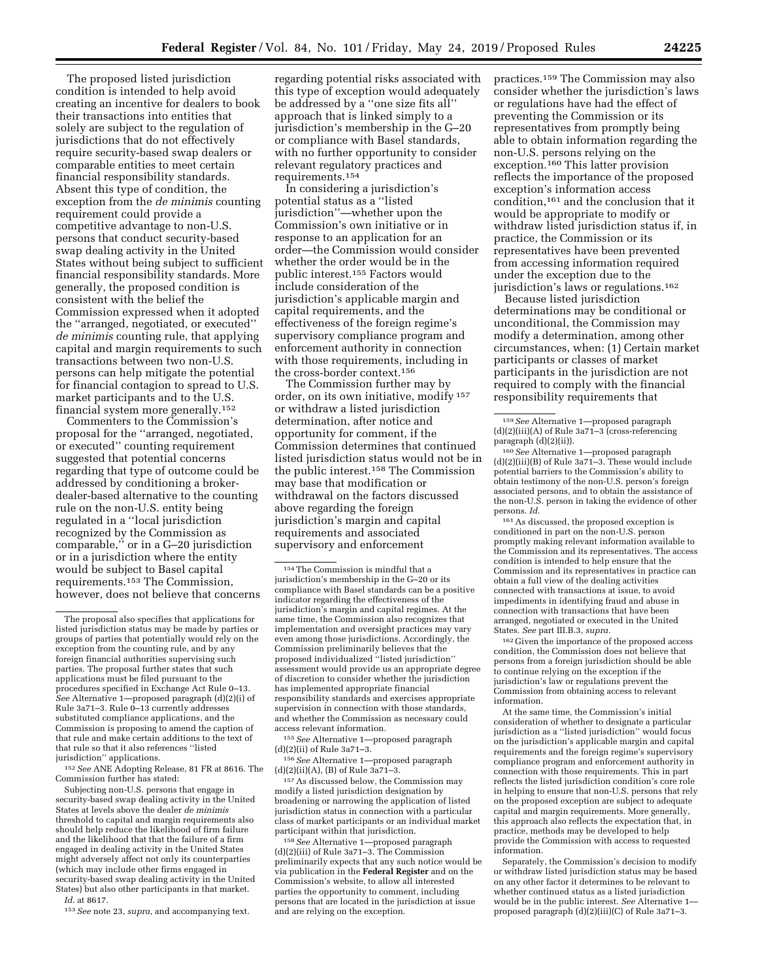The proposed listed jurisdiction condition is intended to help avoid creating an incentive for dealers to book their transactions into entities that solely are subject to the regulation of jurisdictions that do not effectively require security-based swap dealers or comparable entities to meet certain financial responsibility standards. Absent this type of condition, the exception from the *de minimis* counting requirement could provide a competitive advantage to non-U.S. persons that conduct security-based swap dealing activity in the United States without being subject to sufficient financial responsibility standards. More generally, the proposed condition is consistent with the belief the Commission expressed when it adopted the ''arranged, negotiated, or executed'' *de minimis* counting rule, that applying capital and margin requirements to such transactions between two non-U.S. persons can help mitigate the potential for financial contagion to spread to U.S. market participants and to the U.S. financial system more generally.152

Commenters to the Commission's proposal for the ''arranged, negotiated, or executed'' counting requirement suggested that potential concerns regarding that type of outcome could be addressed by conditioning a brokerdealer-based alternative to the counting rule on the non-U.S. entity being regulated in a ''local jurisdiction recognized by the Commission as comparable,'' or in a G–20 jurisdiction or in a jurisdiction where the entity would be subject to Basel capital requirements.153 The Commission, however, does not believe that concerns

152*See* ANE Adopting Release, 81 FR at 8616. The Commission further has stated:

Subjecting non-U.S. persons that engage in security-based swap dealing activity in the United States at levels above the dealer *de minimis*  threshold to capital and margin requirements also should help reduce the likelihood of firm failure and the likelihood that that the failure of a firm engaged in dealing activity in the United States might adversely affect not only its counterparties (which may include other firms engaged in security-based swap dealing activity in the United States) but also other participants in that market.

*Id.* at 8617.

153*See* note 23, *supra,* and accompanying text.

regarding potential risks associated with this type of exception would adequately be addressed by a ''one size fits all'' approach that is linked simply to a jurisdiction's membership in the G–20 or compliance with Basel standards, with no further opportunity to consider relevant regulatory practices and requirements.154

In considering a jurisdiction's potential status as a ''listed jurisdiction''—whether upon the Commission's own initiative or in response to an application for an order—the Commission would consider whether the order would be in the public interest.155 Factors would include consideration of the jurisdiction's applicable margin and capital requirements, and the effectiveness of the foreign regime's supervisory compliance program and enforcement authority in connection with those requirements, including in the cross-border context.156

The Commission further may by order, on its own initiative, modify 157 or withdraw a listed jurisdiction determination, after notice and opportunity for comment, if the Commission determines that continued listed jurisdiction status would not be in the public interest.158 The Commission may base that modification or withdrawal on the factors discussed above regarding the foreign jurisdiction's margin and capital requirements and associated supervisory and enforcement

155*See* Alternative 1—proposed paragraph (d)(2)(ii) of Rule 3a71–3.

156*See* Alternative 1—proposed paragraph  $(d)(2)(ii)(A)$ ,  $(B)$  of Rule  $3a71-3$ .

157As discussed below, the Commission may modify a listed jurisdiction designation by broadening or narrowing the application of listed jurisdiction status in connection with a particular class of market participants or an individual market participant within that jurisdiction.

158*See* Alternative 1—proposed paragraph (d)(2)(iii) of Rule 3a71–3. The Commission preliminarily expects that any such notice would be via publication in the **Federal Register** and on the Commission's website, to allow all interested parties the opportunity to comment, including persons that are located in the jurisdiction at issue and are relying on the exception.

practices.159 The Commission may also consider whether the jurisdiction's laws or regulations have had the effect of preventing the Commission or its representatives from promptly being able to obtain information regarding the non-U.S. persons relying on the exception.160 This latter provision reflects the importance of the proposed exception's information access condition,161 and the conclusion that it would be appropriate to modify or withdraw listed jurisdiction status if, in practice, the Commission or its representatives have been prevented from accessing information required under the exception due to the jurisdiction's laws or regulations.162

Because listed jurisdiction determinations may be conditional or unconditional, the Commission may modify a determination, among other circumstances, when: (1) Certain market participants or classes of market participants in the jurisdiction are not required to comply with the financial responsibility requirements that

161As discussed, the proposed exception is conditioned in part on the non-U.S. person promptly making relevant information available to the Commission and its representatives. The access condition is intended to help ensure that the Commission and its representatives in practice can obtain a full view of the dealing activities connected with transactions at issue, to avoid impediments in identifying fraud and abuse in connection with transactions that have been arranged, negotiated or executed in the United States. *See* part III.B.3, *supra.* 

162 Given the importance of the proposed access condition, the Commission does not believe that persons from a foreign jurisdiction should be able to continue relying on the exception if the jurisdiction's law or regulations prevent the Commission from obtaining access to relevant information.

At the same time, the Commission's initial consideration of whether to designate a particular jurisdiction as a ''listed jurisdiction'' would focus on the jurisdiction's applicable margin and capital requirements and the foreign regime's supervisory compliance program and enforcement authority in connection with those requirements. This in part reflects the listed jurisdiction condition's core role in helping to ensure that non-U.S. persons that rely on the proposed exception are subject to adequate capital and margin requirements. More generally, this approach also reflects the expectation that, in practice, methods may be developed to help provide the Commission with access to requested information.

Separately, the Commission's decision to modify or withdraw listed jurisdiction status may be based on any other factor it determines to be relevant to whether continued status as a listed jurisdiction would be in the public interest. *See* Alternative 1 proposed paragraph (d)(2)(iii)(C) of Rule 3a71–3.

The proposal also specifies that applications for listed jurisdiction status may be made by parties or groups of parties that potentially would rely on the exception from the counting rule, and by any foreign financial authorities supervising such parties. The proposal further states that such applications must be filed pursuant to the procedures specified in Exchange Act Rule 0–13. *See* Alternative 1—proposed paragraph (d)(2)(i) of Rule 3a71–3. Rule 0–13 currently addresses substituted compliance applications, and the Commission is proposing to amend the caption of that rule and make certain additions to the text of that rule so that it also references ''listed jurisdiction'' applications.

<sup>154</sup>The Commission is mindful that a jurisdiction's membership in the G–20 or its compliance with Basel standards can be a positive indicator regarding the effectiveness of the jurisdiction's margin and capital regimes. At the same time, the Commission also recognizes that implementation and oversight practices may vary even among those jurisdictions. Accordingly, the Commission preliminarily believes that the proposed individualized ''listed jurisdiction'' assessment would provide us an appropriate degree of discretion to consider whether the jurisdiction has implemented appropriate financial responsibility standards and exercises appropriate supervision in connection with those standards, and whether the Commission as necessary could access relevant information.

<sup>159</sup>*See* Alternative 1—proposed paragraph  $(d)(2)(iii)(A)$  of Rule 3a71–3 (cross-referencing paragraph (d)(2)(ii)).

<sup>160</sup>*See* Alternative 1—proposed paragraph (d)(2)(iii)(B) of Rule 3a71–3. These would include potential barriers to the Commission's ability to obtain testimony of the non-U.S. person's foreign associated persons, and to obtain the assistance of the non-U.S. person in taking the evidence of other persons. *Id.*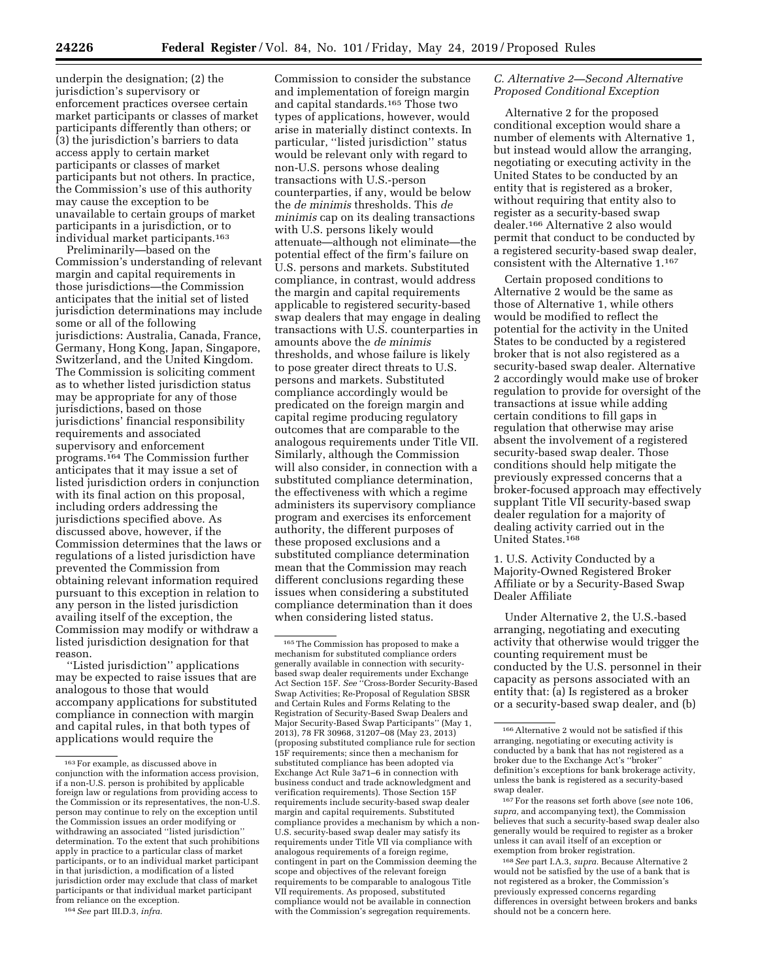underpin the designation; (2) the jurisdiction's supervisory or enforcement practices oversee certain market participants or classes of market participants differently than others; or (3) the jurisdiction's barriers to data access apply to certain market participants or classes of market participants but not others. In practice, the Commission's use of this authority may cause the exception to be unavailable to certain groups of market participants in a jurisdiction, or to individual market participants.163

Preliminarily—based on the Commission's understanding of relevant margin and capital requirements in those jurisdictions—the Commission anticipates that the initial set of listed jurisdiction determinations may include some or all of the following jurisdictions: Australia, Canada, France, Germany, Hong Kong, Japan, Singapore, Switzerland, and the United Kingdom. The Commission is soliciting comment as to whether listed jurisdiction status may be appropriate for any of those jurisdictions, based on those jurisdictions' financial responsibility requirements and associated supervisory and enforcement programs.164 The Commission further anticipates that it may issue a set of listed jurisdiction orders in conjunction with its final action on this proposal, including orders addressing the jurisdictions specified above. As discussed above, however, if the Commission determines that the laws or regulations of a listed jurisdiction have prevented the Commission from obtaining relevant information required pursuant to this exception in relation to any person in the listed jurisdiction availing itself of the exception, the Commission may modify or withdraw a listed jurisdiction designation for that reason.

''Listed jurisdiction'' applications may be expected to raise issues that are analogous to those that would accompany applications for substituted compliance in connection with margin and capital rules, in that both types of applications would require the

Commission to consider the substance and implementation of foreign margin and capital standards.165 Those two types of applications, however, would arise in materially distinct contexts. In particular, ''listed jurisdiction'' status would be relevant only with regard to non-U.S. persons whose dealing transactions with U.S.-person counterparties, if any, would be below the *de minimis* thresholds. This *de minimis* cap on its dealing transactions with U.S. persons likely would attenuate—although not eliminate—the potential effect of the firm's failure on U.S. persons and markets. Substituted compliance, in contrast, would address the margin and capital requirements applicable to registered security-based swap dealers that may engage in dealing transactions with U.S. counterparties in amounts above the *de minimis*  thresholds, and whose failure is likely to pose greater direct threats to U.S. persons and markets. Substituted compliance accordingly would be predicated on the foreign margin and capital regime producing regulatory outcomes that are comparable to the analogous requirements under Title VII. Similarly, although the Commission will also consider, in connection with a substituted compliance determination, the effectiveness with which a regime administers its supervisory compliance program and exercises its enforcement authority, the different purposes of these proposed exclusions and a substituted compliance determination mean that the Commission may reach different conclusions regarding these issues when considering a substituted compliance determination than it does when considering listed status.

# *C. Alternative 2—Second Alternative Proposed Conditional Exception*

Alternative 2 for the proposed conditional exception would share a number of elements with Alternative 1, but instead would allow the arranging, negotiating or executing activity in the United States to be conducted by an entity that is registered as a broker, without requiring that entity also to register as a security-based swap dealer.166 Alternative 2 also would permit that conduct to be conducted by a registered security-based swap dealer, consistent with the Alternative 1.167

Certain proposed conditions to Alternative 2 would be the same as those of Alternative 1, while others would be modified to reflect the potential for the activity in the United States to be conducted by a registered broker that is not also registered as a security-based swap dealer. Alternative 2 accordingly would make use of broker regulation to provide for oversight of the transactions at issue while adding certain conditions to fill gaps in regulation that otherwise may arise absent the involvement of a registered security-based swap dealer. Those conditions should help mitigate the previously expressed concerns that a broker-focused approach may effectively supplant Title VII security-based swap dealer regulation for a majority of dealing activity carried out in the United States.<sup>168</sup>

1. U.S. Activity Conducted by a Majority-Owned Registered Broker Affiliate or by a Security-Based Swap Dealer Affiliate

Under Alternative 2, the U.S.-based arranging, negotiating and executing activity that otherwise would trigger the counting requirement must be conducted by the U.S. personnel in their capacity as persons associated with an entity that: (a) Is registered as a broker or a security-based swap dealer, and (b)

167For the reasons set forth above (*see* note 106, *supra,* and accompanying text), the Commission believes that such a security-based swap dealer also generally would be required to register as a broker unless it can avail itself of an exception or exemption from broker registration.

168*See* part I.A.3, *supra.* Because Alternative 2 would not be satisfied by the use of a bank that is not registered as a broker, the Commission's previously expressed concerns regarding differences in oversight between brokers and banks should not be a concern here.

<sup>163</sup>For example, as discussed above in conjunction with the information access provision, if a non-U.S. person is prohibited by applicable foreign law or regulations from providing access to the Commission or its representatives, the non-U.S. person may continue to rely on the exception until the Commission issues an order modifying or withdrawing an associated ''listed jurisdiction'' determination. To the extent that such prohibitions apply in practice to a particular class of market participants, or to an individual market participant in that jurisdiction, a modification of a listed jurisdiction order may exclude that class of market participants or that individual market participant from reliance on the exception.

<sup>164</sup>*See* part III.D.3, *infra.* 

<sup>165</sup>The Commission has proposed to make a mechanism for substituted compliance orders generally available in connection with securitybased swap dealer requirements under Exchange Act Section 15F. *See* ''Cross-Border Security-Based Swap Activities; Re-Proposal of Regulation SBSR and Certain Rules and Forms Relating to the Registration of Security-Based Swap Dealers and Major Security-Based Swap Participants'' (May 1, 2013), 78 FR 30968, 31207–08 (May 23, 2013) (proposing substituted compliance rule for section 15F requirements; since then a mechanism for substituted compliance has been adopted via Exchange Act Rule 3a71–6 in connection with business conduct and trade acknowledgment and verification requirements). Those Section 15F requirements include security-based swap dealer margin and capital requirements. Substituted compliance provides a mechanism by which a non-U.S. security-based swap dealer may satisfy its requirements under Title VII via compliance with analogous requirements of a foreign regime, contingent in part on the Commission deeming the scope and objectives of the relevant foreign requirements to be comparable to analogous Title VII requirements. As proposed, substituted compliance would not be available in connection with the Commission's segregation requirements.

 $^{\rm 166}\,$  Alternative 2 would not be satisfied if this arranging, negotiating or executing activity is conducted by a bank that has not registered as a broker due to the Exchange Act's ''broker'' definition's exceptions for bank brokerage activity, unless the bank is registered as a security-based swap dealer.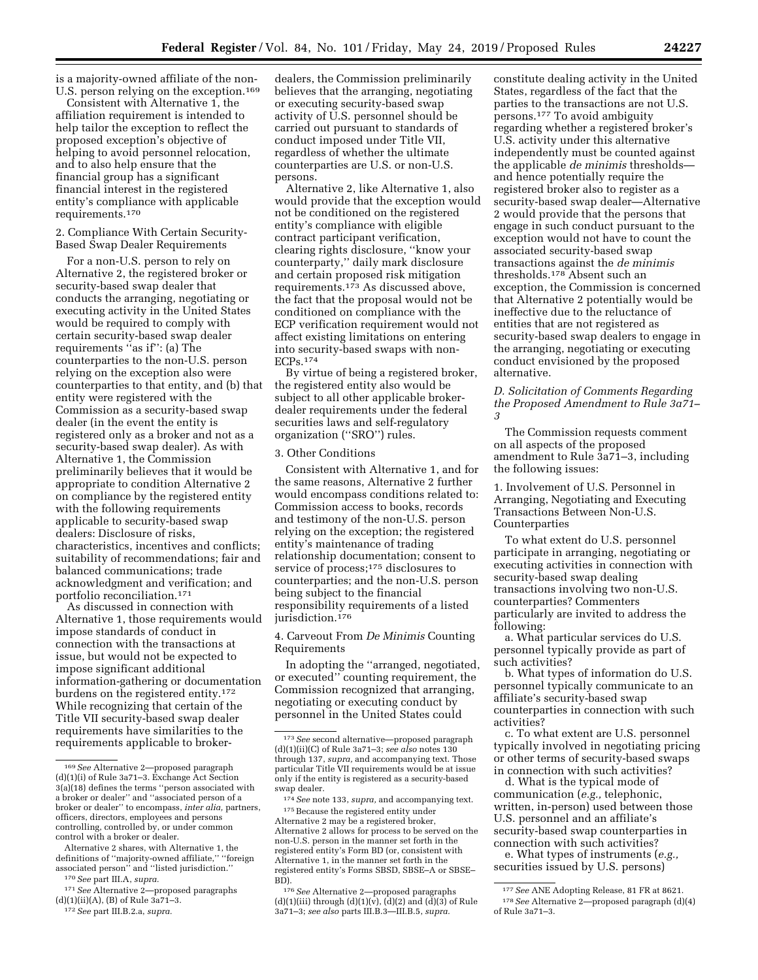is a majority-owned affiliate of the non-U.S. person relying on the exception.<sup>169</sup>

Consistent with Alternative 1, the affiliation requirement is intended to help tailor the exception to reflect the proposed exception's objective of helping to avoid personnel relocation, and to also help ensure that the financial group has a significant financial interest in the registered entity's compliance with applicable requirements.170

### 2. Compliance With Certain Security-Based Swap Dealer Requirements

For a non-U.S. person to rely on Alternative 2, the registered broker or security-based swap dealer that conducts the arranging, negotiating or executing activity in the United States would be required to comply with certain security-based swap dealer requirements ''as if'': (a) The counterparties to the non-U.S. person relying on the exception also were counterparties to that entity, and (b) that entity were registered with the Commission as a security-based swap dealer (in the event the entity is registered only as a broker and not as a security-based swap dealer). As with Alternative 1, the Commission preliminarily believes that it would be appropriate to condition Alternative 2 on compliance by the registered entity with the following requirements applicable to security-based swap dealers: Disclosure of risks, characteristics, incentives and conflicts; suitability of recommendations; fair and balanced communications; trade acknowledgment and verification; and portfolio reconciliation.171

As discussed in connection with Alternative 1, those requirements would impose standards of conduct in connection with the transactions at issue, but would not be expected to impose significant additional information-gathering or documentation burdens on the registered entity.172 While recognizing that certain of the Title VII security-based swap dealer requirements have similarities to the requirements applicable to broker-

170*See* part III.A, *supra.* 

172*See* part III.B.2.a, *supra.* 

dealers, the Commission preliminarily believes that the arranging, negotiating or executing security-based swap activity of U.S. personnel should be carried out pursuant to standards of conduct imposed under Title VII, regardless of whether the ultimate counterparties are U.S. or non-U.S. persons.

Alternative 2, like Alternative 1, also would provide that the exception would not be conditioned on the registered entity's compliance with eligible contract participant verification, clearing rights disclosure, ''know your counterparty,'' daily mark disclosure and certain proposed risk mitigation requirements. $1^{73}$  As discussed above, the fact that the proposal would not be conditioned on compliance with the ECP verification requirement would not affect existing limitations on entering into security-based swaps with non-ECPs.174

By virtue of being a registered broker, the registered entity also would be subject to all other applicable brokerdealer requirements under the federal securities laws and self-regulatory organization (''SRO'') rules.

# 3. Other Conditions

Consistent with Alternative 1, and for the same reasons, Alternative 2 further would encompass conditions related to: Commission access to books, records and testimony of the non-U.S. person relying on the exception; the registered entity's maintenance of trading relationship documentation; consent to service of process;175 disclosures to counterparties; and the non-U.S. person being subject to the financial responsibility requirements of a listed jurisdiction.176

## 4. Carveout From *De Minimis* Counting Requirements

In adopting the ''arranged, negotiated, or executed'' counting requirement, the Commission recognized that arranging, negotiating or executing conduct by personnel in the United States could

constitute dealing activity in the United States, regardless of the fact that the parties to the transactions are not U.S. persons.177 To avoid ambiguity regarding whether a registered broker's U.S. activity under this alternative independently must be counted against the applicable *de minimis* thresholds and hence potentially require the registered broker also to register as a security-based swap dealer—Alternative 2 would provide that the persons that engage in such conduct pursuant to the exception would not have to count the associated security-based swap transactions against the *de minimis*  thresholds.178 Absent such an exception, the Commission is concerned that Alternative 2 potentially would be ineffective due to the reluctance of entities that are not registered as security-based swap dealers to engage in the arranging, negotiating or executing conduct envisioned by the proposed alternative.

*D. Solicitation of Comments Regarding the Proposed Amendment to Rule 3a71– 3* 

The Commission requests comment on all aspects of the proposed amendment to Rule 3a71–3, including the following issues:

1. Involvement of U.S. Personnel in Arranging, Negotiating and Executing Transactions Between Non-U.S. Counterparties

To what extent do U.S. personnel participate in arranging, negotiating or executing activities in connection with security-based swap dealing transactions involving two non-U.S. counterparties? Commenters particularly are invited to address the following:

a. What particular services do U.S. personnel typically provide as part of such activities?

b. What types of information do U.S. personnel typically communicate to an affiliate's security-based swap counterparties in connection with such activities?

c. To what extent are U.S. personnel typically involved in negotiating pricing or other terms of security-based swaps in connection with such activities?

d. What is the typical mode of communication (*e.g.,* telephonic, written, in-person) used between those U.S. personnel and an affiliate's security-based swap counterparties in connection with such activities?

e. What types of instruments (*e.g.,*  securities issued by U.S. persons)

<sup>169</sup>*See* Alternative 2—proposed paragraph (d)(1)(i) of Rule 3a71–3. Exchange Act Section 3(a)(18) defines the terms ''person associated with a broker or dealer'' and ''associated person of a broker or dealer'' to encompass, *inter alia,* partners, officers, directors, employees and persons controlling, controlled by, or under common control with a broker or dealer.

Alternative 2 shares, with Alternative 1, the definitions of ''majority-owned affiliate,'' ''foreign associated person'' and ''listed jurisdiction.''

<sup>171</sup>*See* Alternative 2—proposed paragraphs (d)(1)(ii)(A), (B) of Rule 3a71–3.

<sup>173</sup>*See* second alternative—proposed paragraph (d)(1)(ii)(C) of Rule 3a71–3; *see also* notes 130 through 137, *supra,* and accompanying text. Those particular Title VII requirements would be at issue only if the entity is registered as a security-based swap dealer.

<sup>174</sup>*See* note 133, *supra,* and accompanying text. 175Because the registered entity under Alternative 2 may be a registered broker, Alternative 2 allows for process to be served on the non-U.S. person in the manner set forth in the registered entity's Form BD (or, consistent with Alternative 1, in the manner set forth in the registered entity's Forms SBSD, SBSE–A or SBSE– BD).

<sup>176</sup>*See* Alternative 2—proposed paragraphs (d)(1)(iii) through (d)(1)( $\hat{v}$ ), (d)(2) and (d)(3) of Rule 3a71–3; *see also* parts III.B.3—III.B.5, *supra.* 

<sup>177</sup>*See* ANE Adopting Release, 81 FR at 8621. 178*See* Alternative 2—proposed paragraph (d)(4) of Rule 3a71–3.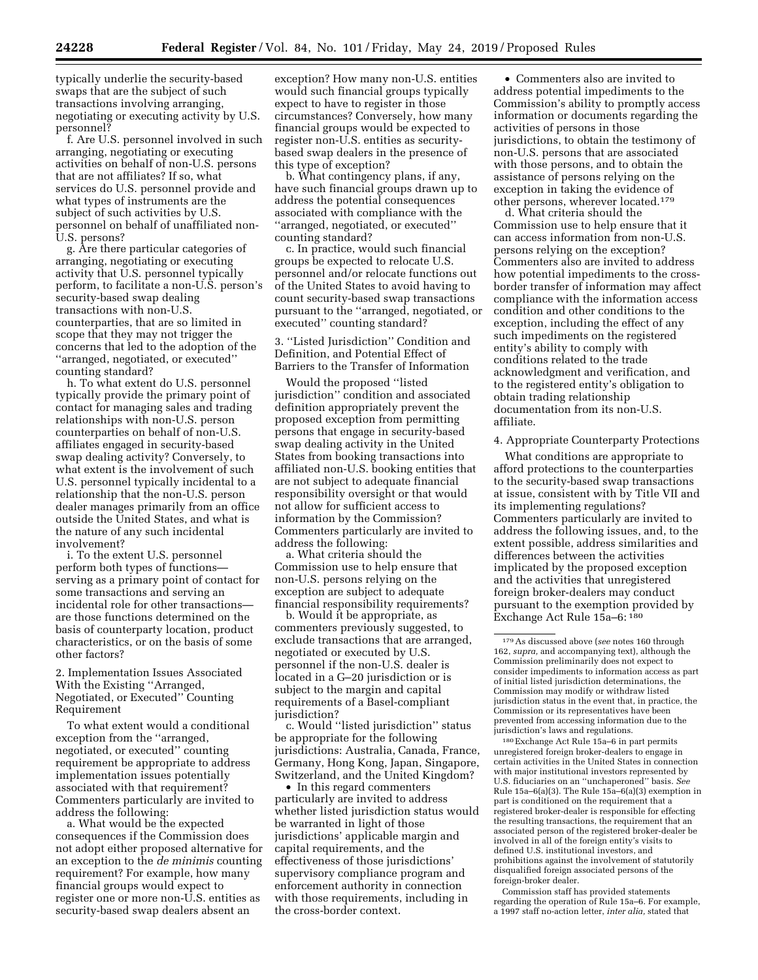typically underlie the security-based swaps that are the subject of such transactions involving arranging, negotiating or executing activity by U.S. personnel?

f. Are U.S. personnel involved in such arranging, negotiating or executing activities on behalf of non-U.S. persons that are not affiliates? If so, what services do U.S. personnel provide and what types of instruments are the subject of such activities by U.S. personnel on behalf of unaffiliated non-U.S. persons?

g. Are there particular categories of arranging, negotiating or executing activity that U.S. personnel typically perform, to facilitate a non-U.S. person's security-based swap dealing transactions with non-U.S. counterparties, that are so limited in scope that they may not trigger the concerns that led to the adoption of the ''arranged, negotiated, or executed'' counting standard?

h. To what extent do U.S. personnel typically provide the primary point of contact for managing sales and trading relationships with non-U.S. person counterparties on behalf of non-U.S. affiliates engaged in security-based swap dealing activity? Conversely, to what extent is the involvement of such U.S. personnel typically incidental to a relationship that the non-U.S. person dealer manages primarily from an office outside the United States, and what is the nature of any such incidental involvement?

i. To the extent U.S. personnel perform both types of functions serving as a primary point of contact for some transactions and serving an incidental role for other transactions are those functions determined on the basis of counterparty location, product characteristics, or on the basis of some other factors?

# 2. Implementation Issues Associated With the Existing ''Arranged, Negotiated, or Executed'' Counting Requirement

To what extent would a conditional exception from the ''arranged, negotiated, or executed'' counting requirement be appropriate to address implementation issues potentially associated with that requirement? Commenters particularly are invited to address the following:

a. What would be the expected consequences if the Commission does not adopt either proposed alternative for an exception to the *de minimis* counting requirement? For example, how many financial groups would expect to register one or more non-U.S. entities as security-based swap dealers absent an

exception? How many non-U.S. entities would such financial groups typically expect to have to register in those circumstances? Conversely, how many financial groups would be expected to register non-U.S. entities as securitybased swap dealers in the presence of this type of exception?

b. What contingency plans, if any, have such financial groups drawn up to address the potential consequences associated with compliance with the ''arranged, negotiated, or executed'' counting standard?

c. In practice, would such financial groups be expected to relocate U.S. personnel and/or relocate functions out of the United States to avoid having to count security-based swap transactions pursuant to the ''arranged, negotiated, or executed'' counting standard?

3. ''Listed Jurisdiction'' Condition and Definition, and Potential Effect of Barriers to the Transfer of Information

Would the proposed ''listed jurisdiction'' condition and associated definition appropriately prevent the proposed exception from permitting persons that engage in security-based swap dealing activity in the United States from booking transactions into affiliated non-U.S. booking entities that are not subject to adequate financial responsibility oversight or that would not allow for sufficient access to information by the Commission? Commenters particularly are invited to address the following:

a. What criteria should the Commission use to help ensure that non-U.S. persons relying on the exception are subject to adequate financial responsibility requirements?

b. Would it be appropriate, as commenters previously suggested, to exclude transactions that are arranged, negotiated or executed by U.S. personnel if the non-U.S. dealer is located in a G–20 jurisdiction or is subject to the margin and capital requirements of a Basel-compliant jurisdiction?

c. Would ''listed jurisdiction'' status be appropriate for the following jurisdictions: Australia, Canada, France, Germany, Hong Kong, Japan, Singapore, Switzerland, and the United Kingdom?

• In this regard commenters particularly are invited to address whether listed jurisdiction status would be warranted in light of those jurisdictions' applicable margin and capital requirements, and the effectiveness of those jurisdictions' supervisory compliance program and enforcement authority in connection with those requirements, including in the cross-border context.

• Commenters also are invited to address potential impediments to the Commission's ability to promptly access information or documents regarding the activities of persons in those jurisdictions, to obtain the testimony of non-U.S. persons that are associated with those persons, and to obtain the assistance of persons relying on the exception in taking the evidence of other persons, wherever located.179

d. What criteria should the Commission use to help ensure that it can access information from non-U.S. persons relying on the exception? Commenters also are invited to address how potential impediments to the crossborder transfer of information may affect compliance with the information access condition and other conditions to the exception, including the effect of any such impediments on the registered entity's ability to comply with conditions related to the trade acknowledgment and verification, and to the registered entity's obligation to obtain trading relationship documentation from its non-U.S. affiliate.

## 4. Appropriate Counterparty Protections

What conditions are appropriate to afford protections to the counterparties to the security-based swap transactions at issue, consistent with by Title VII and its implementing regulations? Commenters particularly are invited to address the following issues, and, to the extent possible, address similarities and differences between the activities implicated by the proposed exception and the activities that unregistered foreign broker-dealers may conduct pursuant to the exemption provided by Exchange Act Rule 15a–6: 180

180Exchange Act Rule 15a–6 in part permits unregistered foreign broker-dealers to engage in certain activities in the United States in connection with major institutional investors represented by U.S. fiduciaries on an ''unchaperoned'' basis. *See*  Rule 15a–6(a)(3). The Rule 15a–6(a)(3) exemption in part is conditioned on the requirement that a registered broker-dealer is responsible for effecting the resulting transactions, the requirement that an associated person of the registered broker-dealer be involved in all of the foreign entity's visits to defined U.S. institutional investors, and prohibitions against the involvement of statutorily disqualified foreign associated persons of the foreign-broker dealer.

Commission staff has provided statements regarding the operation of Rule 15a–6. For example, a 1997 staff no-action letter, *inter alia,* stated that

<sup>179</sup>As discussed above (*see* notes 160 through 162, *supra,* and accompanying text), although the Commission preliminarily does not expect to consider impediments to information access as part of initial listed jurisdiction determinations, the Commission may modify or withdraw listed jurisdiction status in the event that, in practice, the Commission or its representatives have been prevented from accessing information due to the jurisdiction's laws and regulations.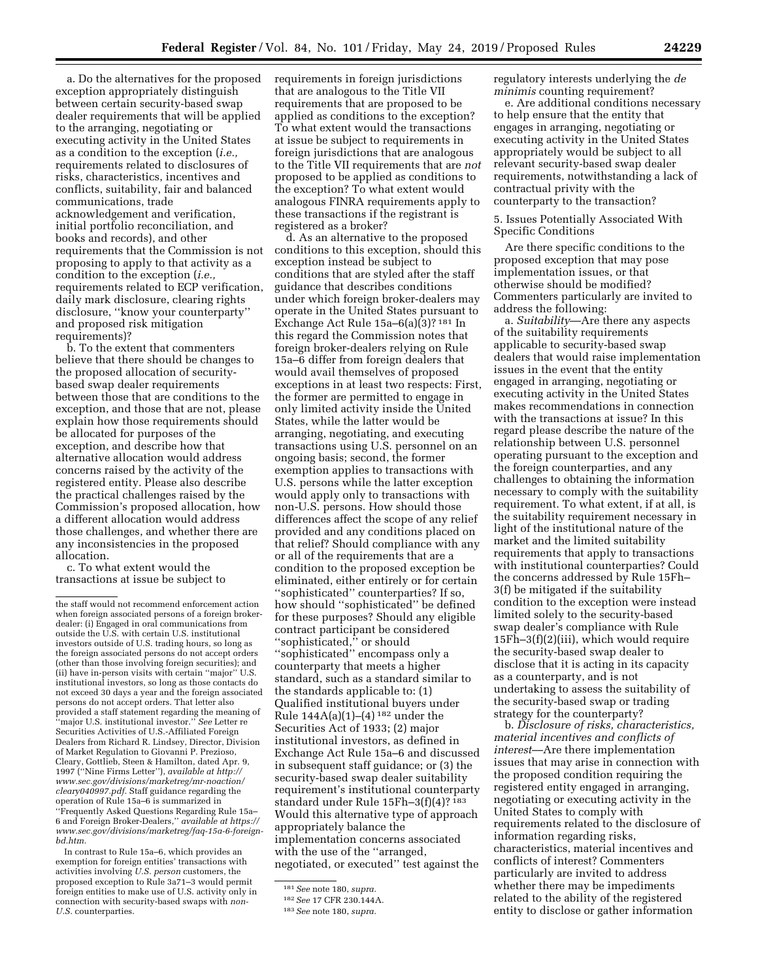a. Do the alternatives for the proposed exception appropriately distinguish between certain security-based swap dealer requirements that will be applied to the arranging, negotiating or executing activity in the United States as a condition to the exception (*i.e.,*  requirements related to disclosures of risks, characteristics, incentives and conflicts, suitability, fair and balanced communications, trade acknowledgement and verification, initial portfolio reconciliation, and books and records), and other requirements that the Commission is not proposing to apply to that activity as a condition to the exception (*i.e.,*  requirements related to ECP verification, daily mark disclosure, clearing rights disclosure, ''know your counterparty'' and proposed risk mitigation requirements)?

b. To the extent that commenters believe that there should be changes to the proposed allocation of securitybased swap dealer requirements between those that are conditions to the exception, and those that are not, please explain how those requirements should be allocated for purposes of the exception, and describe how that alternative allocation would address concerns raised by the activity of the registered entity. Please also describe the practical challenges raised by the Commission's proposed allocation, how a different allocation would address those challenges, and whether there are any inconsistencies in the proposed allocation.

c. To what extent would the transactions at issue be subject to

In contrast to Rule 15a–6, which provides an exemption for foreign entities' transactions with activities involving *U.S. person* customers, the proposed exception to Rule 3a71–3 would permit foreign entities to make use of U.S. activity only in connection with security-based swaps with *non-U.S.* counterparties.

requirements in foreign jurisdictions that are analogous to the Title VII requirements that are proposed to be applied as conditions to the exception? To what extent would the transactions at issue be subject to requirements in foreign jurisdictions that are analogous to the Title VII requirements that are *not*  proposed to be applied as conditions to the exception? To what extent would analogous FINRA requirements apply to these transactions if the registrant is registered as a broker?

d. As an alternative to the proposed conditions to this exception, should this exception instead be subject to conditions that are styled after the staff guidance that describes conditions under which foreign broker-dealers may operate in the United States pursuant to Exchange Act Rule 15a–6(a)(3)? 181 In this regard the Commission notes that foreign broker-dealers relying on Rule 15a–6 differ from foreign dealers that would avail themselves of proposed exceptions in at least two respects: First, the former are permitted to engage in only limited activity inside the United States, while the latter would be arranging, negotiating, and executing transactions using U.S. personnel on an ongoing basis; second, the former exemption applies to transactions with U.S. persons while the latter exception would apply only to transactions with non-U.S. persons. How should those differences affect the scope of any relief provided and any conditions placed on that relief? Should compliance with any or all of the requirements that are a condition to the proposed exception be eliminated, either entirely or for certain ''sophisticated'' counterparties? If so, how should ''sophisticated'' be defined for these purposes? Should any eligible contract participant be considered ''sophisticated,'' or should ''sophisticated'' encompass only a counterparty that meets a higher standard, such as a standard similar to the standards applicable to: (1) Qualified institutional buyers under Rule  $144A(a)(1)-(4)^{182}$  under the Securities Act of 1933; (2) major institutional investors, as defined in Exchange Act Rule 15a–6 and discussed in subsequent staff guidance; or (3) the security-based swap dealer suitability requirement's institutional counterparty standard under Rule 15Fh–3(f)(4)? 183 Would this alternative type of approach appropriately balance the implementation concerns associated with the use of the ''arranged, negotiated, or executed'' test against the

regulatory interests underlying the *de minimis* counting requirement?

e. Are additional conditions necessary to help ensure that the entity that engages in arranging, negotiating or executing activity in the United States appropriately would be subject to all relevant security-based swap dealer requirements, notwithstanding a lack of contractual privity with the counterparty to the transaction?

5. Issues Potentially Associated With Specific Conditions

Are there specific conditions to the proposed exception that may pose implementation issues, or that otherwise should be modified? Commenters particularly are invited to address the following:

a. *Suitability*—Are there any aspects of the suitability requirements applicable to security-based swap dealers that would raise implementation issues in the event that the entity engaged in arranging, negotiating or executing activity in the United States makes recommendations in connection with the transactions at issue? In this regard please describe the nature of the relationship between U.S. personnel operating pursuant to the exception and the foreign counterparties, and any challenges to obtaining the information necessary to comply with the suitability requirement. To what extent, if at all, is the suitability requirement necessary in light of the institutional nature of the market and the limited suitability requirements that apply to transactions with institutional counterparties? Could the concerns addressed by Rule 15Fh– 3(f) be mitigated if the suitability condition to the exception were instead limited solely to the security-based swap dealer's compliance with Rule 15Fh–3(f)(2)(iii), which would require the security-based swap dealer to disclose that it is acting in its capacity as a counterparty, and is not undertaking to assess the suitability of the security-based swap or trading strategy for the counterparty?

b. *Disclosure of risks, characteristics, material incentives and conflicts of interest*—Are there implementation issues that may arise in connection with the proposed condition requiring the registered entity engaged in arranging, negotiating or executing activity in the United States to comply with requirements related to the disclosure of information regarding risks, characteristics, material incentives and conflicts of interest? Commenters particularly are invited to address whether there may be impediments related to the ability of the registered entity to disclose or gather information

the staff would not recommend enforcement action when foreign associated persons of a foreign brokerdealer: (i) Engaged in oral communications from outside the U.S. with certain U.S. institutional investors outside of U.S. trading hours, so long as the foreign associated persons do not accept orders (other than those involving foreign securities); and (ii) have in-person visits with certain ''major'' U.S. institutional investors, so long as those contacts do not exceed 30 days a year and the foreign associated persons do not accept orders. That letter also provided a staff statement regarding the meaning of ''major U.S. institutional investor.'' *See* Letter re Securities Activities of U.S.-Affiliated Foreign Dealers from Richard R. Lindsey, Director, Division of Market Regulation to Giovanni P. Prezioso, Cleary, Gottlieb, Steen & Hamilton, dated Apr. 9, 1997 (''Nine Firms Letter''), *available at [http://](http://www.sec.gov/divisions/marketreg/mr-noaction/cleary040997.pdf) [www.sec.gov/divisions/marketreg/mr-noaction/](http://www.sec.gov/divisions/marketreg/mr-noaction/cleary040997.pdf)  [cleary040997.pdf.](http://www.sec.gov/divisions/marketreg/mr-noaction/cleary040997.pdf)* Staff guidance regarding the operation of Rule 15a–6 is summarized in ''Frequently Asked Questions Regarding Rule 15a– 6 and Foreign Broker-Dealers,'' *available at [https://](https://www.sec.gov/divisions/marketreg/faq-15a-6-foreign-bd.htm)  [www.sec.gov/divisions/marketreg/faq-15a-6-foreign](https://www.sec.gov/divisions/marketreg/faq-15a-6-foreign-bd.htm)[bd.htm.](https://www.sec.gov/divisions/marketreg/faq-15a-6-foreign-bd.htm)* 

<sup>181</sup>*See* note 180, *supra.* 

<sup>182</sup>*See* 17 CFR 230.144A.

<sup>183</sup>*See* note 180, *supra.*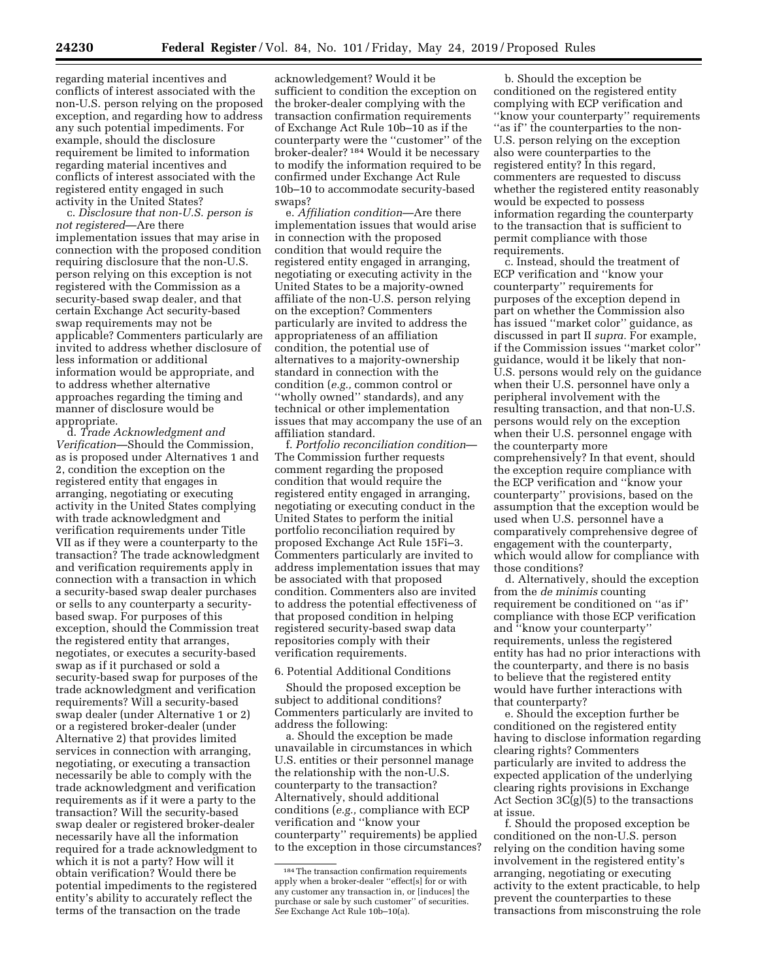regarding material incentives and conflicts of interest associated with the non-U.S. person relying on the proposed exception, and regarding how to address any such potential impediments. For example, should the disclosure requirement be limited to information regarding material incentives and conflicts of interest associated with the registered entity engaged in such activity in the United States?

c. *Disclosure that non-U.S. person is not registered*—Are there implementation issues that may arise in connection with the proposed condition requiring disclosure that the non-U.S. person relying on this exception is not registered with the Commission as a security-based swap dealer, and that certain Exchange Act security-based swap requirements may not be applicable? Commenters particularly are invited to address whether disclosure of less information or additional information would be appropriate, and to address whether alternative approaches regarding the timing and manner of disclosure would be appropriate.

d. *Trade Acknowledgment and Verification*—Should the Commission, as is proposed under Alternatives 1 and 2, condition the exception on the registered entity that engages in arranging, negotiating or executing activity in the United States complying with trade acknowledgment and verification requirements under Title VII as if they were a counterparty to the transaction? The trade acknowledgment and verification requirements apply in connection with a transaction in which a security-based swap dealer purchases or sells to any counterparty a securitybased swap. For purposes of this exception, should the Commission treat the registered entity that arranges, negotiates, or executes a security-based swap as if it purchased or sold a security-based swap for purposes of the trade acknowledgment and verification requirements? Will a security-based swap dealer (under Alternative 1 or 2) or a registered broker-dealer (under Alternative 2) that provides limited services in connection with arranging, negotiating, or executing a transaction necessarily be able to comply with the trade acknowledgment and verification requirements as if it were a party to the transaction? Will the security-based swap dealer or registered broker-dealer necessarily have all the information required for a trade acknowledgment to which it is not a party? How will it obtain verification? Would there be potential impediments to the registered entity's ability to accurately reflect the terms of the transaction on the trade

acknowledgement? Would it be sufficient to condition the exception on the broker-dealer complying with the transaction confirmation requirements of Exchange Act Rule 10b–10 as if the counterparty were the ''customer'' of the broker-dealer? 184 Would it be necessary to modify the information required to be confirmed under Exchange Act Rule 10b–10 to accommodate security-based swaps?

e. *Affiliation condition*—Are there implementation issues that would arise in connection with the proposed condition that would require the registered entity engaged in arranging, negotiating or executing activity in the United States to be a majority-owned affiliate of the non-U.S. person relying on the exception? Commenters particularly are invited to address the appropriateness of an affiliation condition, the potential use of alternatives to a majority-ownership standard in connection with the condition (*e.g.,* common control or ''wholly owned'' standards), and any technical or other implementation issues that may accompany the use of an affiliation standard.

f. *Portfolio reconciliation condition*— The Commission further requests comment regarding the proposed condition that would require the registered entity engaged in arranging, negotiating or executing conduct in the United States to perform the initial portfolio reconciliation required by proposed Exchange Act Rule 15Fi–3. Commenters particularly are invited to address implementation issues that may be associated with that proposed condition. Commenters also are invited to address the potential effectiveness of that proposed condition in helping registered security-based swap data repositories comply with their verification requirements.

## 6. Potential Additional Conditions

Should the proposed exception be subject to additional conditions? Commenters particularly are invited to address the following:

a. Should the exception be made unavailable in circumstances in which U.S. entities or their personnel manage the relationship with the non-U.S. counterparty to the transaction? Alternatively, should additional conditions (*e.g.,* compliance with ECP verification and ''know your counterparty'' requirements) be applied to the exception in those circumstances?

b. Should the exception be conditioned on the registered entity complying with ECP verification and ''know your counterparty'' requirements "as if" the counterparties to the non-U.S. person relying on the exception also were counterparties to the registered entity? In this regard, commenters are requested to discuss whether the registered entity reasonably would be expected to possess information regarding the counterparty to the transaction that is sufficient to permit compliance with those requirements.

c. Instead, should the treatment of ECP verification and ''know your counterparty'' requirements for purposes of the exception depend in part on whether the Commission also has issued ''market color'' guidance, as discussed in part II *supra.* For example, if the Commission issues ''market color'' guidance, would it be likely that non-U.S. persons would rely on the guidance when their U.S. personnel have only a peripheral involvement with the resulting transaction, and that non-U.S. persons would rely on the exception when their U.S. personnel engage with the counterparty more comprehensively? In that event, should the exception require compliance with the ECP verification and ''know your counterparty'' provisions, based on the assumption that the exception would be used when U.S. personnel have a comparatively comprehensive degree of engagement with the counterparty, which would allow for compliance with those conditions?

d. Alternatively, should the exception from the *de minimis* counting requirement be conditioned on ''as if'' compliance with those ECP verification and ''know your counterparty'' requirements, unless the registered entity has had no prior interactions with the counterparty, and there is no basis to believe that the registered entity would have further interactions with that counterparty?

e. Should the exception further be conditioned on the registered entity having to disclose information regarding clearing rights? Commenters particularly are invited to address the expected application of the underlying clearing rights provisions in Exchange Act Section  $3C(g)(5)$  to the transactions at issue.

f. Should the proposed exception be conditioned on the non-U.S. person relying on the condition having some involvement in the registered entity's arranging, negotiating or executing activity to the extent practicable, to help prevent the counterparties to these transactions from misconstruing the role

<sup>184</sup>The transaction confirmation requirements apply when a broker-dealer ''effect[s] for or with any customer any transaction in, or [induces] the purchase or sale by such customer'' of securities. *See* Exchange Act Rule 10b–10(a).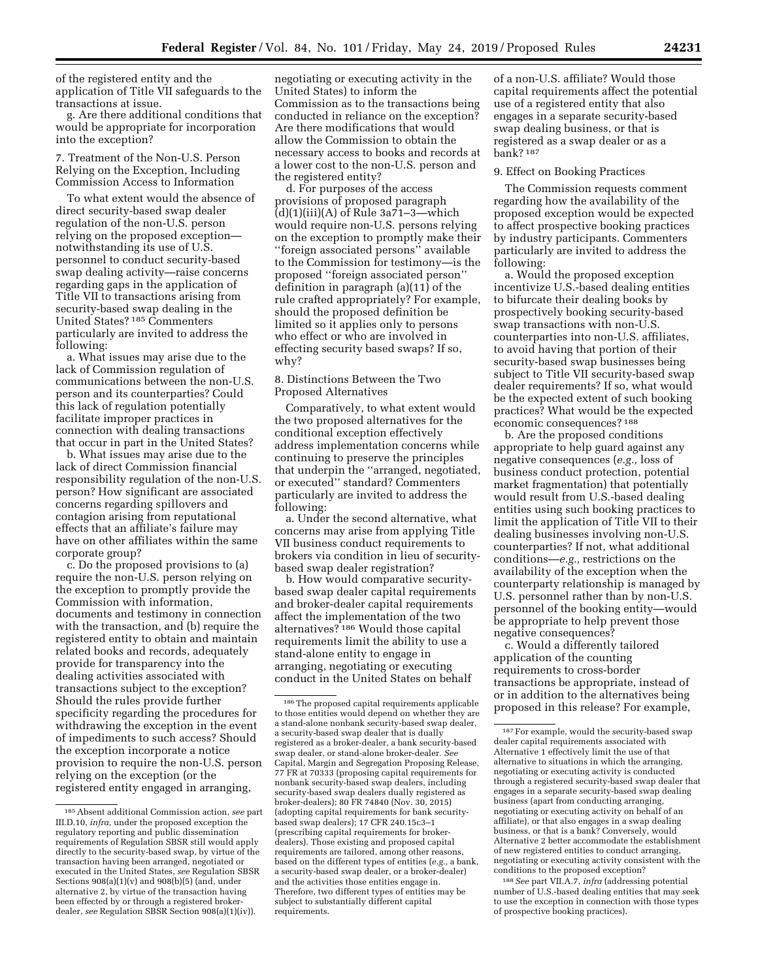of the registered entity and the application of Title VII safeguards to the transactions at issue.

g. Are there additional conditions that would be appropriate for incorporation into the exception?

7. Treatment of the Non-U.S. Person Relying on the Exception, Including Commission Access to Information

To what extent would the absence of direct security-based swap dealer regulation of the non-U.S. person relying on the proposed exception notwithstanding its use of U.S. personnel to conduct security-based swap dealing activity—raise concerns regarding gaps in the application of Title VII to transactions arising from security-based swap dealing in the United States? 185 Commenters particularly are invited to address the following:

a. What issues may arise due to the lack of Commission regulation of communications between the non-U.S. person and its counterparties? Could this lack of regulation potentially facilitate improper practices in connection with dealing transactions that occur in part in the United States?

b. What issues may arise due to the lack of direct Commission financial responsibility regulation of the non-U.S. person? How significant are associated concerns regarding spillovers and contagion arising from reputational effects that an affiliate's failure may have on other affiliates within the same corporate group?

c. Do the proposed provisions to (a) require the non-U.S. person relying on the exception to promptly provide the Commission with information, documents and testimony in connection with the transaction, and (b) require the registered entity to obtain and maintain related books and records, adequately provide for transparency into the dealing activities associated with transactions subject to the exception? Should the rules provide further specificity regarding the procedures for withdrawing the exception in the event of impediments to such access? Should the exception incorporate a notice provision to require the non-U.S. person relying on the exception (or the registered entity engaged in arranging,

negotiating or executing activity in the United States) to inform the Commission as to the transactions being conducted in reliance on the exception? Are there modifications that would allow the Commission to obtain the necessary access to books and records at a lower cost to the non-U.S. person and the registered entity?

d. For purposes of the access provisions of proposed paragraph  $(d)(1)(iii)(A)$  of Rule 3a71–3—which would require non-U.S. persons relying on the exception to promptly make their ''foreign associated persons'' available to the Commission for testimony—is the proposed ''foreign associated person'' definition in paragraph (a)(11) of the rule crafted appropriately? For example, should the proposed definition be limited so it applies only to persons who effect or who are involved in effecting security based swaps? If so, why?

## 8. Distinctions Between the Two Proposed Alternatives

Comparatively, to what extent would the two proposed alternatives for the conditional exception effectively address implementation concerns while continuing to preserve the principles that underpin the ''arranged, negotiated, or executed'' standard? Commenters particularly are invited to address the following:

a. Under the second alternative, what concerns may arise from applying Title VII business conduct requirements to brokers via condition in lieu of securitybased swap dealer registration?

b. How would comparative securitybased swap dealer capital requirements and broker-dealer capital requirements affect the implementation of the two alternatives? 186 Would those capital requirements limit the ability to use a stand-alone entity to engage in arranging, negotiating or executing conduct in the United States on behalf

of a non-U.S. affiliate? Would those capital requirements affect the potential use of a registered entity that also engages in a separate security-based swap dealing business, or that is registered as a swap dealer or as a bank? 187

#### 9. Effect on Booking Practices

The Commission requests comment regarding how the availability of the proposed exception would be expected to affect prospective booking practices by industry participants. Commenters particularly are invited to address the following:

a. Would the proposed exception incentivize U.S.-based dealing entities to bifurcate their dealing books by prospectively booking security-based swap transactions with non-U.S. counterparties into non-U.S. affiliates, to avoid having that portion of their security-based swap businesses being subject to Title VII security-based swap dealer requirements? If so, what would be the expected extent of such booking practices? What would be the expected economic consequences? 188

b. Are the proposed conditions appropriate to help guard against any negative consequences (*e.g.,* loss of business conduct protection, potential market fragmentation) that potentially would result from U.S.-based dealing entities using such booking practices to limit the application of Title VII to their dealing businesses involving non-U.S. counterparties? If not, what additional conditions—*e.g.,* restrictions on the availability of the exception when the counterparty relationship is managed by U.S. personnel rather than by non-U.S. personnel of the booking entity—would be appropriate to help prevent those negative consequences?

c. Would a differently tailored application of the counting requirements to cross-border transactions be appropriate, instead of or in addition to the alternatives being proposed in this release? For example,

188*See* part VII.A.7, *infra* (addressing potential number of U.S.-based dealing entities that may seek to use the exception in connection with those types of prospective booking practices).

<sup>185</sup>Absent additional Commission action, *see* part III.D.10, *infra,* under the proposed exception the regulatory reporting and public dissemination requirements of Regulation SBSR still would apply directly to the security-based swap, by virtue of the transaction having been arranged, negotiated or executed in the United States, *see* Regulation SBSR Sections 908(a)(1)(v) and 908(b)(5) (and, under alternative 2, by virtue of the transaction having been effected by or through a registered brokerdealer, *see* Regulation SBSR Section 908(a)(1)(iv)).

<sup>186</sup>The proposed capital requirements applicable to those entities would depend on whether they are a stand-alone nonbank security-based swap dealer, a security-based swap dealer that is dually registered as a broker-dealer, a bank security-based swap dealer, or stand-alone broker-dealer. *See*  Capital, Margin and Segregation Proposing Release, 77 FR at 70333 (proposing capital requirements for nonbank security-based swap dealers, including security-based swap dealers dually registered as broker-dealers); 80 FR 74840 (Nov. 30, 2015) (adopting capital requirements for bank securitybased swap dealers); 17 CFR 240.15c3–1 (prescribing capital requirements for brokerdealers). Those existing and proposed capital requirements are tailored, among other reasons, based on the different types of entities (*e.g.,* a bank, a security-based swap dealer, or a broker-dealer) and the activities those entities engage in. Therefore, two different types of entities may be subject to substantially different capital requirements.

<sup>187</sup>For example, would the security-based swap dealer capital requirements associated with Alternative 1 effectively limit the use of that alternative to situations in which the arranging, negotiating or executing activity is conducted through a registered security-based swap dealer that engages in a separate security-based swap dealing business (apart from conducting arranging, negotiating or executing activity on behalf of an affiliate), or that also engages in a swap dealing business, or that is a bank? Conversely, would Alternative 2 better accommodate the establishment of new registered entities to conduct arranging, negotiating or executing activity consistent with the conditions to the proposed exception?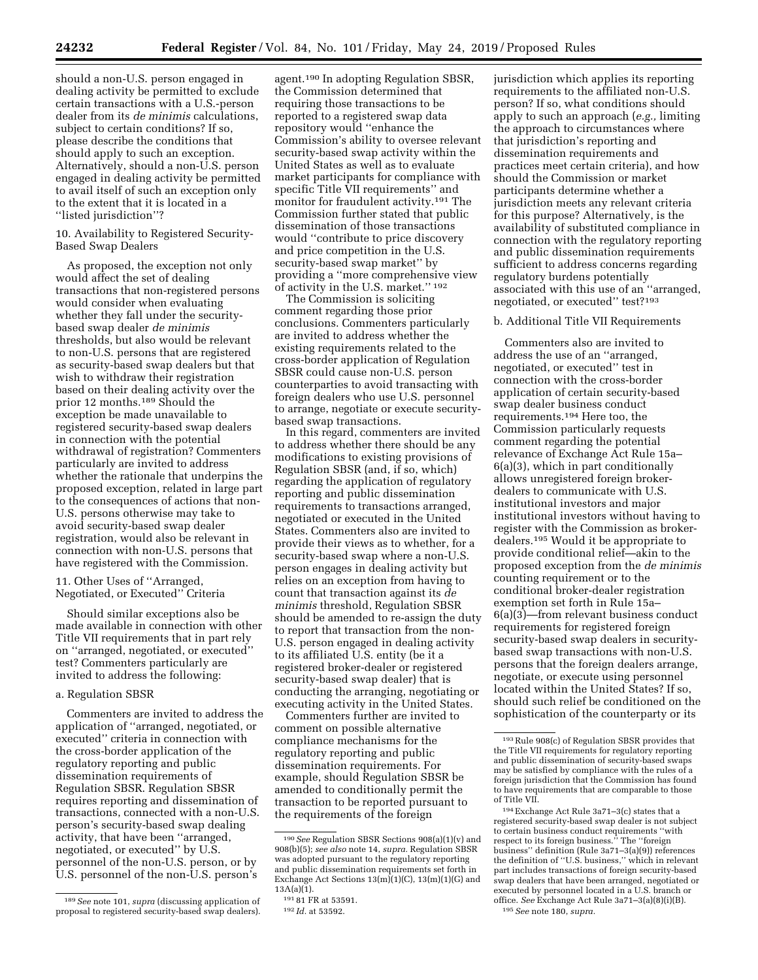should a non-U.S. person engaged in dealing activity be permitted to exclude certain transactions with a U.S.-person dealer from its *de minimis* calculations, subject to certain conditions? If so, please describe the conditions that should apply to such an exception. Alternatively, should a non-U.S. person engaged in dealing activity be permitted to avail itself of such an exception only to the extent that it is located in a ''listed jurisdiction''?

10. Availability to Registered Security-Based Swap Dealers

As proposed, the exception not only would affect the set of dealing transactions that non-registered persons would consider when evaluating whether they fall under the securitybased swap dealer *de minimis*  thresholds, but also would be relevant to non-U.S. persons that are registered as security-based swap dealers but that wish to withdraw their registration based on their dealing activity over the prior 12 months.189 Should the exception be made unavailable to registered security-based swap dealers in connection with the potential withdrawal of registration? Commenters particularly are invited to address whether the rationale that underpins the proposed exception, related in large part to the consequences of actions that non-U.S. persons otherwise may take to avoid security-based swap dealer registration, would also be relevant in connection with non-U.S. persons that have registered with the Commission.

11. Other Uses of ''Arranged, Negotiated, or Executed'' Criteria

Should similar exceptions also be made available in connection with other Title VII requirements that in part rely on ''arranged, negotiated, or executed'' test? Commenters particularly are invited to address the following:

## a. Regulation SBSR

Commenters are invited to address the application of ''arranged, negotiated, or executed'' criteria in connection with the cross-border application of the regulatory reporting and public dissemination requirements of Regulation SBSR. Regulation SBSR requires reporting and dissemination of transactions, connected with a non-U.S. person's security-based swap dealing activity, that have been ''arranged, negotiated, or executed'' by U.S. personnel of the non-U.S. person, or by U.S. personnel of the non-U.S. person's

agent.190 In adopting Regulation SBSR, the Commission determined that requiring those transactions to be reported to a registered swap data repository would ''enhance the Commission's ability to oversee relevant security-based swap activity within the United States as well as to evaluate market participants for compliance with specific Title VII requirements'' and monitor for fraudulent activity.191 The Commission further stated that public dissemination of those transactions would ''contribute to price discovery and price competition in the U.S. security-based swap market'' by providing a ''more comprehensive view of activity in the U.S. market.'' 192

The Commission is soliciting comment regarding those prior conclusions. Commenters particularly are invited to address whether the existing requirements related to the cross-border application of Regulation SBSR could cause non-U.S. person counterparties to avoid transacting with foreign dealers who use U.S. personnel to arrange, negotiate or execute securitybased swap transactions.

In this regard, commenters are invited to address whether there should be any modifications to existing provisions of Regulation SBSR (and, if so, which) regarding the application of regulatory reporting and public dissemination requirements to transactions arranged, negotiated or executed in the United States. Commenters also are invited to provide their views as to whether, for a security-based swap where a non-U.S. person engages in dealing activity but relies on an exception from having to count that transaction against its *de minimis* threshold, Regulation SBSR should be amended to re-assign the duty to report that transaction from the non-U.S. person engaged in dealing activity to its affiliated U.S. entity (be it a registered broker-dealer or registered security-based swap dealer) that is conducting the arranging, negotiating or executing activity in the United States.

Commenters further are invited to comment on possible alternative compliance mechanisms for the regulatory reporting and public dissemination requirements. For example, should Regulation SBSR be amended to conditionally permit the transaction to be reported pursuant to the requirements of the foreign

jurisdiction which applies its reporting requirements to the affiliated non-U.S. person? If so, what conditions should apply to such an approach (*e.g.,* limiting the approach to circumstances where that jurisdiction's reporting and dissemination requirements and practices meet certain criteria), and how should the Commission or market participants determine whether a jurisdiction meets any relevant criteria for this purpose? Alternatively, is the availability of substituted compliance in connection with the regulatory reporting and public dissemination requirements sufficient to address concerns regarding regulatory burdens potentially associated with this use of an ''arranged, negotiated, or executed'' test?193

#### b. Additional Title VII Requirements

Commenters also are invited to address the use of an ''arranged, negotiated, or executed'' test in connection with the cross-border application of certain security-based swap dealer business conduct requirements.194 Here too, the Commission particularly requests comment regarding the potential relevance of Exchange Act Rule 15a– 6(a)(3), which in part conditionally allows unregistered foreign brokerdealers to communicate with U.S. institutional investors and major institutional investors without having to register with the Commission as brokerdealers.195 Would it be appropriate to provide conditional relief—akin to the proposed exception from the *de minimis*  counting requirement or to the conditional broker-dealer registration exemption set forth in Rule 15a– 6(a)(3)—from relevant business conduct requirements for registered foreign security-based swap dealers in securitybased swap transactions with non-U.S. persons that the foreign dealers arrange, negotiate, or execute using personnel located within the United States? If so, should such relief be conditioned on the sophistication of the counterparty or its

194Exchange Act Rule 3a71–3(c) states that a registered security-based swap dealer is not subject to certain business conduct requirements ''with respect to its foreign business.'' The ''foreign business'' definition (Rule 3a71–3(a)(9)) references the definition of ''U.S. business,'' which in relevant part includes transactions of foreign security-based swap dealers that have been arranged, negotiated or executed by personnel located in a U.S. branch or office. *See* Exchange Act Rule 3a71–3(a)(8)(i)(B). 195*See* note 180, *supra.* 

<sup>189</sup>*See* note 101, *supra* (discussing application of proposal to registered security-based swap dealers).

<sup>190</sup>*See* Regulation SBSR Sections 908(a)(1)(v) and 908(b)(5); *see also* note 14, *supra.* Regulation SBSR was adopted pursuant to the regulatory reporting and public dissemination requirements set forth in Exchange Act Sections  $13(m)(1)(C)$ ,  $13(m)(1)(G)$  and  $13A(a)(1)$ .

<sup>191</sup> 81 FR at 53591.

<sup>192</sup> *Id.* at 53592.

<sup>193</sup>Rule 908(c) of Regulation SBSR provides that the Title VII requirements for regulatory reporting and public dissemination of security-based swaps may be satisfied by compliance with the rules of a foreign jurisdiction that the Commission has found to have requirements that are comparable to those of Title VII.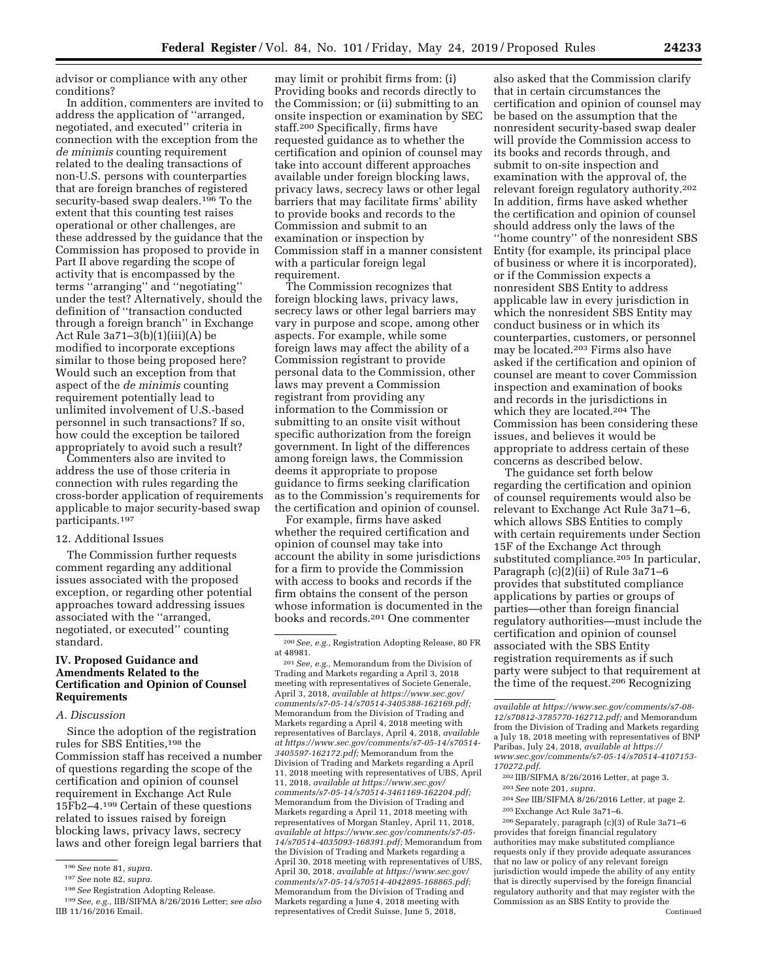advisor or compliance with any other conditions?

In addition, commenters are invited to address the application of ''arranged, negotiated, and executed'' criteria in connection with the exception from the *de minimis* counting requirement related to the dealing transactions of non-U.S. persons with counterparties that are foreign branches of registered security-based swap dealers.<sup>196</sup> To the extent that this counting test raises operational or other challenges, are these addressed by the guidance that the Commission has proposed to provide in Part II above regarding the scope of activity that is encompassed by the terms ''arranging'' and ''negotiating'' under the test? Alternatively, should the definition of ''transaction conducted through a foreign branch'' in Exchange Act Rule 3a71–3(b)(1)(iii)(A) be modified to incorporate exceptions similar to those being proposed here? Would such an exception from that aspect of the *de minimis* counting requirement potentially lead to unlimited involvement of U.S.-based personnel in such transactions? If so, how could the exception be tailored appropriately to avoid such a result?

Commenters also are invited to address the use of those criteria in connection with rules regarding the cross-border application of requirements applicable to major security-based swap participants.197

#### 12. Additional Issues

The Commission further requests comment regarding any additional issues associated with the proposed exception, or regarding other potential approaches toward addressing issues associated with the ''arranged, negotiated, or executed'' counting standard.

# **IV. Proposed Guidance and Amendments Related to the Certification and Opinion of Counsel Requirements**

# *A. Discussion*

Since the adoption of the registration rules for SBS Entities,198 the Commission staff has received a number of questions regarding the scope of the certification and opinion of counsel requirement in Exchange Act Rule 15Fb2–4.199 Certain of these questions related to issues raised by foreign blocking laws, privacy laws, secrecy laws and other foreign legal barriers that

may limit or prohibit firms from: (i) Providing books and records directly to the Commission; or (ii) submitting to an onsite inspection or examination by SEC staff.200 Specifically, firms have requested guidance as to whether the certification and opinion of counsel may take into account different approaches available under foreign blocking laws, privacy laws, secrecy laws or other legal barriers that may facilitate firms' ability to provide books and records to the Commission and submit to an examination or inspection by Commission staff in a manner consistent with a particular foreign legal requirement.

The Commission recognizes that foreign blocking laws, privacy laws, secrecy laws or other legal barriers may vary in purpose and scope, among other aspects. For example, while some foreign laws may affect the ability of a Commission registrant to provide personal data to the Commission, other laws may prevent a Commission registrant from providing any information to the Commission or submitting to an onsite visit without specific authorization from the foreign government. In light of the differences among foreign laws, the Commission deems it appropriate to propose guidance to firms seeking clarification as to the Commission's requirements for the certification and opinion of counsel.

For example, firms have asked whether the required certification and opinion of counsel may take into account the ability in some jurisdictions for a firm to provide the Commission with access to books and records if the firm obtains the consent of the person whose information is documented in the books and records.201 One commenter

201*See, e.g.,* Memorandum from the Division of Trading and Markets regarding a April 3, 2018 meeting with representatives of Societe Generale, April 3, 2018, *available at [https://www.sec.gov/](https://www.sec.gov/comments/s7-05-14/s70514-3405388-162169.pdf) [comments/s7-05-14/s70514-3405388-162169.pdf;](https://www.sec.gov/comments/s7-05-14/s70514-3405388-162169.pdf)*  Memorandum from the Division of Trading and Markets regarding a April 4, 2018 meeting with representatives of Barclays, April 4, 2018, *available at [https://www.sec.gov/comments/s7-05-14/s70514-](https://www.sec.gov/comments/s7-05-14/s70514-3405597-162172.pdf) [3405597-162172.pdf;](https://www.sec.gov/comments/s7-05-14/s70514-3405597-162172.pdf)* Memorandum from the Division of Trading and Markets regarding a April 11, 2018 meeting with representatives of UBS, April 11, 2018, *available at [https://www.sec.gov/](https://www.sec.gov/comments/s7-05-14/s70514-3461169-162204.pdf)  [comments/s7-05-14/s70514-3461169-162204.pdf;](https://www.sec.gov/comments/s7-05-14/s70514-3461169-162204.pdf)*  Memorandum from the Division of Trading and Markets regarding a April 11, 2018 meeting with representatives of Morgan Stanley, April 11, 2018, *available at [https://www.sec.gov/comments/s7-05-](https://www.sec.gov/comments/s7-05-14/s70514-4035093-168391.pdf) [14/s70514-4035093-168391.pdf;](https://www.sec.gov/comments/s7-05-14/s70514-4035093-168391.pdf)* Memorandum from the Division of Trading and Markets regarding a April 30, 2018 meeting with representatives of UBS, April 30, 2018, *available at [https://www.sec.gov/](https://www.sec.gov/comments/s7-05-14/s70514-4042895-168865.pdf)  [comments/s7-05-14/s70514-4042895-168865.pdf;](https://www.sec.gov/comments/s7-05-14/s70514-4042895-168865.pdf)*  Memorandum from the Division of Trading and Markets regarding a June 4, 2018 meeting with representatives of Credit Suisse, June 5, 2018,

also asked that the Commission clarify that in certain circumstances the certification and opinion of counsel may be based on the assumption that the nonresident security-based swap dealer will provide the Commission access to its books and records through, and submit to on-site inspection and examination with the approval of, the relevant foreign regulatory authority.202 In addition, firms have asked whether the certification and opinion of counsel should address only the laws of the ''home country'' of the nonresident SBS Entity (for example, its principal place of business or where it is incorporated), or if the Commission expects a nonresident SBS Entity to address applicable law in every jurisdiction in which the nonresident SBS Entity may conduct business or in which its counterparties, customers, or personnel may be located.203 Firms also have asked if the certification and opinion of counsel are meant to cover Commission inspection and examination of books and records in the jurisdictions in which they are located.204 The Commission has been considering these issues, and believes it would be appropriate to address certain of these concerns as described below.

The guidance set forth below regarding the certification and opinion of counsel requirements would also be relevant to Exchange Act Rule 3a71–6, which allows SBS Entities to comply with certain requirements under Section 15F of the Exchange Act through substituted compliance.205 In particular, Paragraph (c)(2)(ii) of Rule 3a71–6 provides that substituted compliance applications by parties or groups of parties—other than foreign financial regulatory authorities—must include the certification and opinion of counsel associated with the SBS Entity registration requirements as if such party were subject to that requirement at the time of the request.206 Recognizing

- 204*See* IIB/SIFMA 8/26/2016 Letter, at page 2.
- 205Exchange Act Rule 3a71–6.

206Separately, paragraph (c)(3) of Rule 3a71–6 provides that foreign financial regulatory authorities may make substituted compliance requests only if they provide adequate assurances that no law or policy of any relevant foreign jurisdiction would impede the ability of any entity that is directly supervised by the foreign financial regulatory authority and that may register with the Commission as an SBS Entity to provide the Continued

<sup>196</sup>*See* note 81, *supra.* 

<sup>197</sup>*See* note 82, *supra.* 

<sup>198</sup>*See* Registration Adopting Release.

<sup>199</sup>*See, e.g.,* IIB/SIFMA 8/26/2016 Letter; *see also*  IIB 11/16/2016 Email.

<sup>200</sup>*See, e.g.,* Registration Adopting Release, 80 FR at 48981.

*available at [https://www.sec.gov/comments/s7-08-](https://www.sec.gov/comments/s7-08-12/s70812-3785770-162712.pdf) [12/s70812-3785770-162712.pdf;](https://www.sec.gov/comments/s7-08-12/s70812-3785770-162712.pdf)* and Memorandum from the Division of Trading and Markets regarding a July 18, 2018 meeting with representatives of BNP Paribas, July 24, 2018, *available at [https://](https://www.sec.gov/comments/s7-05-14/s70514-4107153-170272.pdf) [www.sec.gov/comments/s7-05-14/s70514-4107153-](https://www.sec.gov/comments/s7-05-14/s70514-4107153-170272.pdf)  [170272.pdf.](https://www.sec.gov/comments/s7-05-14/s70514-4107153-170272.pdf)* 

<sup>202</sup> IIB/SIFMA 8/26/2016 Letter, at page 3.

<sup>203</sup>*See* note 201, *supra.*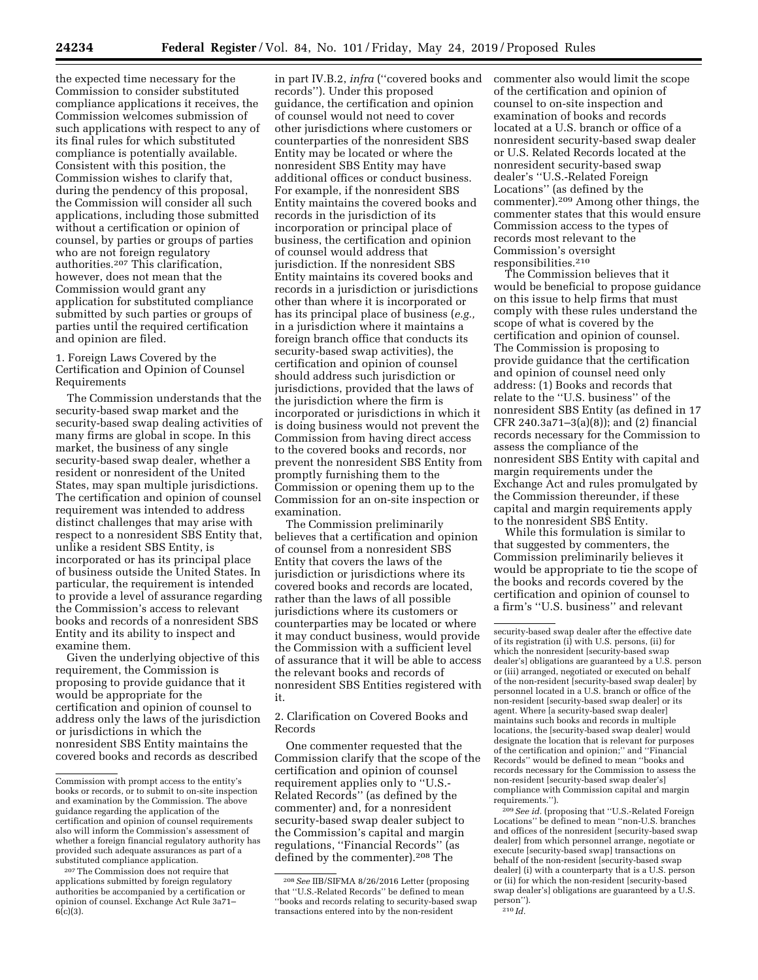the expected time necessary for the Commission to consider substituted compliance applications it receives, the Commission welcomes submission of such applications with respect to any of its final rules for which substituted compliance is potentially available. Consistent with this position, the Commission wishes to clarify that, during the pendency of this proposal, the Commission will consider all such applications, including those submitted without a certification or opinion of counsel, by parties or groups of parties who are not foreign regulatory authorities.207 This clarification, however, does not mean that the Commission would grant any application for substituted compliance submitted by such parties or groups of parties until the required certification and opinion are filed.

1. Foreign Laws Covered by the Certification and Opinion of Counsel Requirements

The Commission understands that the security-based swap market and the security-based swap dealing activities of many firms are global in scope. In this market, the business of any single security-based swap dealer, whether a resident or nonresident of the United States, may span multiple jurisdictions. The certification and opinion of counsel requirement was intended to address distinct challenges that may arise with respect to a nonresident SBS Entity that, unlike a resident SBS Entity, is incorporated or has its principal place of business outside the United States. In particular, the requirement is intended to provide a level of assurance regarding the Commission's access to relevant books and records of a nonresident SBS Entity and its ability to inspect and examine them.

Given the underlying objective of this requirement, the Commission is proposing to provide guidance that it would be appropriate for the certification and opinion of counsel to address only the laws of the jurisdiction or jurisdictions in which the nonresident SBS Entity maintains the covered books and records as described

in part IV.B.2, *infra* (''covered books and records''). Under this proposed guidance, the certification and opinion of counsel would not need to cover other jurisdictions where customers or counterparties of the nonresident SBS Entity may be located or where the nonresident SBS Entity may have additional offices or conduct business. For example, if the nonresident SBS Entity maintains the covered books and records in the jurisdiction of its incorporation or principal place of business, the certification and opinion of counsel would address that jurisdiction. If the nonresident SBS Entity maintains its covered books and records in a jurisdiction or jurisdictions other than where it is incorporated or has its principal place of business (*e.g.,*  in a jurisdiction where it maintains a foreign branch office that conducts its security-based swap activities), the certification and opinion of counsel should address such jurisdiction or jurisdictions, provided that the laws of the jurisdiction where the firm is incorporated or jurisdictions in which it is doing business would not prevent the Commission from having direct access to the covered books and records, nor prevent the nonresident SBS Entity from promptly furnishing them to the Commission or opening them up to the Commission for an on-site inspection or examination.

The Commission preliminarily believes that a certification and opinion of counsel from a nonresident SBS Entity that covers the laws of the jurisdiction or jurisdictions where its covered books and records are located, rather than the laws of all possible jurisdictions where its customers or counterparties may be located or where it may conduct business, would provide the Commission with a sufficient level of assurance that it will be able to access the relevant books and records of nonresident SBS Entities registered with it.

2. Clarification on Covered Books and Records

One commenter requested that the Commission clarify that the scope of the certification and opinion of counsel requirement applies only to ''U.S.- Related Records'' (as defined by the commenter) and, for a nonresident security-based swap dealer subject to the Commission's capital and margin regulations, ''Financial Records'' (as defined by the commenter).208 The

commenter also would limit the scope of the certification and opinion of counsel to on-site inspection and examination of books and records located at a U.S. branch or office of a nonresident security-based swap dealer or U.S. Related Records located at the nonresident security-based swap dealer's ''U.S.-Related Foreign Locations'' (as defined by the commenter).209 Among other things, the commenter states that this would ensure Commission access to the types of records most relevant to the Commission's oversight responsibilities.210

The Commission believes that it would be beneficial to propose guidance on this issue to help firms that must comply with these rules understand the scope of what is covered by the certification and opinion of counsel. The Commission is proposing to provide guidance that the certification and opinion of counsel need only address: (1) Books and records that relate to the ''U.S. business'' of the nonresident SBS Entity (as defined in 17 CFR 240.3a71–3(a)(8)); and (2) financial records necessary for the Commission to assess the compliance of the nonresident SBS Entity with capital and margin requirements under the Exchange Act and rules promulgated by the Commission thereunder, if these capital and margin requirements apply to the nonresident SBS Entity.

While this formulation is similar to that suggested by commenters, the Commission preliminarily believes it would be appropriate to tie the scope of the books and records covered by the certification and opinion of counsel to a firm's ''U.S. business'' and relevant

209*See id.* (proposing that ''U.S.-Related Foreign Locations'' be defined to mean ''non-U.S. branches and offices of the nonresident [security-based swap dealer] from which personnel arrange, negotiate or execute [security-based swap] transactions on behalf of the non-resident [security-based swap dealer] (i) with a counterparty that is a U.S. person or (ii) for which the non-resident [security-based swap dealer's] obligations are guaranteed by a U.S. person''). 210 *Id.* 

Commission with prompt access to the entity's books or records, or to submit to on-site inspection and examination by the Commission. The above guidance regarding the application of the certification and opinion of counsel requirements also will inform the Commission's assessment of whether a foreign financial regulatory authority has provided such adequate assurances as part of a substituted compliance application.

<sup>207</sup>The Commission does not require that applications submitted by foreign regulatory authorities be accompanied by a certification or opinion of counsel. Exchange Act Rule 3a71–  $6(c)(3)$ .

<sup>208</sup>*See* IIB/SIFMA 8/26/2016 Letter (proposing that ''U.S.-Related Records'' be defined to mean ''books and records relating to security-based swap transactions entered into by the non-resident

security-based swap dealer after the effective date of its registration (i) with U.S. persons, (ii) for which the nonresident [security-based swap dealer's] obligations are guaranteed by a U.S. person or (iii) arranged, negotiated or executed on behalf of the non-resident [security-based swap dealer] by personnel located in a U.S. branch or office of the non-resident [security-based swap dealer] or its agent. Where [a security-based swap dealer] maintains such books and records in multiple locations, the [security-based swap dealer] would designate the location that is relevant for purposes of the certification and opinion;'' and ''Financial Records'' would be defined to mean ''books and records necessary for the Commission to assess the non-resident [security-based swap dealer's] compliance with Commission capital and margin requirements.'').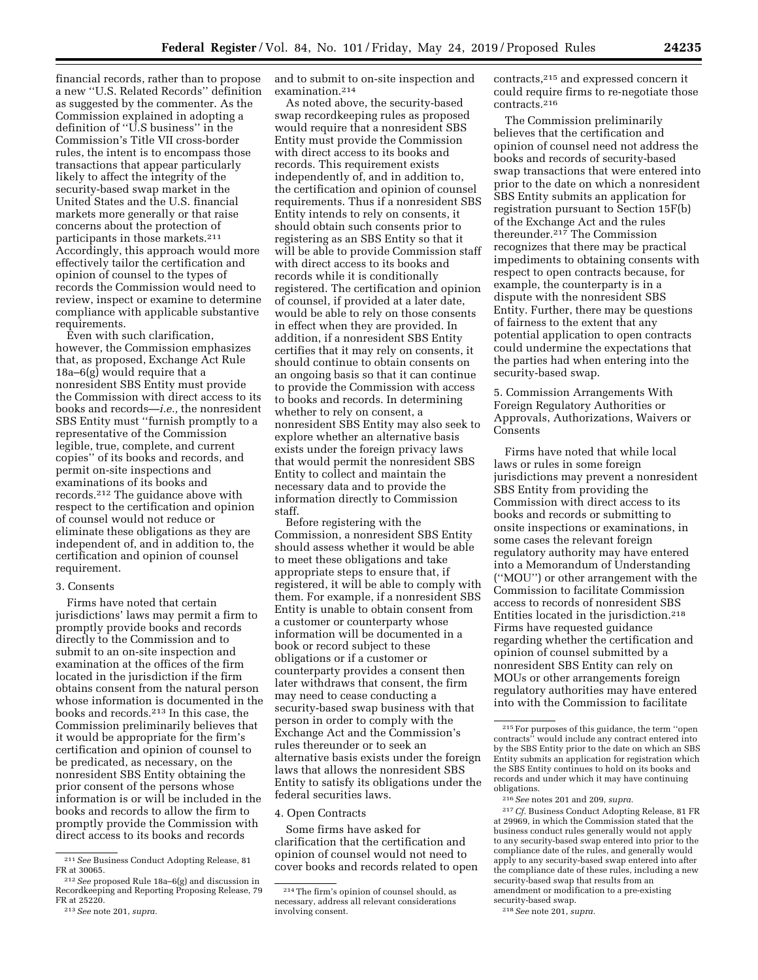financial records, rather than to propose a new ''U.S. Related Records'' definition as suggested by the commenter. As the Commission explained in adopting a definition of ''U.S business'' in the Commission's Title VII cross-border rules, the intent is to encompass those transactions that appear particularly likely to affect the integrity of the security-based swap market in the United States and the U.S. financial markets more generally or that raise concerns about the protection of participants in those markets.211 Accordingly, this approach would more effectively tailor the certification and opinion of counsel to the types of records the Commission would need to review, inspect or examine to determine compliance with applicable substantive requirements.

Even with such clarification, however, the Commission emphasizes that, as proposed, Exchange Act Rule 18a–6(g) would require that a nonresident SBS Entity must provide the Commission with direct access to its books and records—*i.e.,* the nonresident SBS Entity must ''furnish promptly to a representative of the Commission legible, true, complete, and current copies'' of its books and records, and permit on-site inspections and examinations of its books and records.212 The guidance above with respect to the certification and opinion of counsel would not reduce or eliminate these obligations as they are independent of, and in addition to, the certification and opinion of counsel requirement.

#### 3. Consents

Firms have noted that certain jurisdictions' laws may permit a firm to promptly provide books and records directly to the Commission and to submit to an on-site inspection and examination at the offices of the firm located in the jurisdiction if the firm obtains consent from the natural person whose information is documented in the books and records.213 In this case, the Commission preliminarily believes that it would be appropriate for the firm's certification and opinion of counsel to be predicated, as necessary, on the nonresident SBS Entity obtaining the prior consent of the persons whose information is or will be included in the books and records to allow the firm to promptly provide the Commission with direct access to its books and records

and to submit to on-site inspection and examination.214

As noted above, the security-based swap recordkeeping rules as proposed would require that a nonresident SBS Entity must provide the Commission with direct access to its books and records. This requirement exists independently of, and in addition to, the certification and opinion of counsel requirements. Thus if a nonresident SBS Entity intends to rely on consents, it should obtain such consents prior to registering as an SBS Entity so that it will be able to provide Commission staff with direct access to its books and records while it is conditionally registered. The certification and opinion of counsel, if provided at a later date, would be able to rely on those consents in effect when they are provided. In addition, if a nonresident SBS Entity certifies that it may rely on consents, it should continue to obtain consents on an ongoing basis so that it can continue to provide the Commission with access to books and records. In determining whether to rely on consent, a nonresident SBS Entity may also seek to explore whether an alternative basis exists under the foreign privacy laws that would permit the nonresident SBS Entity to collect and maintain the necessary data and to provide the information directly to Commission staff.

Before registering with the Commission, a nonresident SBS Entity should assess whether it would be able to meet these obligations and take appropriate steps to ensure that, if registered, it will be able to comply with them. For example, if a nonresident SBS Entity is unable to obtain consent from a customer or counterparty whose information will be documented in a book or record subject to these obligations or if a customer or counterparty provides a consent then later withdraws that consent, the firm may need to cease conducting a security-based swap business with that person in order to comply with the Exchange Act and the Commission's rules thereunder or to seek an alternative basis exists under the foreign laws that allows the nonresident SBS Entity to satisfy its obligations under the federal securities laws.

#### 4. Open Contracts

Some firms have asked for clarification that the certification and opinion of counsel would not need to cover books and records related to open contracts,215 and expressed concern it could require firms to re-negotiate those contracts.216

The Commission preliminarily believes that the certification and opinion of counsel need not address the books and records of security-based swap transactions that were entered into prior to the date on which a nonresident SBS Entity submits an application for registration pursuant to Section 15F(b) of the Exchange Act and the rules thereunder.217 The Commission recognizes that there may be practical impediments to obtaining consents with respect to open contracts because, for example, the counterparty is in a dispute with the nonresident SBS Entity. Further, there may be questions of fairness to the extent that any potential application to open contracts could undermine the expectations that the parties had when entering into the security-based swap.

5. Commission Arrangements With Foreign Regulatory Authorities or Approvals, Authorizations, Waivers or Consents

Firms have noted that while local laws or rules in some foreign jurisdictions may prevent a nonresident SBS Entity from providing the Commission with direct access to its books and records or submitting to onsite inspections or examinations, in some cases the relevant foreign regulatory authority may have entered into a Memorandum of Understanding (''MOU'') or other arrangement with the Commission to facilitate Commission access to records of nonresident SBS Entities located in the jurisdiction.218 Firms have requested guidance regarding whether the certification and opinion of counsel submitted by a nonresident SBS Entity can rely on MOUs or other arrangements foreign regulatory authorities may have entered into with the Commission to facilitate

217*Cf.* Business Conduct Adopting Release, 81 FR at 29969, in which the Commission stated that the business conduct rules generally would not apply to any security-based swap entered into prior to the compliance date of the rules, and generally would apply to any security-based swap entered into after the compliance date of these rules, including a new security-based swap that results from an amendment or modification to a pre-existing security-based swap.

<sup>&</sup>lt;sup>211</sup> See Business Conduct Adopting Release, 81<br>FR at 30065.

<sup>&</sup>lt;sup>212</sup> See proposed Rule 18a-6(g) and discussion in Recordkeeping and Reporting Proposing Release, 79 FR at 25220.

<sup>213</sup>*See* note 201, *supra.* 

<sup>214</sup>The firm's opinion of counsel should, as necessary, address all relevant considerations involving consent.

<sup>215</sup>For purposes of this guidance, the term ''open contracts'' would include any contract entered into by the SBS Entity prior to the date on which an SBS Entity submits an application for registration which the SBS Entity continues to hold on its books and records and under which it may have continuing obligations.

<sup>216</sup>*See* notes 201 and 209, *supra.* 

<sup>218</sup>*See* note 201, *supra.*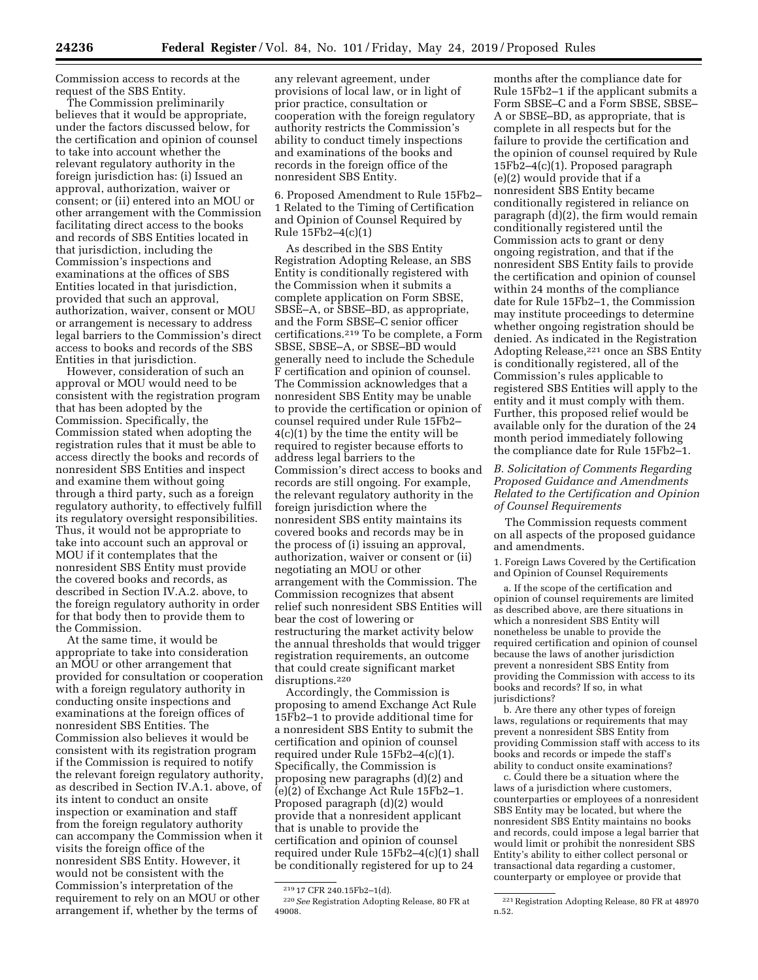Commission access to records at the request of the SBS Entity.

The Commission preliminarily believes that it would be appropriate, under the factors discussed below, for the certification and opinion of counsel to take into account whether the relevant regulatory authority in the foreign jurisdiction has: (i) Issued an approval, authorization, waiver or consent; or (ii) entered into an MOU or other arrangement with the Commission facilitating direct access to the books and records of SBS Entities located in that jurisdiction, including the Commission's inspections and examinations at the offices of SBS Entities located in that jurisdiction, provided that such an approval, authorization, waiver, consent or MOU or arrangement is necessary to address legal barriers to the Commission's direct access to books and records of the SBS Entities in that jurisdiction.

However, consideration of such an approval or MOU would need to be consistent with the registration program that has been adopted by the Commission. Specifically, the Commission stated when adopting the registration rules that it must be able to access directly the books and records of nonresident SBS Entities and inspect and examine them without going through a third party, such as a foreign regulatory authority, to effectively fulfill its regulatory oversight responsibilities. Thus, it would not be appropriate to take into account such an approval or MOU if it contemplates that the nonresident SBS Entity must provide the covered books and records, as described in Section IV.A.2. above, to the foreign regulatory authority in order for that body then to provide them to the Commission.

At the same time, it would be appropriate to take into consideration an MOU or other arrangement that provided for consultation or cooperation with a foreign regulatory authority in conducting onsite inspections and examinations at the foreign offices of nonresident SBS Entities. The Commission also believes it would be consistent with its registration program if the Commission is required to notify the relevant foreign regulatory authority, as described in Section IV.A.1. above, of its intent to conduct an onsite inspection or examination and staff from the foreign regulatory authority can accompany the Commission when it visits the foreign office of the nonresident SBS Entity. However, it would not be consistent with the Commission's interpretation of the requirement to rely on an MOU or other arrangement if, whether by the terms of

any relevant agreement, under provisions of local law, or in light of prior practice, consultation or cooperation with the foreign regulatory authority restricts the Commission's ability to conduct timely inspections and examinations of the books and records in the foreign office of the nonresident SBS Entity.

6. Proposed Amendment to Rule 15Fb2– 1 Related to the Timing of Certification and Opinion of Counsel Required by Rule 15Fb2–4(c)(1)

As described in the SBS Entity Registration Adopting Release, an SBS Entity is conditionally registered with the Commission when it submits a complete application on Form SBSE, SBSE–A, or SBSE–BD, as appropriate, and the Form SBSE–C senior officer certifications.219 To be complete, a Form SBSE, SBSE–A, or SBSE–BD would generally need to include the Schedule F certification and opinion of counsel. The Commission acknowledges that a nonresident SBS Entity may be unable to provide the certification or opinion of counsel required under Rule 15Fb2– 4(c)(1) by the time the entity will be required to register because efforts to address legal barriers to the Commission's direct access to books and records are still ongoing. For example, the relevant regulatory authority in the foreign jurisdiction where the nonresident SBS entity maintains its covered books and records may be in the process of (i) issuing an approval, authorization, waiver or consent or (ii) negotiating an MOU or other arrangement with the Commission. The Commission recognizes that absent relief such nonresident SBS Entities will bear the cost of lowering or restructuring the market activity below the annual thresholds that would trigger registration requirements, an outcome that could create significant market disruptions.<sup>220</sup>

Accordingly, the Commission is proposing to amend Exchange Act Rule 15Fb2–1 to provide additional time for a nonresident SBS Entity to submit the certification and opinion of counsel required under Rule 15Fb2–4(c)(1). Specifically, the Commission is proposing new paragraphs (d)(2) and (e)(2) of Exchange Act Rule 15Fb2–1. Proposed paragraph (d)(2) would provide that a nonresident applicant that is unable to provide the certification and opinion of counsel required under Rule 15Fb2–4(c)(1) shall be conditionally registered for up to 24

months after the compliance date for Rule 15Fb2–1 if the applicant submits a Form SBSE–C and a Form SBSE, SBSE– A or SBSE–BD, as appropriate, that is complete in all respects but for the failure to provide the certification and the opinion of counsel required by Rule 15Fb2–4(c)(1). Proposed paragraph (e)(2) would provide that if a nonresident SBS Entity became conditionally registered in reliance on paragraph (d)(2), the firm would remain conditionally registered until the Commission acts to grant or deny ongoing registration, and that if the nonresident SBS Entity fails to provide the certification and opinion of counsel within 24 months of the compliance date for Rule 15Fb2–1, the Commission may institute proceedings to determine whether ongoing registration should be denied. As indicated in the Registration Adopting Release,221 once an SBS Entity is conditionally registered, all of the Commission's rules applicable to registered SBS Entities will apply to the entity and it must comply with them. Further, this proposed relief would be available only for the duration of the 24 month period immediately following the compliance date for Rule 15Fb2–1.

# *B. Solicitation of Comments Regarding Proposed Guidance and Amendments Related to the Certification and Opinion of Counsel Requirements*

The Commission requests comment on all aspects of the proposed guidance and amendments.

1. Foreign Laws Covered by the Certification and Opinion of Counsel Requirements

a. If the scope of the certification and opinion of counsel requirements are limited as described above, are there situations in which a nonresident SBS Entity will nonetheless be unable to provide the required certification and opinion of counsel because the laws of another jurisdiction prevent a nonresident SBS Entity from providing the Commission with access to its books and records? If so, in what jurisdictions?

b. Are there any other types of foreign laws, regulations or requirements that may prevent a nonresident SBS Entity from providing Commission staff with access to its books and records or impede the staff's ability to conduct onsite examinations?

c. Could there be a situation where the laws of a jurisdiction where customers, counterparties or employees of a nonresident SBS Entity may be located, but where the nonresident SBS Entity maintains no books and records, could impose a legal barrier that would limit or prohibit the nonresident SBS Entity's ability to either collect personal or transactional data regarding a customer, counterparty or employee or provide that

<sup>219</sup> 17 CFR 240.15Fb2–1(d).

<sup>220</sup>*See* Registration Adopting Release, 80 FR at 49008.

<sup>221</sup>Registration Adopting Release, 80 FR at 48970 n.52.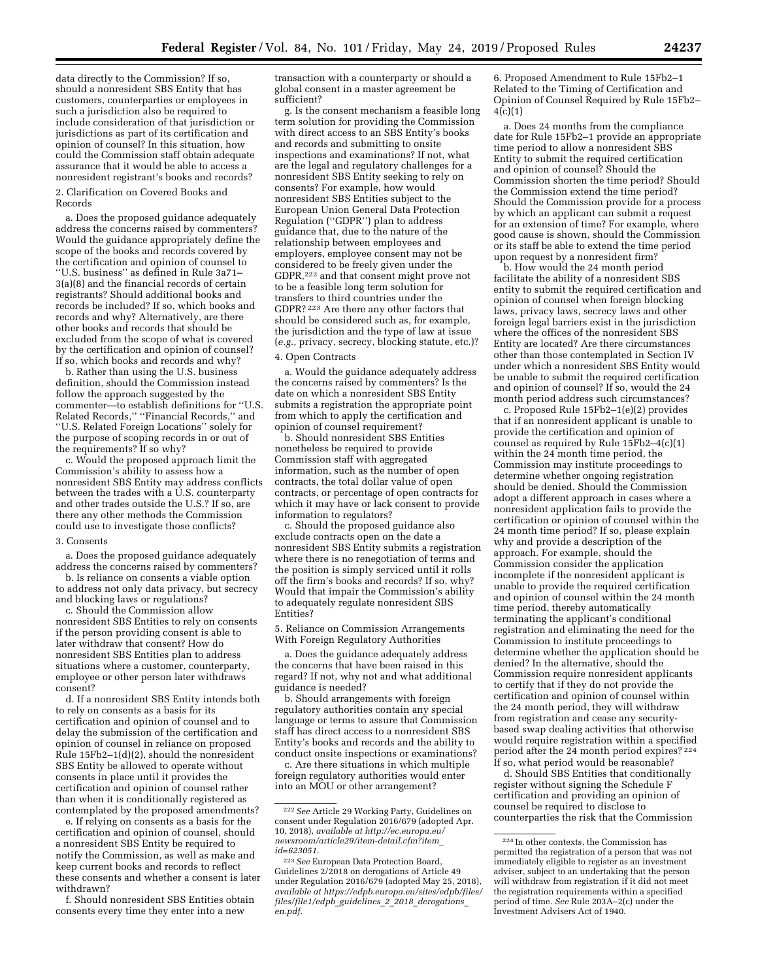data directly to the Commission? If so, should a nonresident SBS Entity that has customers, counterparties or employees in such a jurisdiction also be required to include consideration of that jurisdiction or jurisdictions as part of its certification and opinion of counsel? In this situation, how could the Commission staff obtain adequate assurance that it would be able to access a nonresident registrant's books and records?

#### 2. Clarification on Covered Books and Records

a. Does the proposed guidance adequately address the concerns raised by commenters? Would the guidance appropriately define the scope of the books and records covered by the certification and opinion of counsel to ''U.S. business'' as defined in Rule 3a71– 3(a)(8) and the financial records of certain registrants? Should additional books and records be included? If so, which books and records and why? Alternatively, are there other books and records that should be excluded from the scope of what is covered by the certification and opinion of counsel? If so, which books and records and why?

b. Rather than using the U.S. business definition, should the Commission instead follow the approach suggested by the commenter—to establish definitions for ''U.S. Related Records,'' ''Financial Records,'' and ''U.S. Related Foreign Locations'' solely for the purpose of scoping records in or out of the requirements? If so why?

c. Would the proposed approach limit the Commission's ability to assess how a nonresident SBS Entity may address conflicts between the trades with a U.S. counterparty and other trades outside the U.S.? If so, are there any other methods the Commission could use to investigate those conflicts?

#### 3. Consents

a. Does the proposed guidance adequately address the concerns raised by commenters?

b. Is reliance on consents a viable option to address not only data privacy, but secrecy and blocking laws or regulations?

c. Should the Commission allow nonresident SBS Entities to rely on consents if the person providing consent is able to later withdraw that consent? How do nonresident SBS Entities plan to address situations where a customer, counterparty, employee or other person later withdraws consent?

d. If a nonresident SBS Entity intends both to rely on consents as a basis for its certification and opinion of counsel and to delay the submission of the certification and opinion of counsel in reliance on proposed Rule 15Fb2–1(d)(2), should the nonresident SBS Entity be allowed to operate without consents in place until it provides the certification and opinion of counsel rather than when it is conditionally registered as contemplated by the proposed amendments?

e. If relying on consents as a basis for the certification and opinion of counsel, should a nonresident SBS Entity be required to notify the Commission, as well as make and keep current books and records to reflect these consents and whether a consent is later withdrawn?

f. Should nonresident SBS Entities obtain consents every time they enter into a new

transaction with a counterparty or should a global consent in a master agreement be sufficient?

g. Is the consent mechanism a feasible long term solution for providing the Commission with direct access to an SBS Entity's books and records and submitting to onsite inspections and examinations? If not, what are the legal and regulatory challenges for a nonresident SBS Entity seeking to rely on consents? For example, how would nonresident SBS Entities subject to the European Union General Data Protection Regulation (''GDPR'') plan to address guidance that, due to the nature of the relationship between employees and employers, employee consent may not be considered to be freely given under the GDPR,222 and that consent might prove not to be a feasible long term solution for transfers to third countries under the GDPR? 223 Are there any other factors that should be considered such as, for example, the jurisdiction and the type of law at issue (*e.g.,* privacy, secrecy, blocking statute, etc.)?

#### 4. Open Contracts

a. Would the guidance adequately address the concerns raised by commenters? Is the date on which a nonresident SBS Entity submits a registration the appropriate point from which to apply the certification and opinion of counsel requirement?

b. Should nonresident SBS Entities nonetheless be required to provide Commission staff with aggregated information, such as the number of open contracts, the total dollar value of open contracts, or percentage of open contracts for which it may have or lack consent to provide information to regulators?

c. Should the proposed guidance also exclude contracts open on the date a nonresident SBS Entity submits a registration where there is no renegotiation of terms and the position is simply serviced until it rolls off the firm's books and records? If so, why? Would that impair the Commission's ability to adequately regulate nonresident SBS Entities?

5. Reliance on Commission Arrangements With Foreign Regulatory Authorities

a. Does the guidance adequately address the concerns that have been raised in this regard? If not, why not and what additional guidance is needed?

b. Should arrangements with foreign regulatory authorities contain any special language or terms to assure that Commission staff has direct access to a nonresident SBS Entity's books and records and the ability to conduct onsite inspections or examinations?

c. Are there situations in which multiple foreign regulatory authorities would enter into an MOU or other arrangement?

6. Proposed Amendment to Rule 15Fb2–1 Related to the Timing of Certification and Opinion of Counsel Required by Rule 15Fb2–  $4(c)(1)$ 

a. Does 24 months from the compliance date for Rule 15Fb2–1 provide an appropriate time period to allow a nonresident SBS Entity to submit the required certification and opinion of counsel? Should the Commission shorten the time period? Should the Commission extend the time period? Should the Commission provide for a process by which an applicant can submit a request for an extension of time? For example, where good cause is shown, should the Commission or its staff be able to extend the time period upon request by a nonresident firm?

b. How would the 24 month period facilitate the ability of a nonresident SBS entity to submit the required certification and opinion of counsel when foreign blocking laws, privacy laws, secrecy laws and other foreign legal barriers exist in the jurisdiction where the offices of the nonresident SBS Entity are located? Are there circumstances other than those contemplated in Section IV under which a nonresident SBS Entity would be unable to submit the required certification and opinion of counsel? If so, would the 24 month period address such circumstances?

c. Proposed Rule 15Fb2–1(e)(2) provides that if an nonresident applicant is unable to provide the certification and opinion of counsel as required by Rule 15Fb2–4(c)(1) within the 24 month time period, the Commission may institute proceedings to determine whether ongoing registration should be denied. Should the Commission adopt a different approach in cases where a nonresident application fails to provide the certification or opinion of counsel within the 24 month time period? If so, please explain why and provide a description of the approach. For example, should the Commission consider the application incomplete if the nonresident applicant is unable to provide the required certification and opinion of counsel within the 24 month time period, thereby automatically terminating the applicant's conditional registration and eliminating the need for the Commission to institute proceedings to determine whether the application should be denied? In the alternative, should the Commission require nonresident applicants to certify that if they do not provide the certification and opinion of counsel within the 24 month period, they will withdraw from registration and cease any securitybased swap dealing activities that otherwise would require registration within a specified period after the 24 month period expires? 224 If so, what period would be reasonable?

d. Should SBS Entities that conditionally register without signing the Schedule F certification and providing an opinion of counsel be required to disclose to counterparties the risk that the Commission

<sup>222</sup>*See* Article 29 Working Party, Guidelines on consent under Regulation 2016/679 (adopted Apr. 10, 2018), *available at [http://ec.europa.eu/](http://ec.europa.eu/newsroom/article29/item-detail.cfm?item_id=623051) [newsroom/article29/item-detail.cfm?item](http://ec.europa.eu/newsroom/article29/item-detail.cfm?item_id=623051)*\_ *[id=623051.](http://ec.europa.eu/newsroom/article29/item-detail.cfm?item_id=623051)* 

<sup>223</sup>*See* European Data Protection Board, Guidelines 2/2018 on derogations of Article 49 under Regulation 2016/679 (adopted May 25, 2018), *available at [https://edpb.europa.eu/sites/edpb/files/](https://edpb.europa.eu/sites/edpb/files/files/file1/edpb_guidelines_2_2018_derogations_en.pdf)  [files/file1/edpb](https://edpb.europa.eu/sites/edpb/files/files/file1/edpb_guidelines_2_2018_derogations_en.pdf)*\_*guidelines*\_*2*\_*2018*\_*derogations*\_ *[en.pdf.](https://edpb.europa.eu/sites/edpb/files/files/file1/edpb_guidelines_2_2018_derogations_en.pdf)* 

 $\rm ^{224}$  In other contexts, the Commission has permitted the registration of a person that was not immediately eligible to register as an investment adviser, subject to an undertaking that the person will withdraw from registration if it did not meet the registration requirements within a specified period of time. *See* Rule 203A–2(c) under the Investment Advisers Act of 1940.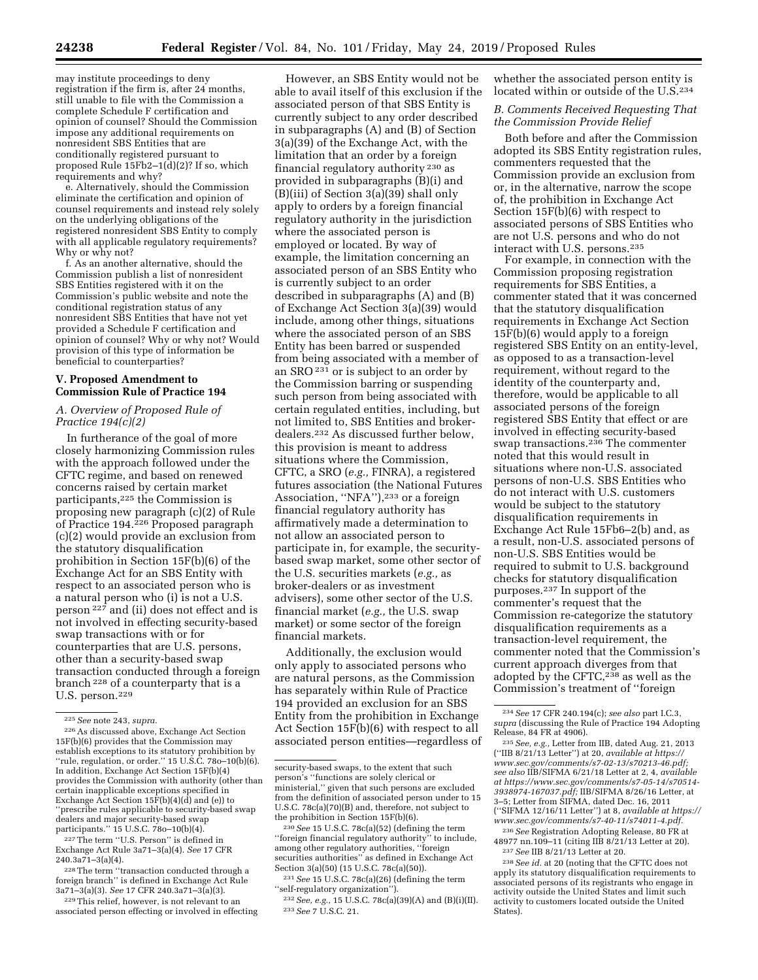may institute proceedings to deny registration if the firm is, after 24 months, still unable to file with the Commission a complete Schedule F certification and opinion of counsel? Should the Commission impose any additional requirements on nonresident SBS Entities that are conditionally registered pursuant to proposed Rule 15Fb2–1(d)(2)? If so, which

requirements and why? e. Alternatively, should the Commission eliminate the certification and opinion of counsel requirements and instead rely solely on the underlying obligations of the registered nonresident SBS Entity to comply with all applicable regulatory requirements? Why or why not?

f. As an another alternative, should the Commission publish a list of nonresident SBS Entities registered with it on the Commission's public website and note the conditional registration status of any nonresident SBS Entities that have not yet provided a Schedule F certification and opinion of counsel? Why or why not? Would provision of this type of information be beneficial to counterparties?

## **V. Proposed Amendment to Commission Rule of Practice 194**

## *A. Overview of Proposed Rule of Practice 194(c)(2)*

In furtherance of the goal of more closely harmonizing Commission rules with the approach followed under the CFTC regime, and based on renewed concerns raised by certain market participants,225 the Commission is proposing new paragraph (c)(2) of Rule of Practice 194.226 Proposed paragraph (c)(2) would provide an exclusion from the statutory disqualification prohibition in Section 15F(b)(6) of the Exchange Act for an SBS Entity with respect to an associated person who is a natural person who (i) is not a U.S. person 227 and (ii) does not effect and is not involved in effecting security-based swap transactions with or for counterparties that are U.S. persons, other than a security-based swap transaction conducted through a foreign branch 228 of a counterparty that is a U.S. person.229

227The term ''U.S. Person'' is defined in Exchange Act Rule 3a71–3(a)(4). *See* 17 CFR 240.3a71–3(a)(4).

228The term ''transaction conducted through a foreign branch'' is defined in Exchange Act Rule 3a71–3(a)(3). *See* 17 CFR 240.3a71–3(a)(3).

229This relief, however, is not relevant to an associated person effecting or involved in effecting

However, an SBS Entity would not be able to avail itself of this exclusion if the associated person of that SBS Entity is currently subject to any order described in subparagraphs (A) and (B) of Section 3(a)(39) of the Exchange Act, with the limitation that an order by a foreign financial regulatory authority 230 as provided in subparagraphs (B)(i) and (B)(iii) of Section 3(a)(39) shall only apply to orders by a foreign financial regulatory authority in the jurisdiction where the associated person is employed or located. By way of example, the limitation concerning an associated person of an SBS Entity who is currently subject to an order described in subparagraphs (A) and (B) of Exchange Act Section 3(a)(39) would include, among other things, situations where the associated person of an SBS Entity has been barred or suspended from being associated with a member of an SRO 231 or is subject to an order by the Commission barring or suspending such person from being associated with certain regulated entities, including, but not limited to, SBS Entities and brokerdealers.232 As discussed further below, this provision is meant to address situations where the Commission, CFTC, a SRO (*e.g.,* FINRA), a registered futures association (the National Futures Association, "NFA"),<sup>233</sup> or a foreign financial regulatory authority has affirmatively made a determination to not allow an associated person to participate in, for example, the securitybased swap market, some other sector of the U.S. securities markets (*e.g.,* as broker-dealers or as investment advisers), some other sector of the U.S. financial market (*e.g.,* the U.S. swap market) or some sector of the foreign financial markets.

Additionally, the exclusion would only apply to associated persons who are natural persons, as the Commission has separately within Rule of Practice 194 provided an exclusion for an SBS Entity from the prohibition in Exchange Act Section 15F(b)(6) with respect to all associated person entities—regardless of

whether the associated person entity is located within or outside of the U.S.<sup>234</sup>

*B. Comments Received Requesting That the Commission Provide Relief* 

Both before and after the Commission adopted its SBS Entity registration rules, commenters requested that the Commission provide an exclusion from or, in the alternative, narrow the scope of, the prohibition in Exchange Act Section 15F(b)(6) with respect to associated persons of SBS Entities who are not U.S. persons and who do not interact with U.S. persons.235

For example, in connection with the Commission proposing registration requirements for SBS Entities, a commenter stated that it was concerned that the statutory disqualification requirements in Exchange Act Section 15F(b)(6) would apply to a foreign registered SBS Entity on an entity-level, as opposed to as a transaction-level requirement, without regard to the identity of the counterparty and, therefore, would be applicable to all associated persons of the foreign registered SBS Entity that effect or are involved in effecting security-based swap transactions.236 The commenter noted that this would result in situations where non-U.S. associated persons of non-U.S. SBS Entities who do not interact with U.S. customers would be subject to the statutory disqualification requirements in Exchange Act Rule 15Fb6–2(b) and, as a result, non-U.S. associated persons of non-U.S. SBS Entities would be required to submit to U.S. background checks for statutory disqualification purposes.237 In support of the commenter's request that the Commission re-categorize the statutory disqualification requirements as a transaction-level requirement, the commenter noted that the Commission's current approach diverges from that adopted by the CFTC,<sup>238</sup> as well as the Commission's treatment of ''foreign

<sup>236</sup> See Registration Adopting Release, 80 FR at 48977 nn.109-11 (citing IIB 8/21/13 Letter at 20).

<sup>237</sup> See IIB 8/21/13 Letter at 20.<br><sup>238</sup> See id. at 20 (noting that the CFTC does not apply its statutory disqualification requirements to associated persons of its registrants who engage in activity outside the United States and limit such activity to customers located outside the United States).

<sup>225</sup>*See* note 243, *supra.* 

<sup>226</sup>As discussed above, Exchange Act Section 15F(b)(6) provides that the Commission may establish exceptions to its statutory prohibition by ''rule, regulation, or order.'' 15 U.S.C. 78o–10(b)(6). In addition, Exchange Act Section 15F(b)(4) provides the Commission with authority (other than certain inapplicable exceptions specified in Exchange Act Section  $15\overline{F}(b)(4)(d)$  and (e)) to 'prescribe rules applicable to security-based swap dealers and major security-based swap participants." 15 U.S.C. 780-10(b)(4).

security-based swaps, to the extent that such person's ''functions are solely clerical or ministerial,'' given that such persons are excluded from the definition of associated person under to 15 U.S.C. 78c(a)(70)(B) and, therefore, not subject to the prohibition in Section 15F(b)(6).

<sup>230</sup>*See* 15 U.S.C. 78c(a)(52) (defining the term ''foreign financial regulatory authority'' to include, among other regulatory authorities, ''foreign securities authorities'' as defined in Exchange Act Section 3(a)(50) (15 U.S.C. 78c(a)(50)).

<sup>231</sup>*See* 15 U.S.C. 78c(a)(26) (defining the term ''self-regulatory organization'').

<sup>232</sup>*See, e.g.,* 15 U.S.C. 78c(a)(39)(A) and (B)(i)(II). 233*See* 7 U.S.C. 21.

<sup>234</sup>*See* 17 CFR 240.194(c); *see also* part I.C.3, *supra* (discussing the Rule of Practice 194 Adopting Release, 84 FR at 4906). 235*See, e.g.,* Letter from IIB, dated Aug. 21, 2013

<sup>(&#</sup>x27;'IIB 8/21/13 Letter'') at 20, *available at [https://](https://www.sec.gov/comments/s7-02-13/s70213-46.pdf) [www.sec.gov/comments/s7-02-13/s70213-46.pdf;](https://www.sec.gov/comments/s7-02-13/s70213-46.pdf)  see also* IIB/SIFMA 6/21/18 Letter at 2, 4, *available at [https://www.sec.gov/comments/s7-05-14/s70514-](https://www.sec.gov/comments/s7-05-14/s70514-3938974-167037.pdf) [3938974-167037.pdf;](https://www.sec.gov/comments/s7-05-14/s70514-3938974-167037.pdf)* IIB/SIFMA 8/26/16 Letter, at 3–5; Letter from SIFMA, dated Dec. 16, 2011 (''SIFMA 12/16/11 Letter'') at 8, *available at [https://](https://www.sec.gov/comments/s7-40-11/s74011-4.pdf) [www.sec.gov/comments/s7-40-11/s74011-4.pdf.](https://www.sec.gov/comments/s7-40-11/s74011-4.pdf)*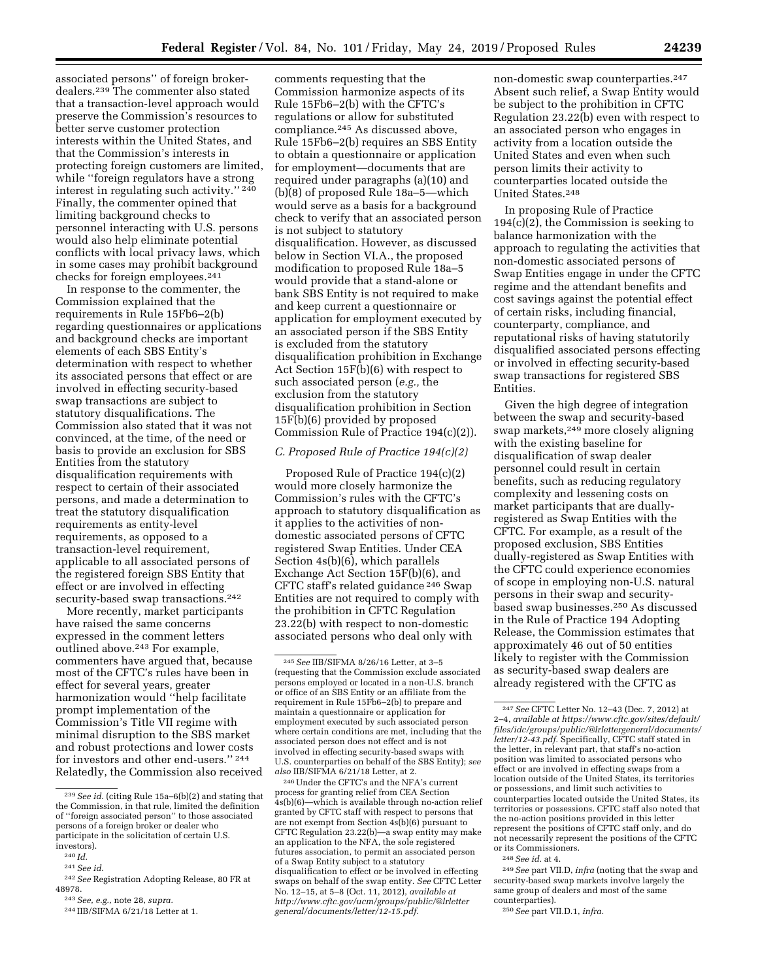associated persons'' of foreign brokerdealers.239 The commenter also stated that a transaction-level approach would preserve the Commission's resources to better serve customer protection interests within the United States, and that the Commission's interests in protecting foreign customers are limited, while ''foreign regulators have a strong interest in regulating such activity.'' 240 Finally, the commenter opined that limiting background checks to personnel interacting with U.S. persons would also help eliminate potential conflicts with local privacy laws, which in some cases may prohibit background checks for foreign employees.241

In response to the commenter, the Commission explained that the requirements in Rule 15Fb6–2(b) regarding questionnaires or applications and background checks are important elements of each SBS Entity's determination with respect to whether its associated persons that effect or are involved in effecting security-based swap transactions are subject to statutory disqualifications. The Commission also stated that it was not convinced, at the time, of the need or basis to provide an exclusion for SBS Entities from the statutory disqualification requirements with respect to certain of their associated persons, and made a determination to treat the statutory disqualification requirements as entity-level requirements, as opposed to a transaction-level requirement, applicable to all associated persons of the registered foreign SBS Entity that effect or are involved in effecting security-based swap transactions.<sup>242</sup>

More recently, market participants have raised the same concerns expressed in the comment letters outlined above.243 For example, commenters have argued that, because most of the CFTC's rules have been in effect for several years, greater harmonization would ''help facilitate prompt implementation of the Commission's Title VII regime with minimal disruption to the SBS market and robust protections and lower costs for investors and other end-users.'' 244 Relatedly, the Commission also received

comments requesting that the Commission harmonize aspects of its Rule 15Fb6–2(b) with the CFTC's regulations or allow for substituted compliance.245 As discussed above, Rule 15Fb6–2(b) requires an SBS Entity to obtain a questionnaire or application for employment—documents that are required under paragraphs (a)(10) and (b)(8) of proposed Rule 18a–5—which would serve as a basis for a background check to verify that an associated person is not subject to statutory disqualification. However, as discussed below in Section VI.A., the proposed modification to proposed Rule 18a–5 would provide that a stand-alone or bank SBS Entity is not required to make and keep current a questionnaire or application for employment executed by an associated person if the SBS Entity is excluded from the statutory disqualification prohibition in Exchange Act Section 15F(b)(6) with respect to such associated person (*e.g.,* the exclusion from the statutory disqualification prohibition in Section 15F(b)(6) provided by proposed Commission Rule of Practice 194(c)(2)).

# *C. Proposed Rule of Practice 194(c)(2)*

Proposed Rule of Practice 194(c)(2) would more closely harmonize the Commission's rules with the CFTC's approach to statutory disqualification as it applies to the activities of nondomestic associated persons of CFTC registered Swap Entities. Under CEA Section 4s(b)(6), which parallels Exchange Act Section 15F(b)(6), and CFTC staff's related guidance 246 Swap Entities are not required to comply with the prohibition in CFTC Regulation 23.22(b) with respect to non-domestic associated persons who deal only with

246Under the CFTC's and the NFA's current process for granting relief from CEA Section 4s(b)(6)—which is available through no-action relief granted by CFTC staff with respect to persons that are not exempt from Section 4s(b)(6) pursuant to CFTC Regulation 23.22(b)—a swap entity may make an application to the NFA, the sole registered futures association, to permit an associated person of a Swap Entity subject to a statutory disqualification to effect or be involved in effecting swaps on behalf of the swap entity. *See* CFTC Letter No. 12–15, at 5–8 (Oct. 11, 2012), *available at [http://www.cftc.gov/ucm/groups/public/@lrletter](http://www.cftc.gov/ucm/groups/public/@lrlettergeneral/documents/letter/12-15.pdf) [general/documents/letter/12-15.pdf.](http://www.cftc.gov/ucm/groups/public/@lrlettergeneral/documents/letter/12-15.pdf)* 

non-domestic swap counterparties.247 Absent such relief, a Swap Entity would be subject to the prohibition in CFTC Regulation 23.22(b) even with respect to an associated person who engages in activity from a location outside the United States and even when such person limits their activity to counterparties located outside the United States.248

In proposing Rule of Practice 194(c)(2), the Commission is seeking to balance harmonization with the approach to regulating the activities that non-domestic associated persons of Swap Entities engage in under the CFTC regime and the attendant benefits and cost savings against the potential effect of certain risks, including financial, counterparty, compliance, and reputational risks of having statutorily disqualified associated persons effecting or involved in effecting security-based swap transactions for registered SBS Entities.

Given the high degree of integration between the swap and security-based swap markets,249 more closely aligning with the existing baseline for disqualification of swap dealer personnel could result in certain benefits, such as reducing regulatory complexity and lessening costs on market participants that are duallyregistered as Swap Entities with the CFTC. For example, as a result of the proposed exclusion, SBS Entities dually-registered as Swap Entities with the CFTC could experience economies of scope in employing non-U.S. natural persons in their swap and securitybased swap businesses.250 As discussed in the Rule of Practice 194 Adopting Release, the Commission estimates that approximately 46 out of 50 entities likely to register with the Commission as security-based swap dealers are already registered with the CFTC as

248*See id.* at 4.

249*See* part VII.D, *infra* (noting that the swap and security-based swap markets involve largely the same group of dealers and most of the same counterparties).

250*See* part VII.D.1, *infra.* 

<sup>239</sup>*See id.* (citing Rule 15a–6(b)(2) and stating that the Commission, in that rule, limited the definition of ''foreign associated person'' to those associated persons of a foreign broker or dealer who participate in the solicitation of certain U.S. investors).

<sup>240</sup> *Id.* 

<sup>241</sup>*See id.* 

<sup>242</sup>*See* Registration Adopting Release, 80 FR at 48978.

<sup>243</sup>*See, e.g.,* note 28, *supra.* 

<sup>244</sup> IIB/SIFMA 6/21/18 Letter at 1.

<sup>245</sup>*See* IIB/SIFMA 8/26/16 Letter, at 3–5 (requesting that the Commission exclude associated persons employed or located in a non-U.S. branch or office of an SBS Entity or an affiliate from the requirement in Rule 15Fb6–2(b) to prepare and maintain a questionnaire or application for employment executed by such associated person where certain conditions are met, including that the associated person does not effect and is not involved in effecting security-based swaps with U.S. counterparties on behalf of the SBS Entity); *see also* IIB/SIFMA 6/21/18 Letter, at 2.

<sup>247</sup>*See* CFTC Letter No. 12–43 (Dec. 7, 2012) at 2–4, *available at [https://www.cftc.gov/sites/default/](https://www.cftc.gov/sites/default/files/idc/groups/public/@lrlettergeneral/documents/letter/12-43.pdf)  [files/idc/groups/public/@lrlettergeneral/documents/](https://www.cftc.gov/sites/default/files/idc/groups/public/@lrlettergeneral/documents/letter/12-43.pdf)  [letter/12-43.pdf.](https://www.cftc.gov/sites/default/files/idc/groups/public/@lrlettergeneral/documents/letter/12-43.pdf)* Specifically, CFTC staff stated in the letter, in relevant part, that staff's no-action position was limited to associated persons who effect or are involved in effecting swaps from a location outside of the United States, its territories or possessions, and limit such activities to counterparties located outside the United States, its territories or possessions. CFTC staff also noted that the no-action positions provided in this letter represent the positions of CFTC staff only, and do not necessarily represent the positions of the CFTC or its Commissioners.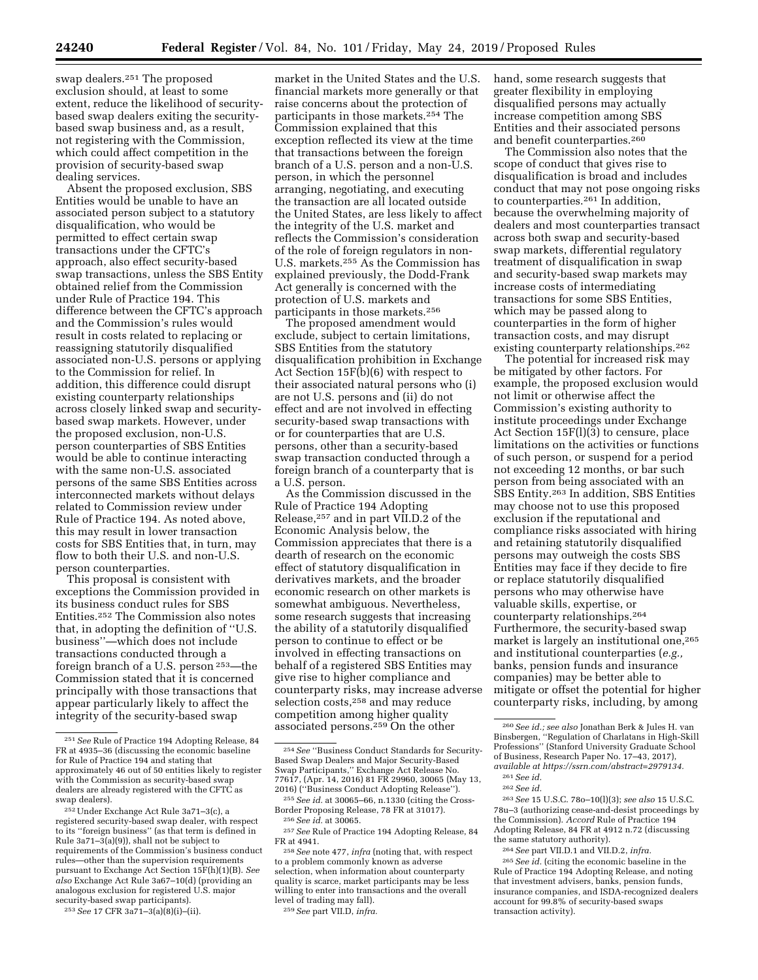swap dealers.251 The proposed exclusion should, at least to some extent, reduce the likelihood of securitybased swap dealers exiting the securitybased swap business and, as a result, not registering with the Commission, which could affect competition in the provision of security-based swap dealing services.

Absent the proposed exclusion, SBS Entities would be unable to have an associated person subject to a statutory disqualification, who would be permitted to effect certain swap transactions under the CFTC's approach, also effect security-based swap transactions, unless the SBS Entity obtained relief from the Commission under Rule of Practice 194. This difference between the CFTC's approach and the Commission's rules would result in costs related to replacing or reassigning statutorily disqualified associated non-U.S. persons or applying to the Commission for relief. In addition, this difference could disrupt existing counterparty relationships across closely linked swap and securitybased swap markets. However, under the proposed exclusion, non-U.S. person counterparties of SBS Entities would be able to continue interacting with the same non-U.S. associated persons of the same SBS Entities across interconnected markets without delays related to Commission review under Rule of Practice 194. As noted above, this may result in lower transaction costs for SBS Entities that, in turn, may flow to both their U.S. and non-U.S. person counterparties.

This proposal is consistent with exceptions the Commission provided in its business conduct rules for SBS Entities.252 The Commission also notes that, in adopting the definition of ''U.S. business''—which does not include transactions conducted through a foreign branch of a U.S. person 253—the Commission stated that it is concerned principally with those transactions that appear particularly likely to affect the integrity of the security-based swap

253*See* 17 CFR 3a71–3(a)(8)(i)–(ii).

market in the United States and the U.S. financial markets more generally or that raise concerns about the protection of participants in those markets.254 The Commission explained that this exception reflected its view at the time that transactions between the foreign branch of a U.S. person and a non-U.S. person, in which the personnel arranging, negotiating, and executing the transaction are all located outside the United States, are less likely to affect the integrity of the U.S. market and reflects the Commission's consideration of the role of foreign regulators in non-U.S. markets.255 As the Commission has explained previously, the Dodd-Frank Act generally is concerned with the protection of U.S. markets and participants in those markets.256

The proposed amendment would exclude, subject to certain limitations, SBS Entities from the statutory disqualification prohibition in Exchange Act Section 15F(b)(6) with respect to their associated natural persons who (i) are not U.S. persons and (ii) do not effect and are not involved in effecting security-based swap transactions with or for counterparties that are U.S. persons, other than a security-based swap transaction conducted through a foreign branch of a counterparty that is a U.S. person.

As the Commission discussed in the Rule of Practice 194 Adopting Release,257 and in part VII.D.2 of the Economic Analysis below, the Commission appreciates that there is a dearth of research on the economic effect of statutory disqualification in derivatives markets, and the broader economic research on other markets is somewhat ambiguous. Nevertheless, some research suggests that increasing the ability of a statutorily disqualified person to continue to effect or be involved in effecting transactions on behalf of a registered SBS Entities may give rise to higher compliance and counterparty risks, may increase adverse selection costs,258 and may reduce competition among higher quality associated persons.259 On the other

level of trading may fall). 259*See* part VII.D, *infra.* 

hand, some research suggests that greater flexibility in employing disqualified persons may actually increase competition among SBS Entities and their associated persons and benefit counterparties.260

The Commission also notes that the scope of conduct that gives rise to disqualification is broad and includes conduct that may not pose ongoing risks to counterparties.261 In addition, because the overwhelming majority of dealers and most counterparties transact across both swap and security-based swap markets, differential regulatory treatment of disqualification in swap and security-based swap markets may increase costs of intermediating transactions for some SBS Entities, which may be passed along to counterparties in the form of higher transaction costs, and may disrupt existing counterparty relationships.262

The potential for increased risk may be mitigated by other factors. For example, the proposed exclusion would not limit or otherwise affect the Commission's existing authority to institute proceedings under Exchange Act Section 15F(l)(3) to censure, place limitations on the activities or functions of such person, or suspend for a period not exceeding 12 months, or bar such person from being associated with an SBS Entity.263 In addition, SBS Entities may choose not to use this proposed exclusion if the reputational and compliance risks associated with hiring and retaining statutorily disqualified persons may outweigh the costs SBS Entities may face if they decide to fire or replace statutorily disqualified persons who may otherwise have valuable skills, expertise, or counterparty relationships.264 Furthermore, the security-based swap market is largely an institutional one,265 and institutional counterparties (*e.g.,*  banks, pension funds and insurance companies) may be better able to mitigate or offset the potential for higher counterparty risks, including, by among

263*See* 15 U.S.C. 78o–10(l)(3); *see also* 15 U.S.C. 78u–3 (authorizing cease-and-desist proceedings by the Commission). *Accord* Rule of Practice 194 Adopting Release, 84 FR at 4912 n.72 (discussing the same statutory authority).

264*See* part VII.D.1 and VII.D.2, *infra.* 

265*See id.* (citing the economic baseline in the Rule of Practice 194 Adopting Release, and noting that investment advisers, banks, pension funds, insurance companies, and ISDA-recognized dealers account for 99.8% of security-based swaps transaction activity).

<sup>251</sup>*See* Rule of Practice 194 Adopting Release, 84 FR at 4935–36 (discussing the economic baseline for Rule of Practice 194 and stating that approximately 46 out of 50 entities likely to register with the Commission as security-based swap dealers are already registered with the CFTC as swap dealers).

<sup>252</sup>Under Exchange Act Rule 3a71–3(c), a registered security-based swap dealer, with respect to its ''foreign business'' (as that term is defined in Rule  $3a71-\bar{3}(a)(9)$ , shall not be subject to requirements of the Commission's business conduct rules—other than the supervision requirements pursuant to Exchange Act Section 15F(h)(1)(B). *See also* Exchange Act Rule 3a67–10(d) (providing an analogous exclusion for registered U.S. major security-based swap participants).

<sup>254</sup>*See* ''Business Conduct Standards for Security-Based Swap Dealers and Major Security-Based Swap Participants,'' Exchange Act Release No. 77617, (Apr. 14, 2016) 81 FR 29960, 30065 (May 13,

<sup>&</sup>lt;sup>255</sup> See id. at 30065–66, n.1330 (citing the Cross-Border Proposing Release, 78 FR at 31017).

Border Proposing Release, 78 FR at 31017). 256*See id.* at 30065. 257*See* Rule of Practice 194 Adopting Release, 84

<sup>&</sup>lt;sup>258</sup> See note 477, *infra* (noting that, with respect to a problem commonly known as adverse selection, when information about counterparty quality is scarce, market participants may be less willing to enter into transactions and the overall<br>level of trading may fall).

<sup>260</sup>*See id.; see also* Jonathan Berk & Jules H. van Binsbergen, ''Regulation of Charlatans in High-Skill Professions'' (Stanford University Graduate School of Business, Research Paper No. 17–43, 2017), *available at [https://ssrn.com/abstract=2979134.](https://ssrn.com/abstract=2979134)* 

<sup>261</sup>*See id.*  262*See id.*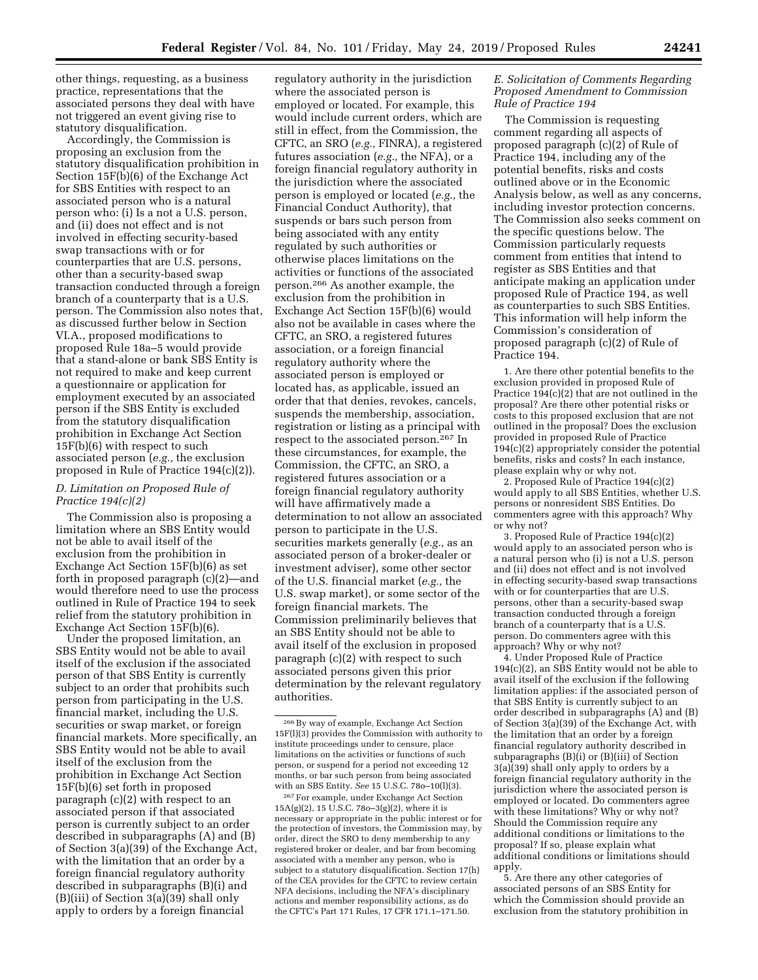other things, requesting, as a business practice, representations that the associated persons they deal with have not triggered an event giving rise to statutory disqualification.

Accordingly, the Commission is proposing an exclusion from the statutory disqualification prohibition in Section 15F(b)(6) of the Exchange Act for SBS Entities with respect to an associated person who is a natural person who: (i) Is a not a U.S. person, and (ii) does not effect and is not involved in effecting security-based swap transactions with or for counterparties that are U.S. persons, other than a security-based swap transaction conducted through a foreign branch of a counterparty that is a U.S. person. The Commission also notes that, as discussed further below in Section VI.A., proposed modifications to proposed Rule 18a–5 would provide that a stand-alone or bank SBS Entity is not required to make and keep current a questionnaire or application for employment executed by an associated person if the SBS Entity is excluded from the statutory disqualification prohibition in Exchange Act Section 15F(b)(6) with respect to such associated person (*e.g.,* the exclusion proposed in Rule of Practice 194(c)(2)).

# *D. Limitation on Proposed Rule of Practice 194(c)(2)*

The Commission also is proposing a limitation where an SBS Entity would not be able to avail itself of the exclusion from the prohibition in Exchange Act Section 15F(b)(6) as set forth in proposed paragraph (c)(2)—and would therefore need to use the process outlined in Rule of Practice 194 to seek relief from the statutory prohibition in Exchange Act Section 15F(b)(6).

Under the proposed limitation, an SBS Entity would not be able to avail itself of the exclusion if the associated person of that SBS Entity is currently subject to an order that prohibits such person from participating in the U.S. financial market, including the U.S. securities or swap market, or foreign financial markets. More specifically, an SBS Entity would not be able to avail itself of the exclusion from the prohibition in Exchange Act Section 15F(b)(6) set forth in proposed paragraph (c)(2) with respect to an associated person if that associated person is currently subject to an order described in subparagraphs (A) and (B) of Section 3(a)(39) of the Exchange Act, with the limitation that an order by a foreign financial regulatory authority described in subparagraphs (B)(i) and (B)(iii) of Section 3(a)(39) shall only apply to orders by a foreign financial

regulatory authority in the jurisdiction where the associated person is employed or located. For example, this would include current orders, which are still in effect, from the Commission, the CFTC, an SRO (*e.g.,* FINRA), a registered futures association (*e.g.,* the NFA), or a foreign financial regulatory authority in the jurisdiction where the associated person is employed or located (*e.g.,* the Financial Conduct Authority), that suspends or bars such person from being associated with any entity regulated by such authorities or otherwise places limitations on the activities or functions of the associated person.266 As another example, the exclusion from the prohibition in Exchange Act Section 15F(b)(6) would also not be available in cases where the CFTC, an SRO, a registered futures association, or a foreign financial regulatory authority where the associated person is employed or located has, as applicable, issued an order that that denies, revokes, cancels, suspends the membership, association, registration or listing as a principal with respect to the associated person.267 In these circumstances, for example, the Commission, the CFTC, an SRO, a registered futures association or a foreign financial regulatory authority will have affirmatively made a determination to not allow an associated person to participate in the U.S. securities markets generally (*e.g.,* as an associated person of a broker-dealer or investment adviser), some other sector of the U.S. financial market (*e.g.,* the U.S. swap market), or some sector of the foreign financial markets. The Commission preliminarily believes that an SBS Entity should not be able to avail itself of the exclusion in proposed paragraph (c)(2) with respect to such associated persons given this prior determination by the relevant regulatory authorities.

267For example, under Exchange Act Section 15A(g)(2), 15 U.S.C. 78o–3(g)(2), where it is necessary or appropriate in the public interest or for the protection of investors, the Commission may, by order, direct the SRO to deny membership to any registered broker or dealer, and bar from becoming associated with a member any person, who is subject to a statutory disqualification. Section 17(h) of the CEA provides for the CFTC to review certain NFA decisions, including the NFA's disciplinary actions and member responsibility actions, as do the CFTC's Part 171 Rules, 17 CFR 171.1–171.50.

# *E. Solicitation of Comments Regarding Proposed Amendment to Commission Rule of Practice 194*

The Commission is requesting comment regarding all aspects of proposed paragraph (c)(2) of Rule of Practice 194, including any of the potential benefits, risks and costs outlined above or in the Economic Analysis below, as well as any concerns, including investor protection concerns. The Commission also seeks comment on the specific questions below. The Commission particularly requests comment from entities that intend to register as SBS Entities and that anticipate making an application under proposed Rule of Practice 194, as well as counterparties to such SBS Entities. This information will help inform the Commission's consideration of proposed paragraph (c)(2) of Rule of Practice 194.

1. Are there other potential benefits to the exclusion provided in proposed Rule of Practice 194(c)(2) that are not outlined in the proposal? Are there other potential risks or costs to this proposed exclusion that are not outlined in the proposal? Does the exclusion provided in proposed Rule of Practice 194(c)(2) appropriately consider the potential benefits, risks and costs? In each instance, please explain why or why not.

2. Proposed Rule of Practice 194(c)(2) would apply to all SBS Entities, whether U.S. persons or nonresident SBS Entities. Do commenters agree with this approach? Why or why not?

3. Proposed Rule of Practice 194(c)(2) would apply to an associated person who is a natural person who (i) is not a U.S. person and (ii) does not effect and is not involved in effecting security-based swap transactions with or for counterparties that are U.S. persons, other than a security-based swap transaction conducted through a foreign branch of a counterparty that is a U.S. person. Do commenters agree with this approach? Why or why not?

4. Under Proposed Rule of Practice 194(c)(2), an SBS Entity would not be able to avail itself of the exclusion if the following limitation applies: if the associated person of that SBS Entity is currently subject to an order described in subparagraphs (A) and (B) of Section 3(a)(39) of the Exchange Act, with the limitation that an order by a foreign financial regulatory authority described in subparagraphs (B)(i) or (B)(iii) of Section 3(a)(39) shall only apply to orders by a foreign financial regulatory authority in the jurisdiction where the associated person is employed or located. Do commenters agree with these limitations? Why or why not? Should the Commission require any additional conditions or limitations to the proposal? If so, please explain what additional conditions or limitations should apply.

5. Are there any other categories of associated persons of an SBS Entity for which the Commission should provide an exclusion from the statutory prohibition in

 $^{266}\mathrm{By}$  way of example, Exchange Act Section 15F(l)(3) provides the Commission with authority to institute proceedings under to censure, place limitations on the activities or functions of such person, or suspend for a period not exceeding 12 months, or bar such person from being associated with an SBS Entity. *See* 15 U.S.C. 78o–10(l)(3).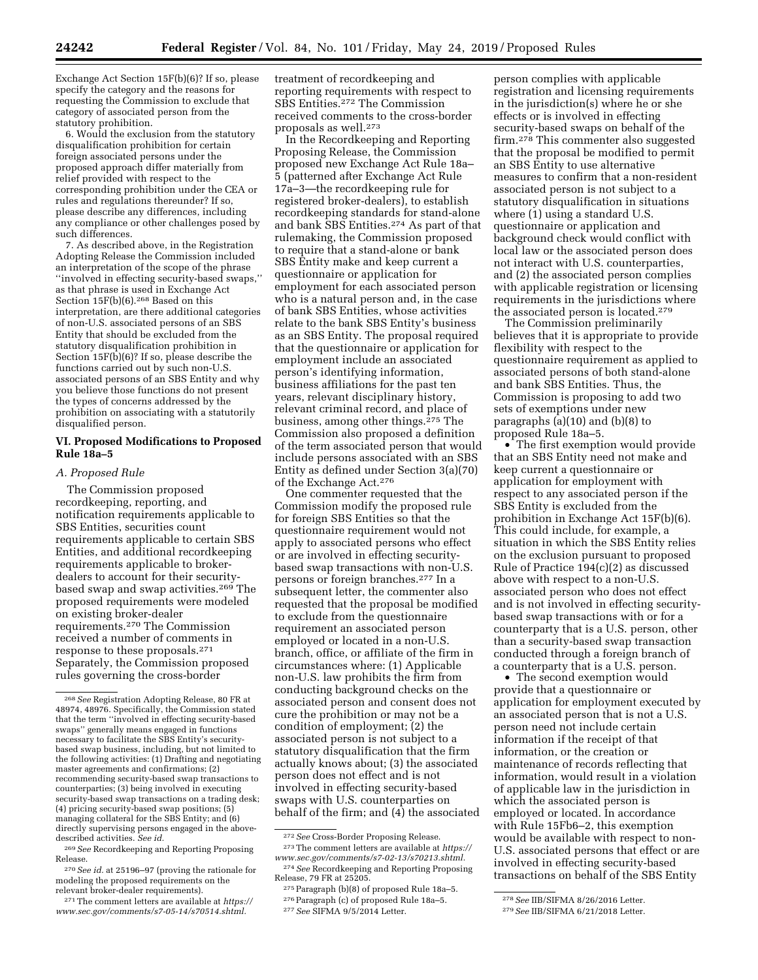Exchange Act Section 15F(b)(6)? If so, please specify the category and the reasons for requesting the Commission to exclude that category of associated person from the statutory prohibition.

6. Would the exclusion from the statutory disqualification prohibition for certain foreign associated persons under the proposed approach differ materially from relief provided with respect to the corresponding prohibition under the CEA or rules and regulations thereunder? If so, please describe any differences, including any compliance or other challenges posed by such differences.

7. As described above, in the Registration Adopting Release the Commission included an interpretation of the scope of the phrase ''involved in effecting security-based swaps,'' as that phrase is used in Exchange Act Section 15F(b)(6).268 Based on this interpretation, are there additional categories of non-U.S. associated persons of an SBS Entity that should be excluded from the statutory disqualification prohibition in Section  $15F(b)(6)$ ? If so, please describe the functions carried out by such non-U.S. associated persons of an SBS Entity and why you believe those functions do not present the types of concerns addressed by the prohibition on associating with a statutorily disqualified person.

### **VI. Proposed Modifications to Proposed Rule 18a–5**

#### *A. Proposed Rule*

The Commission proposed recordkeeping, reporting, and notification requirements applicable to SBS Entities, securities count requirements applicable to certain SBS Entities, and additional recordkeeping requirements applicable to brokerdealers to account for their securitybased swap and swap activities.269 The proposed requirements were modeled on existing broker-dealer requirements.270 The Commission received a number of comments in response to these proposals.271 Separately, the Commission proposed rules governing the cross-border

treatment of recordkeeping and reporting requirements with respect to SBS Entities.272 The Commission received comments to the cross-border proposals as well.273

In the Recordkeeping and Reporting Proposing Release, the Commission proposed new Exchange Act Rule 18a– 5 (patterned after Exchange Act Rule 17a–3—the recordkeeping rule for registered broker-dealers), to establish recordkeeping standards for stand-alone and bank SBS Entities.274 As part of that rulemaking, the Commission proposed to require that a stand-alone or bank SBS Entity make and keep current a questionnaire or application for employment for each associated person who is a natural person and, in the case of bank SBS Entities, whose activities relate to the bank SBS Entity's business as an SBS Entity. The proposal required that the questionnaire or application for employment include an associated person's identifying information, business affiliations for the past ten years, relevant disciplinary history, relevant criminal record, and place of business, among other things.275 The Commission also proposed a definition of the term associated person that would include persons associated with an SBS Entity as defined under Section 3(a)(70) of the Exchange Act.276

One commenter requested that the Commission modify the proposed rule for foreign SBS Entities so that the questionnaire requirement would not apply to associated persons who effect or are involved in effecting securitybased swap transactions with non-U.S. persons or foreign branches.277 In a subsequent letter, the commenter also requested that the proposal be modified to exclude from the questionnaire requirement an associated person employed or located in a non-U.S. branch, office, or affiliate of the firm in circumstances where: (1) Applicable non-U.S. law prohibits the firm from conducting background checks on the associated person and consent does not cure the prohibition or may not be a condition of employment; (2) the associated person is not subject to a statutory disqualification that the firm actually knows about; (3) the associated person does not effect and is not involved in effecting security-based swaps with U.S. counterparties on behalf of the firm; and (4) the associated

<sup>272</sup>*See* Cross-Border Proposing Release. 273The comment letters are available at *[https://](https://www.sec.gov/comments/s7-02-13/s70213.shtml)* 

person complies with applicable registration and licensing requirements in the jurisdiction(s) where he or she effects or is involved in effecting security-based swaps on behalf of the firm.278 This commenter also suggested that the proposal be modified to permit an SBS Entity to use alternative measures to confirm that a non-resident associated person is not subject to a statutory disqualification in situations where (1) using a standard U.S. questionnaire or application and background check would conflict with local law or the associated person does not interact with U.S. counterparties, and (2) the associated person complies with applicable registration or licensing requirements in the jurisdictions where the associated person is located.279

The Commission preliminarily believes that it is appropriate to provide flexibility with respect to the questionnaire requirement as applied to associated persons of both stand-alone and bank SBS Entities. Thus, the Commission is proposing to add two sets of exemptions under new paragraphs (a)(10) and (b)(8) to proposed Rule 18a–5.

• The first exemption would provide that an SBS Entity need not make and keep current a questionnaire or application for employment with respect to any associated person if the SBS Entity is excluded from the prohibition in Exchange Act 15F(b)(6). This could include, for example, a situation in which the SBS Entity relies on the exclusion pursuant to proposed Rule of Practice 194(c)(2) as discussed above with respect to a non-U.S. associated person who does not effect and is not involved in effecting securitybased swap transactions with or for a counterparty that is a U.S. person, other than a security-based swap transaction conducted through a foreign branch of a counterparty that is a U.S. person.

• The second exemption would provide that a questionnaire or application for employment executed by an associated person that is not a U.S. person need not include certain information if the receipt of that information, or the creation or maintenance of records reflecting that information, would result in a violation of applicable law in the jurisdiction in which the associated person is employed or located. In accordance with Rule 15Fb6–2, this exemption would be available with respect to non-U.S. associated persons that effect or are involved in effecting security-based transactions on behalf of the SBS Entity

<sup>268</sup>*See* Registration Adopting Release, 80 FR at 48974, 48976. Specifically, the Commission stated that the term ''involved in effecting security-based swaps'' generally means engaged in functions necessary to facilitate the SBS Entity's securitybased swap business, including, but not limited to the following activities: (1) Drafting and negotiating master agreements and confirmations; (2) recommending security-based swap transactions to counterparties; (3) being involved in executing security-based swap transactions on a trading desk; (4) pricing security-based swap positions; (5) managing collateral for the SBS Entity; and (6) directly supervising persons engaged in the abovedescribed activities. *See id.* 

<sup>269</sup>*See* Recordkeeping and Reporting Proposing Release.

<sup>270</sup>*See id.* at 25196–97 (proving the rationale for modeling the proposed requirements on the relevant broker-dealer requirements).

<sup>271</sup>The comment letters are available at *[https://](https://www.sec.gov/comments/s7-05-14/s70514.shtml) [www.sec.gov/comments/s7-05-14/s70514.shtml.](https://www.sec.gov/comments/s7-05-14/s70514.shtml)* 

*[www.sec.gov/comments/s7-02-13/s70213.shtml.](https://www.sec.gov/comments/s7-02-13/s70213.shtml)*  274*See* Recordkeeping and Reporting Proposing

Release, 79 FR at 25205. 275Paragraph (b)(8) of proposed Rule 18a–5.

<sup>276</sup>Paragraph (c) of proposed Rule 18a–5.

<sup>277</sup>*See* SIFMA 9/5/2014 Letter.

<sup>278</sup>*See* IIB/SIFMA 8/26/2016 Letter.

<sup>279</sup>*See* IIB/SIFMA 6/21/2018 Letter.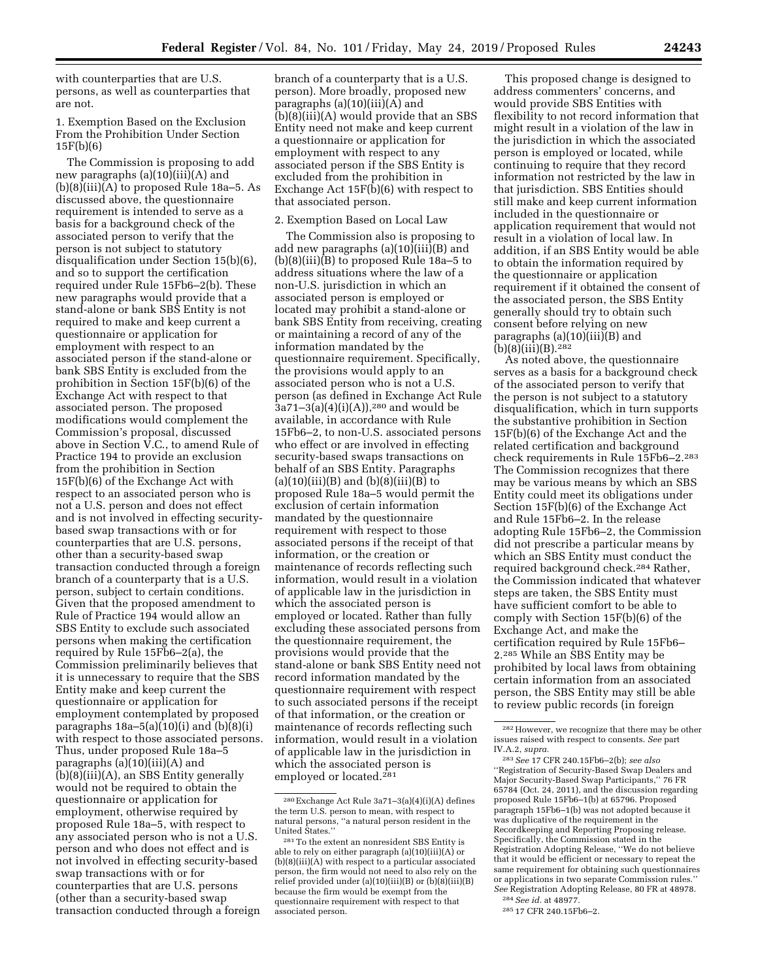with counterparties that are U.S. persons, as well as counterparties that are not.

1. Exemption Based on the Exclusion From the Prohibition Under Section 15F(b)(6)

The Commission is proposing to add new paragraphs (a)(10)(iii)(A) and (b)(8)(iii)(A) to proposed Rule 18a–5. As discussed above, the questionnaire requirement is intended to serve as a basis for a background check of the associated person to verify that the person is not subject to statutory disqualification under Section 15(b)(6), and so to support the certification required under Rule 15Fb6–2(b). These new paragraphs would provide that a stand-alone or bank SBS Entity is not required to make and keep current a questionnaire or application for employment with respect to an associated person if the stand-alone or bank SBS Entity is excluded from the prohibition in Section 15F(b)(6) of the Exchange Act with respect to that associated person. The proposed modifications would complement the Commission's proposal, discussed above in Section V.C., to amend Rule of Practice 194 to provide an exclusion from the prohibition in Section 15F(b)(6) of the Exchange Act with respect to an associated person who is not a U.S. person and does not effect and is not involved in effecting securitybased swap transactions with or for counterparties that are U.S. persons, other than a security-based swap transaction conducted through a foreign branch of a counterparty that is a U.S. person, subject to certain conditions. Given that the proposed amendment to Rule of Practice 194 would allow an SBS Entity to exclude such associated persons when making the certification required by Rule 15Fb6–2(a), the Commission preliminarily believes that it is unnecessary to require that the SBS Entity make and keep current the questionnaire or application for employment contemplated by proposed paragraphs  $18a-5(a)(10)(i)$  and  $(b)(8)(i)$ with respect to those associated persons. Thus, under proposed Rule 18a–5 paragraphs (a)(10)(iii)(A) and (b)(8)(iii)(A), an SBS Entity generally would not be required to obtain the questionnaire or application for employment, otherwise required by proposed Rule 18a–5, with respect to any associated person who is not a U.S. person and who does not effect and is not involved in effecting security-based swap transactions with or for counterparties that are U.S. persons (other than a security-based swap transaction conducted through a foreign

branch of a counterparty that is a U.S. person). More broadly, proposed new paragraphs (a)(10)(iii)(A) and (b)(8)(iii)(A) would provide that an SBS Entity need not make and keep current a questionnaire or application for employment with respect to any associated person if the SBS Entity is excluded from the prohibition in Exchange Act 15F(b)(6) with respect to that associated person.

# 2. Exemption Based on Local Law

The Commission also is proposing to add new paragraphs  $(a)(10)(iii)(B)$  and (b)(8)(iii)(B) to proposed Rule 18a–5 to address situations where the law of a non-U.S. jurisdiction in which an associated person is employed or located may prohibit a stand-alone or bank SBS Entity from receiving, creating or maintaining a record of any of the information mandated by the questionnaire requirement. Specifically, the provisions would apply to an associated person who is not a U.S. person (as defined in Exchange Act Rule  $3a71-3(a)(4)(i)(A))$ ,<sup>280</sup> and would be available, in accordance with Rule 15Fb6–2, to non-U.S. associated persons who effect or are involved in effecting security-based swaps transactions on behalf of an SBS Entity. Paragraphs (a)(10)(iii)(B) and (b)(8)(iii)(B) to proposed Rule 18a–5 would permit the exclusion of certain information mandated by the questionnaire requirement with respect to those associated persons if the receipt of that information, or the creation or maintenance of records reflecting such information, would result in a violation of applicable law in the jurisdiction in which the associated person is employed or located. Rather than fully excluding these associated persons from the questionnaire requirement, the provisions would provide that the stand-alone or bank SBS Entity need not record information mandated by the questionnaire requirement with respect to such associated persons if the receipt of that information, or the creation or maintenance of records reflecting such information, would result in a violation of applicable law in the jurisdiction in which the associated person is employed or located.281

This proposed change is designed to address commenters' concerns, and would provide SBS Entities with flexibility to not record information that might result in a violation of the law in the jurisdiction in which the associated person is employed or located, while continuing to require that they record information not restricted by the law in that jurisdiction. SBS Entities should still make and keep current information included in the questionnaire or application requirement that would not result in a violation of local law. In addition, if an SBS Entity would be able to obtain the information required by the questionnaire or application requirement if it obtained the consent of the associated person, the SBS Entity generally should try to obtain such consent before relying on new paragraphs (a)(10)(iii)(B) and (b)(8)(iii)(B).282

As noted above, the questionnaire serves as a basis for a background check of the associated person to verify that the person is not subject to a statutory disqualification, which in turn supports the substantive prohibition in Section 15F(b)(6) of the Exchange Act and the related certification and background check requirements in Rule 15Fb6–2.283 The Commission recognizes that there may be various means by which an SBS Entity could meet its obligations under Section 15F(b)(6) of the Exchange Act and Rule 15Fb6–2. In the release adopting Rule 15Fb6–2, the Commission did not prescribe a particular means by which an SBS Entity must conduct the required background check.284 Rather, the Commission indicated that whatever steps are taken, the SBS Entity must have sufficient comfort to be able to comply with Section 15F(b)(6) of the Exchange Act, and make the certification required by Rule 15Fb6– 2.285 While an SBS Entity may be prohibited by local laws from obtaining certain information from an associated person, the SBS Entity may still be able to review public records (in foreign

<sup>280</sup>Exchange Act Rule 3a71–3(a)(4)(i)(A) defines the term U.S. person to mean, with respect to natural persons, ''a natural person resident in the United States.''

<sup>281</sup>To the extent an nonresident SBS Entity is able to rely on either paragraph (a)(10)(iii)(A) or (b)(8)(iii)(A) with respect to a particular associated person, the firm would not need to also rely on the relief provided under (a)(10)(iii)(B) or (b)(8)(iii)(B) because the firm would be exempt from the questionnaire requirement with respect to that associated person.

<sup>282</sup>However, we recognize that there may be other issues raised with respect to consents. *See* part IV.A.2, *supra.* 

<sup>283</sup>*See* 17 CFR 240.15Fb6–2(b); *see also*  ''Registration of Security-Based Swap Dealers and Major Security-Based Swap Participants,'' 76 FR 65784 (Oct. 24, 2011), and the discussion regarding proposed Rule 15Fb6–1(b) at 65796. Proposed paragraph 15Fb6–1(b) was not adopted because it was duplicative of the requirement in the Recordkeeping and Reporting Proposing release. Specifically, the Commission stated in the Registration Adopting Release, ''We do not believe that it would be efficient or necessary to repeat the same requirement for obtaining such questionnaires or applications in two separate Commission rules.'' *See* Registration Adopting Release, 80 FR at 48978.

<sup>284</sup>*See id.* at 48977.

<sup>285</sup> 17 CFR 240.15Fb6–2.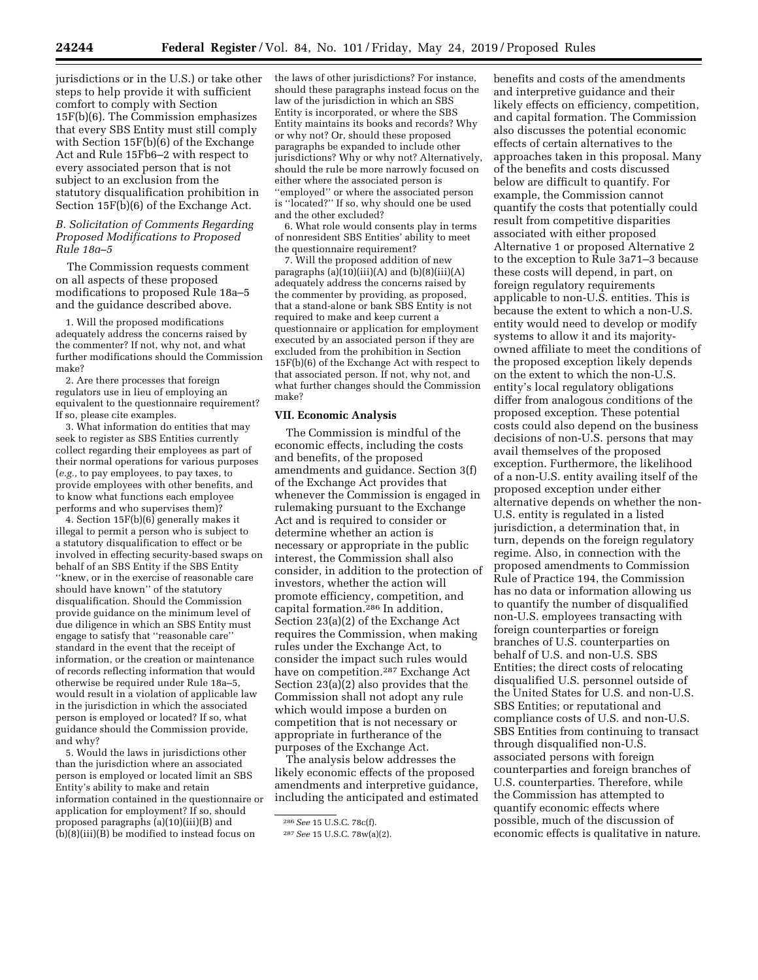jurisdictions or in the U.S.) or take other steps to help provide it with sufficient comfort to comply with Section 15F(b)(6). The Commission emphasizes that every SBS Entity must still comply with Section 15F(b)(6) of the Exchange Act and Rule 15Fb6–2 with respect to every associated person that is not subject to an exclusion from the statutory disqualification prohibition in Section 15F(b)(6) of the Exchange Act.

### *B. Solicitation of Comments Regarding Proposed Modifications to Proposed Rule 18a–5*

The Commission requests comment on all aspects of these proposed modifications to proposed Rule 18a–5 and the guidance described above.

1. Will the proposed modifications adequately address the concerns raised by the commenter? If not, why not, and what further modifications should the Commission make?

2. Are there processes that foreign regulators use in lieu of employing an equivalent to the questionnaire requirement? If so, please cite examples.

3. What information do entities that may seek to register as SBS Entities currently collect regarding their employees as part of their normal operations for various purposes (*e.g.,* to pay employees, to pay taxes, to provide employees with other benefits, and to know what functions each employee performs and who supervises them)?

4. Section 15F(b)(6) generally makes it illegal to permit a person who is subject to a statutory disqualification to effect or be involved in effecting security-based swaps on behalf of an SBS Entity if the SBS Entity ''knew, or in the exercise of reasonable care should have known'' of the statutory disqualification. Should the Commission provide guidance on the minimum level of due diligence in which an SBS Entity must engage to satisfy that ''reasonable care'' standard in the event that the receipt of information, or the creation or maintenance of records reflecting information that would otherwise be required under Rule 18a–5, would result in a violation of applicable law in the jurisdiction in which the associated person is employed or located? If so, what guidance should the Commission provide, and why?

5. Would the laws in jurisdictions other than the jurisdiction where an associated person is employed or located limit an SBS Entity's ability to make and retain information contained in the questionnaire or application for employment? If so, should proposed paragraphs (a)(10)(iii)(B) and  $(b)(8)(iii)(B)$  be modified to instead focus on

the laws of other jurisdictions? For instance, should these paragraphs instead focus on the law of the jurisdiction in which an SBS Entity is incorporated, or where the SBS Entity maintains its books and records? Why or why not? Or, should these proposed paragraphs be expanded to include other jurisdictions? Why or why not? Alternatively, should the rule be more narrowly focused on either where the associated person is ''employed'' or where the associated person is ''located?'' If so, why should one be used and the other excluded?

6. What role would consents play in terms of nonresident SBS Entities' ability to meet the questionnaire requirement?

7. Will the proposed addition of new paragraphs  $(a)(10)(iii)(A)$  and  $(b)(8)(iii)(A)$ adequately address the concerns raised by the commenter by providing, as proposed, that a stand-alone or bank SBS Entity is not required to make and keep current a questionnaire or application for employment executed by an associated person if they are excluded from the prohibition in Section 15F(b)(6) of the Exchange Act with respect to that associated person. If not, why not, and what further changes should the Commission make?

### **VII. Economic Analysis**

The Commission is mindful of the economic effects, including the costs and benefits, of the proposed amendments and guidance. Section 3(f) of the Exchange Act provides that whenever the Commission is engaged in rulemaking pursuant to the Exchange Act and is required to consider or determine whether an action is necessary or appropriate in the public interest, the Commission shall also consider, in addition to the protection of investors, whether the action will promote efficiency, competition, and capital formation.286 In addition, Section 23(a)(2) of the Exchange Act requires the Commission, when making rules under the Exchange Act, to consider the impact such rules would have on competition.287 Exchange Act Section 23(a)(2) also provides that the Commission shall not adopt any rule which would impose a burden on competition that is not necessary or appropriate in furtherance of the purposes of the Exchange Act.

The analysis below addresses the likely economic effects of the proposed amendments and interpretive guidance, including the anticipated and estimated

benefits and costs of the amendments and interpretive guidance and their likely effects on efficiency, competition, and capital formation. The Commission also discusses the potential economic effects of certain alternatives to the approaches taken in this proposal. Many of the benefits and costs discussed below are difficult to quantify. For example, the Commission cannot quantify the costs that potentially could result from competitive disparities associated with either proposed Alternative 1 or proposed Alternative 2 to the exception to Rule 3a71–3 because these costs will depend, in part, on foreign regulatory requirements applicable to non-U.S. entities. This is because the extent to which a non-U.S. entity would need to develop or modify systems to allow it and its majorityowned affiliate to meet the conditions of the proposed exception likely depends on the extent to which the non-U.S. entity's local regulatory obligations differ from analogous conditions of the proposed exception. These potential costs could also depend on the business decisions of non-U.S. persons that may avail themselves of the proposed exception. Furthermore, the likelihood of a non-U.S. entity availing itself of the proposed exception under either alternative depends on whether the non-U.S. entity is regulated in a listed jurisdiction, a determination that, in turn, depends on the foreign regulatory regime. Also, in connection with the proposed amendments to Commission Rule of Practice 194, the Commission has no data or information allowing us to quantify the number of disqualified non-U.S. employees transacting with foreign counterparties or foreign branches of U.S. counterparties on behalf of U.S. and non-U.S. SBS Entities; the direct costs of relocating disqualified U.S. personnel outside of the United States for U.S. and non-U.S. SBS Entities; or reputational and compliance costs of U.S. and non-U.S. SBS Entities from continuing to transact through disqualified non-U.S. associated persons with foreign counterparties and foreign branches of U.S. counterparties. Therefore, while the Commission has attempted to quantify economic effects where possible, much of the discussion of economic effects is qualitative in nature.

<sup>286</sup>*See* 15 U.S.C. 78c(f).

<sup>287</sup>*See* 15 U.S.C. 78w(a)(2).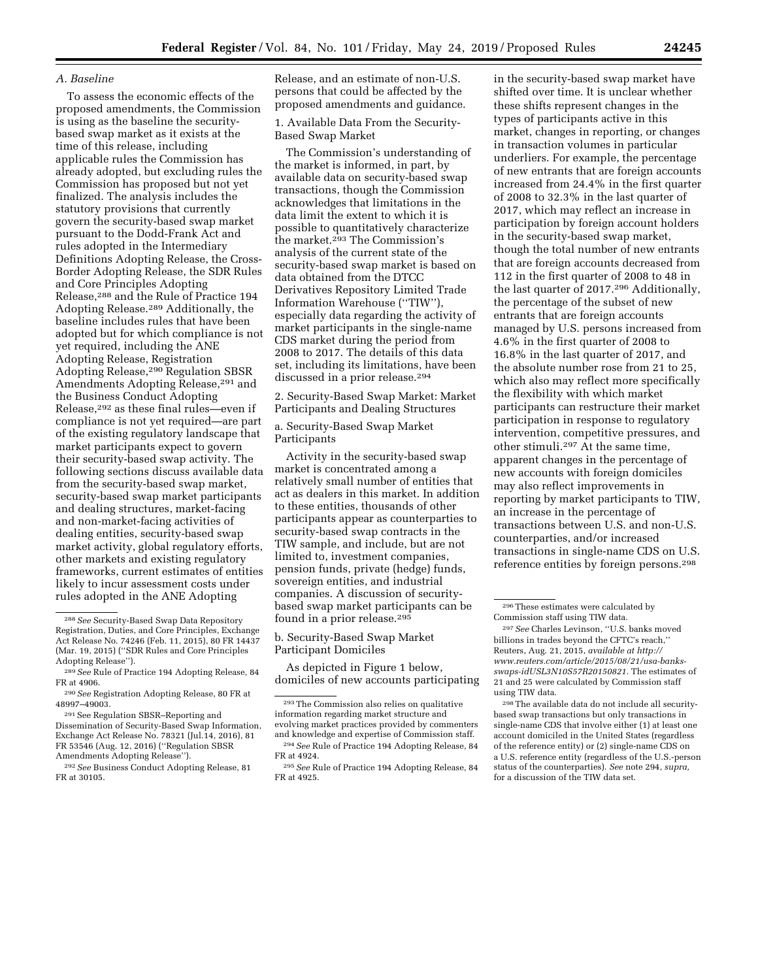# *A. Baseline*

To assess the economic effects of the proposed amendments, the Commission is using as the baseline the securitybased swap market as it exists at the time of this release, including applicable rules the Commission has already adopted, but excluding rules the Commission has proposed but not yet finalized. The analysis includes the statutory provisions that currently govern the security-based swap market pursuant to the Dodd-Frank Act and rules adopted in the Intermediary Definitions Adopting Release, the Cross-Border Adopting Release, the SDR Rules and Core Principles Adopting Release,288 and the Rule of Practice 194 Adopting Release.289 Additionally, the baseline includes rules that have been adopted but for which compliance is not yet required, including the ANE Adopting Release, Registration Adopting Release,290 Regulation SBSR Amendments Adopting Release,<sup>291</sup> and the Business Conduct Adopting Release,292 as these final rules—even if compliance is not yet required—are part of the existing regulatory landscape that market participants expect to govern their security-based swap activity. The following sections discuss available data from the security-based swap market, security-based swap market participants and dealing structures, market-facing and non-market-facing activities of dealing entities, security-based swap market activity, global regulatory efforts, other markets and existing regulatory frameworks, current estimates of entities likely to incur assessment costs under rules adopted in the ANE Adopting

Release, and an estimate of non-U.S. persons that could be affected by the proposed amendments and guidance.

1. Available Data From the Security-Based Swap Market

The Commission's understanding of the market is informed, in part, by available data on security-based swap transactions, though the Commission acknowledges that limitations in the data limit the extent to which it is possible to quantitatively characterize the market.293 The Commission's analysis of the current state of the security-based swap market is based on data obtained from the DTCC Derivatives Repository Limited Trade Information Warehouse (''TIW''), especially data regarding the activity of market participants in the single-name CDS market during the period from 2008 to 2017. The details of this data set, including its limitations, have been discussed in a prior release.294

2. Security-Based Swap Market: Market Participants and Dealing Structures

a. Security-Based Swap Market Participants

Activity in the security-based swap market is concentrated among a relatively small number of entities that act as dealers in this market. In addition to these entities, thousands of other participants appear as counterparties to security-based swap contracts in the TIW sample, and include, but are not limited to, investment companies, pension funds, private (hedge) funds, sovereign entities, and industrial companies. A discussion of securitybased swap market participants can be found in a prior release.<sup>295</sup>

b. Security-Based Swap Market Participant Domiciles

As depicted in Figure 1 below, domiciles of new accounts participating

in the security-based swap market have shifted over time. It is unclear whether these shifts represent changes in the types of participants active in this market, changes in reporting, or changes in transaction volumes in particular underliers. For example, the percentage of new entrants that are foreign accounts increased from 24.4% in the first quarter of 2008 to 32.3% in the last quarter of 2017, which may reflect an increase in participation by foreign account holders in the security-based swap market, though the total number of new entrants that are foreign accounts decreased from 112 in the first quarter of 2008 to 48 in the last quarter of 2017.296 Additionally, the percentage of the subset of new entrants that are foreign accounts managed by U.S. persons increased from 4.6% in the first quarter of 2008 to 16.8% in the last quarter of 2017, and the absolute number rose from 21 to 25, which also may reflect more specifically the flexibility with which market participants can restructure their market participation in response to regulatory intervention, competitive pressures, and other stimuli.297 At the same time, apparent changes in the percentage of new accounts with foreign domiciles may also reflect improvements in reporting by market participants to TIW, an increase in the percentage of transactions between U.S. and non-U.S. counterparties, and/or increased transactions in single-name CDS on U.S. reference entities by foreign persons.298

<sup>288</sup>*See* Security-Based Swap Data Repository Registration, Duties, and Core Principles, Exchange Act Release No. 74246 (Feb. 11, 2015), 80 FR 14437 (Mar. 19, 2015) (''SDR Rules and Core Principles Adopting Release'').

<sup>289</sup>*See* Rule of Practice 194 Adopting Release, 84 FR at 4906.

<sup>290</sup>*See* Registration Adopting Release, 80 FR at 48997–49003.

<sup>291</sup>See Regulation SBSR–Reporting and Dissemination of Security-Based Swap Information, Exchange Act Release No. 78321 (Jul.14, 2016), 81 FR 53546 (Aug. 12, 2016) (''Regulation SBSR Amendments Adopting Release'').

<sup>292</sup>*See* Business Conduct Adopting Release, 81 FR at 30105.

<sup>293</sup>The Commission also relies on qualitative information regarding market structure and evolving market practices provided by commenters and knowledge and expertise of Commission staff. 294*See* Rule of Practice 194 Adopting Release, 84 FR at 4924.

<sup>295</sup>*See* Rule of Practice 194 Adopting Release, 84 FR at 4925.

<sup>296</sup>These estimates were calculated by Commission staff using TIW data. 297*See* Charles Levinson, ''U.S. banks moved billions in trades beyond the CFTC's reach,''

Reuters, Aug. 21, 2015, *available at [http://](http://www.reuters.com/article/2015/08/21/usa-banks-swaps-idUSL3N10S57R20150821) [www.reuters.com/article/2015/08/21/usa-banks](http://www.reuters.com/article/2015/08/21/usa-banks-swaps-idUSL3N10S57R20150821)[swaps-idUSL3N10S57R20150821.](http://www.reuters.com/article/2015/08/21/usa-banks-swaps-idUSL3N10S57R20150821)* The estimates of 21 and 25 were calculated by Commission staff using TIW data.

<sup>298</sup>The available data do not include all securitybased swap transactions but only transactions in single-name CDS that involve either (1) at least one account domiciled in the United States (regardless of the reference entity) or (2) single-name CDS on a U.S. reference entity (regardless of the U.S.-person status of the counterparties). *See* note 294, *supra,*  for a discussion of the TIW data set.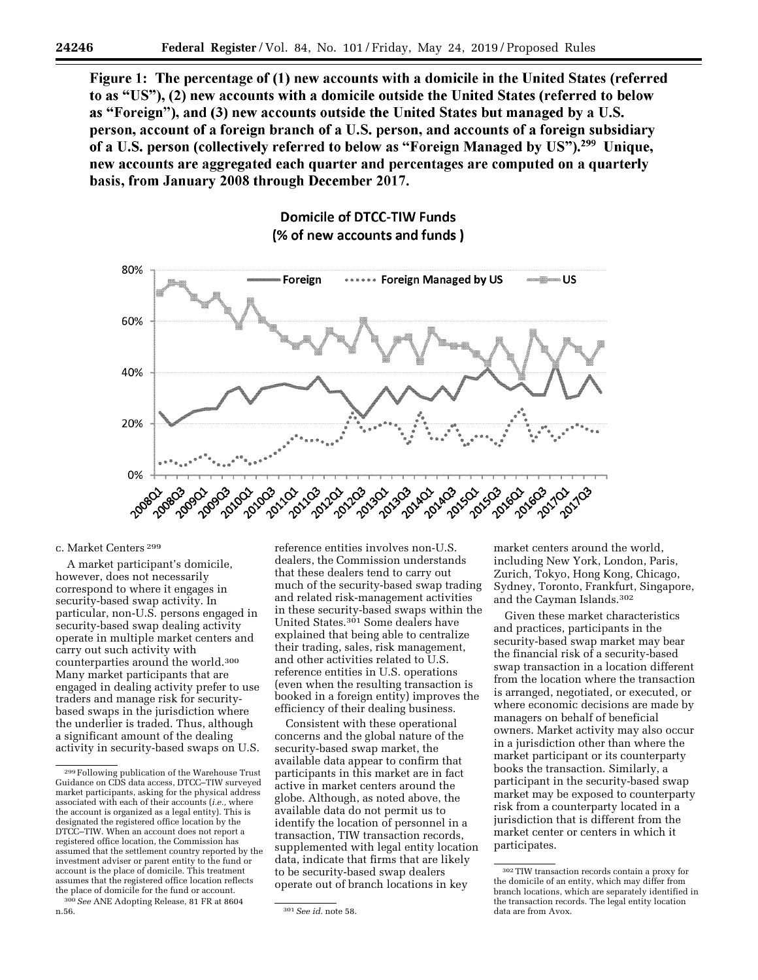Figure 1: The percentage of (1) new accounts with a domicile in the United States (referred to as "US"), (2) new accounts with a domicile outside the United States (referred to below as "Foreign"), and (3) new accounts outside the United States but managed by a U.S. person, account of a foreign branch of a U.S. person, and accounts of a foreign subsidiary of a U.S. person (collectively referred to below as "Foreign Managed by US").<sup>299</sup> Unique, new accounts are aggregated each quarter and percentages are computed on a quarterly basis, from January 2008 through December 2017.

# **Domicile of DTCC-TIW Funds** (% of new accounts and funds)



#### c. Market Centers 299

A market participant's domicile, however, does not necessarily correspond to where it engages in security-based swap activity. In particular, non-U.S. persons engaged in security-based swap dealing activity operate in multiple market centers and carry out such activity with counterparties around the world.300 Many market participants that are engaged in dealing activity prefer to use traders and manage risk for securitybased swaps in the jurisdiction where the underlier is traded. Thus, although a significant amount of the dealing activity in security-based swaps on U.S.

300*See* ANE Adopting Release, 81 FR at 8604

reference entities involves non-U.S. dealers, the Commission understands that these dealers tend to carry out much of the security-based swap trading and related risk-management activities in these security-based swaps within the United States.<sup>301</sup> Some dealers have explained that being able to centralize their trading, sales, risk management, and other activities related to U.S. reference entities in U.S. operations (even when the resulting transaction is booked in a foreign entity) improves the efficiency of their dealing business.

Consistent with these operational concerns and the global nature of the security-based swap market, the available data appear to confirm that participants in this market are in fact active in market centers around the globe. Although, as noted above, the available data do not permit us to identify the location of personnel in a transaction, TIW transaction records, supplemented with legal entity location data, indicate that firms that are likely to be security-based swap dealers operate out of branch locations in key

market centers around the world, including New York, London, Paris, Zurich, Tokyo, Hong Kong, Chicago, Sydney, Toronto, Frankfurt, Singapore, and the Cayman Islands.302

Given these market characteristics and practices, participants in the security-based swap market may bear the financial risk of a security-based swap transaction in a location different from the location where the transaction is arranged, negotiated, or executed, or where economic decisions are made by managers on behalf of beneficial owners. Market activity may also occur in a jurisdiction other than where the market participant or its counterparty books the transaction. Similarly, a participant in the security-based swap market may be exposed to counterparty risk from a counterparty located in a jurisdiction that is different from the market center or centers in which it participates.

<sup>299</sup>Following publication of the Warehouse Trust Guidance on CDS data access, DTCC–TIW surveyed market participants, asking for the physical address associated with each of their accounts (*i.e.,* where the account is organized as a legal entity). This is designated the registered office location by the DTCC–TIW. When an account does not report a registered office location, the Commission has assumed that the settlement country reported by the investment adviser or parent entity to the fund or account is the place of domicile. This treatment assumes that the registered office location reflects the place of domicile for the fund or account.

n.56. 301*See id.* note 58.

<sup>302</sup>TIW transaction records contain a proxy for the domicile of an entity, which may differ from branch locations, which are separately identified in the transaction records. The legal entity location data are from Avox.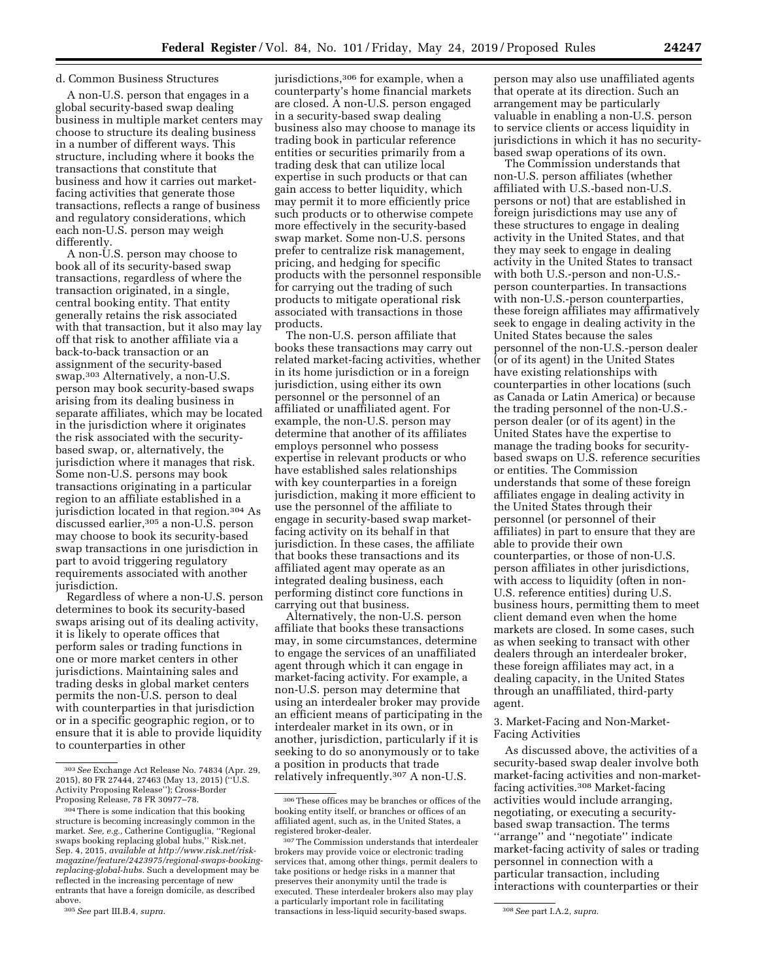# d. Common Business Structures

A non-U.S. person that engages in a global security-based swap dealing business in multiple market centers may choose to structure its dealing business in a number of different ways. This structure, including where it books the transactions that constitute that business and how it carries out marketfacing activities that generate those transactions, reflects a range of business and regulatory considerations, which each non-U.S. person may weigh differently.

A non-U.S. person may choose to book all of its security-based swap transactions, regardless of where the transaction originated, in a single, central booking entity. That entity generally retains the risk associated with that transaction, but it also may lay off that risk to another affiliate via a back-to-back transaction or an assignment of the security-based swap.303 Alternatively, a non-U.S. person may book security-based swaps arising from its dealing business in separate affiliates, which may be located in the jurisdiction where it originates the risk associated with the securitybased swap, or, alternatively, the jurisdiction where it manages that risk. Some non-U.S. persons may book transactions originating in a particular region to an affiliate established in a jurisdiction located in that region.304 As discussed earlier,305 a non-U.S. person may choose to book its security-based swap transactions in one jurisdiction in part to avoid triggering regulatory requirements associated with another jurisdiction.

Regardless of where a non-U.S. person determines to book its security-based swaps arising out of its dealing activity, it is likely to operate offices that perform sales or trading functions in one or more market centers in other jurisdictions. Maintaining sales and trading desks in global market centers permits the non-U.S. person to deal with counterparties in that jurisdiction or in a specific geographic region, or to ensure that it is able to provide liquidity to counterparties in other

jurisdictions,306 for example, when a counterparty's home financial markets are closed. A non-U.S. person engaged in a security-based swap dealing business also may choose to manage its trading book in particular reference entities or securities primarily from a trading desk that can utilize local expertise in such products or that can gain access to better liquidity, which may permit it to more efficiently price such products or to otherwise compete more effectively in the security-based swap market. Some non-U.S. persons prefer to centralize risk management, pricing, and hedging for specific products with the personnel responsible for carrying out the trading of such products to mitigate operational risk associated with transactions in those products.

The non-U.S. person affiliate that books these transactions may carry out related market-facing activities, whether in its home jurisdiction or in a foreign jurisdiction, using either its own personnel or the personnel of an affiliated or unaffiliated agent. For example, the non-U.S. person may determine that another of its affiliates employs personnel who possess expertise in relevant products or who have established sales relationships with key counterparties in a foreign jurisdiction, making it more efficient to use the personnel of the affiliate to engage in security-based swap marketfacing activity on its behalf in that jurisdiction. In these cases, the affiliate that books these transactions and its affiliated agent may operate as an integrated dealing business, each performing distinct core functions in carrying out that business.

Alternatively, the non-U.S. person affiliate that books these transactions may, in some circumstances, determine to engage the services of an unaffiliated agent through which it can engage in market-facing activity. For example, a non-U.S. person may determine that using an interdealer broker may provide an efficient means of participating in the interdealer market in its own, or in another, jurisdiction, particularly if it is seeking to do so anonymously or to take a position in products that trade relatively infrequently.307 A non-U.S.

person may also use unaffiliated agents that operate at its direction. Such an arrangement may be particularly valuable in enabling a non-U.S. person to service clients or access liquidity in jurisdictions in which it has no securitybased swap operations of its own.

The Commission understands that non-U.S. person affiliates (whether affiliated with U.S.-based non-U.S. persons or not) that are established in foreign jurisdictions may use any of these structures to engage in dealing activity in the United States, and that they may seek to engage in dealing activity in the United States to transact with both U.S.-person and non-U.S. person counterparties. In transactions with non-U.S.-person counterparties, these foreign affiliates may affirmatively seek to engage in dealing activity in the United States because the sales personnel of the non-U.S.-person dealer (or of its agent) in the United States have existing relationships with counterparties in other locations (such as Canada or Latin America) or because the trading personnel of the non-U.S. person dealer (or of its agent) in the United States have the expertise to manage the trading books for securitybased swaps on U.S. reference securities or entities. The Commission understands that some of these foreign affiliates engage in dealing activity in the United States through their personnel (or personnel of their affiliates) in part to ensure that they are able to provide their own counterparties, or those of non-U.S. person affiliates in other jurisdictions, with access to liquidity (often in non-U.S. reference entities) during U.S. business hours, permitting them to meet client demand even when the home markets are closed. In some cases, such as when seeking to transact with other dealers through an interdealer broker, these foreign affiliates may act, in a dealing capacity, in the United States through an unaffiliated, third-party agent.

### 3. Market-Facing and Non-Market-Facing Activities

As discussed above, the activities of a security-based swap dealer involve both market-facing activities and non-marketfacing activities.308 Market-facing activities would include arranging, negotiating, or executing a securitybased swap transaction. The terms ''arrange'' and ''negotiate'' indicate market-facing activity of sales or trading personnel in connection with a particular transaction, including interactions with counterparties or their

<sup>303</sup>*See* Exchange Act Release No. 74834 (Apr. 29, 2015), 80 FR 27444, 27463 (May 13, 2015) (''U.S. Activity Proposing Release''); Cross-Border Proposing Release, 78 FR 30977–78.

<sup>304</sup>There is some indication that this booking structure is becoming increasingly common in the market. *See, e.g.,* Catherine Contiguglia, ''Regional swaps booking replacing global hubs,'' Risk.net, Sep. 4, 2015, *available at [http://www.risk.net/risk](http://www.risk.net/risk-magazine/feature/2423975/regional-swaps-booking-replacing-global-hubs)[magazine/feature/2423975/regional-swaps-booking](http://www.risk.net/risk-magazine/feature/2423975/regional-swaps-booking-replacing-global-hubs)[replacing-global-hubs.](http://www.risk.net/risk-magazine/feature/2423975/regional-swaps-booking-replacing-global-hubs)* Such a development may be reflected in the increasing percentage of new entrants that have a foreign domicile, as described above.

<sup>305</sup>*See* part III.B.4, *supra.* 

<sup>306</sup>These offices may be branches or offices of the booking entity itself, or branches or offices of an affiliated agent, such as, in the United States, a registered broker-dealer.

<sup>307</sup>The Commission understands that interdealer brokers may provide voice or electronic trading services that, among other things, permit dealers to take positions or hedge risks in a manner that preserves their anonymity until the trade is executed. These interdealer brokers also may play a particularly important role in facilitating transactions in less-liquid security-based swaps. 308*See* part I.A.2, *supra.*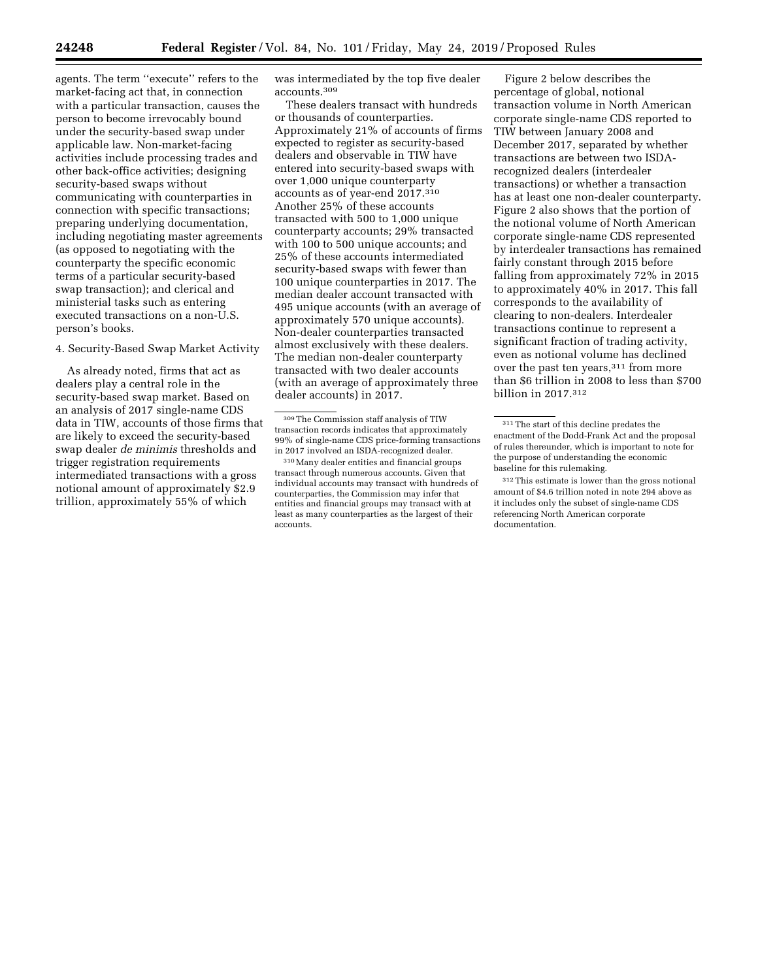agents. The term ''execute'' refers to the market-facing act that, in connection with a particular transaction, causes the person to become irrevocably bound under the security-based swap under applicable law. Non-market-facing activities include processing trades and other back-office activities; designing security-based swaps without communicating with counterparties in connection with specific transactions; preparing underlying documentation, including negotiating master agreements (as opposed to negotiating with the counterparty the specific economic terms of a particular security-based swap transaction); and clerical and ministerial tasks such as entering executed transactions on a non-U.S. person's books.

4. Security-Based Swap Market Activity

As already noted, firms that act as dealers play a central role in the security-based swap market. Based on an analysis of 2017 single-name CDS data in TIW, accounts of those firms that are likely to exceed the security-based swap dealer *de minimis* thresholds and trigger registration requirements intermediated transactions with a gross notional amount of approximately \$2.9 trillion, approximately 55% of which

was intermediated by the top five dealer accounts.309

These dealers transact with hundreds or thousands of counterparties. Approximately 21% of accounts of firms expected to register as security-based dealers and observable in TIW have entered into security-based swaps with over 1,000 unique counterparty accounts as of year-end 2017.310 Another 25% of these accounts transacted with 500 to 1,000 unique counterparty accounts; 29% transacted with 100 to 500 unique accounts; and 25% of these accounts intermediated security-based swaps with fewer than 100 unique counterparties in 2017. The median dealer account transacted with 495 unique accounts (with an average of approximately 570 unique accounts). Non-dealer counterparties transacted almost exclusively with these dealers. The median non-dealer counterparty transacted with two dealer accounts (with an average of approximately three dealer accounts) in 2017.

Figure 2 below describes the percentage of global, notional transaction volume in North American corporate single-name CDS reported to TIW between January 2008 and December 2017, separated by whether transactions are between two ISDArecognized dealers (interdealer transactions) or whether a transaction has at least one non-dealer counterparty. Figure 2 also shows that the portion of the notional volume of North American corporate single-name CDS represented by interdealer transactions has remained fairly constant through 2015 before falling from approximately 72% in 2015 to approximately 40% in 2017. This fall corresponds to the availability of clearing to non-dealers. Interdealer transactions continue to represent a significant fraction of trading activity, even as notional volume has declined over the past ten years,<sup>311</sup> from more than \$6 trillion in 2008 to less than \$700 billion in 2017.312

<sup>309</sup>The Commission staff analysis of TIW transaction records indicates that approximately 99% of single-name CDS price-forming transactions in 2017 involved an ISDA-recognized dealer.

<sup>310</sup>Many dealer entities and financial groups transact through numerous accounts. Given that individual accounts may transact with hundreds of counterparties, the Commission may infer that entities and financial groups may transact with at least as many counterparties as the largest of their accounts.

<sup>311</sup>The start of this decline predates the enactment of the Dodd-Frank Act and the proposal of rules thereunder, which is important to note for the purpose of understanding the economic baseline for this rulemaking.

<sup>312</sup>This estimate is lower than the gross notional amount of \$4.6 trillion noted in note 294 above as it includes only the subset of single-name CDS referencing North American corporate documentation.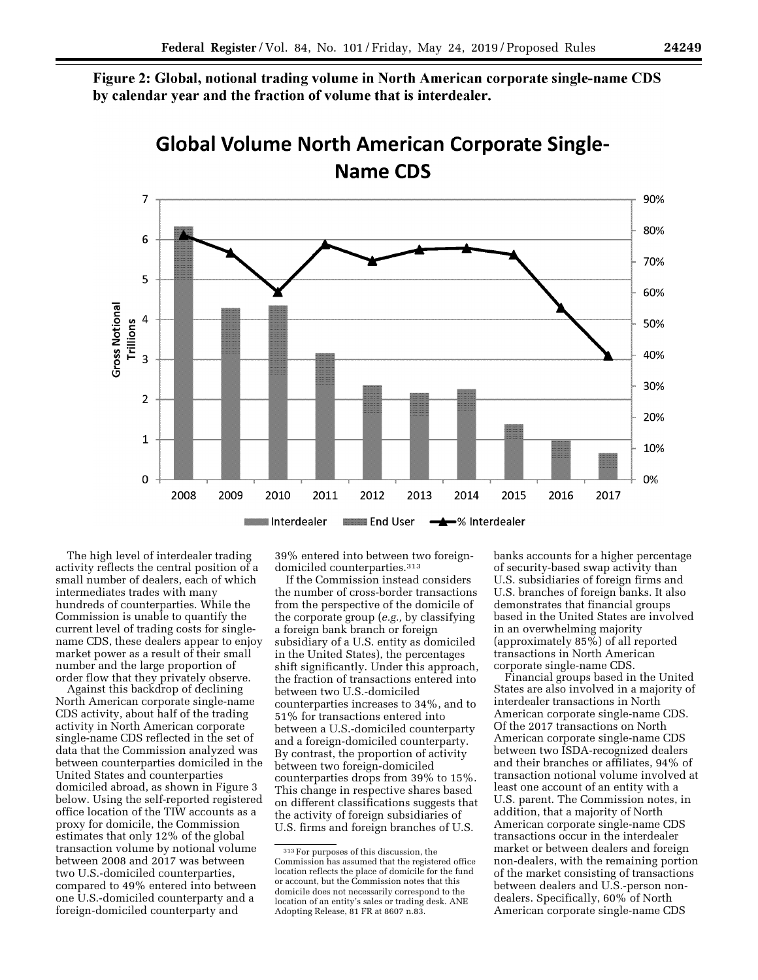Figure 2: Global, notional trading volume in North American corporate single-name CDS by calendar year and the fraction of volume that is interdealer.



**Global Volume North American Corporate Single-**

The high level of interdealer trading activity reflects the central position of a small number of dealers, each of which intermediates trades with many hundreds of counterparties. While the Commission is unable to quantify the current level of trading costs for singlename CDS, these dealers appear to enjoy market power as a result of their small number and the large proportion of order flow that they privately observe.

Against this backdrop of declining North American corporate single-name CDS activity, about half of the trading activity in North American corporate single-name CDS reflected in the set of data that the Commission analyzed was between counterparties domiciled in the United States and counterparties domiciled abroad, as shown in Figure 3 below. Using the self-reported registered office location of the TIW accounts as a proxy for domicile, the Commission estimates that only 12% of the global transaction volume by notional volume between 2008 and 2017 was between two U.S.-domiciled counterparties, compared to 49% entered into between one U.S.-domiciled counterparty and a foreign-domiciled counterparty and

39% entered into between two foreigndomiciled counterparties.313

If the Commission instead considers the number of cross-border transactions from the perspective of the domicile of the corporate group (*e.g.,* by classifying a foreign bank branch or foreign subsidiary of a U.S. entity as domiciled in the United States), the percentages shift significantly. Under this approach, the fraction of transactions entered into between two U.S.-domiciled counterparties increases to 34%, and to 51% for transactions entered into between a U.S.-domiciled counterparty and a foreign-domiciled counterparty. By contrast, the proportion of activity between two foreign-domiciled counterparties drops from 39% to 15%. This change in respective shares based on different classifications suggests that the activity of foreign subsidiaries of U.S. firms and foreign branches of U.S.

banks accounts for a higher percentage of security-based swap activity than U.S. subsidiaries of foreign firms and U.S. branches of foreign banks. It also demonstrates that financial groups based in the United States are involved in an overwhelming majority (approximately 85%) of all reported transactions in North American corporate single-name CDS.

Financial groups based in the United States are also involved in a majority of interdealer transactions in North American corporate single-name CDS. Of the 2017 transactions on North American corporate single-name CDS between two ISDA-recognized dealers and their branches or affiliates, 94% of transaction notional volume involved at least one account of an entity with a U.S. parent. The Commission notes, in addition, that a majority of North American corporate single-name CDS transactions occur in the interdealer market or between dealers and foreign non-dealers, with the remaining portion of the market consisting of transactions between dealers and U.S.-person nondealers. Specifically, 60% of North American corporate single-name CDS

<sup>313</sup>For purposes of this discussion, the Commission has assumed that the registered office location reflects the place of domicile for the fund or account, but the Commission notes that this domicile does not necessarily correspond to the location of an entity's sales or trading desk. ANE Adopting Release, 81 FR at 8607 n.83.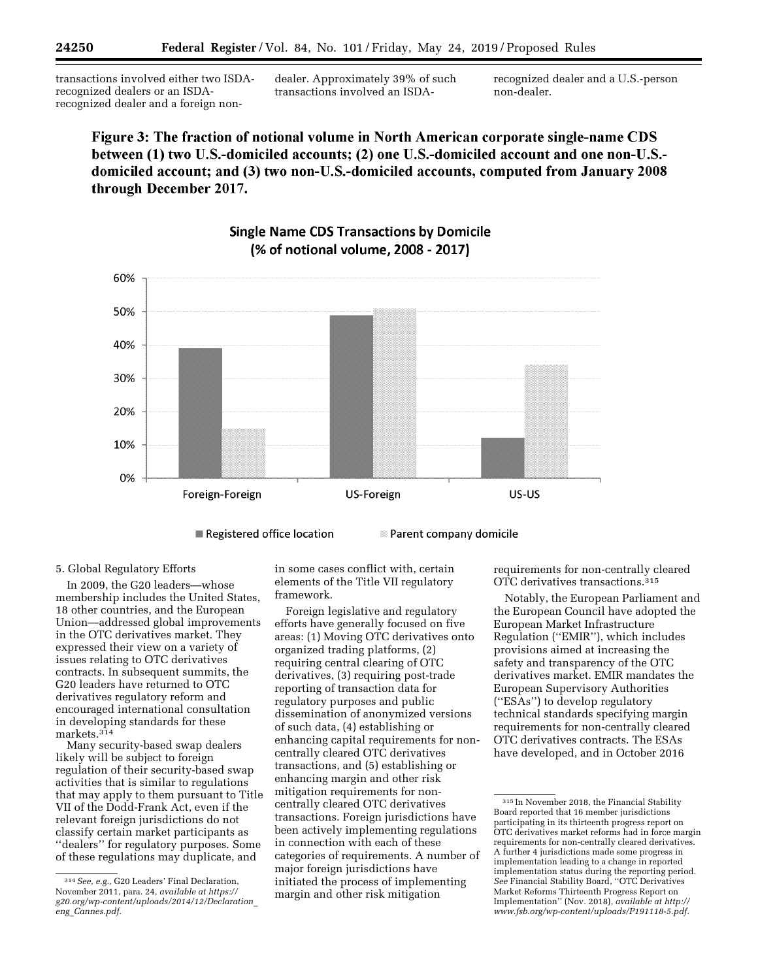transactions involved either two ISDArecognized dealers or an ISDArecognized dealer and a foreign nondealer. Approximately 39% of such transactions involved an ISDA-

recognized dealer and a U.S.-person non-dealer.

Figure 3: The fraction of notional volume in North American corporate single-name CDS between (1) two U.S.-domiciled accounts; (2) one U.S.-domiciled account and one non-U.S.domiciled account; and (3) two non-U.S.-domiciled accounts, computed from January 2008 through December 2017.



# **Single Name CDS Transactions by Domicile** (% of notional volume, 2008 - 2017)

Registered office location

# 5. Global Regulatory Efforts

In 2009, the G20 leaders—whose membership includes the United States, 18 other countries, and the European Union—addressed global improvements in the OTC derivatives market. They expressed their view on a variety of issues relating to OTC derivatives contracts. In subsequent summits, the G20 leaders have returned to OTC derivatives regulatory reform and encouraged international consultation in developing standards for these markets.314

Many security-based swap dealers likely will be subject to foreign regulation of their security-based swap activities that is similar to regulations that may apply to them pursuant to Title VII of the Dodd-Frank Act, even if the relevant foreign jurisdictions do not classify certain market participants as ''dealers'' for regulatory purposes. Some of these regulations may duplicate, and

in some cases conflict with, certain elements of the Title VII regulatory framework.

Foreign legislative and regulatory efforts have generally focused on five areas: (1) Moving OTC derivatives onto organized trading platforms, (2) requiring central clearing of OTC derivatives, (3) requiring post-trade reporting of transaction data for regulatory purposes and public dissemination of anonymized versions of such data, (4) establishing or enhancing capital requirements for noncentrally cleared OTC derivatives transactions, and (5) establishing or enhancing margin and other risk mitigation requirements for noncentrally cleared OTC derivatives transactions. Foreign jurisdictions have been actively implementing regulations in connection with each of these categories of requirements. A number of major foreign jurisdictions have initiated the process of implementing margin and other risk mitigation

requirements for non-centrally cleared OTC derivatives transactions.315

Notably, the European Parliament and the European Council have adopted the European Market Infrastructure Regulation (''EMIR''), which includes provisions aimed at increasing the safety and transparency of the OTC derivatives market. EMIR mandates the European Supervisory Authorities (''ESAs'') to develop regulatory technical standards specifying margin requirements for non-centrally cleared OTC derivatives contracts. The ESAs have developed, and in October 2016

**ISSUE Parent company domicile** 

<sup>314</sup>*See, e.g.,* G20 Leaders' Final Declaration, November 2011, para. 24, *available at [https://](https://g20.org/wp-content/uploads/2014/12/Declaration_eng_Cannes.pdf) [g20.org/wp-content/uploads/2014/12/Declaration](https://g20.org/wp-content/uploads/2014/12/Declaration_eng_Cannes.pdf)*\_ *eng*\_*[Cannes.pdf.](https://g20.org/wp-content/uploads/2014/12/Declaration_eng_Cannes.pdf)* 

<sup>315</sup> In November 2018, the Financial Stability Board reported that 16 member jurisdictions participating in its thirteenth progress report on OTC derivatives market reforms had in force margin requirements for non-centrally cleared derivatives. A further 4 jurisdictions made some progress in implementation leading to a change in reported implementation status during the reporting period. *See* Financial Stability Board, ''OTC Derivatives Market Reforms Thirteenth Progress Report on Implementation'' (Nov. 2018), *available at [http://](http://www.fsb.org/wp-content/uploads/P191118-5.pdf) [www.fsb.org/wp-content/uploads/P191118-5.pdf.](http://www.fsb.org/wp-content/uploads/P191118-5.pdf)*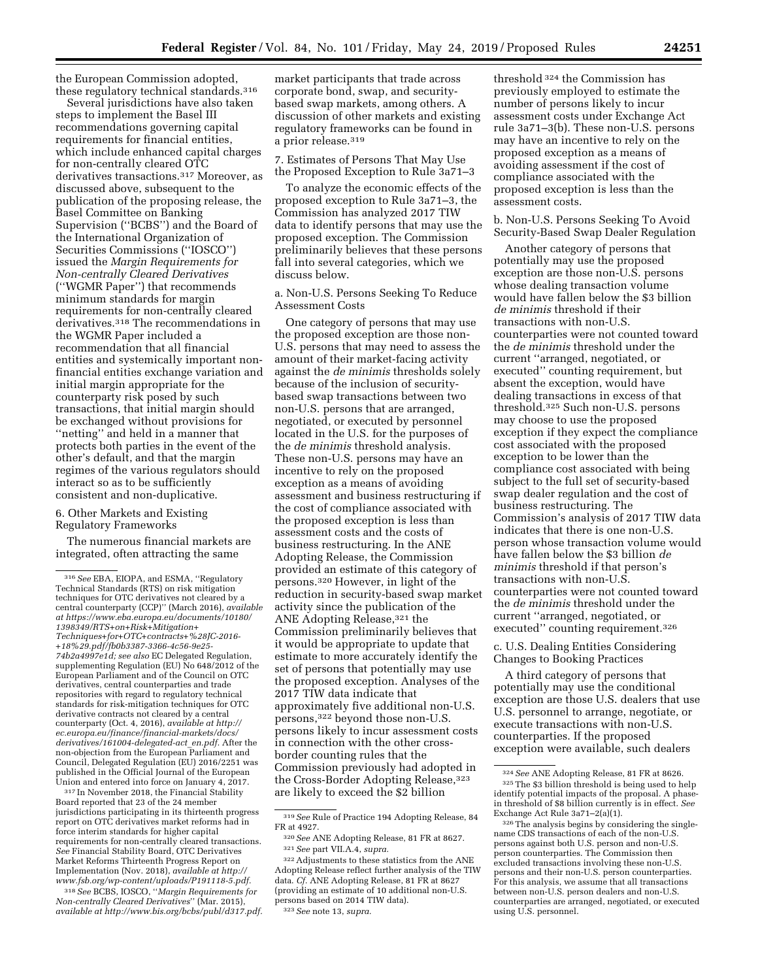the European Commission adopted, these regulatory technical standards.316

Several jurisdictions have also taken steps to implement the Basel III recommendations governing capital requirements for financial entities, which include enhanced capital charges for non-centrally cleared OTC derivatives transactions.317 Moreover, as discussed above, subsequent to the publication of the proposing release, the Basel Committee on Banking Supervision (''BCBS'') and the Board of the International Organization of Securities Commissions (''IOSCO'') issued the *Margin Requirements for Non-centrally Cleared Derivatives*  (''WGMR Paper'') that recommends minimum standards for margin requirements for non-centrally cleared derivatives.318 The recommendations in the WGMR Paper included a recommendation that all financial entities and systemically important nonfinancial entities exchange variation and initial margin appropriate for the counterparty risk posed by such transactions, that initial margin should be exchanged without provisions for ''netting'' and held in a manner that protects both parties in the event of the other's default, and that the margin regimes of the various regulators should interact so as to be sufficiently consistent and non-duplicative.

# 6. Other Markets and Existing Regulatory Frameworks

The numerous financial markets are integrated, often attracting the same

317 In November 2018, the Financial Stability Board reported that 23 of the 24 member jurisdictions participating in its thirteenth progress report on OTC derivatives market reforms had in force interim standards for higher capital requirements for non-centrally cleared transactions. *See* Financial Stability Board, OTC Derivatives Market Reforms Thirteenth Progress Report on Implementation (Nov. 2018), *available at [http://](http://www.fsb.org/wp-content/uploads/P191118-5.pdf) [www.fsb.org/wp-content/uploads/P191118-5.pdf.](http://www.fsb.org/wp-content/uploads/P191118-5.pdf)* 

318*See* BCBS, IOSCO, ''*Margin Requirements for Non-centrally Cleared Derivatives*'' (Mar. 2015), *available at [http://www.bis.org/bcbs/publ/d317.pdf.](http://www.bis.org/bcbs/publ/d317.pdf)*  market participants that trade across corporate bond, swap, and securitybased swap markets, among others. A discussion of other markets and existing regulatory frameworks can be found in a prior release.319

7. Estimates of Persons That May Use the Proposed Exception to Rule 3a71–3

To analyze the economic effects of the proposed exception to Rule 3a71–3, the Commission has analyzed 2017 TIW data to identify persons that may use the proposed exception. The Commission preliminarily believes that these persons fall into several categories, which we discuss below.

a. Non-U.S. Persons Seeking To Reduce Assessment Costs

One category of persons that may use the proposed exception are those non-U.S. persons that may need to assess the amount of their market-facing activity against the *de minimis* thresholds solely because of the inclusion of securitybased swap transactions between two non-U.S. persons that are arranged, negotiated, or executed by personnel located in the U.S. for the purposes of the *de minimis* threshold analysis. These non-U.S. persons may have an incentive to rely on the proposed exception as a means of avoiding assessment and business restructuring if the cost of compliance associated with the proposed exception is less than assessment costs and the costs of business restructuring. In the ANE Adopting Release, the Commission provided an estimate of this category of persons.320 However, in light of the reduction in security-based swap market activity since the publication of the ANE Adopting Release,321 the Commission preliminarily believes that it would be appropriate to update that estimate to more accurately identify the set of persons that potentially may use the proposed exception. Analyses of the 2017 TIW data indicate that approximately five additional non-U.S. persons,322 beyond those non-U.S. persons likely to incur assessment costs in connection with the other crossborder counting rules that the Commission previously had adopted in the Cross-Border Adopting Release, 323 are likely to exceed the \$2 billion

threshold 324 the Commission has previously employed to estimate the number of persons likely to incur assessment costs under Exchange Act rule 3a71–3(b). These non-U.S. persons may have an incentive to rely on the proposed exception as a means of avoiding assessment if the cost of compliance associated with the proposed exception is less than the assessment costs.

b. Non-U.S. Persons Seeking To Avoid Security-Based Swap Dealer Regulation

Another category of persons that potentially may use the proposed exception are those non-U.S. persons whose dealing transaction volume would have fallen below the \$3 billion *de minimis* threshold if their transactions with non-U.S. counterparties were not counted toward the *de minimis* threshold under the current ''arranged, negotiated, or executed'' counting requirement, but absent the exception, would have dealing transactions in excess of that threshold.325 Such non-U.S. persons may choose to use the proposed exception if they expect the compliance cost associated with the proposed exception to be lower than the compliance cost associated with being subject to the full set of security-based swap dealer regulation and the cost of business restructuring. The Commission's analysis of 2017 TIW data indicates that there is one non-U.S. person whose transaction volume would have fallen below the \$3 billion *de minimis* threshold if that person's transactions with non-U.S. counterparties were not counted toward the *de minimis* threshold under the current ''arranged, negotiated, or executed'' counting requirement.326

c. U.S. Dealing Entities Considering Changes to Booking Practices

A third category of persons that potentially may use the conditional exception are those U.S. dealers that use U.S. personnel to arrange, negotiate, or execute transactions with non-U.S. counterparties. If the proposed exception were available, such dealers

<sup>316</sup>*See* EBA, EIOPA, and ESMA, ''Regulatory Technical Standards (RTS) on risk mitigation techniques for OTC derivatives not cleared by a central counterparty (CCP)'' (March 2016), *available at [https://www.eba.europa.eu/documents/10180/](https://www.eba.europa.eu/documents/10180/1398349/RTS+on+Risk+Mitigation+Techniques+for+OTC+contracts+%28JC-2016-+18%29.pdf/fb0b3387-3366-4c56-9e25-74b2a4997e1d) [1398349/RTS+on+Risk+Mitigation+](https://www.eba.europa.eu/documents/10180/1398349/RTS+on+Risk+Mitigation+Techniques+for+OTC+contracts+%28JC-2016-+18%29.pdf/fb0b3387-3366-4c56-9e25-74b2a4997e1d) [Techniques+for+OTC+contracts+%28JC-2016-](https://www.eba.europa.eu/documents/10180/1398349/RTS+on+Risk+Mitigation+Techniques+for+OTC+contracts+%28JC-2016-+18%29.pdf/fb0b3387-3366-4c56-9e25-74b2a4997e1d) [+18%29.pdf/fb0b3387-3366-4c56-9e25-](https://www.eba.europa.eu/documents/10180/1398349/RTS+on+Risk+Mitigation+Techniques+for+OTC+contracts+%28JC-2016-+18%29.pdf/fb0b3387-3366-4c56-9e25-74b2a4997e1d) [74b2a4997e1d;](https://www.eba.europa.eu/documents/10180/1398349/RTS+on+Risk+Mitigation+Techniques+for+OTC+contracts+%28JC-2016-+18%29.pdf/fb0b3387-3366-4c56-9e25-74b2a4997e1d) see also* EC Delegated Regulation, supplementing Regulation (EU) No 648/2012 of the European Parliament and of the Council on OTC derivatives, central counterparties and trade repositories with regard to regulatory technical standards for risk-mitigation techniques for OTC derivative contracts not cleared by a central counterparty (Oct. 4, 2016), *available at [http://](http://ec.europa.eu/finance/financial-markets/docs/derivatives/161004-delegated-act_en.pdf) [ec.europa.eu/finance/financial-markets/docs/](http://ec.europa.eu/finance/financial-markets/docs/derivatives/161004-delegated-act_en.pdf)  [derivatives/161004-delegated-act](http://ec.europa.eu/finance/financial-markets/docs/derivatives/161004-delegated-act_en.pdf)*\_*en.pdf.* After the non-objection from the European Parliament and Council, Delegated Regulation (EU) 2016/2251 was published in the Official Journal of the European Union and entered into force on January 4, 2017.

<sup>319</sup>*See* Rule of Practice 194 Adopting Release, 84 FR at 4927.

<sup>320</sup>*See* ANE Adopting Release, 81 FR at 8627. 321*See* part VII.A.4, *supra.* 

 $^\mathrm{322}\,$  Adjustments to these statistics from the ANE Adopting Release reflect further analysis of the TIW data. *Cf.* ANE Adopting Release, 81 FR at 8627 (providing an estimate of 10 additional non-U.S. persons based on 2014 TIW data). 323*See* note 13, *supra.* 

<sup>324</sup>*See* ANE Adopting Release, 81 FR at 8626. 325The \$3 billion threshold is being used to help identify potential impacts of the proposal. A phasein threshold of \$8 billion currently is in effect. *See* 

 $326$  The analysis begins by considering the singlename CDS transactions of each of the non-U.S. persons against both U.S. person and non-U.S. person counterparties. The Commission then excluded transactions involving these non-U.S. persons and their non-U.S. person counterparties. For this analysis, we assume that all transactions between non-U.S. person dealers and non-U.S. counterparties are arranged, negotiated, or executed using U.S. personnel.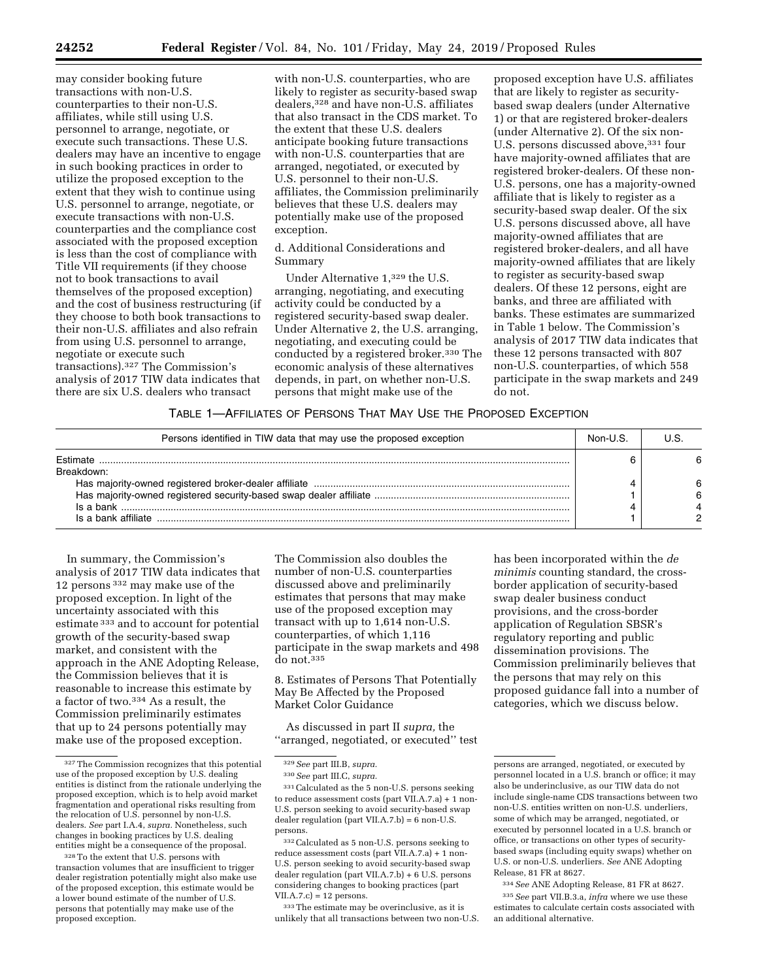may consider booking future transactions with non-U.S. counterparties to their non-U.S. affiliates, while still using U.S. personnel to arrange, negotiate, or execute such transactions. These U.S. dealers may have an incentive to engage in such booking practices in order to utilize the proposed exception to the extent that they wish to continue using U.S. personnel to arrange, negotiate, or execute transactions with non-U.S. counterparties and the compliance cost associated with the proposed exception is less than the cost of compliance with Title VII requirements (if they choose not to book transactions to avail themselves of the proposed exception) and the cost of business restructuring (if they choose to both book transactions to their non-U.S. affiliates and also refrain from using U.S. personnel to arrange, negotiate or execute such transactions).327 The Commission's analysis of 2017 TIW data indicates that there are six U.S. dealers who transact

with non-U.S. counterparties, who are likely to register as security-based swap dealers,328 and have non-U.S. affiliates that also transact in the CDS market. To the extent that these U.S. dealers anticipate booking future transactions with non-U.S. counterparties that are arranged, negotiated, or executed by U.S. personnel to their non-U.S. affiliates, the Commission preliminarily believes that these U.S. dealers may potentially make use of the proposed exception.

## d. Additional Considerations and Summary

Under Alternative 1,329 the U.S. arranging, negotiating, and executing activity could be conducted by a registered security-based swap dealer. Under Alternative 2, the U.S. arranging, negotiating, and executing could be conducted by a registered broker.330 The economic analysis of these alternatives depends, in part, on whether non-U.S. persons that might make use of the

proposed exception have U.S. affiliates that are likely to register as securitybased swap dealers (under Alternative 1) or that are registered broker-dealers (under Alternative 2). Of the six non-U.S. persons discussed above, 331 four have majority-owned affiliates that are registered broker-dealers. Of these non-U.S. persons, one has a majority-owned affiliate that is likely to register as a security-based swap dealer. Of the six U.S. persons discussed above, all have majority-owned affiliates that are registered broker-dealers, and all have majority-owned affiliates that are likely to register as security-based swap dealers. Of these 12 persons, eight are banks, and three are affiliated with banks. These estimates are summarized in Table 1 below. The Commission's analysis of 2017 TIW data indicates that these 12 persons transacted with 807 non-U.S. counterparties, of which 558 participate in the swap markets and 249 do not.

## TABLE 1—AFFILIATES OF PERSONS THAT MAY USE THE PROPOSED EXCEPTION

| Persons identified in TIW data that may use the proposed exception |  |  |
|--------------------------------------------------------------------|--|--|
| Breakdown:                                                         |  |  |
|                                                                    |  |  |
|                                                                    |  |  |
| Is a bank                                                          |  |  |
|                                                                    |  |  |

In summary, the Commission's analysis of 2017 TIW data indicates that 12 persons 332 may make use of the proposed exception. In light of the uncertainty associated with this estimate 333 and to account for potential growth of the security-based swap market, and consistent with the approach in the ANE Adopting Release, the Commission believes that it is reasonable to increase this estimate by a factor of two.334 As a result, the Commission preliminarily estimates that up to 24 persons potentially may make use of the proposed exception.

The Commission also doubles the number of non-U.S. counterparties discussed above and preliminarily estimates that persons that may make use of the proposed exception may transact with up to 1,614 non-U.S. counterparties, of which 1,116 participate in the swap markets and 498 do not.335

8. Estimates of Persons That Potentially May Be Affected by the Proposed Market Color Guidance

As discussed in part II *supra,* the ''arranged, negotiated, or executed'' test

332Calculated as 5 non-U.S. persons seeking to reduce assessment costs (part VII.A.7.a) + 1 non-U.S. person seeking to avoid security-based swap dealer regulation (part VII.A.7.b) + 6 U.S. persons considering changes to booking practices (part  $VII.A.7.c$  = 12 persons.

333The estimate may be overinclusive, as it is unlikely that all transactions between two non-U.S. has been incorporated within the *de minimis* counting standard, the crossborder application of security-based swap dealer business conduct provisions, and the cross-border application of Regulation SBSR's regulatory reporting and public dissemination provisions. The Commission preliminarily believes that the persons that may rely on this proposed guidance fall into a number of categories, which we discuss below.

334*See* ANE Adopting Release, 81 FR at 8627. 335*See* part VII.B.3.a, *infra* where we use these estimates to calculate certain costs associated with an additional alternative.

<sup>327</sup>The Commission recognizes that this potential use of the proposed exception by U.S. dealing entities is distinct from the rationale underlying the proposed exception, which is to help avoid market fragmentation and operational risks resulting from the relocation of U.S. personnel by non-U.S. dealers. *See* part I.A.4, *supra.* Nonetheless, such changes in booking practices by U.S. dealing entities might be a consequence of the proposal.

<sup>328</sup>To the extent that U.S. persons with transaction volumes that are insufficient to trigger dealer registration potentially might also make use of the proposed exception, this estimate would be a lower bound estimate of the number of U.S. persons that potentially may make use of the proposed exception.

<sup>329</sup>*See* part III.B, *supra.* 

<sup>330</sup>*See* part III.C, *supra.* 

<sup>331</sup>Calculated as the 5 non-U.S. persons seeking to reduce assessment costs (part VII.A.7.a) + 1 non-U.S. person seeking to avoid security-based swap dealer regulation (part VII.A.7.b) = 6 non-U.S. persons.

persons are arranged, negotiated, or executed by personnel located in a U.S. branch or office; it may also be underinclusive, as our TIW data do not include single-name CDS transactions between two non-U.S. entities written on non-U.S. underliers, some of which may be arranged, negotiated, or executed by personnel located in a U.S. branch or office, or transactions on other types of securitybased swaps (including equity swaps) whether on U.S. or non-U.S. underliers. *See* ANE Adopting Release, 81 FR at 8627.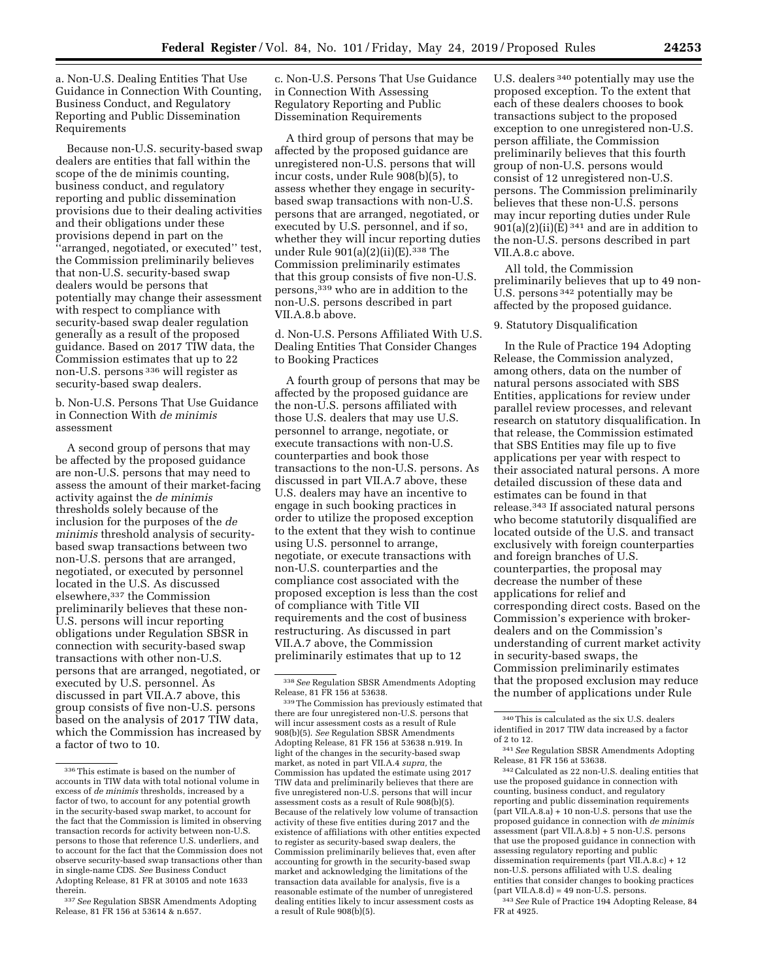a. Non-U.S. Dealing Entities That Use Guidance in Connection With Counting, Business Conduct, and Regulatory Reporting and Public Dissemination Requirements

Because non-U.S. security-based swap dealers are entities that fall within the scope of the de minimis counting, business conduct, and regulatory reporting and public dissemination provisions due to their dealing activities and their obligations under these provisions depend in part on the ''arranged, negotiated, or executed'' test, the Commission preliminarily believes that non-U.S. security-based swap dealers would be persons that potentially may change their assessment with respect to compliance with security-based swap dealer regulation generally as a result of the proposed guidance. Based on 2017 TIW data, the Commission estimates that up to 22 non-U.S. persons 336 will register as security-based swap dealers.

b. Non-U.S. Persons That Use Guidance in Connection With *de minimis*  assessment

A second group of persons that may be affected by the proposed guidance are non-U.S. persons that may need to assess the amount of their market-facing activity against the *de minimis*  thresholds solely because of the inclusion for the purposes of the *de minimis* threshold analysis of securitybased swap transactions between two non-U.S. persons that are arranged, negotiated, or executed by personnel located in the U.S. As discussed elsewhere,337 the Commission preliminarily believes that these non-U.S. persons will incur reporting obligations under Regulation SBSR in connection with security-based swap transactions with other non-U.S. persons that are arranged, negotiated, or executed by U.S. personnel. As discussed in part VII.A.7 above, this group consists of five non-U.S. persons based on the analysis of 2017 TIW data, which the Commission has increased by a factor of two to 10.

c. Non-U.S. Persons That Use Guidance in Connection With Assessing Regulatory Reporting and Public Dissemination Requirements

A third group of persons that may be affected by the proposed guidance are unregistered non-U.S. persons that will incur costs, under Rule 908(b)(5), to assess whether they engage in securitybased swap transactions with non-U.S. persons that are arranged, negotiated, or executed by U.S. personnel, and if so, whether they will incur reporting duties under Rule 901(a)(2)(ii)(E).338 The Commission preliminarily estimates that this group consists of five non-U.S. persons,339 who are in addition to the non-U.S. persons described in part VII.A.8.b above.

d. Non-U.S. Persons Affiliated With U.S. Dealing Entities That Consider Changes to Booking Practices

A fourth group of persons that may be affected by the proposed guidance are the non-U.S. persons affiliated with those U.S. dealers that may use U.S. personnel to arrange, negotiate, or execute transactions with non-U.S. counterparties and book those transactions to the non-U.S. persons. As discussed in part VII.A.7 above, these U.S. dealers may have an incentive to engage in such booking practices in order to utilize the proposed exception to the extent that they wish to continue using U.S. personnel to arrange, negotiate, or execute transactions with non-U.S. counterparties and the compliance cost associated with the proposed exception is less than the cost of compliance with Title VII requirements and the cost of business restructuring. As discussed in part VII.A.7 above, the Commission preliminarily estimates that up to 12

U.S. dealers 340 potentially may use the proposed exception. To the extent that each of these dealers chooses to book transactions subject to the proposed exception to one unregistered non-U.S. person affiliate, the Commission preliminarily believes that this fourth group of non-U.S. persons would consist of 12 unregistered non-U.S. persons. The Commission preliminarily believes that these non-U.S. persons may incur reporting duties under Rule  $901(a)(2)(ii)(E)$ <sup>341</sup> and are in addition to the non-U.S. persons described in part VII.A.8.c above.

All told, the Commission preliminarily believes that up to 49 non-U.S. persons 342 potentially may be affected by the proposed guidance.

# 9. Statutory Disqualification

In the Rule of Practice 194 Adopting Release, the Commission analyzed, among others, data on the number of natural persons associated with SBS Entities, applications for review under parallel review processes, and relevant research on statutory disqualification. In that release, the Commission estimated that SBS Entities may file up to five applications per year with respect to their associated natural persons. A more detailed discussion of these data and estimates can be found in that release.343 If associated natural persons who become statutorily disqualified are located outside of the U.S. and transact exclusively with foreign counterparties and foreign branches of U.S. counterparties, the proposal may decrease the number of these applications for relief and corresponding direct costs. Based on the Commission's experience with brokerdealers and on the Commission's understanding of current market activity in security-based swaps, the Commission preliminarily estimates that the proposed exclusion may reduce the number of applications under Rule

342Calculated as 22 non-U.S. dealing entities that use the proposed guidance in connection with counting, business conduct, and regulatory reporting and public dissemination requirements  ${\rm (part VII.A.8.a)} + 10$  non-U.S. persons that use the proposed guidance in connection with *de minimis*  assessment (part VII.A.8.b) + 5 non-U.S. persons that use the proposed guidance in connection with assessing regulatory reporting and public dissemination requirements (part VII.A.8.c) + 12 non-U.S. persons affiliated with U.S. dealing entities that consider changes to booking practices  $(part VII.A.8.d) = 49 non-U.S. persons.$ 

343*See* Rule of Practice 194 Adopting Release, 84 FR at 4925.

 $^{\rm 336}\rm{This}$  estimate is based on the number of accounts in TIW data with total notional volume in excess of *de minimis* thresholds, increased by a factor of two, to account for any potential growth in the security-based swap market, to account for the fact that the Commission is limited in observing transaction records for activity between non-U.S. persons to those that reference U.S. underliers, and to account for the fact that the Commission does not observe security-based swap transactions other than in single-name CDS. *See* Business Conduct Adopting Release, 81 FR at 30105 and note 1633 therein.

<sup>337</sup>*See* Regulation SBSR Amendments Adopting Release, 81 FR 156 at 53614 & n.657.

<sup>338</sup>*See* Regulation SBSR Amendments Adopting Release, 81 FR 156 at 53638.

<sup>339</sup>The Commission has previously estimated that there are four unregistered non-U.S. persons that will incur assessment costs as a result of Rule 908(b)(5). *See* Regulation SBSR Amendments Adopting Release, 81 FR 156 at 53638 n.919. In light of the changes in the security-based swap market, as noted in part VII.A.4 *supra,* the Commission has updated the estimate using 2017 TIW data and preliminarily believes that there are five unregistered non-U.S. persons that will incur assessment costs as a result of Rule 908(b)(5). Because of the relatively low volume of transaction activity of these five entities during 2017 and the existence of affiliations with other entities expected to register as security-based swap dealers, the Commission preliminarily believes that, even after accounting for growth in the security-based swap market and acknowledging the limitations of the transaction data available for analysis, five is a reasonable estimate of the number of unregistered dealing entities likely to incur assessment costs as a result of Rule 908(b)(5).

<sup>340</sup>This is calculated as the six U.S. dealers identified in 2017 TIW data increased by a factor of 2 to 12.

<sup>341</sup>*See* Regulation SBSR Amendments Adopting Release, 81 FR 156 at 53638.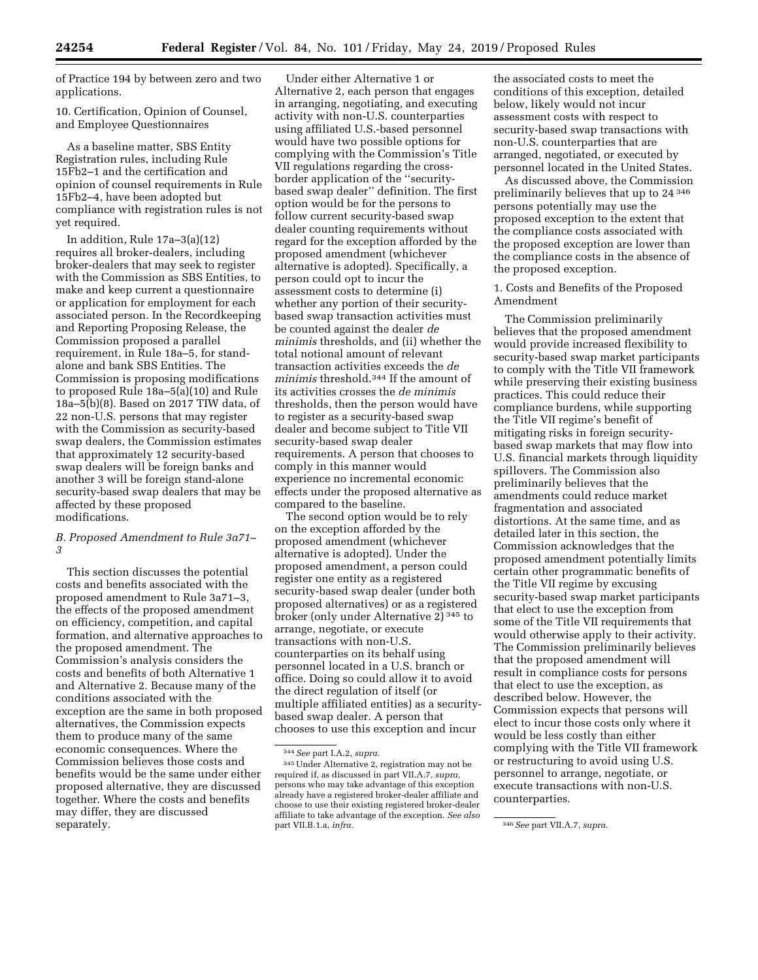of Practice 194 by between zero and two applications.

10. Certification, Opinion of Counsel, and Employee Questionnaires

As a baseline matter, SBS Entity Registration rules, including Rule 15Fb2–1 and the certification and opinion of counsel requirements in Rule 15Fb2–4, have been adopted but compliance with registration rules is not yet required.

In addition, Rule 17a–3(a)(12) requires all broker-dealers, including broker-dealers that may seek to register with the Commission as SBS Entities, to make and keep current a questionnaire or application for employment for each associated person. In the Recordkeeping and Reporting Proposing Release, the Commission proposed a parallel requirement, in Rule 18a–5, for standalone and bank SBS Entities. The Commission is proposing modifications to proposed Rule 18a–5(a)(10) and Rule 18a–5(b)(8). Based on 2017 TIW data, of 22 non-U.S. persons that may register with the Commission as security-based swap dealers, the Commission estimates that approximately 12 security-based swap dealers will be foreign banks and another 3 will be foreign stand-alone security-based swap dealers that may be affected by these proposed modifications.

### *B. Proposed Amendment to Rule 3a71– 3*

This section discusses the potential costs and benefits associated with the proposed amendment to Rule 3a71–3, the effects of the proposed amendment on efficiency, competition, and capital formation, and alternative approaches to the proposed amendment. The Commission's analysis considers the costs and benefits of both Alternative 1 and Alternative 2. Because many of the conditions associated with the exception are the same in both proposed alternatives, the Commission expects them to produce many of the same economic consequences. Where the Commission believes those costs and benefits would be the same under either proposed alternative, they are discussed together. Where the costs and benefits may differ, they are discussed separately.

Under either Alternative 1 or Alternative 2, each person that engages in arranging, negotiating, and executing activity with non-U.S. counterparties using affiliated U.S.-based personnel would have two possible options for complying with the Commission's Title VII regulations regarding the crossborder application of the ''securitybased swap dealer'' definition. The first option would be for the persons to follow current security-based swap dealer counting requirements without regard for the exception afforded by the proposed amendment (whichever alternative is adopted). Specifically, a person could opt to incur the assessment costs to determine (i) whether any portion of their securitybased swap transaction activities must be counted against the dealer *de minimis* thresholds, and (ii) whether the total notional amount of relevant transaction activities exceeds the *de minimis* threshold.344 If the amount of its activities crosses the *de minimis*  thresholds, then the person would have to register as a security-based swap dealer and become subject to Title VII security-based swap dealer requirements. A person that chooses to comply in this manner would experience no incremental economic effects under the proposed alternative as compared to the baseline.

The second option would be to rely on the exception afforded by the proposed amendment (whichever alternative is adopted). Under the proposed amendment, a person could register one entity as a registered security-based swap dealer (under both proposed alternatives) or as a registered broker (only under Alternative 2) 345 to arrange, negotiate, or execute transactions with non-U.S. counterparties on its behalf using personnel located in a U.S. branch or office. Doing so could allow it to avoid the direct regulation of itself (or multiple affiliated entities) as a securitybased swap dealer. A person that chooses to use this exception and incur

the associated costs to meet the conditions of this exception, detailed below, likely would not incur assessment costs with respect to security-based swap transactions with non-U.S. counterparties that are arranged, negotiated, or executed by personnel located in the United States.

As discussed above, the Commission preliminarily believes that up to 24 346 persons potentially may use the proposed exception to the extent that the compliance costs associated with the proposed exception are lower than the compliance costs in the absence of the proposed exception.

1. Costs and Benefits of the Proposed Amendment

The Commission preliminarily believes that the proposed amendment would provide increased flexibility to security-based swap market participants to comply with the Title VII framework while preserving their existing business practices. This could reduce their compliance burdens, while supporting the Title VII regime's benefit of mitigating risks in foreign securitybased swap markets that may flow into U.S. financial markets through liquidity spillovers. The Commission also preliminarily believes that the amendments could reduce market fragmentation and associated distortions. At the same time, and as detailed later in this section, the Commission acknowledges that the proposed amendment potentially limits certain other programmatic benefits of the Title VII regime by excusing security-based swap market participants that elect to use the exception from some of the Title VII requirements that would otherwise apply to their activity. The Commission preliminarily believes that the proposed amendment will result in compliance costs for persons that elect to use the exception, as described below. However, the Commission expects that persons will elect to incur those costs only where it would be less costly than either complying with the Title VII framework or restructuring to avoid using U.S. personnel to arrange, negotiate, or execute transactions with non-U.S. counterparties.

<sup>344</sup>*See* part I.A.2, *supra.* 

<sup>345</sup>Under Alternative 2, registration may not be required if, as discussed in part VII.A.7, *supra,*  persons who may take advantage of this exception already have a registered broker-dealer affiliate and choose to use their existing registered broker-dealer affiliate to take advantage of the exception. *See also* 

part VII.B.1.a, *infra.* 346*See* part VII.A.7, *supra.*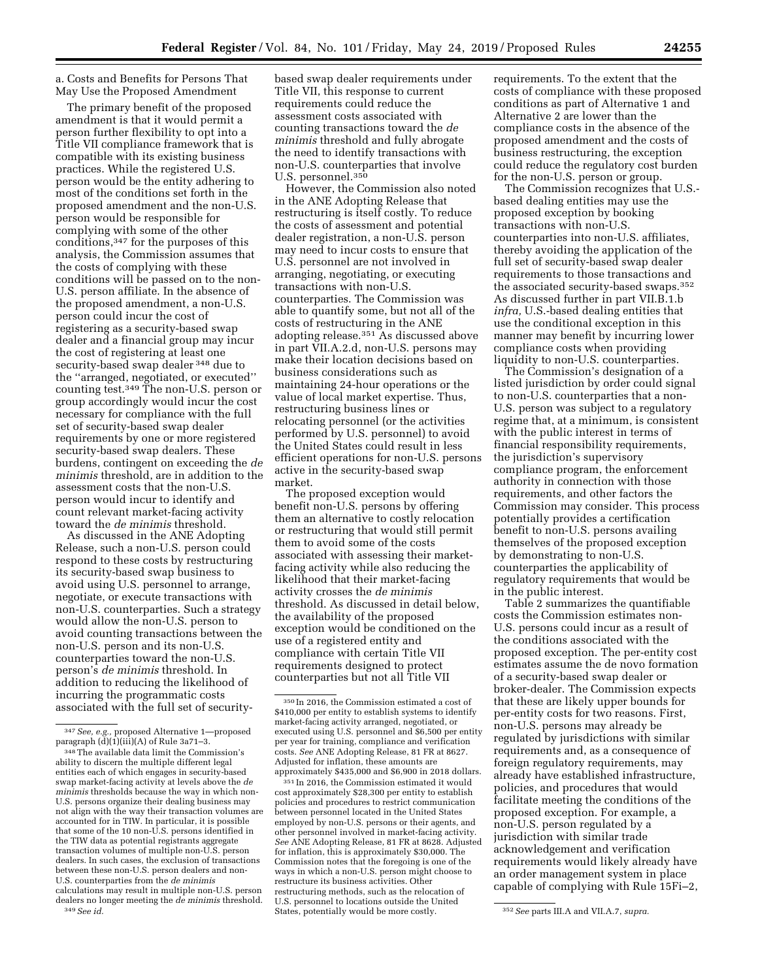a. Costs and Benefits for Persons That May Use the Proposed Amendment

The primary benefit of the proposed amendment is that it would permit a person further flexibility to opt into a Title VII compliance framework that is compatible with its existing business practices. While the registered U.S. person would be the entity adhering to most of the conditions set forth in the proposed amendment and the non-U.S. person would be responsible for complying with some of the other conditions,347 for the purposes of this analysis, the Commission assumes that the costs of complying with these conditions will be passed on to the non-U.S. person affiliate. In the absence of the proposed amendment, a non-U.S. person could incur the cost of registering as a security-based swap dealer and a financial group may incur the cost of registering at least one security-based swap dealer 348 due to the ''arranged, negotiated, or executed'' counting test.349 The non-U.S. person or group accordingly would incur the cost necessary for compliance with the full set of security-based swap dealer requirements by one or more registered security-based swap dealers. These burdens, contingent on exceeding the *de minimis* threshold, are in addition to the assessment costs that the non-U.S. person would incur to identify and count relevant market-facing activity toward the *de minimis* threshold.

As discussed in the ANE Adopting Release, such a non-U.S. person could respond to these costs by restructuring its security-based swap business to avoid using U.S. personnel to arrange, negotiate, or execute transactions with non-U.S. counterparties. Such a strategy would allow the non-U.S. person to avoid counting transactions between the non-U.S. person and its non-U.S. counterparties toward the non-U.S. person's *de minimis* threshold. In addition to reducing the likelihood of incurring the programmatic costs associated with the full set of security-

based swap dealer requirements under Title VII, this response to current requirements could reduce the assessment costs associated with counting transactions toward the *de minimis* threshold and fully abrogate the need to identify transactions with non-U.S. counterparties that involve U.S. personnel.350

However, the Commission also noted in the ANE Adopting Release that restructuring is itself costly. To reduce the costs of assessment and potential dealer registration, a non-U.S. person may need to incur costs to ensure that U.S. personnel are not involved in arranging, negotiating, or executing transactions with non-U.S. counterparties. The Commission was able to quantify some, but not all of the costs of restructuring in the ANE adopting release.351 As discussed above in part VII.A.2.d, non-U.S. persons may make their location decisions based on business considerations such as maintaining 24-hour operations or the value of local market expertise. Thus, restructuring business lines or relocating personnel (or the activities performed by U.S. personnel) to avoid the United States could result in less efficient operations for non-U.S. persons active in the security-based swap market.

The proposed exception would benefit non-U.S. persons by offering them an alternative to costly relocation or restructuring that would still permit them to avoid some of the costs associated with assessing their marketfacing activity while also reducing the likelihood that their market-facing activity crosses the *de minimis*  threshold. As discussed in detail below, the availability of the proposed exception would be conditioned on the use of a registered entity and compliance with certain Title VII requirements designed to protect counterparties but not all Title VII

351 In 2016, the Commission estimated it would cost approximately \$28,300 per entity to establish policies and procedures to restrict communication between personnel located in the United States employed by non-U.S. persons or their agents, and other personnel involved in market-facing activity. *See* ANE Adopting Release, 81 FR at 8628. Adjusted for inflation, this is approximately \$30,000. The Commission notes that the foregoing is one of the ways in which a non-U.S. person might choose to restructure its business activities. Other restructuring methods, such as the relocation of U.S. personnel to locations outside the United States, potentially would be more costly. 352*See* parts III.A and VII.A.7, *supra.* 

requirements. To the extent that the costs of compliance with these proposed conditions as part of Alternative 1 and Alternative 2 are lower than the compliance costs in the absence of the proposed amendment and the costs of business restructuring, the exception could reduce the regulatory cost burden for the non-U.S. person or group.

The Commission recognizes that U.S. based dealing entities may use the proposed exception by booking transactions with non-U.S. counterparties into non-U.S. affiliates, thereby avoiding the application of the full set of security-based swap dealer requirements to those transactions and the associated security-based swaps.352 As discussed further in part VII.B.1.b *infra,* U.S.-based dealing entities that use the conditional exception in this manner may benefit by incurring lower compliance costs when providing liquidity to non-U.S. counterparties.

The Commission's designation of a listed jurisdiction by order could signal to non-U.S. counterparties that a non-U.S. person was subject to a regulatory regime that, at a minimum, is consistent with the public interest in terms of financial responsibility requirements, the jurisdiction's supervisory compliance program, the enforcement authority in connection with those requirements, and other factors the Commission may consider. This process potentially provides a certification benefit to non-U.S. persons availing themselves of the proposed exception by demonstrating to non-U.S. counterparties the applicability of regulatory requirements that would be in the public interest.

Table 2 summarizes the quantifiable costs the Commission estimates non-U.S. persons could incur as a result of the conditions associated with the proposed exception. The per-entity cost estimates assume the de novo formation of a security-based swap dealer or broker-dealer. The Commission expects that these are likely upper bounds for per-entity costs for two reasons. First, non-U.S. persons may already be regulated by jurisdictions with similar requirements and, as a consequence of foreign regulatory requirements, may already have established infrastructure, policies, and procedures that would facilitate meeting the conditions of the proposed exception. For example, a non-U.S. person regulated by a jurisdiction with similar trade acknowledgement and verification requirements would likely already have an order management system in place capable of complying with Rule 15Fi–2,

<sup>347</sup>*See, e.g.,* proposed Alternative 1—proposed paragraph (d)(1)(iii)(A) of Rule 3a71–3.

<sup>348</sup>The available data limit the Commission's ability to discern the multiple different legal entities each of which engages in security-based swap market-facing activity at levels above the *de minimis* thresholds because the way in which non-U.S. persons organize their dealing business may not align with the way their transaction volumes are accounted for in TIW. In particular, it is possible that some of the 10 non-U.S. persons identified in the TIW data as potential registrants aggregate transaction volumes of multiple non-U.S. person dealers. In such cases, the exclusion of transactions between these non-U.S. person dealers and non-U.S. counterparties from the *de minimis*  calculations may result in multiple non-U.S. person dealers no longer meeting the *de minimis* threshold. 349*See id.* 

<sup>350</sup> In 2016, the Commission estimated a cost of \$410,000 per entity to establish systems to identify market-facing activity arranged, negotiated, or executed using U.S. personnel and \$6,500 per entity per year for training, compliance and verification costs. *See* ANE Adopting Release, 81 FR at 8627. Adjusted for inflation, these amounts are approximately \$435,000 and \$6,900 in 2018 dollars.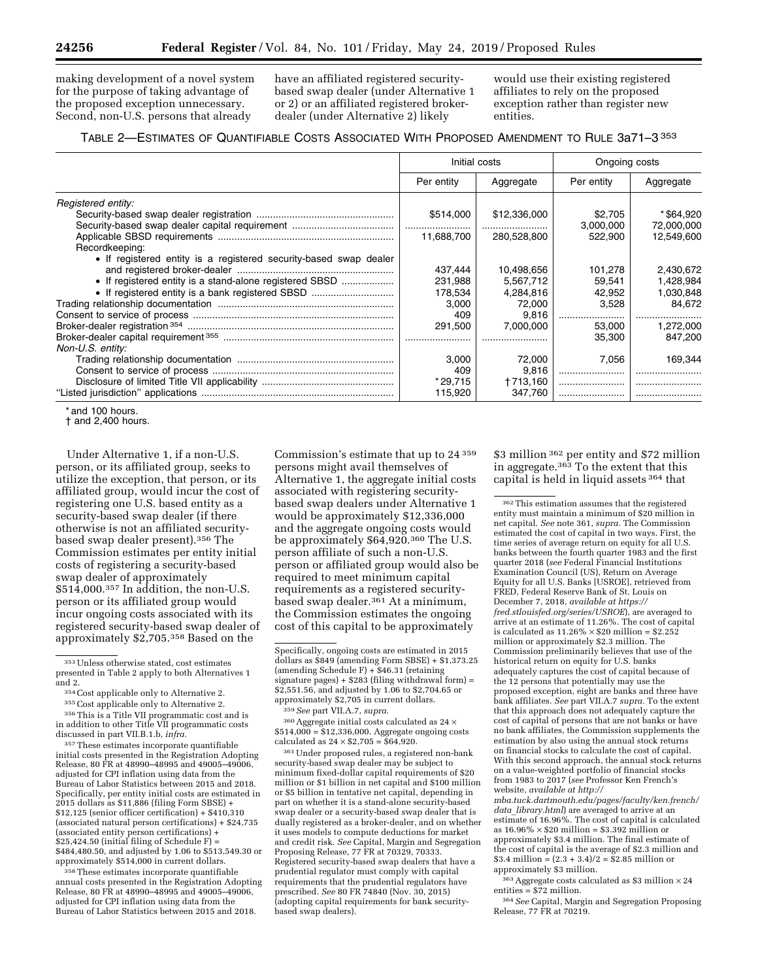making development of a novel system for the purpose of taking advantage of the proposed exception unnecessary. Second, non-U.S. persons that already

have an affiliated registered securitybased swap dealer (under Alternative 1 or 2) or an affiliated registered brokerdealer (under Alternative 2) likely

would use their existing registered affiliates to rely on the proposed exception rather than register new entities.

| TABLE 2-ESTIMATES OF QUANTIFIABLE COSTS ASSOCIATED WITH PROPOSED AMENDMENT TO RULE 3a71-3 <sup>353</sup> |  |  |
|----------------------------------------------------------------------------------------------------------|--|--|
|----------------------------------------------------------------------------------------------------------|--|--|

|                                                                   | Initial costs |              | Ongoing costs |            |
|-------------------------------------------------------------------|---------------|--------------|---------------|------------|
|                                                                   | Per entity    | Aggregate    | Per entity    | Aggregate  |
| Registered entity:                                                |               |              |               |            |
|                                                                   | \$514,000     | \$12,336,000 | \$2,705       | * \$64,920 |
|                                                                   |               |              | 3.000.000     | 72,000,000 |
|                                                                   | 11.688.700    | 280.528.800  | 522.900       | 12,549,600 |
| Recordkeeping:                                                    |               |              |               |            |
| • If registered entity is a registered security-based swap dealer |               |              |               |            |
|                                                                   | 437.444       | 10,498,656   | 101,278       | 2,430,672  |
|                                                                   | 231,988       | 5,567,712    | 59.541        | 1,428,984  |
| • If registered entity is a bank registered SBSD                  | 178,534       | 4,284,816    | 42,952        | 1,030,848  |
|                                                                   | 3.000         | 72.000       | 3,528         | 84.672     |
|                                                                   | 409           | 9,816        |               |            |
|                                                                   | 291,500       | 7.000.000    | 53,000        | 1,272,000  |
|                                                                   |               |              | 35,300        | 847.200    |
| Non-U.S. entity:                                                  |               |              |               |            |
|                                                                   | 3.000         | 72.000       | 7,056         | 169.344    |
|                                                                   | 409           | 9,816        |               |            |
|                                                                   | * 29.715      | +713,160     |               |            |
|                                                                   | 115,920       | 347.760      |               |            |

\* and 100 hours.

† and 2,400 hours.

Under Alternative 1, if a non-U.S. person, or its affiliated group, seeks to utilize the exception, that person, or its affiliated group, would incur the cost of registering one U.S. based entity as a security-based swap dealer (if there otherwise is not an affiliated securitybased swap dealer present).356 The Commission estimates per entity initial costs of registering a security-based swap dealer of approximately \$514,000.357 In addition, the non-U.S. person or its affiliated group would incur ongoing costs associated with its registered security-based swap dealer of approximately \$2,705.358 Based on the

<sup>354</sup> Cost applicable only to Alternative 2.<br><sup>355</sup> Cost applicable only to Alternative 2.<br><sup>356</sup> This is a Title VII programmatic cost and is in addition to other Title VII programmatic costs discussed in part VII.B.1.b, *infra.* 

357These estimates incorporate quantifiable initial costs presented in the Registration Adopting Release, 80 FR at 48990–48995 and 49005–49006, adjusted for CPI inflation using data from the Bureau of Labor Statistics between 2015 and 2018. Specifically, per entity initial costs are estimated in 2015 dollars as \$11,886 (filing Form SBSE) + \$12,125 (senior officer certification) + \$410,310 (associated natural person certifications) + \$24,735 (associated entity person certifications) + \$25,424.50 (initial filing of Schedule F) = \$484,480.50, and adjusted by 1.06 to \$513,549.30 or approximately \$514,000 in current dollars.

358These estimates incorporate quantifiable annual costs presented in the Registration Adopting Release, 80 FR at 48990–48995 and 49005–49006, adjusted for CPI inflation using data from the Bureau of Labor Statistics between 2015 and 2018.

Commission's estimate that up to 24 359 persons might avail themselves of Alternative 1, the aggregate initial costs associated with registering securitybased swap dealers under Alternative 1 would be approximately \$12,336,000 and the aggregate ongoing costs would be approximately \$64,920.<sup>360</sup> The U.S. person affiliate of such a non-U.S. person or affiliated group would also be required to meet minimum capital requirements as a registered securitybased swap dealer.<sup>361</sup> At a minimum, the Commission estimates the ongoing cost of this capital to be approximately

359*See* part VII.A.7, *supra.* 

360Aggregate initial costs calculated as 24 × \$514,000 = \$12,336,000. Aggregate ongoing costs calculated as  $24 \times $2,705 = $64,920$ .

361Under proposed rules, a registered non-bank security-based swap dealer may be subject to minimum fixed-dollar capital requirements of \$20 million or \$1 billion in net capital and \$100 million or \$5 billion in tentative net capital, depending in part on whether it is a stand-alone security-based swap dealer or a security-based swap dealer that is dually registered as a broker-dealer, and on whether it uses models to compute deductions for market and credit risk. *See* Capital, Margin and Segregation Proposing Release, 77 FR at 70329, 70333. Registered security-based swap dealers that have a prudential regulator must comply with capital requirements that the prudential regulators have prescribed. *See* 80 FR 74840 (Nov. 30, 2015) (adopting capital requirements for bank securitybased swap dealers).

\$3 million 362 per entity and \$72 million in aggregate.363 To the extent that this capital is held in liquid assets 364 that

*data*\_*[library.html](http://mba.tuck.dartmouth.edu/pages/faculty/ken.french/data_library.html)*) are averaged to arrive at an estimate of 16.96%. The cost of capital is calculated as  $16.96\% \times $20$  million = \$3.392 million or approximately \$3.4 million. The final estimate of the cost of capital is the average of \$2.3 million and  $$3.4$  million =  $(2.3 + 3.4)/2 = $2.85$  million or approximately \$3 million.

 $363$  Aggregate costs calculated as \$3 million  $\times 24$ entities = \$72 million.

364*See* Capital, Margin and Segregation Proposing Release, 77 FR at 70219.

<sup>353</sup>Unless otherwise stated, cost estimates presented in Table 2 apply to both Alternatives 1

Specifically, ongoing costs are estimated in 2015 dollars as \$849 (amending Form SBSE) + \$1,373.25 (amending Schedule F) + \$46.31 (retaining signature pages)  $+$  \$283 (filing withdrawal form) = \$2,551.56, and adjusted by 1.06 to \$2,704.65 or approximately \$2,705 in current dollars.

<sup>362</sup>This estimation assumes that the registered entity must maintain a minimum of \$20 million in net capital. *See* note 361, *supra.* The Commission estimated the cost of capital in two ways. First, the time series of average return on equity for all U.S. banks between the fourth quarter 1983 and the first quarter 2018 (*see* Federal Financial Institutions Examination Council (US), Return on Average Equity for all U.S. Banks [USROE], retrieved from FRED, Federal Reserve Bank of St. Louis on December 7, 2018, *available at [https://](https://fred.stlouisfed.org/series/USROE) [fred.stlouisfed.org/series/USROE](https://fred.stlouisfed.org/series/USROE)*), are averaged to arrive at an estimate of 11.26%. The cost of capital is calculated as  $11.26\% \times $20$  million =  $$2.252$ million or approximately \$2.3 million. The Commission preliminarily believes that use of the historical return on equity for U.S. banks adequately captures the cost of capital because of the 12 persons that potentially may use the proposed exception, eight are banks and three have bank affiliates. *See* part VII.A.7 *supra.* To the extent that this approach does not adequately capture the cost of capital of persons that are not banks or have no bank affiliates, the Commission supplements the estimation by also using the annual stock returns on financial stocks to calculate the cost of capital. With this second approach, the annual stock returns on a value-weighted portfolio of financial stocks from 1983 to 2017 (*see* Professor Ken French's website, *available at [http://](http://mba.tuck.dartmouth.edu/pages/faculty/ken.french/data_library.html) [mba.tuck.dartmouth.edu/pages/faculty/ken.french/](http://mba.tuck.dartmouth.edu/pages/faculty/ken.french/data_library.html)*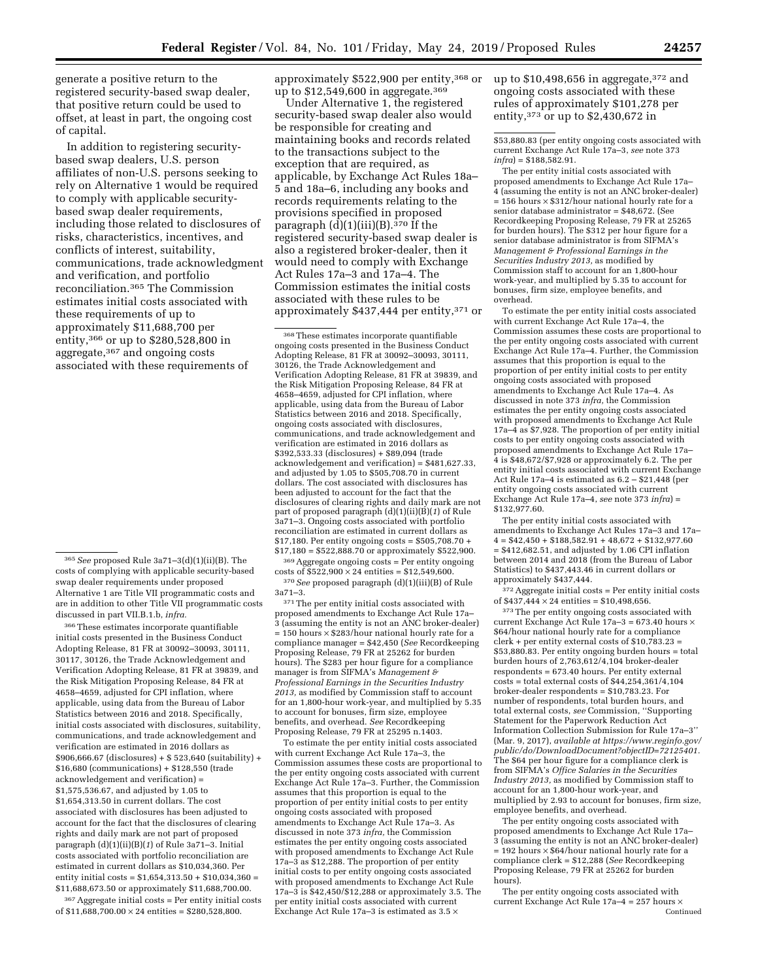generate a positive return to the registered security-based swap dealer, that positive return could be used to offset, at least in part, the ongoing cost of capital.

In addition to registering securitybased swap dealers, U.S. person affiliates of non-U.S. persons seeking to rely on Alternative 1 would be required to comply with applicable securitybased swap dealer requirements, including those related to disclosures of risks, characteristics, incentives, and conflicts of interest, suitability, communications, trade acknowledgment and verification, and portfolio reconciliation.365 The Commission estimates initial costs associated with these requirements of up to approximately \$11,688,700 per entity,366 or up to \$280,528,800 in aggregate,367 and ongoing costs associated with these requirements of

366These estimates incorporate quantifiable initial costs presented in the Business Conduct Adopting Release, 81 FR at 30092–30093, 30111, 30117, 30126, the Trade Acknowledgement and Verification Adopting Release, 81 FR at 39839, and the Risk Mitigation Proposing Release, 84 FR at 4658–4659, adjusted for CPI inflation, where applicable, using data from the Bureau of Labor Statistics between 2016 and 2018. Specifically, initial costs associated with disclosures, suitability, communications, and trade acknowledgement and verification are estimated in 2016 dollars as \$906,666.67 (disclosures) + \$ 523,640 (suitability) + \$16,680 (communications) + \$128,550 (trade acknowledgement and verification) = \$1,575,536.67, and adjusted by 1.05 to \$1,654,313.50 in current dollars. The cost associated with disclosures has been adjusted to account for the fact that the disclosures of clearing rights and daily mark are not part of proposed paragraph (d)(1)(ii)(B)(*1*) of Rule 3a71–3. Initial costs associated with portfolio reconciliation are estimated in current dollars as \$10,034,360. Per entity initial costs = \$1,654,313.50 + \$10,034,360 = \$11,688,673.50 or approximately \$11,688,700.00.

367Aggregate initial costs = Per entity initial costs of  $$11,688,700.00 \times 24$  entities =  $$280,528,800$ .

approximately \$522,900 per entity,368 or up to \$12,549,600 in aggregate.<sup>369</sup>

Under Alternative 1, the registered security-based swap dealer also would be responsible for creating and maintaining books and records related to the transactions subject to the exception that are required, as applicable, by Exchange Act Rules 18a– 5 and 18a–6, including any books and records requirements relating to the provisions specified in proposed paragraph  $(d)(1)(iii)(B).$ <sup>370</sup> If the registered security-based swap dealer is also a registered broker-dealer, then it would need to comply with Exchange Act Rules 17a–3 and 17a–4. The Commission estimates the initial costs associated with these rules to be approximately \$437,444 per entity,371 or

368These estimates incorporate quantifiable ongoing costs presented in the Business Conduct Adopting Release, 81 FR at 30092–30093, 30111, 30126, the Trade Acknowledgement and Verification Adopting Release, 81 FR at 39839, and the Risk Mitigation Proposing Release, 84 FR at 4658–4659, adjusted for CPI inflation, where applicable, using data from the Bureau of Labor Statistics between 2016 and 2018. Specifically, ongoing costs associated with disclosures, communications, and trade acknowledgement and verification are estimated in 2016 dollars as \$392,533.33 (disclosures) + \$89,094 (trade acknowledgement and verification) = \$481,627.33, and adjusted by 1.05 to \$505,708.70 in current dollars. The cost associated with disclosures has been adjusted to account for the fact that the disclosures of clearing rights and daily mark are not part of proposed paragraph (d)(1)(ii)(B)(*1*) of Rule 3a71–3. Ongoing costs associated with portfolio reconciliation are estimated in current dollars as \$17,180. Per entity ongoing costs = \$505,708.70 + \$17,180 = \$522,888.70 or approximately \$522,900.

369Aggregate ongoing costs = Per entity ongoing costs of  $$522,900 \times 24$  entities = \$12,549,600.

370*See* proposed paragraph (d)(1)(iii)(B) of Rule 3a71–3.

371The per entity initial costs associated with proposed amendments to Exchange Act Rule 17a– 3 (assuming the entity is not an ANC broker-dealer)  $= 150$  hours  $\times$  \$283/hour national hourly rate for a compliance manager = \$42,450 (*See* Recordkeeping Proposing Release, 79 FR at 25262 for burden hours). The \$283 per hour figure for a compliance manager is from SIFMA's *Management & Professional Earnings in the Securities Industry 2013,* as modified by Commission staff to account for an 1,800-hour work-year, and multiplied by 5.35 to account for bonuses, firm size, employee benefits, and overhead. *See* Recordkeeping Proposing Release, 79 FR at 25295 n.1403.

To estimate the per entity initial costs associated with current Exchange Act Rule 17a–3, the Commission assumes these costs are proportional to the per entity ongoing costs associated with current Exchange Act Rule 17a–3. Further, the Commission assumes that this proportion is equal to the proportion of per entity initial costs to per entity ongoing costs associated with proposed amendments to Exchange Act Rule 17a–3. As discussed in note 373 *infra,* the Commission estimates the per entity ongoing costs associated with proposed amendments to Exchange Act Rule 17a–3 as \$12,288. The proportion of per entity initial costs to per entity ongoing costs associated with proposed amendments to Exchange Act Rule 17a–3 is \$42,450/\$12,288 or approximately 3.5. The per entity initial costs associated with current Exchange Act Rule 17a-3 is estimated as  $3.5 \times$ 

up to  $$10,498,656$  in aggregate,  $$372$  and ongoing costs associated with these rules of approximately \$101,278 per entity,373 or up to \$2,430,672 in

\$53,880.83 (per entity ongoing costs associated with current Exchange Act Rule 17a–3, *see* note 373 *infra*) = \$188,582.91.

The per entity initial costs associated with proposed amendments to Exchange Act Rule 17a– 4 (assuming the entity is not an ANC broker-dealer)  $= 156$  hours  $\times$  \$312/hour national hourly rate for a senior database administrator = \$48,672. (See Recordkeeping Proposing Release, 79 FR at 25265 for burden hours). The \$312 per hour figure for a senior database administrator is from SIFMA's *Management & Professional Earnings in the Securities Industry 2013,* as modified by Commission staff to account for an 1,800-hour work-year, and multiplied by 5.35 to account for bonuses, firm size, employee benefits, and overhead.

To estimate the per entity initial costs associated with current Exchange Act Rule 17a–4, the Commission assumes these costs are proportional to the per entity ongoing costs associated with current Exchange Act Rule 17a–4. Further, the Commission assumes that this proportion is equal to the proportion of per entity initial costs to per entity ongoing costs associated with proposed amendments to Exchange Act Rule 17a–4. As discussed in note 373 *infra,* the Commission estimates the per entity ongoing costs associated with proposed amendments to Exchange Act Rule 17a–4 as \$7,928. The proportion of per entity initial costs to per entity ongoing costs associated with proposed amendments to Exchange Act Rule 17a– 4 is \$48,672/\$7,928 or approximately 6.2. The per entity initial costs associated with current Exchange Act Rule 17a–4 is estimated as 6.2 – \$21,448 (per entity ongoing costs associated with current Exchange Act Rule 17a–4, *see* note 373 *infra*) = \$132,977.60.

The per entity initial costs associated with amendments to Exchange Act Rules 17a–3 and 17a–  $4 = $42,450 + $188,582.91 + 48,672 + $132,977.60$  $= $412.682.51$ , and adjusted by 1.06 CPI inflation between 2014 and 2018 (from the Bureau of Labor Statistics) to \$437,443.46 in current dollars or approximately \$437,444.

 $372$  Aggregate initial costs = Per entity initial costs of  $$437,444 \times 24$  entities = \$10,498,656.

 $^{\rm 373}\rm{The}$  per entity ongoing costs associated with current Exchange Act Rule 17a–3 = 673.40 hours  $\times$ \$64/hour national hourly rate for a compliance clerk + per entity external costs of \$10,783.23 = \$53,880.83. Per entity ongoing burden hours = total burden hours of 2,763,612/4,104 broker-dealer respondents = 673.40 hours. Per entity external  $costs = total external costs of $44,254,361/4,104$ broker-dealer respondents = \$10,783.23. For number of respondents, total burden hours, and total external costs, *see* Commission, ''Supporting Statement for the Paperwork Reduction Act Information Collection Submission for Rule 17a–3'' (Mar. 9, 2017), *available at [https://www.reginfo.gov/](https://www.reginfo.gov/public/do/DownloadDocument?objectID=72125401)  [public/do/DownloadDocument?objectID=72125401.](https://www.reginfo.gov/public/do/DownloadDocument?objectID=72125401)*  The \$64 per hour figure for a compliance clerk is from SIFMA's *Office Salaries in the Securities Industry 2013,* as modified by Commission staff to account for an 1,800-hour work-year, and multiplied by 2.93 to account for bonuses, firm size, employee benefits, and overhead.

The per entity ongoing costs associated with proposed amendments to Exchange Act Rule 17a– 3 (assuming the entity is not an ANC broker-dealer)  $= 192$  hours  $\times$  \$64/hour national hourly rate for a compliance clerk = \$12,288 (*See* Recordkeeping Proposing Release, 79 FR at 25262 for burden hours).

The per entity ongoing costs associated with current Exchange Act Rule  $17a-4 = 257$  hours  $\times$ Continued

<sup>365</sup>*See* proposed Rule 3a71–3(d)(1)(ii)(B). The costs of complying with applicable security-based swap dealer requirements under proposed Alternative 1 are Title VII programmatic costs and are in addition to other Title VII programmatic costs discussed in part VII.B.1.b, *infra.*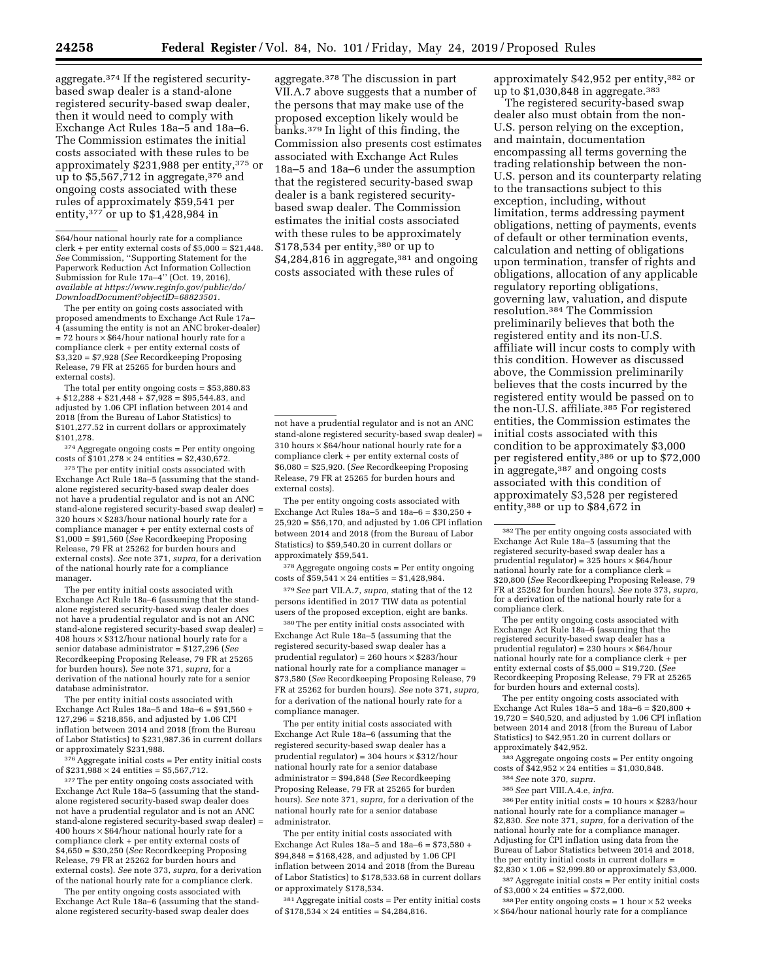aggregate.374 If the registered securitybased swap dealer is a stand-alone registered security-based swap dealer, then it would need to comply with Exchange Act Rules 18a–5 and 18a–6. The Commission estimates the initial costs associated with these rules to be approximately \$231,988 per entity,375 or up to \$5,567,712 in aggregate,<sup>376</sup> and ongoing costs associated with these rules of approximately \$59,541 per entity,  $377$  or up to \$1,428,984 in

\$64/hour national hourly rate for a compliance clerk + per entity external costs of  $$5,000 = $21,448$ . *See* Commission, ''Supporting Statement for the Paperwork Reduction Act Information Collection Submission for Rule 17a–4'' (Oct. 19, 2016), *available at [https://www.reginfo.gov/public/do/](https://www.reginfo.gov/public/do/DownloadDocument?objectID=68823501) [DownloadDocument?objectID=68823501.](https://www.reginfo.gov/public/do/DownloadDocument?objectID=68823501)* 

The per entity on going costs associated with proposed amendments to Exchange Act Rule 17a– 4 (assuming the entity is not an ANC broker-dealer)  $= 72$  hours  $\times$  \$64/hour national hourly rate for a compliance clerk + per entity external costs of \$3,320 = \$7,928 (*See* Recordkeeping Proposing Release, 79 FR at 25265 for burden hours and external costs).

The total per entity ongoing costs = \$53,880.83  $+ $12,288 + $21,448 + $7,928 = $95,544.83$ , and adjusted by 1.06 CPI inflation between 2014 and 2018 (from the Bureau of Labor Statistics) to \$101,277.52 in current dollars or approximately \$101,278.

 $\ensuremath{^{374}\,\mathrm{Aggregate}}$ ongoing costs = Per entity ongoing costs of  $$101,278 \times 24$  entities =  $$2,430,672$ 

375The per entity initial costs associated with Exchange Act Rule 18a–5 (assuming that the standalone registered security-based swap dealer does not have a prudential regulator and is not an ANC stand-alone registered security-based swap dealer) = 320 hours × \$283/hour national hourly rate for a compliance manager + per entity external costs of \$1,000 = \$91,560 (*See* Recordkeeping Proposing Release, 79 FR at 25262 for burden hours and external costs). *See* note 371, *supra,* for a derivation of the national hourly rate for a compliance manager.

The per entity initial costs associated with Exchange Act Rule 18a–6 (assuming that the standalone registered security-based swap dealer does not have a prudential regulator and is not an ANC stand-alone registered security-based swap dealer) = 408 hours  $\times$  \$312/hour national hourly rate for a senior database administrator = \$127,296 (*See*  Recordkeeping Proposing Release, 79 FR at 25265 for burden hours). *See* note 371, *supra,* for a derivation of the national hourly rate for a senior database administrator.

The per entity initial costs associated with Exchange Act Rules  $18a-5$  and  $18a-6 = $91.560 +$ 127,296 = \$218,856, and adjusted by 1.06 CPI inflation between 2014 and 2018 (from the Bureau of Labor Statistics) to \$231,987.36 in current dollars or approximately \$231,988.

376Aggregate initial costs = Per entity initial costs of  $$231,988 \times 24$  entities = \$5,567,712.

377 The per entity ongoing costs associated with Exchange Act Rule 18a–5 (assuming that the standalone registered security-based swap dealer does not have a prudential regulator and is not an ANC stand-alone registered security-based swap dealer) = 400 hours  $\times$  \$64/hour national hourly rate for a compliance clerk + per entity external costs of \$4,650 = \$30,250 (*See* Recordkeeping Proposing Release, 79 FR at 25262 for burden hours and external costs). *See* note 373, *supra,* for a derivation of the national hourly rate for a compliance clerk.

The per entity ongoing costs associated with Exchange Act Rule 18a–6 (assuming that the standalone registered security-based swap dealer does

aggregate.378 The discussion in part VII.A.7 above suggests that a number of the persons that may make use of the proposed exception likely would be banks.379 In light of this finding, the Commission also presents cost estimates associated with Exchange Act Rules 18a–5 and 18a–6 under the assumption that the registered security-based swap dealer is a bank registered securitybased swap dealer. The Commission estimates the initial costs associated with these rules to be approximately \$178,534 per entity,380 or up to \$4,284,816 in aggregate,<sup>381</sup> and ongoing costs associated with these rules of

not have a prudential regulator and is not an ANC stand-alone registered security-based swap dealer) = 310 hours  $\times$  \$64/hour national hourly rate for a compliance clerk + per entity external costs of \$6,080 = \$25,920. (*See* Recordkeeping Proposing Release, 79 FR at 25265 for burden hours and external costs).

The per entity ongoing costs associated with Exchange Act Rules 18a–5 and 18a–6 = \$30,250 + 25,920 = \$56,170, and adjusted by 1.06 CPI inflation between 2014 and 2018 (from the Bureau of Labor Statistics) to \$59,540.20 in current dollars or approximately \$59,541.

378Aggregate ongoing costs = Per entity ongoing costs of  $$59,541 \times 24$  entities =  $$1,428,984$ .

379*See* part VII.A.7, *supra,* stating that of the 12 persons identified in 2017 TIW data as potential users of the proposed exception, eight are banks.

380The per entity initial costs associated with Exchange Act Rule 18a–5 (assuming that the registered security-based swap dealer has a prudential regulator) = 260 hours × \$283/hour national hourly rate for a compliance manager = \$73,580 (*See* Recordkeeping Proposing Release, 79 FR at 25262 for burden hours). *See* note 371, *supra,*  for a derivation of the national hourly rate for a compliance manager.

The per entity initial costs associated with Exchange Act Rule 18a–6 (assuming that the registered security-based swap dealer has a prudential regulator) = 304 hours × \$312/hour national hourly rate for a senior database administrator = \$94,848 (*See* Recordkeeping Proposing Release, 79 FR at 25265 for burden hours). *See* note 371, *supra,* for a derivation of the national hourly rate for a senior database administrator.

The per entity initial costs associated with Exchange Act Rules 18a–5 and 18a–6 = \$73,580 +  $$94,848 = $168,428$ , and adjusted by 1.06 CPI inflation between 2014 and 2018 (from the Bureau of Labor Statistics) to \$178,533.68 in current dollars or approximately \$178,534.

 $381$  Aggregate initial costs = Per entity initial costs of  $$178,534 \times 24$  entities = \$4,284,816.

approximately \$42,952 per entity,382 or up to \$1,030,848 in aggregate.<sup>383</sup>

The registered security-based swap dealer also must obtain from the non-U.S. person relying on the exception, and maintain, documentation encompassing all terms governing the trading relationship between the non-U.S. person and its counterparty relating to the transactions subject to this exception, including, without limitation, terms addressing payment obligations, netting of payments, events of default or other termination events, calculation and netting of obligations upon termination, transfer of rights and obligations, allocation of any applicable regulatory reporting obligations, governing law, valuation, and dispute resolution.384 The Commission preliminarily believes that both the registered entity and its non-U.S. affiliate will incur costs to comply with this condition. However as discussed above, the Commission preliminarily believes that the costs incurred by the registered entity would be passed on to the non-U.S. affiliate.385 For registered entities, the Commission estimates the initial costs associated with this condition to be approximately \$3,000 per registered entity,386 or up to \$72,000 in aggregate,387 and ongoing costs associated with this condition of approximately \$3,528 per registered entity,388 or up to \$84,672 in

The per entity ongoing costs associated with Exchange Act Rule 18a–6 (assuming that the registered security-based swap dealer has a prudential regulator) =  $230$  hours  $\times$  \$64/hour national hourly rate for a compliance clerk + per entity external costs of \$5,000 = \$19,720. (*See*  Recordkeeping Proposing Release, 79 FR at 25265 for burden hours and external costs).

The per entity ongoing costs associated with Exchange Act Rules  $18a-5$  and  $18a-6 = $20,800 +$  $19,720 = $40,520$ , and adjusted by 1.06 CPI inflation between 2014 and 2018 (from the Bureau of Labor Statistics) to \$42,951.20 in current dollars or approximately \$42,952.

<sup>83</sup> Aggregate ongoing costs = Per entity ongoing costs of  $$42.952 \times 24$  entities = \$1,030,848.

384*See* note 370, *supra.* 

385*See* part VIII.A.4.e, *infra.* 

 $386$  Per entity initial costs = 10 hours  $\times$  \$283/hour national hourly rate for a compliance manager = \$2,830. *See* note 371, *supra,* for a derivation of the national hourly rate for a compliance manager. Adjusting for CPI inflation using data from the Bureau of Labor Statistics between 2014 and 2018, the per entity initial costs in current dollars =  $$2,830 \times 1.06 = $2,999.80$  or approximately \$3,000.

387Aggregate initial costs = Per entity initial costs of  $$3,000 \times 24$  entities = \$72,000.

 $388$  Per entity ongoing costs = 1 hour  $\times$  52 weeks × \$64/hour national hourly rate for a compliance

<sup>382</sup>The per entity ongoing costs associated with Exchange Act Rule 18a–5 (assuming that the registered security-based swap dealer has a prudential regulator) =  $325$  hours  $\times$  \$64/hour national hourly rate for a compliance clerk = \$20,800 (*See* Recordkeeping Proposing Release, 79 FR at 25262 for burden hours). *See* note 373, *supra,*  for a derivation of the national hourly rate for a compliance clerk.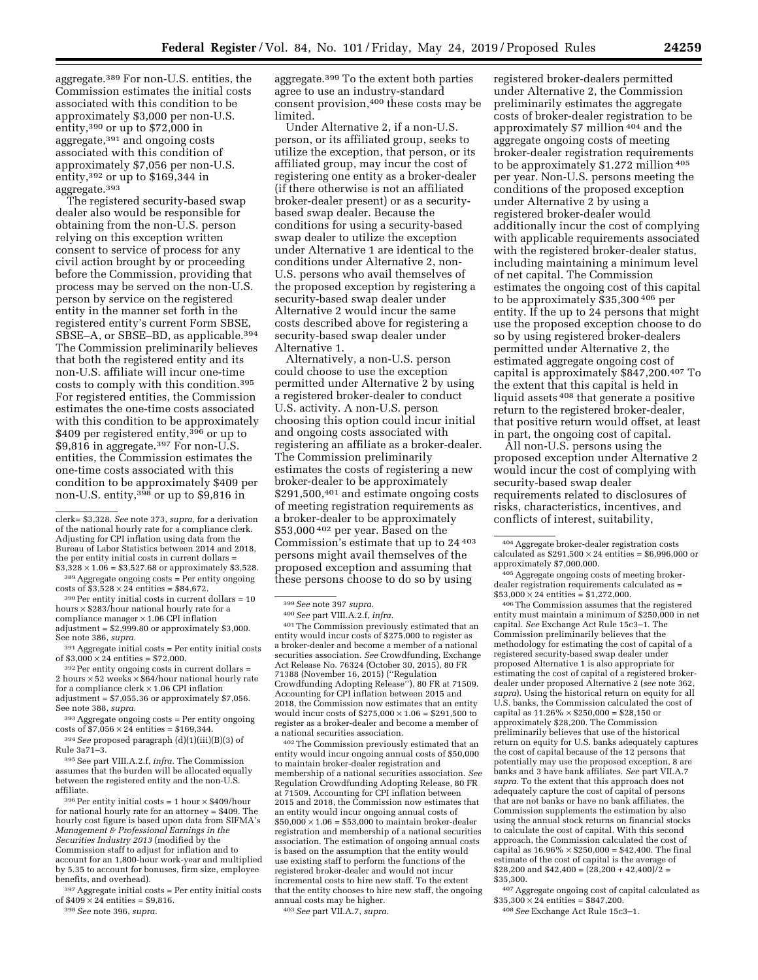aggregate.389 For non-U.S. entities, the Commission estimates the initial costs associated with this condition to be approximately \$3,000 per non-U.S. entity,390 or up to \$72,000 in aggregate,391 and ongoing costs associated with this condition of approximately \$7,056 per non-U.S. entity,392 or up to \$169,344 in aggregate.393

The registered security-based swap dealer also would be responsible for obtaining from the non-U.S. person relying on this exception written consent to service of process for any civil action brought by or proceeding before the Commission, providing that process may be served on the non-U.S. person by service on the registered entity in the manner set forth in the registered entity's current Form SBSE, SBSE-A, or SBSE-BD, as applicable.<sup>394</sup> The Commission preliminarily believes that both the registered entity and its non-U.S. affiliate will incur one-time costs to comply with this condition.395 For registered entities, the Commission estimates the one-time costs associated with this condition to be approximately \$409 per registered entity,<sup>396</sup> or up to \$9,816 in aggregate.397 For non-U.S. entities, the Commission estimates the one-time costs associated with this condition to be approximately \$409 per non-U.S. entity,<sup>398</sup> or up to \$9,816 in

<sup>389</sup> Aggregate ongoing costs = Per entity ongoing costs of \$3,528  $\times$  24 entities = \$84,672.

 $390$  Per entity initial costs in current dollars = 10 hours  $\times$  \$283/hour national hourly rate for a compliance manager  $\times$  1.06 CPI inflation  $\frac{1}{2}$  adjustment = \$2,999.80 or approximately \$3,000. See note 386, *supra.* 

 $^{391}$  Aggregate initial costs = Per entity initial costs of  $\$3,000\times24$  entities =  $\$72,000.$ 

 $392$  Per entity ongoing costs in current dollars = 2 hours  $\times$  52 weeks  $\times$  \$64/hour national hourly rate for a compliance clerk  $\times$  1.06 CPI inflation  $adjusment = $7,055.36$  or approximately \$7,056. See note 388, *supra.* 

393Aggregate ongoing costs = Per entity ongoing costs of  $$7,056 \times 24$  entities = \$169,344.

394*See* proposed paragraph (d)(1)(iii)(B)(3) of Rule 3a71–3.

395See part VIII.A.2.f, *infra.* The Commission assumes that the burden will be allocated equally between the registered entity and the non-U.S. affiliate.

 $396$  Per entity initial costs = 1 hour  $\times$  \$409/hour for national hourly rate for an attorney = \$409. The hourly cost figure is based upon data from SIFMA's *Management & Professional Earnings in the Securities Industry 2013* (modified by the Commission staff to adjust for inflation and to account for an 1,800-hour work-year and multiplied by 5.35 to account for bonuses, firm size, employee benefits, and overhead).

397Aggregate initial costs = Per entity initial costs of  $$409 \times 24$  entities = \$9,816.

398*See* note 396, *supra.* 

aggregate.399 To the extent both parties agree to use an industry-standard consent provision,400 these costs may be limited.

Under Alternative 2, if a non-U.S. person, or its affiliated group, seeks to utilize the exception, that person, or its affiliated group, may incur the cost of registering one entity as a broker-dealer (if there otherwise is not an affiliated broker-dealer present) or as a securitybased swap dealer. Because the conditions for using a security-based swap dealer to utilize the exception under Alternative 1 are identical to the conditions under Alternative 2, non-U.S. persons who avail themselves of the proposed exception by registering a security-based swap dealer under Alternative 2 would incur the same costs described above for registering a security-based swap dealer under Alternative 1.

Alternatively, a non-U.S. person could choose to use the exception permitted under Alternative 2 by using a registered broker-dealer to conduct U.S. activity. A non-U.S. person choosing this option could incur initial and ongoing costs associated with registering an affiliate as a broker-dealer. The Commission preliminarily estimates the costs of registering a new broker-dealer to be approximately  $$291,500,<sup>401</sup>$  and estimate ongoing costs of meeting registration requirements as a broker-dealer to be approximately \$53,000 402 per year. Based on the Commission's estimate that up to 24 403 persons might avail themselves of the proposed exception and assuming that these persons choose to do so by using

400*See* part VIII.A.2.f, *infra.* 

401The Commission previously estimated that an entity would incur costs of \$275,000 to register as a broker-dealer and become a member of a national securities association. *See* Crowdfunding, Exchange Act Release No. 76324 (October 30, 2015), 80 FR 71388 (November 16, 2015) (''Regulation Crowdfunding Adopting Release''), 80 FR at 71509. Accounting for CPI inflation between 2015 and 2018, the Commission now estimates that an entity would incur costs of \$275,000  $\times$  1.06 = \$291,500 to register as a broker-dealer and become a member of a national securities association.

402The Commission previously estimated that an entity would incur ongoing annual costs of \$50,000 to maintain broker-dealer registration and membership of a national securities association. *See*  Regulation Crowdfunding Adopting Release, 80 FR at 71509. Accounting for CPI inflation between 2015 and 2018, the Commission now estimates that an entity would incur ongoing annual costs of  $$50,000 \times 1.06 = $53,000$  to maintain broker-dealer registration and membership of a national securities association. The estimation of ongoing annual costs is based on the assumption that the entity would use existing staff to perform the functions of the registered broker-dealer and would not incur incremental costs to hire new staff. To the extent that the entity chooses to hire new staff, the ongoing annual costs may be higher.

403*See* part VII.A.7, *supra.* 

registered broker-dealers permitted under Alternative 2, the Commission preliminarily estimates the aggregate costs of broker-dealer registration to be approximately \$7 million 404 and the aggregate ongoing costs of meeting broker-dealer registration requirements to be approximately \$1.272 million 405 per year. Non-U.S. persons meeting the conditions of the proposed exception under Alternative 2 by using a registered broker-dealer would additionally incur the cost of complying with applicable requirements associated with the registered broker-dealer status, including maintaining a minimum level of net capital. The Commission estimates the ongoing cost of this capital to be approximately \$35,300 406 per entity. If the up to 24 persons that might use the proposed exception choose to do so by using registered broker-dealers permitted under Alternative 2, the estimated aggregate ongoing cost of capital is approximately \$847,200.407 To the extent that this capital is held in liquid assets 408 that generate a positive return to the registered broker-dealer, that positive return would offset, at least in part, the ongoing cost of capital.

All non-U.S. persons using the proposed exception under Alternative 2 would incur the cost of complying with security-based swap dealer requirements related to disclosures of risks, characteristics, incentives, and conflicts of interest, suitability,

<sup>405</sup> Aggregate ongoing costs of meeting brokerdealer registration requirements calculated as =  $$53,000 \times 24$  entities = \$1,272,000.

406The Commission assumes that the registered entity must maintain a minimum of \$250,000 in net capital. *See* Exchange Act Rule 15c3–1. The Commission preliminarily believes that the methodology for estimating the cost of capital of a registered security-based swap dealer under proposed Alternative 1 is also appropriate for estimating the cost of capital of a registered brokerdealer under proposed Alternative 2 (*see* note 362, *supra*). Using the historical return on equity for all U.S. banks, the Commission calculated the cost of capital as  $11.26\% \times $250,000 = $28,150$  or approximately \$28,200. The Commission preliminarily believes that use of the historical return on equity for U.S. banks adequately captures the cost of capital because of the 12 persons that potentially may use the proposed exception, 8 are banks and 3 have bank affiliates. *See* part VII.A.7 *supra.* To the extent that this approach does not adequately capture the cost of capital of persons that are not banks or have no bank affiliates, the Commission supplements the estimation by also using the annual stock returns on financial stocks to calculate the cost of capital. With this second approach, the Commission calculated the cost of capital as  $16.96\% \times $250,000 = $42,400$ . The final estimate of the cost of capital is the average of \$28,200 and \$42,400 =  $(28,200 + 42,400)/2$  = \$35,300.

407Aggregate ongoing cost of capital calculated as  $$35,300 \times 24$  entities = \$847,200.

408*See* Exchange Act Rule 15c3–1.

clerk= \$3,328. *See* note 373, *supra,* for a derivation of the national hourly rate for a compliance clerk. Adjusting for CPI inflation using data from the Bureau of Labor Statistics between 2014 and 2018, the per entity initial costs in current dollars =  $$3,328 \times 1.06 = $3,527.68$  or approximately \$3,528.

<sup>399</sup>*See* note 397 *supra.* 

<sup>404</sup>Aggregate broker-dealer registration costs calculated as  $$291,500 \times 24$  entities = \$6,996,000 or approximately \$7,000,000.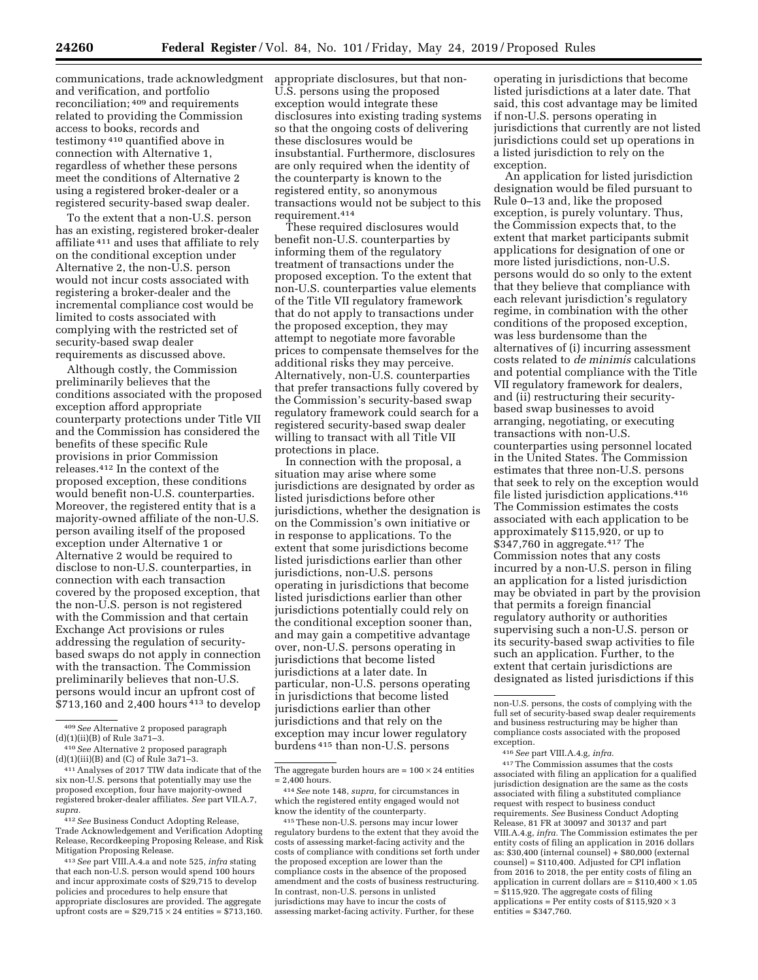communications, trade acknowledgment and verification, and portfolio reconciliation; 409 and requirements related to providing the Commission access to books, records and testimony 410 quantified above in connection with Alternative 1, regardless of whether these persons meet the conditions of Alternative 2 using a registered broker-dealer or a registered security-based swap dealer.

To the extent that a non-U.S. person has an existing, registered broker-dealer affiliate 411 and uses that affiliate to rely on the conditional exception under Alternative 2, the non-U.S. person would not incur costs associated with registering a broker-dealer and the incremental compliance cost would be limited to costs associated with complying with the restricted set of security-based swap dealer requirements as discussed above.

Although costly, the Commission preliminarily believes that the conditions associated with the proposed exception afford appropriate counterparty protections under Title VII and the Commission has considered the benefits of these specific Rule provisions in prior Commission releases.412 In the context of the proposed exception, these conditions would benefit non-U.S. counterparties. Moreover, the registered entity that is a majority-owned affiliate of the non-U.S. person availing itself of the proposed exception under Alternative 1 or Alternative 2 would be required to disclose to non-U.S. counterparties, in connection with each transaction covered by the proposed exception, that the non-U.S. person is not registered with the Commission and that certain Exchange Act provisions or rules addressing the regulation of securitybased swaps do not apply in connection with the transaction. The Commission preliminarily believes that non-U.S. persons would incur an upfront cost of \$713,160 and 2,400 hours 413 to develop

412*See* Business Conduct Adopting Release, Trade Acknowledgement and Verification Adopting Release, Recordkeeping Proposing Release, and Risk Mitigation Proposing Release.

appropriate disclosures, but that non-U.S. persons using the proposed exception would integrate these disclosures into existing trading systems so that the ongoing costs of delivering these disclosures would be insubstantial. Furthermore, disclosures are only required when the identity of the counterparty is known to the registered entity, so anonymous transactions would not be subject to this requirement.414

These required disclosures would benefit non-U.S. counterparties by informing them of the regulatory treatment of transactions under the proposed exception. To the extent that non-U.S. counterparties value elements of the Title VII regulatory framework that do not apply to transactions under the proposed exception, they may attempt to negotiate more favorable prices to compensate themselves for the additional risks they may perceive. Alternatively, non-U.S. counterparties that prefer transactions fully covered by the Commission's security-based swap regulatory framework could search for a registered security-based swap dealer willing to transact with all Title VII protections in place.

In connection with the proposal, a situation may arise where some jurisdictions are designated by order as listed jurisdictions before other jurisdictions, whether the designation is on the Commission's own initiative or in response to applications. To the extent that some jurisdictions become listed jurisdictions earlier than other jurisdictions, non-U.S. persons operating in jurisdictions that become listed jurisdictions earlier than other jurisdictions potentially could rely on the conditional exception sooner than, and may gain a competitive advantage over, non-U.S. persons operating in jurisdictions that become listed jurisdictions at a later date. In particular, non-U.S. persons operating in jurisdictions that become listed jurisdictions earlier than other jurisdictions and that rely on the exception may incur lower regulatory burdens 415 than non-U.S. persons

415These non-U.S. persons may incur lower regulatory burdens to the extent that they avoid the costs of assessing market-facing activity and the costs of compliance with conditions set forth under the proposed exception are lower than the compliance costs in the absence of the proposed amendment and the costs of business restructuring. In contrast, non-U.S. persons in unlisted jurisdictions may have to incur the costs of assessing market-facing activity. Further, for these

operating in jurisdictions that become listed jurisdictions at a later date. That said, this cost advantage may be limited if non-U.S. persons operating in jurisdictions that currently are not listed jurisdictions could set up operations in a listed jurisdiction to rely on the exception.

An application for listed jurisdiction designation would be filed pursuant to Rule 0–13 and, like the proposed exception, is purely voluntary. Thus, the Commission expects that, to the extent that market participants submit applications for designation of one or more listed jurisdictions, non-U.S. persons would do so only to the extent that they believe that compliance with each relevant jurisdiction's regulatory regime, in combination with the other conditions of the proposed exception, was less burdensome than the alternatives of (i) incurring assessment costs related to *de minimis* calculations and potential compliance with the Title VII regulatory framework for dealers, and (ii) restructuring their securitybased swap businesses to avoid arranging, negotiating, or executing transactions with non-U.S. counterparties using personnel located in the United States. The Commission estimates that three non-U.S. persons that seek to rely on the exception would file listed jurisdiction applications.416 The Commission estimates the costs associated with each application to be approximately \$115,920, or up to \$347,760 in aggregate.417 The Commission notes that any costs incurred by a non-U.S. person in filing an application for a listed jurisdiction may be obviated in part by the provision that permits a foreign financial regulatory authority or authorities supervising such a non-U.S. person or its security-based swap activities to file such an application. Further, to the extent that certain jurisdictions are designated as listed jurisdictions if this

417The Commission assumes that the costs associated with filing an application for a qualified jurisdiction designation are the same as the costs associated with filing a substituted compliance request with respect to business conduct requirements. *See* Business Conduct Adopting Release, 81 FR at 30097 and 30137 and part VIII.A.4.g, *infra.* The Commission estimates the per entity costs of filing an application in 2016 dollars as: \$30,400 (internal counsel) + \$80,000 (external counsel) = \$110,400. Adjusted for CPI inflation from 2016 to 2018, the per entity costs of filing an application in current dollars are =  $$110,400 \times 1.05$  $=$  \$115,920. The aggregate costs of filing applications = Per entity costs of  $$115,920 \times 3$ entities = \$347,760.

<sup>409</sup>*See* Alternative 2 proposed paragraph (d)(1)(ii)(B) of Rule 3a71–3.

<sup>410</sup>*See* Alternative 2 proposed paragraph (d)(1)(iii)(B) and (C) of Rule 3a71–3.

<sup>411</sup>Analyses of 2017 TIW data indicate that of the six non-U.S. persons that potentially may use the proposed exception, four have majority-owned registered broker-dealer affiliates. *See* part VII.A.7, *supra.* 

<sup>413</sup>*See* part VIII.A.4.a and note 525, *infra* stating that each non-U.S. person would spend 100 hours and incur approximate costs of \$29,715 to develop policies and procedures to help ensure that appropriate disclosures are provided. The aggregate upfront costs are =  $$29,715 \times 24$  entities =  $$713,160$ .

The aggregate burden hours are  $= 100 \times 24$  entities  $= 2,400$  hours.

<sup>414</sup>*See* note 148, *supra,* for circumstances in which the registered entity engaged would not know the identity of the counterparty.

non-U.S. persons, the costs of complying with the full set of security-based swap dealer requirements and business restructuring may be higher than compliance costs associated with the proposed exception.

<sup>416</sup>*See* part VIII.A.4.g, *infra.*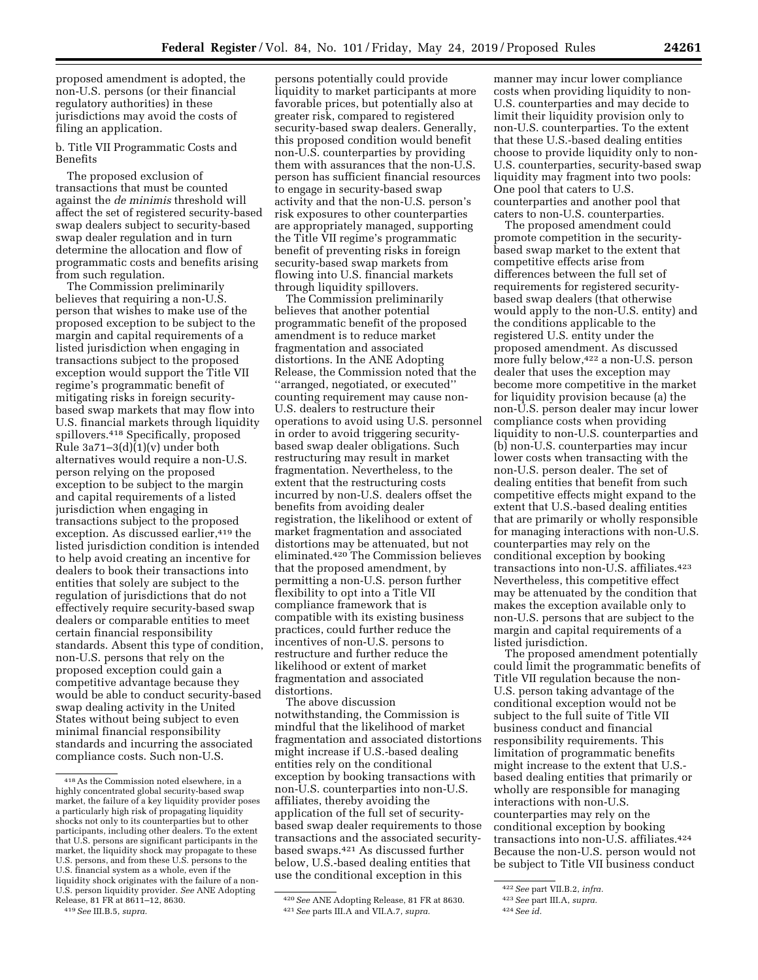proposed amendment is adopted, the non-U.S. persons (or their financial regulatory authorities) in these jurisdictions may avoid the costs of filing an application.

b. Title VII Programmatic Costs and Benefits

The proposed exclusion of transactions that must be counted against the *de minimis* threshold will affect the set of registered security-based swap dealers subject to security-based swap dealer regulation and in turn determine the allocation and flow of programmatic costs and benefits arising from such regulation.

The Commission preliminarily believes that requiring a non-U.S. person that wishes to make use of the proposed exception to be subject to the margin and capital requirements of a listed jurisdiction when engaging in transactions subject to the proposed exception would support the Title VII regime's programmatic benefit of mitigating risks in foreign securitybased swap markets that may flow into U.S. financial markets through liquidity spillovers.418 Specifically, proposed Rule  $3a71-3(d)(1)(v)$  under both alternatives would require a non-U.S. person relying on the proposed exception to be subject to the margin and capital requirements of a listed jurisdiction when engaging in transactions subject to the proposed exception. As discussed earlier,<sup>419</sup> the listed jurisdiction condition is intended to help avoid creating an incentive for dealers to book their transactions into entities that solely are subject to the regulation of jurisdictions that do not effectively require security-based swap dealers or comparable entities to meet certain financial responsibility standards. Absent this type of condition, non-U.S. persons that rely on the proposed exception could gain a competitive advantage because they would be able to conduct security-based swap dealing activity in the United States without being subject to even minimal financial responsibility standards and incurring the associated compliance costs. Such non-U.S.

persons potentially could provide liquidity to market participants at more favorable prices, but potentially also at greater risk, compared to registered security-based swap dealers. Generally, this proposed condition would benefit non-U.S. counterparties by providing them with assurances that the non-U.S. person has sufficient financial resources to engage in security-based swap activity and that the non-U.S. person's risk exposures to other counterparties are appropriately managed, supporting the Title VII regime's programmatic benefit of preventing risks in foreign security-based swap markets from flowing into U.S. financial markets through liquidity spillovers.

The Commission preliminarily believes that another potential programmatic benefit of the proposed amendment is to reduce market fragmentation and associated distortions. In the ANE Adopting Release, the Commission noted that the ''arranged, negotiated, or executed'' counting requirement may cause non-U.S. dealers to restructure their operations to avoid using U.S. personnel in order to avoid triggering securitybased swap dealer obligations. Such restructuring may result in market fragmentation. Nevertheless, to the extent that the restructuring costs incurred by non-U.S. dealers offset the benefits from avoiding dealer registration, the likelihood or extent of market fragmentation and associated distortions may be attenuated, but not eliminated.420 The Commission believes that the proposed amendment, by permitting a non-U.S. person further flexibility to opt into a Title VII compliance framework that is compatible with its existing business practices, could further reduce the incentives of non-U.S. persons to restructure and further reduce the likelihood or extent of market fragmentation and associated distortions.

The above discussion notwithstanding, the Commission is mindful that the likelihood of market fragmentation and associated distortions might increase if U.S.-based dealing entities rely on the conditional exception by booking transactions with non-U.S. counterparties into non-U.S. affiliates, thereby avoiding the application of the full set of securitybased swap dealer requirements to those transactions and the associated securitybased swaps.421 As discussed further below, U.S.-based dealing entities that use the conditional exception in this

manner may incur lower compliance costs when providing liquidity to non-U.S. counterparties and may decide to limit their liquidity provision only to non-U.S. counterparties. To the extent that these U.S.-based dealing entities choose to provide liquidity only to non-U.S. counterparties, security-based swap liquidity may fragment into two pools: One pool that caters to U.S. counterparties and another pool that caters to non-U.S. counterparties.

The proposed amendment could promote competition in the securitybased swap market to the extent that competitive effects arise from differences between the full set of requirements for registered securitybased swap dealers (that otherwise would apply to the non-U.S. entity) and the conditions applicable to the registered U.S. entity under the proposed amendment. As discussed more fully below,422 a non-U.S. person dealer that uses the exception may become more competitive in the market for liquidity provision because (a) the non-U.S. person dealer may incur lower compliance costs when providing liquidity to non-U.S. counterparties and (b) non-U.S. counterparties may incur lower costs when transacting with the non-U.S. person dealer. The set of dealing entities that benefit from such competitive effects might expand to the extent that U.S.-based dealing entities that are primarily or wholly responsible for managing interactions with non-U.S. counterparties may rely on the conditional exception by booking transactions into non-U.S. affiliates.423 Nevertheless, this competitive effect may be attenuated by the condition that makes the exception available only to non-U.S. persons that are subject to the margin and capital requirements of a listed jurisdiction.

The proposed amendment potentially could limit the programmatic benefits of Title VII regulation because the non-U.S. person taking advantage of the conditional exception would not be subject to the full suite of Title VII business conduct and financial responsibility requirements. This limitation of programmatic benefits might increase to the extent that U.S. based dealing entities that primarily or wholly are responsible for managing interactions with non-U.S. counterparties may rely on the conditional exception by booking transactions into non-U.S. affiliates.424 Because the non-U.S. person would not be subject to Title VII business conduct

<sup>418</sup>As the Commission noted elsewhere, in a highly concentrated global security-based swap market, the failure of a key liquidity provider poses a particularly high risk of propagating liquidity shocks not only to its counterparties but to other participants, including other dealers. To the extent that U.S. persons are significant participants in the market, the liquidity shock may propagate to these U.S. persons, and from these U.S. persons to the U.S. financial system as a whole, even if the liquidity shock originates with the failure of a non-U.S. person liquidity provider. *See* ANE Adopting Release, 81 FR at 8611–12, 8630.

<sup>419</sup>*See* III.B.5, *supra.* 

<sup>420</sup>*See* ANE Adopting Release, 81 FR at 8630. 421*See* parts III.A and VII.A.7, *supra.* 

<sup>422</sup>*See* part VII.B.2, *infra.* 

<sup>423</sup>*See* part III.A, *supra.* 

<sup>424</sup>*See id.*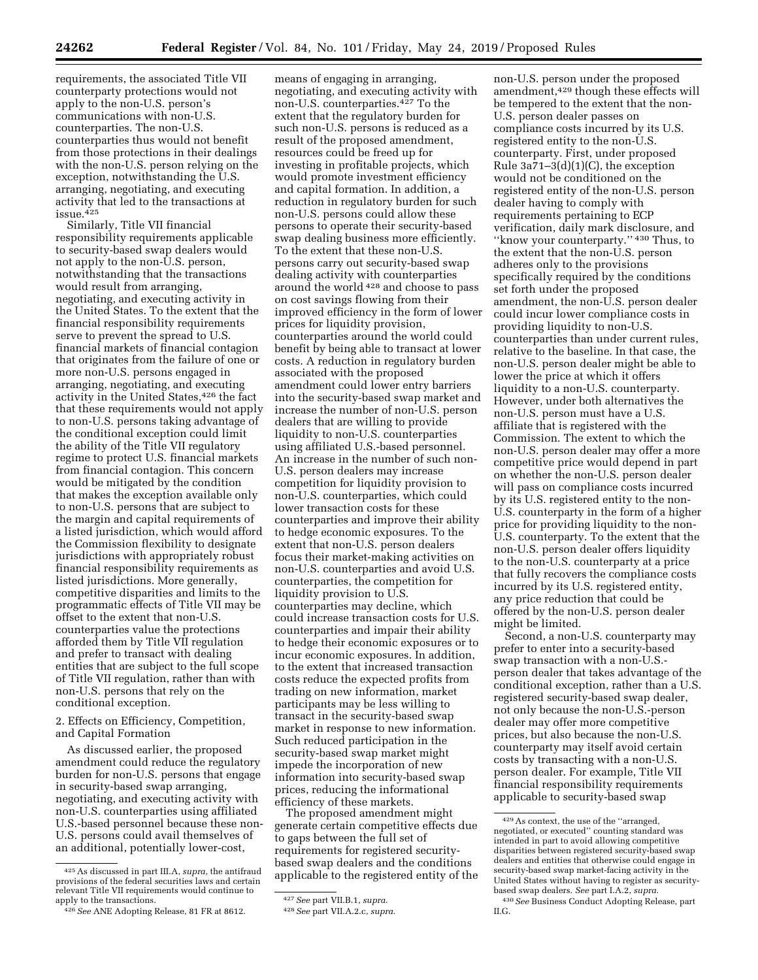requirements, the associated Title VII counterparty protections would not apply to the non-U.S. person's communications with non-U.S. counterparties. The non-U.S. counterparties thus would not benefit from those protections in their dealings with the non-U.S. person relying on the exception, notwithstanding the U.S. arranging, negotiating, and executing activity that led to the transactions at  $i$ ssue.  $4.25\,$ 

Similarly, Title VII financial responsibility requirements applicable to security-based swap dealers would not apply to the non-U.S. person, notwithstanding that the transactions would result from arranging, negotiating, and executing activity in the United States. To the extent that the financial responsibility requirements serve to prevent the spread to U.S. financial markets of financial contagion that originates from the failure of one or more non-U.S. persons engaged in arranging, negotiating, and executing activity in the United States,<sup>426</sup> the fact that these requirements would not apply to non-U.S. persons taking advantage of the conditional exception could limit the ability of the Title VII regulatory regime to protect U.S. financial markets from financial contagion. This concern would be mitigated by the condition that makes the exception available only to non-U.S. persons that are subject to the margin and capital requirements of a listed jurisdiction, which would afford the Commission flexibility to designate jurisdictions with appropriately robust financial responsibility requirements as listed jurisdictions. More generally, competitive disparities and limits to the programmatic effects of Title VII may be offset to the extent that non-U.S. counterparties value the protections afforded them by Title VII regulation and prefer to transact with dealing entities that are subject to the full scope of Title VII regulation, rather than with non-U.S. persons that rely on the conditional exception.

2. Effects on Efficiency, Competition, and Capital Formation

As discussed earlier, the proposed amendment could reduce the regulatory burden for non-U.S. persons that engage in security-based swap arranging, negotiating, and executing activity with non-U.S. counterparties using affiliated U.S.-based personnel because these non-U.S. persons could avail themselves of an additional, potentially lower-cost,

means of engaging in arranging, negotiating, and executing activity with non-U.S. counterparties.427 To the extent that the regulatory burden for such non-U.S. persons is reduced as a result of the proposed amendment, resources could be freed up for investing in profitable projects, which would promote investment efficiency and capital formation. In addition, a reduction in regulatory burden for such non-U.S. persons could allow these persons to operate their security-based swap dealing business more efficiently. To the extent that these non-U.S. persons carry out security-based swap dealing activity with counterparties around the world 428 and choose to pass on cost savings flowing from their improved efficiency in the form of lower prices for liquidity provision, counterparties around the world could benefit by being able to transact at lower costs. A reduction in regulatory burden associated with the proposed amendment could lower entry barriers into the security-based swap market and increase the number of non-U.S. person dealers that are willing to provide liquidity to non-U.S. counterparties using affiliated U.S.-based personnel. An increase in the number of such non-U.S. person dealers may increase competition for liquidity provision to non-U.S. counterparties, which could lower transaction costs for these counterparties and improve their ability to hedge economic exposures. To the extent that non-U.S. person dealers focus their market-making activities on non-U.S. counterparties and avoid U.S. counterparties, the competition for liquidity provision to U.S. counterparties may decline, which could increase transaction costs for U.S. counterparties and impair their ability to hedge their economic exposures or to incur economic exposures. In addition, to the extent that increased transaction costs reduce the expected profits from trading on new information, market participants may be less willing to transact in the security-based swap market in response to new information. Such reduced participation in the security-based swap market might impede the incorporation of new information into security-based swap prices, reducing the informational efficiency of these markets.

The proposed amendment might generate certain competitive effects due to gaps between the full set of requirements for registered securitybased swap dealers and the conditions applicable to the registered entity of the

non-U.S. person under the proposed amendment,429 though these effects will be tempered to the extent that the non-U.S. person dealer passes on compliance costs incurred by its U.S. registered entity to the non-U.S. counterparty. First, under proposed Rule  $3a71-3(d)(1)(C)$ , the exception would not be conditioned on the registered entity of the non-U.S. person dealer having to comply with requirements pertaining to ECP verification, daily mark disclosure, and ''know your counterparty.'' 430 Thus, to the extent that the non-U.S. person adheres only to the provisions specifically required by the conditions set forth under the proposed amendment, the non-U.S. person dealer could incur lower compliance costs in providing liquidity to non-U.S. counterparties than under current rules, relative to the baseline. In that case, the non-U.S. person dealer might be able to lower the price at which it offers liquidity to a non-U.S. counterparty. However, under both alternatives the non-U.S. person must have a U.S. affiliate that is registered with the Commission. The extent to which the non-U.S. person dealer may offer a more competitive price would depend in part on whether the non-U.S. person dealer will pass on compliance costs incurred by its U.S. registered entity to the non-U.S. counterparty in the form of a higher price for providing liquidity to the non-U.S. counterparty. To the extent that the non-U.S. person dealer offers liquidity to the non-U.S. counterparty at a price that fully recovers the compliance costs incurred by its U.S. registered entity, any price reduction that could be offered by the non-U.S. person dealer might be limited.

Second, a non-U.S. counterparty may prefer to enter into a security-based swap transaction with a non-U.S. person dealer that takes advantage of the conditional exception, rather than a U.S. registered security-based swap dealer, not only because the non-U.S.-person dealer may offer more competitive prices, but also because the non-U.S. counterparty may itself avoid certain costs by transacting with a non-U.S. person dealer. For example, Title VII financial responsibility requirements applicable to security-based swap

<sup>425</sup>As discussed in part III.A, *supra,* the antifraud provisions of the federal securities laws and certain relevant Title VII requirements would continue to

<sup>&</sup>lt;sup>426</sup> See ANE Adopting Release, 81 FR at 8612.

<sup>427</sup>*See* part VII.B.1, *supra.* 

<sup>428</sup>*See* part VII.A.2.c, *supra.* 

<sup>429</sup>As context, the use of the ''arranged, negotiated, or executed'' counting standard was intended in part to avoid allowing competitive disparities between registered security-based swap dealers and entities that otherwise could engage in security-based swap market-facing activity in the United States without having to register as securitybased swap dealers. *See* part I.A.2, *supra.* 

<sup>430</sup>*See* Business Conduct Adopting Release, part II.G.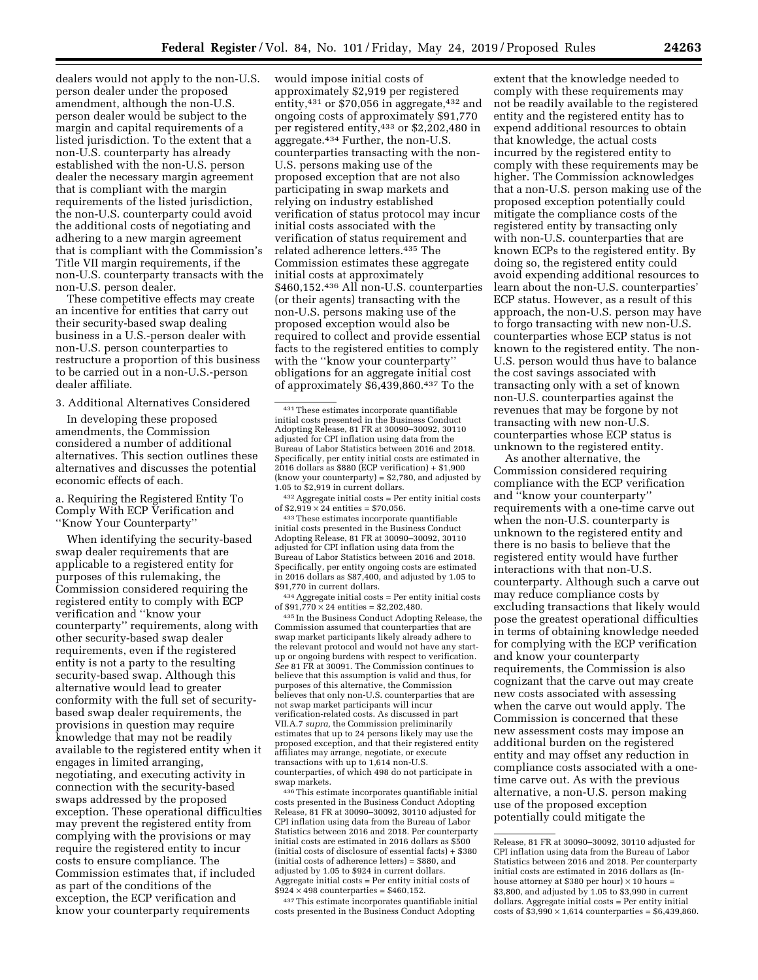dealers would not apply to the non-U.S. person dealer under the proposed amendment, although the non-U.S. person dealer would be subject to the margin and capital requirements of a listed jurisdiction. To the extent that a non-U.S. counterparty has already established with the non-U.S. person dealer the necessary margin agreement that is compliant with the margin requirements of the listed jurisdiction, the non-U.S. counterparty could avoid the additional costs of negotiating and adhering to a new margin agreement that is compliant with the Commission's Title VII margin requirements, if the non-U.S. counterparty transacts with the non-U.S. person dealer.

These competitive effects may create an incentive for entities that carry out their security-based swap dealing business in a U.S.-person dealer with non-U.S. person counterparties to restructure a proportion of this business to be carried out in a non-U.S.-person dealer affiliate.

3. Additional Alternatives Considered

In developing these proposed amendments, the Commission considered a number of additional alternatives. This section outlines these alternatives and discusses the potential economic effects of each.

a. Requiring the Registered Entity To Comply With ECP Verification and ''Know Your Counterparty''

When identifying the security-based swap dealer requirements that are applicable to a registered entity for purposes of this rulemaking, the Commission considered requiring the registered entity to comply with ECP verification and ''know your counterparty'' requirements, along with other security-based swap dealer requirements, even if the registered entity is not a party to the resulting security-based swap. Although this alternative would lead to greater conformity with the full set of securitybased swap dealer requirements, the provisions in question may require knowledge that may not be readily available to the registered entity when it engages in limited arranging, negotiating, and executing activity in connection with the security-based swaps addressed by the proposed exception. These operational difficulties may prevent the registered entity from complying with the provisions or may require the registered entity to incur costs to ensure compliance. The Commission estimates that, if included as part of the conditions of the exception, the ECP verification and know your counterparty requirements

would impose initial costs of approximately \$2,919 per registered entity,  $431$  or \$70,056 in aggregate,  $432$  and ongoing costs of approximately \$91,770 per registered entity,433 or \$2,202,480 in aggregate.434 Further, the non-U.S. counterparties transacting with the non-U.S. persons making use of the proposed exception that are not also participating in swap markets and relying on industry established verification of status protocol may incur initial costs associated with the verification of status requirement and related adherence letters.435 The Commission estimates these aggregate initial costs at approximately \$460,152.436 All non-U.S. counterparties (or their agents) transacting with the non-U.S. persons making use of the proposed exception would also be required to collect and provide essential facts to the registered entities to comply with the ''know your counterparty'' obligations for an aggregate initial cost of approximately \$6,439,860.437 To the

431These estimates incorporate quantifiable initial costs presented in the Business Conduct Adopting Release, 81 FR at 30090–30092, 30110 adjusted for CPI inflation using data from the Bureau of Labor Statistics between 2016 and 2018. Specifically, per entity initial costs are estimated in 2016 dollars as \$880 (ECP verification) + \$1,900 (know your counterparty) = \$2,780, and adjusted by 1.05 to \$2,919 in current dollars.

 $^{432}$  Aggregate initial costs = Per entity initial costs of \$2,919  $\times$  24 entities = \$70,056.

<sup>433</sup> These estimates incorporate quantifiable initial costs presented in the Business Conduct Adopting Release, 81 FR at 30090–30092, 30110 adjusted for CPI inflation using data from the Bureau of Labor Statistics between 2016 and 2018. Specifically, per entity ongoing costs are estimated in 2016 dollars as \$87,400, and adjusted by 1.05 to

 $^{434}$  Aggregate initial costs = Per entity initial costs of  $\$91{,}770\times24$  entities =  $\$2{,}202{,}480.$ 

<sup>435</sup> In the Business Conduct Adopting Release, the Commission assumed that counterparties that are swap market participants likely already adhere to the relevant protocol and would not have any startup or ongoing burdens with respect to verification. *See* 81 FR at 30091. The Commission continues to believe that this assumption is valid and thus, for purposes of this alternative, the Commission believes that only non-U.S. counterparties that are not swap market participants will incur verification-related costs. As discussed in part VII.A.7 *supra,* the Commission preliminarily estimates that up to 24 persons likely may use the proposed exception, and that their registered entity affiliates may arrange, negotiate, or execute transactions with up to 1,614 non-U.S. counterparties, of which 498 do not participate in swap markets.

436This estimate incorporates quantifiable initial costs presented in the Business Conduct Adopting Release, 81 FR at 30090–30092, 30110 adjusted for CPI inflation using data from the Bureau of Labor Statistics between 2016 and 2018. Per counterparty initial costs are estimated in 2016 dollars as \$500 (initial costs of disclosure of essential facts) + \$380 (initial costs of adherence letters) = \$880, and adjusted by 1.05 to \$924 in current dollars. Aggregate initial costs = Per entity initial costs of  $$924 \times 498$  counterparties = \$460,152.

437This estimate incorporates quantifiable initial costs presented in the Business Conduct Adopting

extent that the knowledge needed to comply with these requirements may not be readily available to the registered entity and the registered entity has to expend additional resources to obtain that knowledge, the actual costs incurred by the registered entity to comply with these requirements may be higher. The Commission acknowledges that a non-U.S. person making use of the proposed exception potentially could mitigate the compliance costs of the registered entity by transacting only with non-U.S. counterparties that are known ECPs to the registered entity. By doing so, the registered entity could avoid expending additional resources to learn about the non-U.S. counterparties' ECP status. However, as a result of this approach, the non-U.S. person may have to forgo transacting with new non-U.S. counterparties whose ECP status is not known to the registered entity. The non-U.S. person would thus have to balance the cost savings associated with transacting only with a set of known non-U.S. counterparties against the revenues that may be forgone by not transacting with new non-U.S. counterparties whose ECP status is unknown to the registered entity.

As another alternative, the Commission considered requiring compliance with the ECP verification and ''know your counterparty'' requirements with a one-time carve out when the non-U.S. counterparty is unknown to the registered entity and there is no basis to believe that the registered entity would have further interactions with that non-U.S. counterparty. Although such a carve out may reduce compliance costs by excluding transactions that likely would pose the greatest operational difficulties in terms of obtaining knowledge needed for complying with the ECP verification and know your counterparty requirements, the Commission is also cognizant that the carve out may create new costs associated with assessing when the carve out would apply. The Commission is concerned that these new assessment costs may impose an additional burden on the registered entity and may offset any reduction in compliance costs associated with a onetime carve out. As with the previous alternative, a non-U.S. person making use of the proposed exception potentially could mitigate the

Release, 81 FR at 30090–30092, 30110 adjusted for CPI inflation using data from the Bureau of Labor Statistics between 2016 and 2018. Per counterparty initial costs are estimated in 2016 dollars as (Inhouse attorney at \$380 per hour)  $\times$  10 hours = \$3,800, and adjusted by 1.05 to \$3,990 in current dollars. Aggregate initial costs = Per entity initial costs of  $$3,990 \times 1,614$  counterparties =  $$6,439,860$ .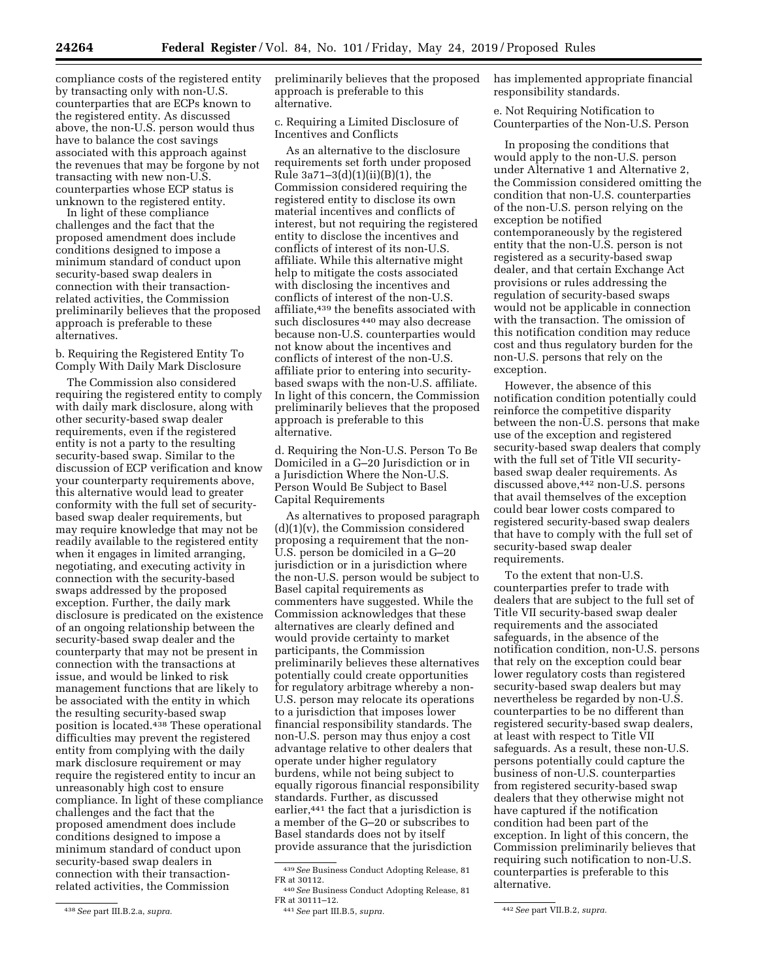compliance costs of the registered entity by transacting only with non-U.S. counterparties that are ECPs known to the registered entity. As discussed above, the non-U.S. person would thus have to balance the cost savings associated with this approach against the revenues that may be forgone by not transacting with new non-U.S. counterparties whose ECP status is unknown to the registered entity.

In light of these compliance challenges and the fact that the proposed amendment does include conditions designed to impose a minimum standard of conduct upon security-based swap dealers in connection with their transactionrelated activities, the Commission preliminarily believes that the proposed approach is preferable to these alternatives.

b. Requiring the Registered Entity To Comply With Daily Mark Disclosure

The Commission also considered requiring the registered entity to comply with daily mark disclosure, along with other security-based swap dealer requirements, even if the registered entity is not a party to the resulting security-based swap. Similar to the discussion of ECP verification and know your counterparty requirements above, this alternative would lead to greater conformity with the full set of securitybased swap dealer requirements, but may require knowledge that may not be readily available to the registered entity when it engages in limited arranging, negotiating, and executing activity in connection with the security-based swaps addressed by the proposed exception. Further, the daily mark disclosure is predicated on the existence of an ongoing relationship between the security-based swap dealer and the counterparty that may not be present in connection with the transactions at issue, and would be linked to risk management functions that are likely to be associated with the entity in which the resulting security-based swap position is located.438 These operational difficulties may prevent the registered entity from complying with the daily mark disclosure requirement or may require the registered entity to incur an unreasonably high cost to ensure compliance. In light of these compliance challenges and the fact that the proposed amendment does include conditions designed to impose a minimum standard of conduct upon security-based swap dealers in connection with their transactionrelated activities, the Commission

438*See* part III.B.2.a, *supra.* 

preliminarily believes that the proposed approach is preferable to this alternative.

c. Requiring a Limited Disclosure of Incentives and Conflicts

As an alternative to the disclosure requirements set forth under proposed Rule 3a71–3(d)(1)(ii)(B)(1), the Commission considered requiring the registered entity to disclose its own material incentives and conflicts of interest, but not requiring the registered entity to disclose the incentives and conflicts of interest of its non-U.S. affiliate. While this alternative might help to mitigate the costs associated with disclosing the incentives and conflicts of interest of the non-U.S. affiliate,439 the benefits associated with such disclosures 440 may also decrease because non-U.S. counterparties would not know about the incentives and conflicts of interest of the non-U.S. affiliate prior to entering into securitybased swaps with the non-U.S. affiliate. In light of this concern, the Commission preliminarily believes that the proposed approach is preferable to this alternative.

d. Requiring the Non-U.S. Person To Be Domiciled in a G–20 Jurisdiction or in a Jurisdiction Where the Non-U.S. Person Would Be Subject to Basel Capital Requirements

As alternatives to proposed paragraph  $(d)(1)(v)$ , the Commission considered proposing a requirement that the non-U.S. person be domiciled in a G–20 jurisdiction or in a jurisdiction where the non-U.S. person would be subject to Basel capital requirements as commenters have suggested. While the Commission acknowledges that these alternatives are clearly defined and would provide certainty to market participants, the Commission preliminarily believes these alternatives potentially could create opportunities for regulatory arbitrage whereby a non-U.S. person may relocate its operations to a jurisdiction that imposes lower financial responsibility standards. The non-U.S. person may thus enjoy a cost advantage relative to other dealers that operate under higher regulatory burdens, while not being subject to equally rigorous financial responsibility standards. Further, as discussed earlier,<sup>441</sup> the fact that a jurisdiction is a member of the G–20 or subscribes to Basel standards does not by itself provide assurance that the jurisdiction

has implemented appropriate financial responsibility standards.

e. Not Requiring Notification to Counterparties of the Non-U.S. Person

In proposing the conditions that would apply to the non-U.S. person under Alternative 1 and Alternative 2, the Commission considered omitting the condition that non-U.S. counterparties of the non-U.S. person relying on the exception be notified contemporaneously by the registered entity that the non-U.S. person is not registered as a security-based swap dealer, and that certain Exchange Act provisions or rules addressing the regulation of security-based swaps would not be applicable in connection with the transaction. The omission of this notification condition may reduce cost and thus regulatory burden for the non-U.S. persons that rely on the exception.

However, the absence of this notification condition potentially could reinforce the competitive disparity between the non-U.S. persons that make use of the exception and registered security-based swap dealers that comply with the full set of Title VII securitybased swap dealer requirements. As discussed above,442 non-U.S. persons that avail themselves of the exception could bear lower costs compared to registered security-based swap dealers that have to comply with the full set of security-based swap dealer requirements.

To the extent that non-U.S. counterparties prefer to trade with dealers that are subject to the full set of Title VII security-based swap dealer requirements and the associated safeguards, in the absence of the notification condition, non-U.S. persons that rely on the exception could bear lower regulatory costs than registered security-based swap dealers but may nevertheless be regarded by non-U.S. counterparties to be no different than registered security-based swap dealers, at least with respect to Title VII safeguards. As a result, these non-U.S. persons potentially could capture the business of non-U.S. counterparties from registered security-based swap dealers that they otherwise might not have captured if the notification condition had been part of the exception. In light of this concern, the Commission preliminarily believes that requiring such notification to non-U.S. counterparties is preferable to this alternative.

<sup>439</sup>*See* Business Conduct Adopting Release, 81

FR at 30112. 440*See* Business Conduct Adopting Release, 81

FR at 30111–12. 441*See* part III.B.5, *supra.* 442*See* part VII.B.2, *supra.*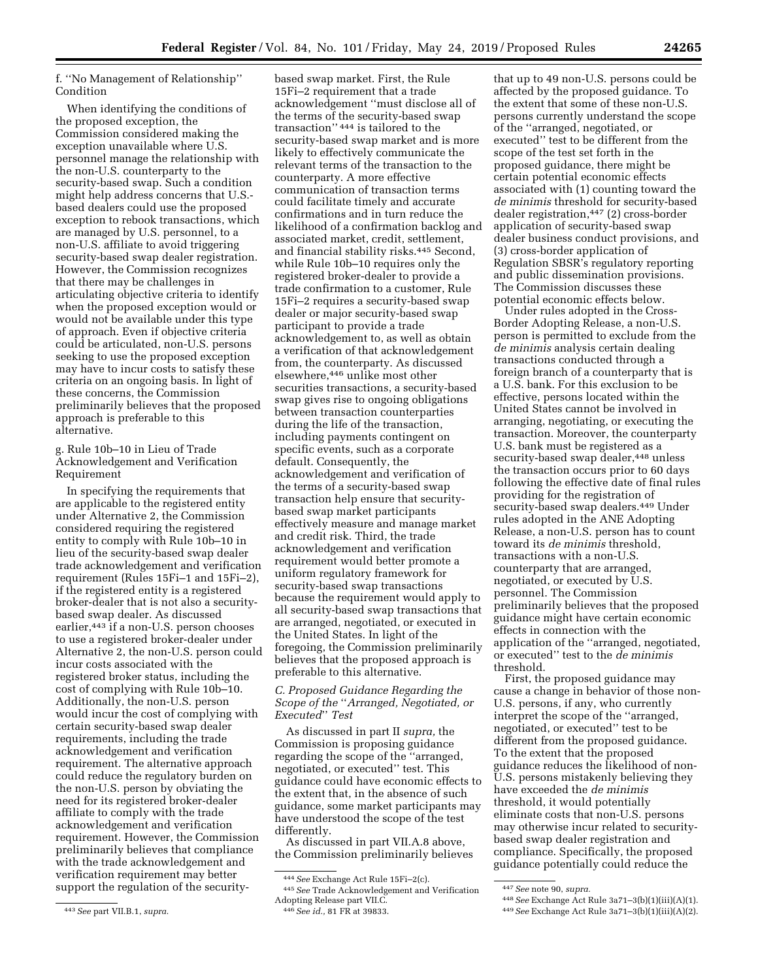f. ''No Management of Relationship'' Condition

When identifying the conditions of the proposed exception, the Commission considered making the exception unavailable where U.S. personnel manage the relationship with the non-U.S. counterparty to the security-based swap. Such a condition might help address concerns that U.S. based dealers could use the proposed exception to rebook transactions, which are managed by U.S. personnel, to a non-U.S. affiliate to avoid triggering security-based swap dealer registration. However, the Commission recognizes that there may be challenges in articulating objective criteria to identify when the proposed exception would or would not be available under this type of approach. Even if objective criteria could be articulated, non-U.S. persons seeking to use the proposed exception may have to incur costs to satisfy these criteria on an ongoing basis. In light of these concerns, the Commission preliminarily believes that the proposed approach is preferable to this alternative.

g. Rule 10b–10 in Lieu of Trade Acknowledgement and Verification Requirement

In specifying the requirements that are applicable to the registered entity under Alternative 2, the Commission considered requiring the registered entity to comply with Rule 10b–10 in lieu of the security-based swap dealer trade acknowledgement and verification requirement (Rules 15Fi–1 and 15Fi–2), if the registered entity is a registered broker-dealer that is not also a securitybased swap dealer. As discussed earlier,443 if a non-U.S. person chooses to use a registered broker-dealer under Alternative 2, the non-U.S. person could incur costs associated with the registered broker status, including the cost of complying with Rule 10b–10. Additionally, the non-U.S. person would incur the cost of complying with certain security-based swap dealer requirements, including the trade acknowledgement and verification requirement. The alternative approach could reduce the regulatory burden on the non-U.S. person by obviating the need for its registered broker-dealer affiliate to comply with the trade acknowledgement and verification requirement. However, the Commission preliminarily believes that compliance with the trade acknowledgement and verification requirement may better support the regulation of the security-

based swap market. First, the Rule 15Fi–2 requirement that a trade acknowledgement ''must disclose all of the terms of the security-based swap transaction'' 444 is tailored to the security-based swap market and is more likely to effectively communicate the relevant terms of the transaction to the counterparty. A more effective communication of transaction terms could facilitate timely and accurate confirmations and in turn reduce the likelihood of a confirmation backlog and associated market, credit, settlement, and financial stability risks.445 Second, while Rule 10b–10 requires only the registered broker-dealer to provide a trade confirmation to a customer, Rule 15Fi–2 requires a security-based swap dealer or major security-based swap participant to provide a trade acknowledgement to, as well as obtain a verification of that acknowledgement from, the counterparty. As discussed elsewhere,446 unlike most other securities transactions, a security-based swap gives rise to ongoing obligations between transaction counterparties during the life of the transaction, including payments contingent on specific events, such as a corporate default. Consequently, the acknowledgement and verification of the terms of a security-based swap transaction help ensure that securitybased swap market participants effectively measure and manage market and credit risk. Third, the trade acknowledgement and verification requirement would better promote a uniform regulatory framework for security-based swap transactions because the requirement would apply to all security-based swap transactions that are arranged, negotiated, or executed in the United States. In light of the foregoing, the Commission preliminarily believes that the proposed approach is preferable to this alternative.

## *C. Proposed Guidance Regarding the Scope of the* ''*Arranged, Negotiated, or Executed*'' *Test*

As discussed in part II *supra,* the Commission is proposing guidance regarding the scope of the ''arranged, negotiated, or executed'' test. This guidance could have economic effects to the extent that, in the absence of such guidance, some market participants may have understood the scope of the test differently.

As discussed in part VII.A.8 above, the Commission preliminarily believes

that up to 49 non-U.S. persons could be affected by the proposed guidance. To the extent that some of these non-U.S. persons currently understand the scope of the ''arranged, negotiated, or executed'' test to be different from the scope of the test set forth in the proposed guidance, there might be certain potential economic effects associated with (1) counting toward the *de minimis* threshold for security-based dealer registration,447 (2) cross-border application of security-based swap dealer business conduct provisions, and (3) cross-border application of Regulation SBSR's regulatory reporting and public dissemination provisions. The Commission discusses these potential economic effects below.

Under rules adopted in the Cross-Border Adopting Release, a non-U.S. person is permitted to exclude from the *de minimis* analysis certain dealing transactions conducted through a foreign branch of a counterparty that is a U.S. bank. For this exclusion to be effective, persons located within the United States cannot be involved in arranging, negotiating, or executing the transaction. Moreover, the counterparty U.S. bank must be registered as a security-based swap dealer, 448 unless the transaction occurs prior to 60 days following the effective date of final rules providing for the registration of security-based swap dealers.449 Under rules adopted in the ANE Adopting Release, a non-U.S. person has to count toward its *de minimis* threshold, transactions with a non-U.S. counterparty that are arranged, negotiated, or executed by U.S. personnel. The Commission preliminarily believes that the proposed guidance might have certain economic effects in connection with the application of the ''arranged, negotiated, or executed'' test to the *de minimis*  threshold.

First, the proposed guidance may cause a change in behavior of those non-U.S. persons, if any, who currently interpret the scope of the ''arranged, negotiated, or executed'' test to be different from the proposed guidance. To the extent that the proposed guidance reduces the likelihood of non-U.S. persons mistakenly believing they have exceeded the *de minimis*  threshold, it would potentially eliminate costs that non-U.S. persons may otherwise incur related to securitybased swap dealer registration and compliance. Specifically, the proposed guidance potentially could reduce the

<sup>443</sup>*See* part VII.B.1, *supra.* 

<sup>444</sup>*See* Exchange Act Rule 15Fi–2(c).

<sup>445</sup>*See* Trade Acknowledgement and Verification Adopting Release part VII.C.

<sup>446</sup>*See id.,* 81 FR at 39833.

<sup>447</sup>*See* note 90, *supra.* 

<sup>448</sup>*See* Exchange Act Rule 3a71–3(b)(1)(iii)(A)(1).

<sup>449</sup>*See* Exchange Act Rule 3a71–3(b)(1)(iii)(A)(2).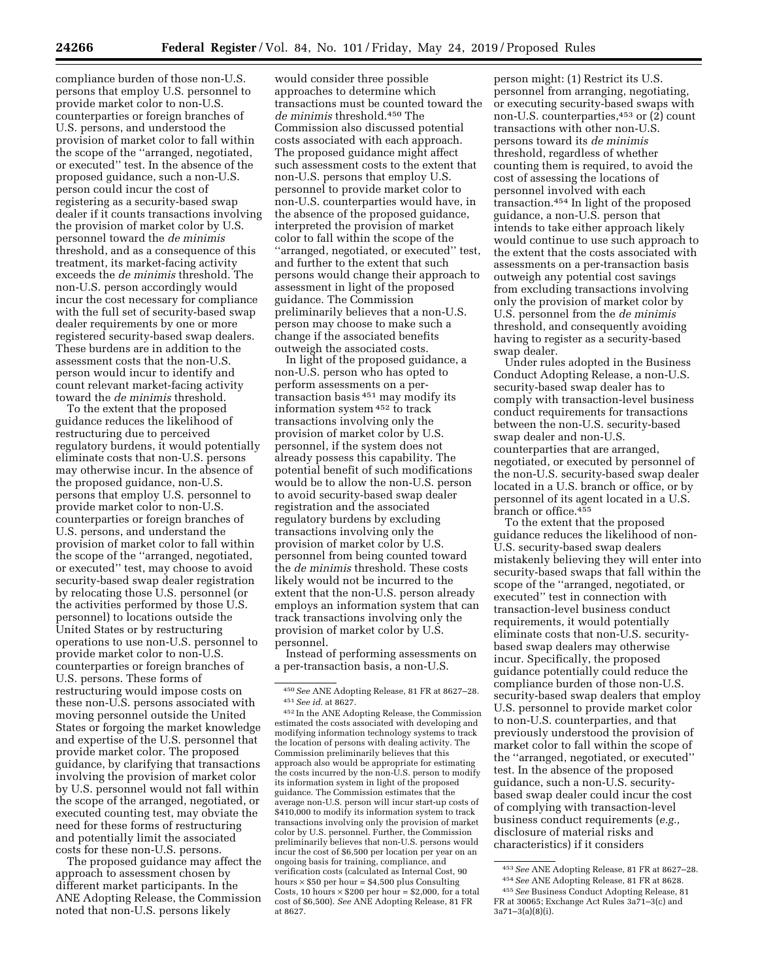compliance burden of those non-U.S. persons that employ U.S. personnel to provide market color to non-U.S. counterparties or foreign branches of U.S. persons, and understood the provision of market color to fall within the scope of the ''arranged, negotiated, or executed'' test. In the absence of the proposed guidance, such a non-U.S. person could incur the cost of registering as a security-based swap dealer if it counts transactions involving the provision of market color by U.S. personnel toward the *de minimis*  threshold, and as a consequence of this treatment, its market-facing activity exceeds the *de minimis* threshold. The non-U.S. person accordingly would incur the cost necessary for compliance with the full set of security-based swap dealer requirements by one or more registered security-based swap dealers. These burdens are in addition to the assessment costs that the non-U.S. person would incur to identify and count relevant market-facing activity toward the *de minimis* threshold.

To the extent that the proposed guidance reduces the likelihood of restructuring due to perceived regulatory burdens, it would potentially eliminate costs that non-U.S. persons may otherwise incur. In the absence of the proposed guidance, non-U.S. persons that employ U.S. personnel to provide market color to non-U.S. counterparties or foreign branches of U.S. persons, and understand the provision of market color to fall within the scope of the ''arranged, negotiated, or executed'' test, may choose to avoid security-based swap dealer registration by relocating those U.S. personnel (or the activities performed by those U.S. personnel) to locations outside the United States or by restructuring operations to use non-U.S. personnel to provide market color to non-U.S. counterparties or foreign branches of U.S. persons. These forms of restructuring would impose costs on these non-U.S. persons associated with moving personnel outside the United States or forgoing the market knowledge and expertise of the U.S. personnel that provide market color. The proposed guidance, by clarifying that transactions involving the provision of market color by U.S. personnel would not fall within the scope of the arranged, negotiated, or executed counting test, may obviate the need for these forms of restructuring and potentially limit the associated costs for these non-U.S. persons.

The proposed guidance may affect the approach to assessment chosen by different market participants. In the ANE Adopting Release, the Commission noted that non-U.S. persons likely

would consider three possible approaches to determine which transactions must be counted toward the *de minimis* threshold.450 The Commission also discussed potential costs associated with each approach. The proposed guidance might affect such assessment costs to the extent that non-U.S. persons that employ U.S. personnel to provide market color to non-U.S. counterparties would have, in the absence of the proposed guidance, interpreted the provision of market color to fall within the scope of the ''arranged, negotiated, or executed'' test, and further to the extent that such persons would change their approach to assessment in light of the proposed guidance. The Commission preliminarily believes that a non-U.S. person may choose to make such a change if the associated benefits outweigh the associated costs.

In light of the proposed guidance, a non-U.S. person who has opted to perform assessments on a pertransaction basis 451 may modify its information system 452 to track transactions involving only the provision of market color by U.S. personnel, if the system does not already possess this capability. The potential benefit of such modifications would be to allow the non-U.S. person to avoid security-based swap dealer registration and the associated regulatory burdens by excluding transactions involving only the provision of market color by U.S. personnel from being counted toward the *de minimis* threshold. These costs likely would not be incurred to the extent that the non-U.S. person already employs an information system that can track transactions involving only the provision of market color by U.S. personnel.

Instead of performing assessments on a per-transaction basis, a non-U.S.

person might: (1) Restrict its U.S. personnel from arranging, negotiating, or executing security-based swaps with non-U.S. counterparties,453 or (2) count transactions with other non-U.S. persons toward its *de minimis*  threshold, regardless of whether counting them is required, to avoid the cost of assessing the locations of personnel involved with each transaction.454 In light of the proposed guidance, a non-U.S. person that intends to take either approach likely would continue to use such approach to the extent that the costs associated with assessments on a per-transaction basis outweigh any potential cost savings from excluding transactions involving only the provision of market color by U.S. personnel from the *de minimis*  threshold, and consequently avoiding having to register as a security-based swap dealer.

Under rules adopted in the Business Conduct Adopting Release, a non-U.S. security-based swap dealer has to comply with transaction-level business conduct requirements for transactions between the non-U.S. security-based swap dealer and non-U.S. counterparties that are arranged, negotiated, or executed by personnel of the non-U.S. security-based swap dealer located in a U.S. branch or office, or by personnel of its agent located in a U.S. branch or office.455

To the extent that the proposed guidance reduces the likelihood of non-U.S. security-based swap dealers mistakenly believing they will enter into security-based swaps that fall within the scope of the ''arranged, negotiated, or executed'' test in connection with transaction-level business conduct requirements, it would potentially eliminate costs that non-U.S. securitybased swap dealers may otherwise incur. Specifically, the proposed guidance potentially could reduce the compliance burden of those non-U.S. security-based swap dealers that employ U.S. personnel to provide market color to non-U.S. counterparties, and that previously understood the provision of market color to fall within the scope of the ''arranged, negotiated, or executed'' test. In the absence of the proposed guidance, such a non-U.S. securitybased swap dealer could incur the cost of complying with transaction-level business conduct requirements (*e.g.,*  disclosure of material risks and characteristics) if it considers

<sup>450</sup>*See* ANE Adopting Release, 81 FR at 8627–28. 451*See id.* at 8627.

<sup>452</sup> In the ANE Adopting Release, the Commission estimated the costs associated with developing and modifying information technology systems to track the location of persons with dealing activity. The Commission preliminarily believes that this approach also would be appropriate for estimating the costs incurred by the non-U.S. person to modify its information system in light of the proposed guidance. The Commission estimates that the average non-U.S. person will incur start-up costs of \$410,000 to modify its information system to track transactions involving only the provision of market color by U.S. personnel. Further, the Commission preliminarily believes that non-U.S. persons would incur the cost of \$6,500 per location per year on an ongoing basis for training, compliance, and verification costs (calculated as Internal Cost, 90 hours  $\times$  \$50 per hour = \$4,500 plus Consulting Costs, 10 hours  $\times$  \$200 per hour = \$2,000, for a total cost of \$6,500). *See* ANE Adopting Release, 81 FR at 8627.

<sup>453</sup>*See* ANE Adopting Release, 81 FR at 8627–28. 454*See* ANE Adopting Release, 81 FR at 8628.

<sup>455</sup>*See* Business Conduct Adopting Release, 81 FR at 30065; Exchange Act Rules 3a71–3(c) and 3a71–3(a)(8)(i).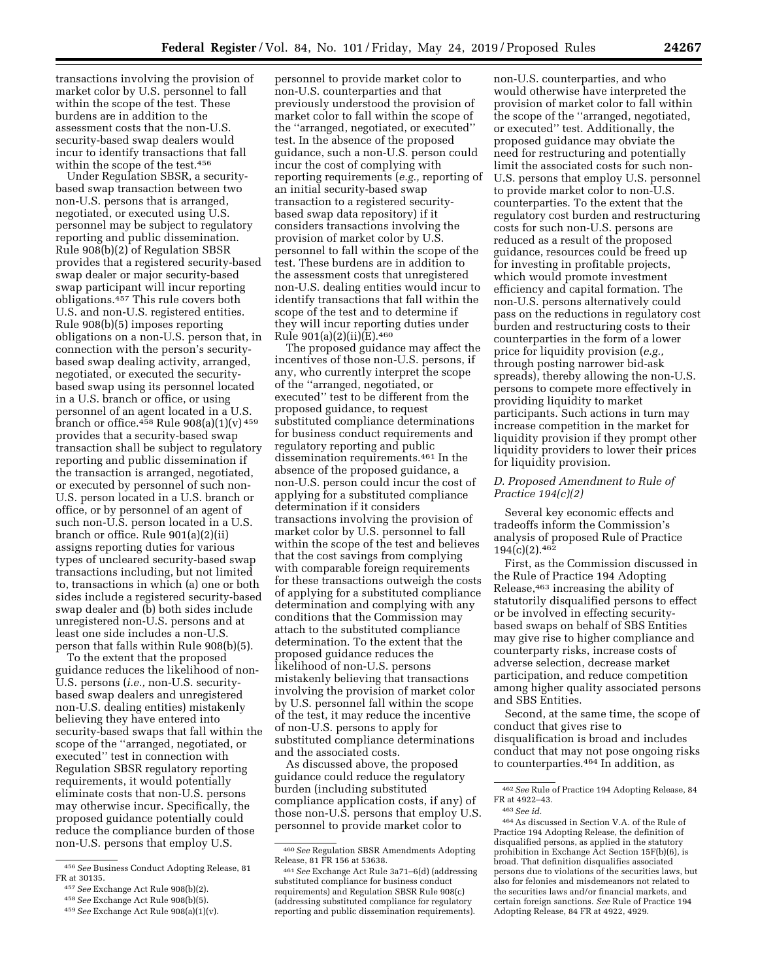transactions involving the provision of market color by U.S. personnel to fall within the scope of the test. These burdens are in addition to the assessment costs that the non-U.S. security-based swap dealers would incur to identify transactions that fall within the scope of the test.456

Under Regulation SBSR, a securitybased swap transaction between two non-U.S. persons that is arranged, negotiated, or executed using U.S. personnel may be subject to regulatory reporting and public dissemination. Rule 908(b)(2) of Regulation SBSR provides that a registered security-based swap dealer or major security-based swap participant will incur reporting obligations.457 This rule covers both U.S. and non-U.S. registered entities. Rule 908(b)(5) imposes reporting obligations on a non-U.S. person that, in connection with the person's securitybased swap dealing activity, arranged, negotiated, or executed the securitybased swap using its personnel located in a U.S. branch or office, or using personnel of an agent located in a U.S. branch or office.<sup>458</sup> Rule 908(a)(1)(v)<sup>459</sup> provides that a security-based swap transaction shall be subject to regulatory reporting and public dissemination if the transaction is arranged, negotiated, or executed by personnel of such non-U.S. person located in a U.S. branch or office, or by personnel of an agent of such non-U.S. person located in a U.S. branch or office. Rule 901(a)(2)(ii) assigns reporting duties for various types of uncleared security-based swap transactions including, but not limited to, transactions in which (a) one or both sides include a registered security-based swap dealer and (b) both sides include unregistered non-U.S. persons and at least one side includes a non-U.S. person that falls within Rule 908(b)(5).

To the extent that the proposed guidance reduces the likelihood of non-U.S. persons (*i.e.,* non-U.S. securitybased swap dealers and unregistered non-U.S. dealing entities) mistakenly believing they have entered into security-based swaps that fall within the scope of the ''arranged, negotiated, or executed'' test in connection with Regulation SBSR regulatory reporting requirements, it would potentially eliminate costs that non-U.S. persons may otherwise incur. Specifically, the proposed guidance potentially could reduce the compliance burden of those non-U.S. persons that employ U.S.

personnel to provide market color to non-U.S. counterparties and that previously understood the provision of market color to fall within the scope of the ''arranged, negotiated, or executed'' test. In the absence of the proposed guidance, such a non-U.S. person could incur the cost of complying with reporting requirements (*e.g.,* reporting of an initial security-based swap transaction to a registered securitybased swap data repository) if it considers transactions involving the provision of market color by U.S. personnel to fall within the scope of the test. These burdens are in addition to the assessment costs that unregistered non-U.S. dealing entities would incur to identify transactions that fall within the scope of the test and to determine if they will incur reporting duties under Rule  $901(a)(2)(ii)(E).460$ 

The proposed guidance may affect the incentives of those non-U.S. persons, if any, who currently interpret the scope of the ''arranged, negotiated, or executed'' test to be different from the proposed guidance, to request substituted compliance determinations for business conduct requirements and regulatory reporting and public dissemination requirements.461 In the absence of the proposed guidance, a non-U.S. person could incur the cost of applying for a substituted compliance determination if it considers transactions involving the provision of market color by U.S. personnel to fall within the scope of the test and believes that the cost savings from complying with comparable foreign requirements for these transactions outweigh the costs of applying for a substituted compliance determination and complying with any conditions that the Commission may attach to the substituted compliance determination. To the extent that the proposed guidance reduces the likelihood of non-U.S. persons mistakenly believing that transactions involving the provision of market color by U.S. personnel fall within the scope of the test, it may reduce the incentive of non-U.S. persons to apply for substituted compliance determinations and the associated costs.

As discussed above, the proposed guidance could reduce the regulatory burden (including substituted compliance application costs, if any) of those non-U.S. persons that employ U.S. personnel to provide market color to

non-U.S. counterparties, and who would otherwise have interpreted the provision of market color to fall within the scope of the ''arranged, negotiated, or executed'' test. Additionally, the proposed guidance may obviate the need for restructuring and potentially limit the associated costs for such non-U.S. persons that employ U.S. personnel to provide market color to non-U.S. counterparties. To the extent that the regulatory cost burden and restructuring costs for such non-U.S. persons are reduced as a result of the proposed guidance, resources could be freed up for investing in profitable projects, which would promote investment efficiency and capital formation. The non-U.S. persons alternatively could pass on the reductions in regulatory cost burden and restructuring costs to their counterparties in the form of a lower price for liquidity provision (*e.g.,*  through posting narrower bid-ask spreads), thereby allowing the non-U.S. persons to compete more effectively in providing liquidity to market participants. Such actions in turn may increase competition in the market for liquidity provision if they prompt other liquidity providers to lower their prices for liquidity provision.

### *D. Proposed Amendment to Rule of Practice 194(c)(2)*

Several key economic effects and tradeoffs inform the Commission's analysis of proposed Rule of Practice 194(c)(2).462

First, as the Commission discussed in the Rule of Practice 194 Adopting Release,463 increasing the ability of statutorily disqualified persons to effect or be involved in effecting securitybased swaps on behalf of SBS Entities may give rise to higher compliance and counterparty risks, increase costs of adverse selection, decrease market participation, and reduce competition among higher quality associated persons and SBS Entities.

Second, at the same time, the scope of conduct that gives rise to disqualification is broad and includes conduct that may not pose ongoing risks to counterparties.464 In addition, as

<sup>456</sup>*See* Business Conduct Adopting Release, 81 FR at 30135.

<sup>457</sup>*See* Exchange Act Rule 908(b)(2).

<sup>458</sup>*See* Exchange Act Rule 908(b)(5).

<sup>459</sup>*See* Exchange Act Rule 908(a)(1)(v).

<sup>460</sup>*See* Regulation SBSR Amendments Adopting Release, 81 FR 156 at 53638.

<sup>461</sup>*See* Exchange Act Rule 3a71–6(d) (addressing substituted compliance for business conduct requirements) and Regulation SBSR Rule 908(c) (addressing substituted compliance for regulatory reporting and public dissemination requirements).

<sup>462</sup>*See* Rule of Practice 194 Adopting Release, 84 FR at 4922–43.

<sup>463</sup>*See id.* 

<sup>464</sup>As discussed in Section V.A. of the Rule of Practice 194 Adopting Release, the definition of disqualified persons, as applied in the statutory prohibition in Exchange Act Section 15F(b)(6), is broad. That definition disqualifies associated persons due to violations of the securities laws, but also for felonies and misdemeanors not related to the securities laws and/or financial markets, and certain foreign sanctions. *See* Rule of Practice 194 Adopting Release, 84 FR at 4922, 4929.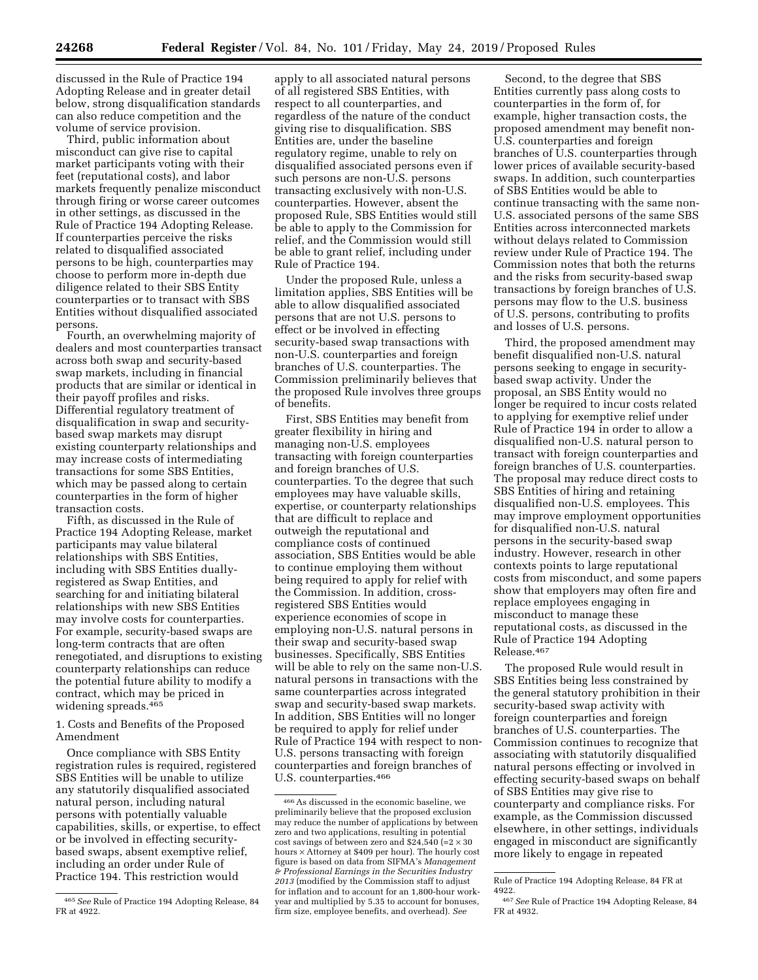discussed in the Rule of Practice 194 Adopting Release and in greater detail below, strong disqualification standards can also reduce competition and the volume of service provision.

Third, public information about misconduct can give rise to capital market participants voting with their feet (reputational costs), and labor markets frequently penalize misconduct through firing or worse career outcomes in other settings, as discussed in the Rule of Practice 194 Adopting Release. If counterparties perceive the risks related to disqualified associated persons to be high, counterparties may choose to perform more in-depth due diligence related to their SBS Entity counterparties or to transact with SBS Entities without disqualified associated persons.

Fourth, an overwhelming majority of dealers and most counterparties transact across both swap and security-based swap markets, including in financial products that are similar or identical in their payoff profiles and risks. Differential regulatory treatment of disqualification in swap and securitybased swap markets may disrupt existing counterparty relationships and may increase costs of intermediating transactions for some SBS Entities, which may be passed along to certain counterparties in the form of higher transaction costs.

Fifth, as discussed in the Rule of Practice 194 Adopting Release, market participants may value bilateral relationships with SBS Entities, including with SBS Entities duallyregistered as Swap Entities, and searching for and initiating bilateral relationships with new SBS Entities may involve costs for counterparties. For example, security-based swaps are long-term contracts that are often renegotiated, and disruptions to existing counterparty relationships can reduce the potential future ability to modify a contract, which may be priced in widening spreads.465

1. Costs and Benefits of the Proposed Amendment

Once compliance with SBS Entity registration rules is required, registered SBS Entities will be unable to utilize any statutorily disqualified associated natural person, including natural persons with potentially valuable capabilities, skills, or expertise, to effect or be involved in effecting securitybased swaps, absent exemptive relief, including an order under Rule of Practice 194. This restriction would

apply to all associated natural persons of all registered SBS Entities, with respect to all counterparties, and regardless of the nature of the conduct giving rise to disqualification. SBS Entities are, under the baseline regulatory regime, unable to rely on disqualified associated persons even if such persons are non-U.S. persons transacting exclusively with non-U.S. counterparties. However, absent the proposed Rule, SBS Entities would still be able to apply to the Commission for relief, and the Commission would still be able to grant relief, including under Rule of Practice 194.

Under the proposed Rule, unless a limitation applies, SBS Entities will be able to allow disqualified associated persons that are not U.S. persons to effect or be involved in effecting security-based swap transactions with non-U.S. counterparties and foreign branches of U.S. counterparties. The Commission preliminarily believes that the proposed Rule involves three groups of benefits.

First, SBS Entities may benefit from greater flexibility in hiring and managing non-U.S. employees transacting with foreign counterparties and foreign branches of U.S. counterparties. To the degree that such employees may have valuable skills, expertise, or counterparty relationships that are difficult to replace and outweigh the reputational and compliance costs of continued association, SBS Entities would be able to continue employing them without being required to apply for relief with the Commission. In addition, crossregistered SBS Entities would experience economies of scope in employing non-U.S. natural persons in their swap and security-based swap businesses. Specifically, SBS Entities will be able to rely on the same non-U.S. natural persons in transactions with the same counterparties across integrated swap and security-based swap markets. In addition, SBS Entities will no longer be required to apply for relief under Rule of Practice 194 with respect to non-U.S. persons transacting with foreign counterparties and foreign branches of U.S. counterparties.466

Second, to the degree that SBS Entities currently pass along costs to counterparties in the form of, for example, higher transaction costs, the proposed amendment may benefit non-U.S. counterparties and foreign branches of U.S. counterparties through lower prices of available security-based swaps. In addition, such counterparties of SBS Entities would be able to continue transacting with the same non-U.S. associated persons of the same SBS Entities across interconnected markets without delays related to Commission review under Rule of Practice 194. The Commission notes that both the returns and the risks from security-based swap transactions by foreign branches of U.S. persons may flow to the U.S. business of U.S. persons, contributing to profits and losses of U.S. persons.

Third, the proposed amendment may benefit disqualified non-U.S. natural persons seeking to engage in securitybased swap activity. Under the proposal, an SBS Entity would no longer be required to incur costs related to applying for exemptive relief under Rule of Practice 194 in order to allow a disqualified non-U.S. natural person to transact with foreign counterparties and foreign branches of U.S. counterparties. The proposal may reduce direct costs to SBS Entities of hiring and retaining disqualified non-U.S. employees. This may improve employment opportunities for disqualified non-U.S. natural persons in the security-based swap industry. However, research in other contexts points to large reputational costs from misconduct, and some papers show that employers may often fire and replace employees engaging in misconduct to manage these reputational costs, as discussed in the Rule of Practice 194 Adopting Release.467

The proposed Rule would result in SBS Entities being less constrained by the general statutory prohibition in their security-based swap activity with foreign counterparties and foreign branches of U.S. counterparties. The Commission continues to recognize that associating with statutorily disqualified natural persons effecting or involved in effecting security-based swaps on behalf of SBS Entities may give rise to counterparty and compliance risks. For example, as the Commission discussed elsewhere, in other settings, individuals engaged in misconduct are significantly more likely to engage in repeated

<sup>465</sup>*See* Rule of Practice 194 Adopting Release, 84 FR at 4922.

<sup>466</sup>As discussed in the economic baseline, we preliminarily believe that the proposed exclusion may reduce the number of applications by between zero and two applications, resulting in potential cost savings of between zero and  $$24,540$  (=2  $\times$  30 hours × Attorney at \$409 per hour). The hourly cost figure is based on data from SIFMA's *Management & Professional Earnings in the Securities Industry 2013* (modified by the Commission staff to adjust for inflation and to account for an 1,800-hour workyear and multiplied by 5.35 to account for bonuses, firm size, employee benefits, and overhead). *See* 

Rule of Practice 194 Adopting Release, 84 FR at 4922.

<sup>467</sup>*See* Rule of Practice 194 Adopting Release, 84 FR at 4932.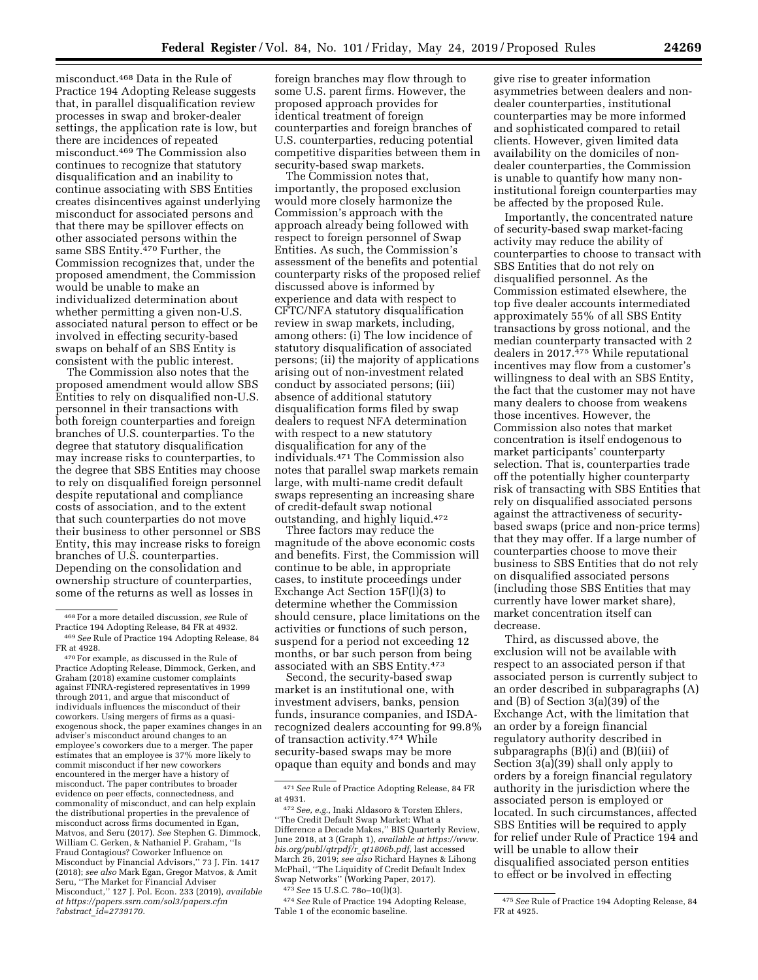misconduct.468 Data in the Rule of Practice 194 Adopting Release suggests that, in parallel disqualification review processes in swap and broker-dealer settings, the application rate is low, but there are incidences of repeated misconduct.469 The Commission also continues to recognize that statutory disqualification and an inability to continue associating with SBS Entities creates disincentives against underlying misconduct for associated persons and that there may be spillover effects on other associated persons within the same SBS Entity.<sup>470</sup> Further, the Commission recognizes that, under the proposed amendment, the Commission would be unable to make an individualized determination about whether permitting a given non-U.S. associated natural person to effect or be involved in effecting security-based

consistent with the public interest. The Commission also notes that the proposed amendment would allow SBS Entities to rely on disqualified non-U.S. personnel in their transactions with both foreign counterparties and foreign branches of U.S. counterparties. To the degree that statutory disqualification may increase risks to counterparties, to the degree that SBS Entities may choose to rely on disqualified foreign personnel despite reputational and compliance costs of association, and to the extent that such counterparties do not move their business to other personnel or SBS Entity, this may increase risks to foreign branches of U.S. counterparties. Depending on the consolidation and ownership structure of counterparties, some of the returns as well as losses in

swaps on behalf of an SBS Entity is

foreign branches may flow through to some U.S. parent firms. However, the proposed approach provides for identical treatment of foreign counterparties and foreign branches of U.S. counterparties, reducing potential competitive disparities between them in security-based swap markets.

The Commission notes that, importantly, the proposed exclusion would more closely harmonize the Commission's approach with the approach already being followed with respect to foreign personnel of Swap Entities. As such, the Commission's assessment of the benefits and potential counterparty risks of the proposed relief discussed above is informed by experience and data with respect to CFTC/NFA statutory disqualification review in swap markets, including, among others: (i) The low incidence of statutory disqualification of associated persons; (ii) the majority of applications arising out of non-investment related conduct by associated persons; (iii) absence of additional statutory disqualification forms filed by swap dealers to request NFA determination with respect to a new statutory disqualification for any of the individuals.471 The Commission also notes that parallel swap markets remain large, with multi-name credit default swaps representing an increasing share of credit-default swap notional outstanding, and highly liquid.472

Three factors may reduce the magnitude of the above economic costs and benefits. First, the Commission will continue to be able, in appropriate cases, to institute proceedings under Exchange Act Section 15F(l)(3) to determine whether the Commission should censure, place limitations on the activities or functions of such person, suspend for a period not exceeding 12 months, or bar such person from being associated with an SBS Entity.473

Second, the security-based swap market is an institutional one, with investment advisers, banks, pension funds, insurance companies, and ISDArecognized dealers accounting for 99.8% of transaction activity.474 While security-based swaps may be more opaque than equity and bonds and may

474*See* Rule of Practice 194 Adopting Release, Table 1 of the economic baseline.

give rise to greater information asymmetries between dealers and nondealer counterparties, institutional counterparties may be more informed and sophisticated compared to retail clients. However, given limited data availability on the domiciles of nondealer counterparties, the Commission is unable to quantify how many noninstitutional foreign counterparties may be affected by the proposed Rule.

Importantly, the concentrated nature of security-based swap market-facing activity may reduce the ability of counterparties to choose to transact with SBS Entities that do not rely on disqualified personnel. As the Commission estimated elsewhere, the top five dealer accounts intermediated approximately 55% of all SBS Entity transactions by gross notional, and the median counterparty transacted with 2 dealers in 2017.475 While reputational incentives may flow from a customer's willingness to deal with an SBS Entity, the fact that the customer may not have many dealers to choose from weakens those incentives. However, the Commission also notes that market concentration is itself endogenous to market participants' counterparty selection. That is, counterparties trade off the potentially higher counterparty risk of transacting with SBS Entities that rely on disqualified associated persons against the attractiveness of securitybased swaps (price and non-price terms) that they may offer. If a large number of counterparties choose to move their business to SBS Entities that do not rely on disqualified associated persons (including those SBS Entities that may currently have lower market share), market concentration itself can decrease.

Third, as discussed above, the exclusion will not be available with respect to an associated person if that associated person is currently subject to an order described in subparagraphs (A) and (B) of Section 3(a)(39) of the Exchange Act, with the limitation that an order by a foreign financial regulatory authority described in subparagraphs (B)(i) and (B)(iii) of Section 3(a)(39) shall only apply to orders by a foreign financial regulatory authority in the jurisdiction where the associated person is employed or located. In such circumstances, affected SBS Entities will be required to apply for relief under Rule of Practice 194 and will be unable to allow their disqualified associated person entities to effect or be involved in effecting

<sup>468</sup>For a more detailed discussion, *see* Rule of <sup>469</sup> See Rule of Practice 194 Adopting Release, 84 FR at 4928.

<sup>470</sup> For example, as discussed in the Rule of Practice Adopting Release, Dimmock, Gerken, and Graham (2018) examine customer complaints against FINRA-registered representatives in 1999 through 2011, and argue that misconduct of individuals influences the misconduct of their coworkers. Using mergers of firms as a quasiexogenous shock, the paper examines changes in an adviser's misconduct around changes to an employee's coworkers due to a merger. The paper estimates that an employee is 37% more likely to commit misconduct if her new coworkers encountered in the merger have a history of misconduct. The paper contributes to broader evidence on peer effects, connectedness, and commonality of misconduct, and can help explain the distributional properties in the prevalence of misconduct across firms documented in Egan, Matvos, and Seru (2017). *See* Stephen G. Dimmock, William C. Gerken, & Nathaniel P. Graham, ''Is Fraud Contagious? Coworker Influence on Misconduct by Financial Advisors,'' 73 J. Fin. 1417 (2018); *see also* Mark Egan, Gregor Matvos, & Amit Seru, ''The Market for Financial Adviser Misconduct,'' 127 J. Pol. Econ. 233 (2019), *available at [https://papers.ssrn.com/sol3/papers.cfm](https://papers.ssrn.com/sol3/papers.cfm?abstract_id=2739170) ?abstract*\_*[id=2739170.](https://papers.ssrn.com/sol3/papers.cfm?abstract_id=2739170)* 

<sup>471</sup>*See* Rule of Practice Adopting Release, 84 FR at 4931.

<sup>472</sup>*See, e.g.,* Inaki Aldasoro & Torsten Ehlers, ''The Credit Default Swap Market: What a Difference a Decade Makes,'' BIS Quarterly Review, June 2018, at 3 (Graph 1), *available at [https://www.](https://www.bis.org/publ/qtrpdf/r_qt1806b.pdf) [bis.org/publ/qtrpdf/r](https://www.bis.org/publ/qtrpdf/r_qt1806b.pdf)*\_*qt1806b.pdf,* last accessed March 26, 2019; *see also* Richard Haynes & Lihong McPhail, ''The Liquidity of Credit Default Index Swap Networks'' (Working Paper, 2017).

<sup>473</sup>*See* 15 U.S.C. 78o–10(l)(3).

<sup>475</sup>*See* Rule of Practice 194 Adopting Release, 84 FR at 4925.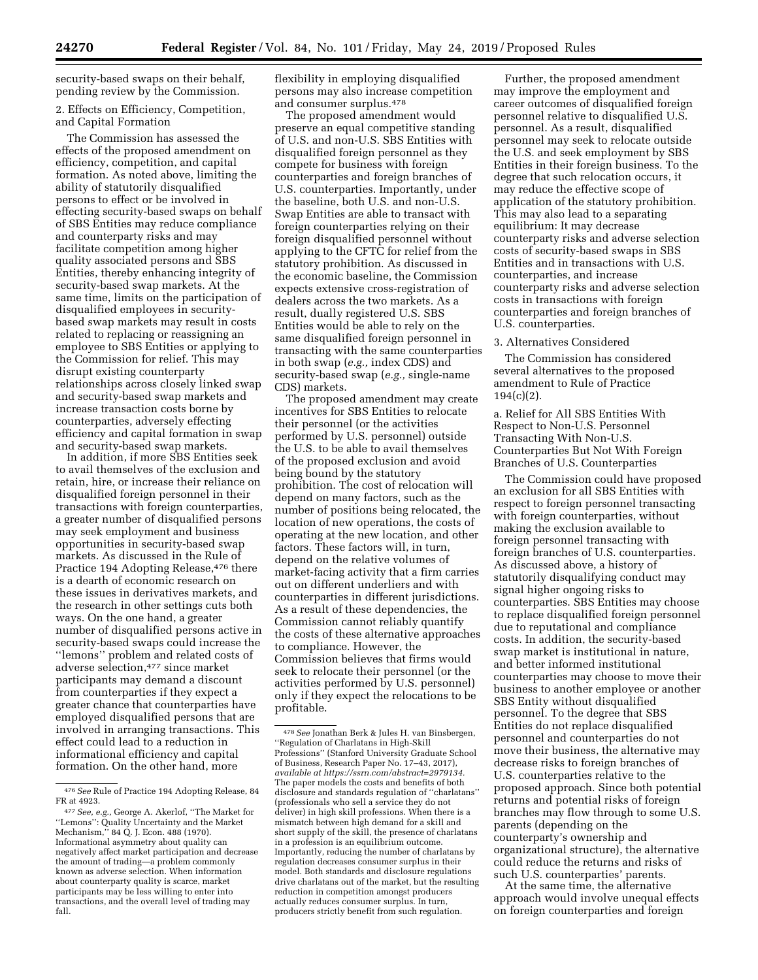security-based swaps on their behalf, pending review by the Commission.

## 2. Effects on Efficiency, Competition, and Capital Formation

The Commission has assessed the effects of the proposed amendment on efficiency, competition, and capital formation. As noted above, limiting the ability of statutorily disqualified persons to effect or be involved in effecting security-based swaps on behalf of SBS Entities may reduce compliance and counterparty risks and may facilitate competition among higher quality associated persons and SBS Entities, thereby enhancing integrity of security-based swap markets. At the same time, limits on the participation of disqualified employees in securitybased swap markets may result in costs related to replacing or reassigning an employee to SBS Entities or applying to the Commission for relief. This may disrupt existing counterparty relationships across closely linked swap and security-based swap markets and increase transaction costs borne by counterparties, adversely effecting efficiency and capital formation in swap and security-based swap markets.

In addition, if more SBS Entities seek to avail themselves of the exclusion and retain, hire, or increase their reliance on disqualified foreign personnel in their transactions with foreign counterparties, a greater number of disqualified persons may seek employment and business opportunities in security-based swap markets. As discussed in the Rule of Practice 194 Adopting Release,<sup>476</sup> there is a dearth of economic research on these issues in derivatives markets, and the research in other settings cuts both ways. On the one hand, a greater number of disqualified persons active in security-based swaps could increase the ''lemons'' problem and related costs of adverse selection,477 since market participants may demand a discount from counterparties if they expect a greater chance that counterparties have employed disqualified persons that are involved in arranging transactions. This effect could lead to a reduction in informational efficiency and capital formation. On the other hand, more

flexibility in employing disqualified persons may also increase competition and consumer surplus.478

The proposed amendment would preserve an equal competitive standing of U.S. and non-U.S. SBS Entities with disqualified foreign personnel as they compete for business with foreign counterparties and foreign branches of U.S. counterparties. Importantly, under the baseline, both U.S. and non-U.S. Swap Entities are able to transact with foreign counterparties relying on their foreign disqualified personnel without applying to the CFTC for relief from the statutory prohibition. As discussed in the economic baseline, the Commission expects extensive cross-registration of dealers across the two markets. As a result, dually registered U.S. SBS Entities would be able to rely on the same disqualified foreign personnel in transacting with the same counterparties in both swap (*e.g.,* index CDS) and security-based swap (*e.g.,* single-name CDS) markets.

The proposed amendment may create incentives for SBS Entities to relocate their personnel (or the activities performed by U.S. personnel) outside the U.S. to be able to avail themselves of the proposed exclusion and avoid being bound by the statutory prohibition. The cost of relocation will depend on many factors, such as the number of positions being relocated, the location of new operations, the costs of operating at the new location, and other factors. These factors will, in turn, depend on the relative volumes of market-facing activity that a firm carries out on different underliers and with counterparties in different jurisdictions. As a result of these dependencies, the Commission cannot reliably quantify the costs of these alternative approaches to compliance. However, the Commission believes that firms would seek to relocate their personnel (or the activities performed by U.S. personnel) only if they expect the relocations to be profitable.

Further, the proposed amendment may improve the employment and career outcomes of disqualified foreign personnel relative to disqualified U.S. personnel. As a result, disqualified personnel may seek to relocate outside the U.S. and seek employment by SBS Entities in their foreign business. To the degree that such relocation occurs, it may reduce the effective scope of application of the statutory prohibition. This may also lead to a separating equilibrium: It may decrease counterparty risks and adverse selection costs of security-based swaps in SBS Entities and in transactions with U.S. counterparties, and increase counterparty risks and adverse selection costs in transactions with foreign counterparties and foreign branches of U.S. counterparties.

#### 3. Alternatives Considered

The Commission has considered several alternatives to the proposed amendment to Rule of Practice  $194(c)(2)$ .

a. Relief for All SBS Entities With Respect to Non-U.S. Personnel Transacting With Non-U.S. Counterparties But Not With Foreign Branches of U.S. Counterparties

The Commission could have proposed an exclusion for all SBS Entities with respect to foreign personnel transacting with foreign counterparties, without making the exclusion available to foreign personnel transacting with foreign branches of U.S. counterparties. As discussed above, a history of statutorily disqualifying conduct may signal higher ongoing risks to counterparties. SBS Entities may choose to replace disqualified foreign personnel due to reputational and compliance costs. In addition, the security-based swap market is institutional in nature, and better informed institutional counterparties may choose to move their business to another employee or another SBS Entity without disqualified personnel. To the degree that SBS Entities do not replace disqualified personnel and counterparties do not move their business, the alternative may decrease risks to foreign branches of U.S. counterparties relative to the proposed approach. Since both potential returns and potential risks of foreign branches may flow through to some U.S. parents (depending on the counterparty's ownership and organizational structure), the alternative could reduce the returns and risks of such U.S. counterparties' parents.

At the same time, the alternative approach would involve unequal effects on foreign counterparties and foreign

<sup>476</sup>*See* Rule of Practice 194 Adopting Release, 84 FR at 4923.

<sup>477</sup>*See, e.g.,* George A. Akerlof, ''The Market for ''Lemons'': Quality Uncertainty and the Market Mechanism,'' 84 Q. J. Econ. 488 (1970). Informational asymmetry about quality can negatively affect market participation and decrease the amount of trading—a problem commonly known as adverse selection. When information about counterparty quality is scarce, market participants may be less willing to enter into transactions, and the overall level of trading may fall.

<sup>478</sup>*See* Jonathan Berk & Jules H. van Binsbergen, ''Regulation of Charlatans in High-Skill Professions'' (Stanford University Graduate School of Business, Research Paper No. 17–43, 2017), *available at [https://ssrn.com/abstract=2979134.](https://ssrn.com/abstract=2979134)*  The paper models the costs and benefits of both disclosure and standards regulation of ''charlatans'' (professionals who sell a service they do not deliver) in high skill professions. When there is a mismatch between high demand for a skill and short supply of the skill, the presence of charlatans in a profession is an equilibrium outcome. Importantly, reducing the number of charlatans by regulation decreases consumer surplus in their model. Both standards and disclosure regulations drive charlatans out of the market, but the resulting reduction in competition amongst producers actually reduces consumer surplus. In turn, producers strictly benefit from such regulation.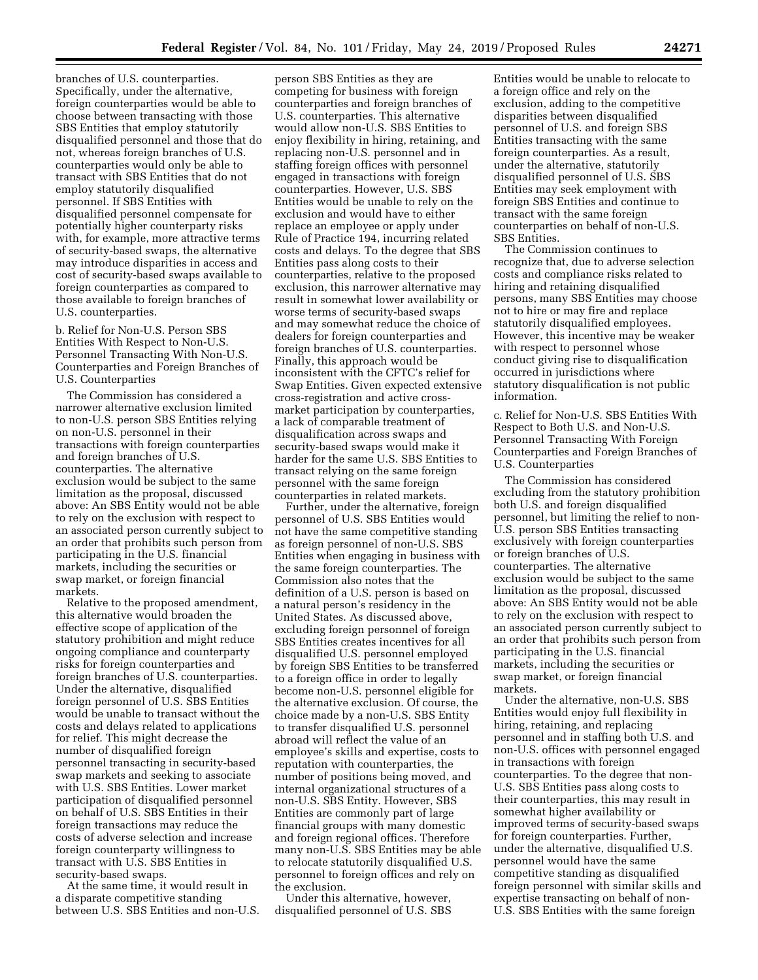branches of U.S. counterparties. Specifically, under the alternative, foreign counterparties would be able to choose between transacting with those SBS Entities that employ statutorily disqualified personnel and those that do not, whereas foreign branches of U.S. counterparties would only be able to transact with SBS Entities that do not employ statutorily disqualified personnel. If SBS Entities with disqualified personnel compensate for potentially higher counterparty risks with, for example, more attractive terms of security-based swaps, the alternative may introduce disparities in access and cost of security-based swaps available to foreign counterparties as compared to those available to foreign branches of U.S. counterparties.

b. Relief for Non-U.S. Person SBS Entities With Respect to Non-U.S. Personnel Transacting With Non-U.S. Counterparties and Foreign Branches of U.S. Counterparties

The Commission has considered a narrower alternative exclusion limited to non-U.S. person SBS Entities relying on non-U.S. personnel in their transactions with foreign counterparties and foreign branches of U.S. counterparties. The alternative exclusion would be subject to the same limitation as the proposal, discussed above: An SBS Entity would not be able to rely on the exclusion with respect to an associated person currently subject to an order that prohibits such person from participating in the U.S. financial markets, including the securities or swap market, or foreign financial markets.

Relative to the proposed amendment, this alternative would broaden the effective scope of application of the statutory prohibition and might reduce ongoing compliance and counterparty risks for foreign counterparties and foreign branches of U.S. counterparties. Under the alternative, disqualified foreign personnel of U.S. SBS Entities would be unable to transact without the costs and delays related to applications for relief. This might decrease the number of disqualified foreign personnel transacting in security-based swap markets and seeking to associate with U.S. SBS Entities. Lower market participation of disqualified personnel on behalf of U.S. SBS Entities in their foreign transactions may reduce the costs of adverse selection and increase foreign counterparty willingness to transact with U.S. SBS Entities in security-based swaps.

At the same time, it would result in a disparate competitive standing between U.S. SBS Entities and non-U.S.

person SBS Entities as they are competing for business with foreign counterparties and foreign branches of U.S. counterparties. This alternative would allow non-U.S. SBS Entities to enjoy flexibility in hiring, retaining, and replacing non-U.S. personnel and in staffing foreign offices with personnel engaged in transactions with foreign counterparties. However, U.S. SBS Entities would be unable to rely on the exclusion and would have to either replace an employee or apply under Rule of Practice 194, incurring related costs and delays. To the degree that SBS Entities pass along costs to their counterparties, relative to the proposed exclusion, this narrower alternative may result in somewhat lower availability or worse terms of security-based swaps and may somewhat reduce the choice of dealers for foreign counterparties and foreign branches of U.S. counterparties. Finally, this approach would be inconsistent with the CFTC's relief for Swap Entities. Given expected extensive cross-registration and active crossmarket participation by counterparties, a lack of comparable treatment of disqualification across swaps and security-based swaps would make it harder for the same U.S. SBS Entities to transact relying on the same foreign personnel with the same foreign counterparties in related markets.

Further, under the alternative, foreign personnel of U.S. SBS Entities would not have the same competitive standing as foreign personnel of non-U.S. SBS Entities when engaging in business with the same foreign counterparties. The Commission also notes that the definition of a U.S. person is based on a natural person's residency in the United States. As discussed above, excluding foreign personnel of foreign SBS Entities creates incentives for all disqualified U.S. personnel employed by foreign SBS Entities to be transferred to a foreign office in order to legally become non-U.S. personnel eligible for the alternative exclusion. Of course, the choice made by a non-U.S. SBS Entity to transfer disqualified U.S. personnel abroad will reflect the value of an employee's skills and expertise, costs to reputation with counterparties, the number of positions being moved, and internal organizational structures of a non-U.S. SBS Entity. However, SBS Entities are commonly part of large financial groups with many domestic and foreign regional offices. Therefore many non-U.S. SBS Entities may be able to relocate statutorily disqualified U.S. personnel to foreign offices and rely on the exclusion.

Under this alternative, however, disqualified personnel of U.S. SBS

Entities would be unable to relocate to a foreign office and rely on the exclusion, adding to the competitive disparities between disqualified personnel of U.S. and foreign SBS Entities transacting with the same foreign counterparties. As a result, under the alternative, statutorily disqualified personnel of U.S. SBS Entities may seek employment with foreign SBS Entities and continue to transact with the same foreign counterparties on behalf of non-U.S. SBS Entities.

The Commission continues to recognize that, due to adverse selection costs and compliance risks related to hiring and retaining disqualified persons, many SBS Entities may choose not to hire or may fire and replace statutorily disqualified employees. However, this incentive may be weaker with respect to personnel whose conduct giving rise to disqualification occurred in jurisdictions where statutory disqualification is not public information.

c. Relief for Non-U.S. SBS Entities With Respect to Both U.S. and Non-U.S. Personnel Transacting With Foreign Counterparties and Foreign Branches of U.S. Counterparties

The Commission has considered excluding from the statutory prohibition both U.S. and foreign disqualified personnel, but limiting the relief to non-U.S. person SBS Entities transacting exclusively with foreign counterparties or foreign branches of U.S. counterparties. The alternative exclusion would be subject to the same limitation as the proposal, discussed above: An SBS Entity would not be able to rely on the exclusion with respect to an associated person currently subject to an order that prohibits such person from participating in the U.S. financial markets, including the securities or swap market, or foreign financial markets.

Under the alternative, non-U.S. SBS Entities would enjoy full flexibility in hiring, retaining, and replacing personnel and in staffing both U.S. and non-U.S. offices with personnel engaged in transactions with foreign counterparties. To the degree that non-U.S. SBS Entities pass along costs to their counterparties, this may result in somewhat higher availability or improved terms of security-based swaps for foreign counterparties. Further, under the alternative, disqualified U.S. personnel would have the same competitive standing as disqualified foreign personnel with similar skills and expertise transacting on behalf of non-U.S. SBS Entities with the same foreign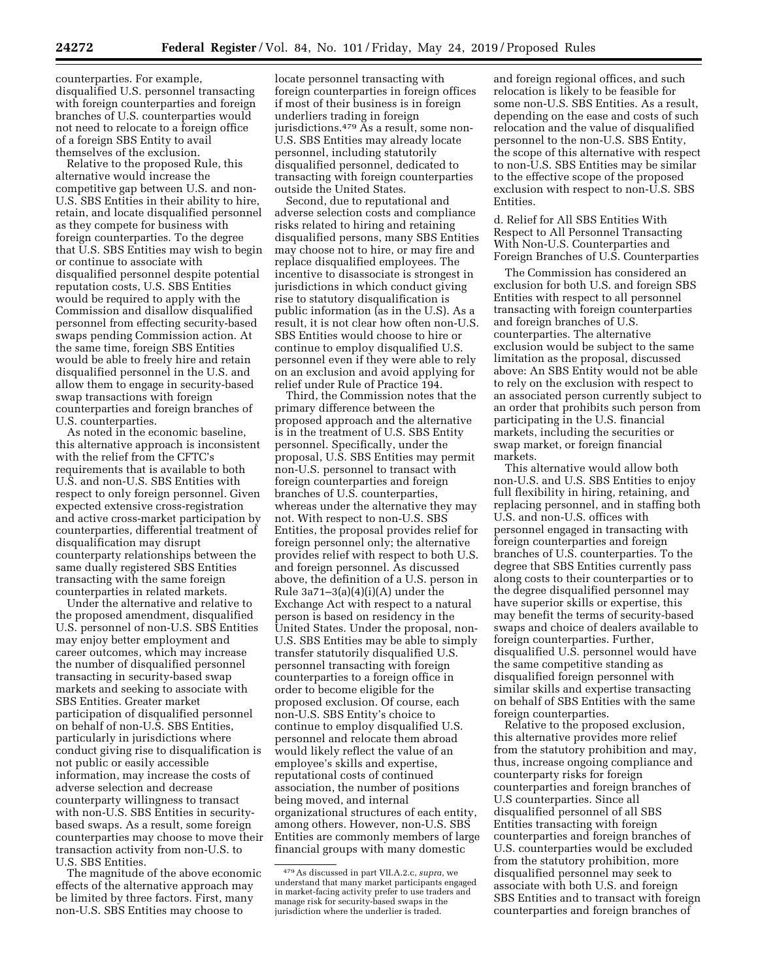counterparties. For example, disqualified U.S. personnel transacting with foreign counterparties and foreign branches of U.S. counterparties would not need to relocate to a foreign office of a foreign SBS Entity to avail themselves of the exclusion.

Relative to the proposed Rule, this alternative would increase the competitive gap between U.S. and non-U.S. SBS Entities in their ability to hire, retain, and locate disqualified personnel as they compete for business with foreign counterparties. To the degree that U.S. SBS Entities may wish to begin or continue to associate with disqualified personnel despite potential reputation costs, U.S. SBS Entities would be required to apply with the Commission and disallow disqualified personnel from effecting security-based swaps pending Commission action. At the same time, foreign SBS Entities would be able to freely hire and retain disqualified personnel in the U.S. and allow them to engage in security-based swap transactions with foreign counterparties and foreign branches of U.S. counterparties.

As noted in the economic baseline, this alternative approach is inconsistent with the relief from the CFTC's requirements that is available to both U.S. and non-U.S. SBS Entities with respect to only foreign personnel. Given expected extensive cross-registration and active cross-market participation by counterparties, differential treatment of disqualification may disrupt counterparty relationships between the same dually registered SBS Entities transacting with the same foreign counterparties in related markets.

Under the alternative and relative to the proposed amendment, disqualified U.S. personnel of non-U.S. SBS Entities may enjoy better employment and career outcomes, which may increase the number of disqualified personnel transacting in security-based swap markets and seeking to associate with SBS Entities. Greater market participation of disqualified personnel on behalf of non-U.S. SBS Entities, particularly in jurisdictions where conduct giving rise to disqualification is not public or easily accessible information, may increase the costs of adverse selection and decrease counterparty willingness to transact with non-U.S. SBS Entities in securitybased swaps. As a result, some foreign counterparties may choose to move their transaction activity from non-U.S. to U.S. SBS Entities.

The magnitude of the above economic effects of the alternative approach may be limited by three factors. First, many non-U.S. SBS Entities may choose to

locate personnel transacting with foreign counterparties in foreign offices if most of their business is in foreign underliers trading in foreign jurisdictions.479 As a result, some non-U.S. SBS Entities may already locate personnel, including statutorily disqualified personnel, dedicated to transacting with foreign counterparties outside the United States.

Second, due to reputational and adverse selection costs and compliance risks related to hiring and retaining disqualified persons, many SBS Entities may choose not to hire, or may fire and replace disqualified employees. The incentive to disassociate is strongest in jurisdictions in which conduct giving rise to statutory disqualification is public information (as in the U.S). As a result, it is not clear how often non-U.S. SBS Entities would choose to hire or continue to employ disqualified U.S. personnel even if they were able to rely on an exclusion and avoid applying for relief under Rule of Practice 194.

Third, the Commission notes that the primary difference between the proposed approach and the alternative is in the treatment of U.S. SBS Entity personnel. Specifically, under the proposal, U.S. SBS Entities may permit non-U.S. personnel to transact with foreign counterparties and foreign branches of U.S. counterparties, whereas under the alternative they may not. With respect to non-U.S. SBS Entities, the proposal provides relief for foreign personnel only; the alternative provides relief with respect to both U.S. and foreign personnel. As discussed above, the definition of a U.S. person in Rule  $3a71-3(a)(4)(i)(A)$  under the Exchange Act with respect to a natural person is based on residency in the United States. Under the proposal, non-U.S. SBS Entities may be able to simply transfer statutorily disqualified U.S. personnel transacting with foreign counterparties to a foreign office in order to become eligible for the proposed exclusion. Of course, each non-U.S. SBS Entity's choice to continue to employ disqualified U.S. personnel and relocate them abroad would likely reflect the value of an employee's skills and expertise, reputational costs of continued association, the number of positions being moved, and internal organizational structures of each entity, among others. However, non-U.S. SBS Entities are commonly members of large financial groups with many domestic

and foreign regional offices, and such relocation is likely to be feasible for some non-U.S. SBS Entities. As a result, depending on the ease and costs of such relocation and the value of disqualified personnel to the non-U.S. SBS Entity, the scope of this alternative with respect to non-U.S. SBS Entities may be similar to the effective scope of the proposed exclusion with respect to non-U.S. SBS Entities.

d. Relief for All SBS Entities With Respect to All Personnel Transacting With Non-U.S. Counterparties and Foreign Branches of U.S. Counterparties

The Commission has considered an exclusion for both U.S. and foreign SBS Entities with respect to all personnel transacting with foreign counterparties and foreign branches of U.S. counterparties. The alternative exclusion would be subject to the same limitation as the proposal, discussed above: An SBS Entity would not be able to rely on the exclusion with respect to an associated person currently subject to an order that prohibits such person from participating in the U.S. financial markets, including the securities or swap market, or foreign financial markets.

This alternative would allow both non-U.S. and U.S. SBS Entities to enjoy full flexibility in hiring, retaining, and replacing personnel, and in staffing both U.S. and non-U.S. offices with personnel engaged in transacting with foreign counterparties and foreign branches of U.S. counterparties. To the degree that SBS Entities currently pass along costs to their counterparties or to the degree disqualified personnel may have superior skills or expertise, this may benefit the terms of security-based swaps and choice of dealers available to foreign counterparties. Further, disqualified U.S. personnel would have the same competitive standing as disqualified foreign personnel with similar skills and expertise transacting on behalf of SBS Entities with the same foreign counterparties.

Relative to the proposed exclusion, this alternative provides more relief from the statutory prohibition and may, thus, increase ongoing compliance and counterparty risks for foreign counterparties and foreign branches of U.S counterparties. Since all disqualified personnel of all SBS Entities transacting with foreign counterparties and foreign branches of U.S. counterparties would be excluded from the statutory prohibition, more disqualified personnel may seek to associate with both U.S. and foreign SBS Entities and to transact with foreign counterparties and foreign branches of

<sup>479</sup>As discussed in part VII.A.2.c, *supra,* we understand that many market participants engaged in market-facing activity prefer to use traders and manage risk for security-based swaps in the jurisdiction where the underlier is traded.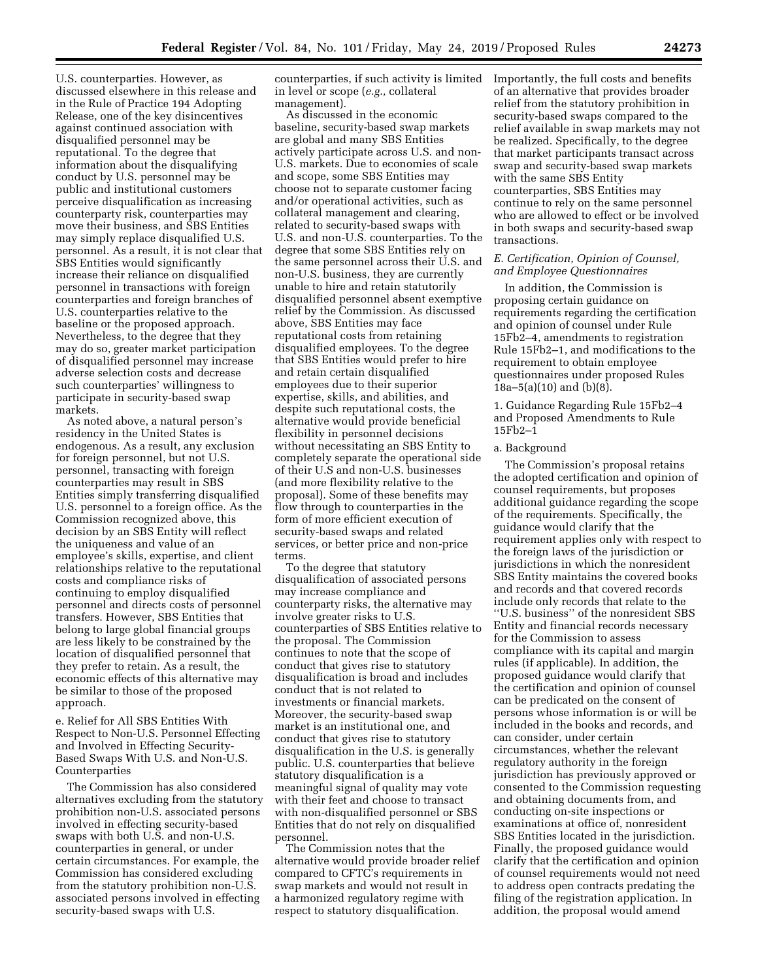U.S. counterparties. However, as discussed elsewhere in this release and in the Rule of Practice 194 Adopting Release, one of the key disincentives against continued association with disqualified personnel may be reputational. To the degree that information about the disqualifying conduct by U.S. personnel may be public and institutional customers perceive disqualification as increasing counterparty risk, counterparties may move their business, and SBS Entities may simply replace disqualified U.S. personnel. As a result, it is not clear that SBS Entities would significantly increase their reliance on disqualified personnel in transactions with foreign counterparties and foreign branches of U.S. counterparties relative to the baseline or the proposed approach. Nevertheless, to the degree that they may do so, greater market participation of disqualified personnel may increase adverse selection costs and decrease such counterparties' willingness to participate in security-based swap markets.

As noted above, a natural person's residency in the United States is endogenous. As a result, any exclusion for foreign personnel, but not U.S. personnel, transacting with foreign counterparties may result in SBS Entities simply transferring disqualified U.S. personnel to a foreign office. As the Commission recognized above, this decision by an SBS Entity will reflect the uniqueness and value of an employee's skills, expertise, and client relationships relative to the reputational costs and compliance risks of continuing to employ disqualified personnel and directs costs of personnel transfers. However, SBS Entities that belong to large global financial groups are less likely to be constrained by the location of disqualified personnel that they prefer to retain. As a result, the economic effects of this alternative may be similar to those of the proposed approach.

e. Relief for All SBS Entities With Respect to Non-U.S. Personnel Effecting and Involved in Effecting Security-Based Swaps With U.S. and Non-U.S. Counterparties

The Commission has also considered alternatives excluding from the statutory prohibition non-U.S. associated persons involved in effecting security-based swaps with both U.S. and non-U.S. counterparties in general, or under certain circumstances. For example, the Commission has considered excluding from the statutory prohibition non-U.S. associated persons involved in effecting security-based swaps with U.S.

counterparties, if such activity is limited in level or scope (*e.g.,* collateral management).

As discussed in the economic baseline, security-based swap markets are global and many SBS Entities actively participate across U.S. and non-U.S. markets. Due to economies of scale and scope, some SBS Entities may choose not to separate customer facing and/or operational activities, such as collateral management and clearing, related to security-based swaps with U.S. and non-U.S. counterparties. To the degree that some SBS Entities rely on the same personnel across their U.S. and non-U.S. business, they are currently unable to hire and retain statutorily disqualified personnel absent exemptive relief by the Commission. As discussed above, SBS Entities may face reputational costs from retaining disqualified employees. To the degree that SBS Entities would prefer to hire and retain certain disqualified employees due to their superior expertise, skills, and abilities, and despite such reputational costs, the alternative would provide beneficial flexibility in personnel decisions without necessitating an SBS Entity to completely separate the operational side of their U.S and non-U.S. businesses (and more flexibility relative to the proposal). Some of these benefits may flow through to counterparties in the form of more efficient execution of security-based swaps and related services, or better price and non-price terms.

To the degree that statutory disqualification of associated persons may increase compliance and counterparty risks, the alternative may involve greater risks to U.S. counterparties of SBS Entities relative to the proposal. The Commission continues to note that the scope of conduct that gives rise to statutory disqualification is broad and includes conduct that is not related to investments or financial markets. Moreover, the security-based swap market is an institutional one, and conduct that gives rise to statutory disqualification in the U.S. is generally public. U.S. counterparties that believe statutory disqualification is a meaningful signal of quality may vote with their feet and choose to transact with non-disqualified personnel or SBS Entities that do not rely on disqualified personnel.

The Commission notes that the alternative would provide broader relief compared to CFTC's requirements in swap markets and would not result in a harmonized regulatory regime with respect to statutory disqualification.

Importantly, the full costs and benefits of an alternative that provides broader relief from the statutory prohibition in security-based swaps compared to the relief available in swap markets may not be realized. Specifically, to the degree that market participants transact across swap and security-based swap markets with the same SBS Entity counterparties, SBS Entities may continue to rely on the same personnel who are allowed to effect or be involved in both swaps and security-based swap transactions.

### *E. Certification, Opinion of Counsel, and Employee Questionnaires*

In addition, the Commission is proposing certain guidance on requirements regarding the certification and opinion of counsel under Rule 15Fb2–4, amendments to registration Rule 15Fb2–1, and modifications to the requirement to obtain employee questionnaires under proposed Rules 18a–5(a)(10) and (b)(8).

1. Guidance Regarding Rule 15Fb2–4 and Proposed Amendments to Rule 15Fb2–1

### a. Background

The Commission's proposal retains the adopted certification and opinion of counsel requirements, but proposes additional guidance regarding the scope of the requirements. Specifically, the guidance would clarify that the requirement applies only with respect to the foreign laws of the jurisdiction or jurisdictions in which the nonresident SBS Entity maintains the covered books and records and that covered records include only records that relate to the ''U.S. business'' of the nonresident SBS Entity and financial records necessary for the Commission to assess compliance with its capital and margin rules (if applicable). In addition, the proposed guidance would clarify that the certification and opinion of counsel can be predicated on the consent of persons whose information is or will be included in the books and records, and can consider, under certain circumstances, whether the relevant regulatory authority in the foreign jurisdiction has previously approved or consented to the Commission requesting and obtaining documents from, and conducting on-site inspections or examinations at office of, nonresident SBS Entities located in the jurisdiction. Finally, the proposed guidance would clarify that the certification and opinion of counsel requirements would not need to address open contracts predating the filing of the registration application. In addition, the proposal would amend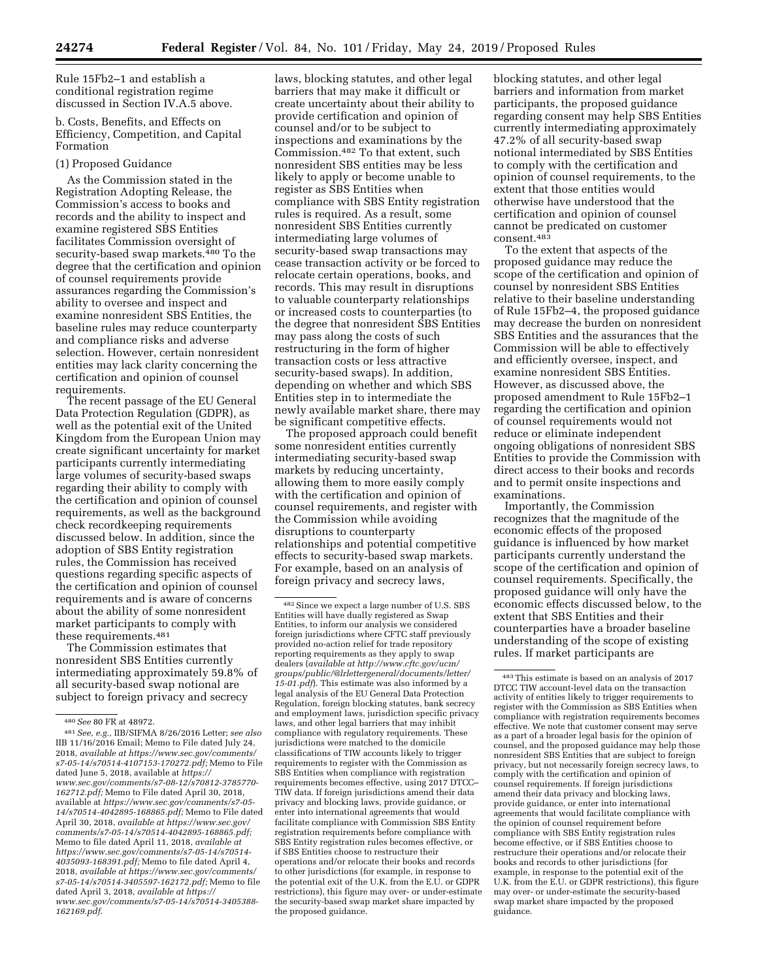Rule 15Fb2–1 and establish a conditional registration regime discussed in Section IV.A.5 above.

b. Costs, Benefits, and Effects on Efficiency, Competition, and Capital Formation

### (1) Proposed Guidance

As the Commission stated in the Registration Adopting Release, the Commission's access to books and records and the ability to inspect and examine registered SBS Entities facilitates Commission oversight of security-based swap markets.<sup>480</sup> To the degree that the certification and opinion of counsel requirements provide assurances regarding the Commission's ability to oversee and inspect and examine nonresident SBS Entities, the baseline rules may reduce counterparty and compliance risks and adverse selection. However, certain nonresident entities may lack clarity concerning the certification and opinion of counsel requirements.

The recent passage of the EU General Data Protection Regulation (GDPR), as well as the potential exit of the United Kingdom from the European Union may create significant uncertainty for market participants currently intermediating large volumes of security-based swaps regarding their ability to comply with the certification and opinion of counsel requirements, as well as the background check recordkeeping requirements discussed below. In addition, since the adoption of SBS Entity registration rules, the Commission has received questions regarding specific aspects of the certification and opinion of counsel requirements and is aware of concerns about the ability of some nonresident market participants to comply with these requirements.481

The Commission estimates that nonresident SBS Entities currently intermediating approximately 59.8% of all security-based swap notional are subject to foreign privacy and secrecy

laws, blocking statutes, and other legal barriers that may make it difficult or create uncertainty about their ability to provide certification and opinion of counsel and/or to be subject to inspections and examinations by the Commission.482 To that extent, such nonresident SBS entities may be less likely to apply or become unable to register as SBS Entities when compliance with SBS Entity registration rules is required. As a result, some nonresident SBS Entities currently intermediating large volumes of security-based swap transactions may cease transaction activity or be forced to relocate certain operations, books, and records. This may result in disruptions to valuable counterparty relationships or increased costs to counterparties (to the degree that nonresident SBS Entities may pass along the costs of such restructuring in the form of higher transaction costs or less attractive security-based swaps). In addition, depending on whether and which SBS Entities step in to intermediate the newly available market share, there may be significant competitive effects.

The proposed approach could benefit some nonresident entities currently intermediating security-based swap markets by reducing uncertainty, allowing them to more easily comply with the certification and opinion of counsel requirements, and register with the Commission while avoiding disruptions to counterparty relationships and potential competitive effects to security-based swap markets. For example, based on an analysis of foreign privacy and secrecy laws,

blocking statutes, and other legal barriers and information from market participants, the proposed guidance regarding consent may help SBS Entities currently intermediating approximately 47.2% of all security-based swap notional intermediated by SBS Entities to comply with the certification and opinion of counsel requirements, to the extent that those entities would otherwise have understood that the certification and opinion of counsel cannot be predicated on customer consent.483

To the extent that aspects of the proposed guidance may reduce the scope of the certification and opinion of counsel by nonresident SBS Entities relative to their baseline understanding of Rule 15Fb2–4, the proposed guidance may decrease the burden on nonresident SBS Entities and the assurances that the Commission will be able to effectively and efficiently oversee, inspect, and examine nonresident SBS Entities. However, as discussed above, the proposed amendment to Rule 15Fb2–1 regarding the certification and opinion of counsel requirements would not reduce or eliminate independent ongoing obligations of nonresident SBS Entities to provide the Commission with direct access to their books and records and to permit onsite inspections and examinations.

Importantly, the Commission recognizes that the magnitude of the economic effects of the proposed guidance is influenced by how market participants currently understand the scope of the certification and opinion of counsel requirements. Specifically, the proposed guidance will only have the economic effects discussed below, to the extent that SBS Entities and their counterparties have a broader baseline understanding of the scope of existing rules. If market participants are

<sup>480</sup>*See* 80 FR at 48972.

<sup>481</sup>*See, e.g.,* IIB/SIFMA 8/26/2016 Letter; *see also*  IIB 11/16/2016 Email; Memo to File dated July 24, 2018, *available at [https://www.sec.gov/comments/](https://www.sec.gov/comments/s7-05-14/s70514-4107153-170272.pdf) [s7-05-14/s70514-4107153-170272.pdf;](https://www.sec.gov/comments/s7-05-14/s70514-4107153-170272.pdf)* Memo to File dated June 5, 2018, available at *[https://](https://www.sec.gov/comments/s7-08-12/s70812-3785770-162712.pdf) [www.sec.gov/comments/s7-08-12/s70812-3785770-](https://www.sec.gov/comments/s7-08-12/s70812-3785770-162712.pdf)  [162712.pdf;](https://www.sec.gov/comments/s7-08-12/s70812-3785770-162712.pdf)* Memo to File dated April 30, 2018, available at *[https://www.sec.gov/comments/s7-05-](https://www.sec.gov/comments/s7-05-14/s70514-4042895-168865.pdf) [14/s70514-4042895-168865.pdf;](https://www.sec.gov/comments/s7-05-14/s70514-4042895-168865.pdf)* Memo to File dated April 30, 2018, *available at [https://www.sec.gov/](https://www.sec.gov/comments/s7-05-14/s70514-4042895-168865.pdf)  [comments/s7-05-14/s70514-4042895-168865.pdf;](https://www.sec.gov/comments/s7-05-14/s70514-4042895-168865.pdf)*  Memo to file dated April 11, 2018, *available at [https://www.sec.gov/comments/s7-05-14/s70514-](https://www.sec.gov/comments/s7-05-14/s70514-4035093-168391.pdf) [4035093-168391.pdf;](https://www.sec.gov/comments/s7-05-14/s70514-4035093-168391.pdf)* Memo to file dated April 4, 2018, *available at [https://www.sec.gov/comments/](https://www.sec.gov/comments/s7-05-14/s70514-3405597-162172.pdf) [s7-05-14/s70514-3405597-162172.pdf;](https://www.sec.gov/comments/s7-05-14/s70514-3405597-162172.pdf)* Memo to file dated April 3, 2018, *available at [https://](https://www.sec.gov/comments/s7-05-14/s70514-3405388-162169.pdf) [www.sec.gov/comments/s7-05-14/s70514-3405388-](https://www.sec.gov/comments/s7-05-14/s70514-3405388-162169.pdf)  [162169.pdf.](https://www.sec.gov/comments/s7-05-14/s70514-3405388-162169.pdf)* 

<sup>482</sup>Since we expect a large number of U.S. SBS Entities will have dually registered as Swap Entities, to inform our analysis we considered foreign jurisdictions where CFTC staff previously provided no-action relief for trade repository reporting requirements as they apply to swap dealers (*available a[t http://www.cftc.gov/ucm/](http://www.cftc.gov/ucm/groups/public/@lrlettergeneral/documents/letter/15-01.pdf)  [groups/public/@lrlettergeneral/documents/letter/](http://www.cftc.gov/ucm/groups/public/@lrlettergeneral/documents/letter/15-01.pdf)  [15-01.pdf](http://www.cftc.gov/ucm/groups/public/@lrlettergeneral/documents/letter/15-01.pdf)*). This estimate was also informed by a legal analysis of the EU General Data Protection Regulation, foreign blocking statutes, bank secrecy and employment laws, jurisdiction specific privacy laws, and other legal barriers that may inhibit compliance with regulatory requirements. These jurisdictions were matched to the domicile classifications of TIW accounts likely to trigger requirements to register with the Commission as SBS Entities when compliance with registration requirements becomes effective, using 2017 DTCC– TIW data. If foreign jurisdictions amend their data privacy and blocking laws, provide guidance, or enter into international agreements that would facilitate compliance with Commission SBS Entity registration requirements before compliance with SBS Entity registration rules becomes effective, or if SBS Entities choose to restructure their operations and/or relocate their books and records to other jurisdictions (for example, in response to the potential exit of the U.K. from the E.U. or GDPR restrictions), this figure may over- or under-estimate the security-based swap market share impacted by the proposed guidance.

<sup>483</sup>This estimate is based on an analysis of 2017 DTCC TIW account-level data on the transaction activity of entities likely to trigger requirements to register with the Commission as SBS Entities when compliance with registration requirements becomes effective. We note that customer consent may serve as a part of a broader legal basis for the opinion of counsel, and the proposed guidance may help those nonresident SBS Entities that are subject to foreign privacy, but not necessarily foreign secrecy laws, to comply with the certification and opinion of counsel requirements. If foreign jurisdictions amend their data privacy and blocking laws, provide guidance, or enter into international agreements that would facilitate compliance with the opinion of counsel requirement before compliance with SBS Entity registration rules become effective, or if SBS Entities choose to restructure their operations and/or relocate their books and records to other jurisdictions (for example, in response to the potential exit of the U.K. from the E.U. or GDPR restrictions), this figure may over- or under-estimate the security-based swap market share impacted by the proposed guidance.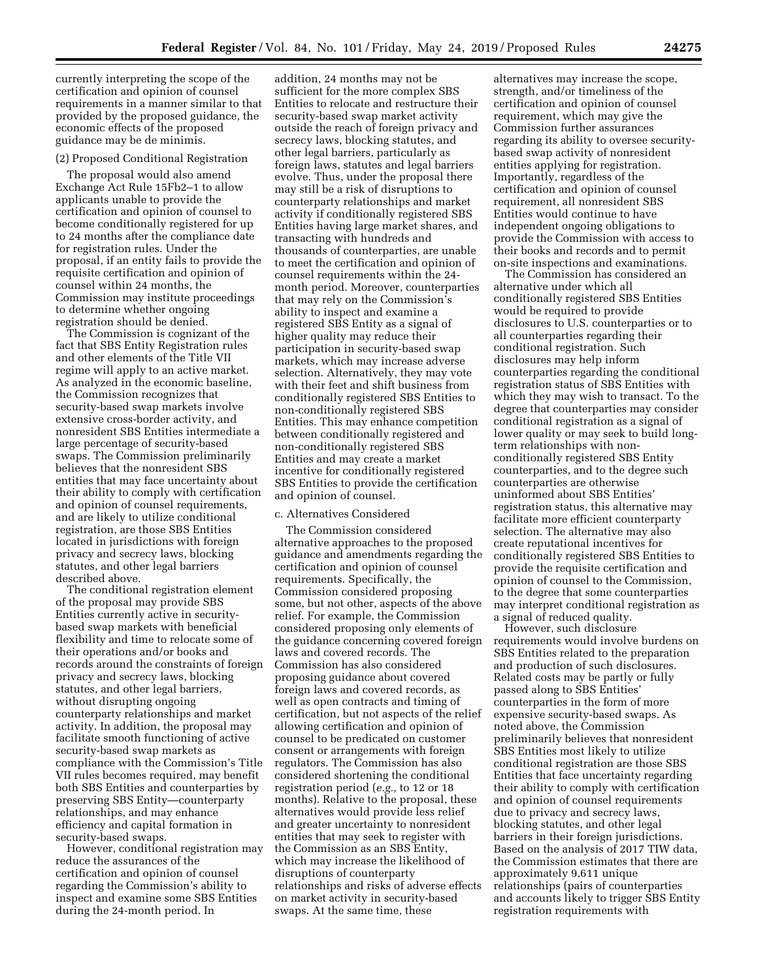currently interpreting the scope of the certification and opinion of counsel requirements in a manner similar to that provided by the proposed guidance, the economic effects of the proposed guidance may be de minimis.

### (2) Proposed Conditional Registration

The proposal would also amend Exchange Act Rule 15Fb2–1 to allow applicants unable to provide the certification and opinion of counsel to become conditionally registered for up to 24 months after the compliance date for registration rules. Under the proposal, if an entity fails to provide the requisite certification and opinion of counsel within 24 months, the Commission may institute proceedings to determine whether ongoing registration should be denied.

The Commission is cognizant of the fact that SBS Entity Registration rules and other elements of the Title VII regime will apply to an active market. As analyzed in the economic baseline, the Commission recognizes that security-based swap markets involve extensive cross-border activity, and nonresident SBS Entities intermediate a large percentage of security-based swaps. The Commission preliminarily believes that the nonresident SBS entities that may face uncertainty about their ability to comply with certification and opinion of counsel requirements, and are likely to utilize conditional registration, are those SBS Entities located in jurisdictions with foreign privacy and secrecy laws, blocking statutes, and other legal barriers described above.

The conditional registration element of the proposal may provide SBS Entities currently active in securitybased swap markets with beneficial flexibility and time to relocate some of their operations and/or books and records around the constraints of foreign privacy and secrecy laws, blocking statutes, and other legal barriers, without disrupting ongoing counterparty relationships and market activity. In addition, the proposal may facilitate smooth functioning of active security-based swap markets as compliance with the Commission's Title VII rules becomes required, may benefit both SBS Entities and counterparties by preserving SBS Entity—counterparty relationships, and may enhance efficiency and capital formation in security-based swaps.

However, conditional registration may reduce the assurances of the certification and opinion of counsel regarding the Commission's ability to inspect and examine some SBS Entities during the 24-month period. In

addition, 24 months may not be sufficient for the more complex SBS Entities to relocate and restructure their security-based swap market activity outside the reach of foreign privacy and secrecy laws, blocking statutes, and other legal barriers, particularly as foreign laws, statutes and legal barriers evolve. Thus, under the proposal there may still be a risk of disruptions to counterparty relationships and market activity if conditionally registered SBS Entities having large market shares, and transacting with hundreds and thousands of counterparties, are unable to meet the certification and opinion of counsel requirements within the 24 month period. Moreover, counterparties that may rely on the Commission's ability to inspect and examine a registered SBS Entity as a signal of higher quality may reduce their participation in security-based swap markets, which may increase adverse selection. Alternatively, they may vote with their feet and shift business from conditionally registered SBS Entities to non-conditionally registered SBS Entities. This may enhance competition between conditionally registered and non-conditionally registered SBS Entities and may create a market incentive for conditionally registered SBS Entities to provide the certification and opinion of counsel.

#### c. Alternatives Considered

The Commission considered alternative approaches to the proposed guidance and amendments regarding the certification and opinion of counsel requirements. Specifically, the Commission considered proposing some, but not other, aspects of the above relief. For example, the Commission considered proposing only elements of the guidance concerning covered foreign laws and covered records. The Commission has also considered proposing guidance about covered foreign laws and covered records, as well as open contracts and timing of certification, but not aspects of the relief allowing certification and opinion of counsel to be predicated on customer consent or arrangements with foreign regulators. The Commission has also considered shortening the conditional registration period (*e.g.,* to 12 or 18 months). Relative to the proposal, these alternatives would provide less relief and greater uncertainty to nonresident entities that may seek to register with the Commission as an SBS Entity, which may increase the likelihood of disruptions of counterparty relationships and risks of adverse effects on market activity in security-based swaps. At the same time, these

alternatives may increase the scope, strength, and/or timeliness of the certification and opinion of counsel requirement, which may give the Commission further assurances regarding its ability to oversee securitybased swap activity of nonresident entities applying for registration. Importantly, regardless of the certification and opinion of counsel requirement, all nonresident SBS Entities would continue to have independent ongoing obligations to provide the Commission with access to their books and records and to permit on-site inspections and examinations.

The Commission has considered an alternative under which all conditionally registered SBS Entities would be required to provide disclosures to U.S. counterparties or to all counterparties regarding their conditional registration. Such disclosures may help inform counterparties regarding the conditional registration status of SBS Entities with which they may wish to transact. To the degree that counterparties may consider conditional registration as a signal of lower quality or may seek to build longterm relationships with nonconditionally registered SBS Entity counterparties, and to the degree such counterparties are otherwise uninformed about SBS Entities' registration status, this alternative may facilitate more efficient counterparty selection. The alternative may also create reputational incentives for conditionally registered SBS Entities to provide the requisite certification and opinion of counsel to the Commission, to the degree that some counterparties may interpret conditional registration as a signal of reduced quality.

However, such disclosure requirements would involve burdens on SBS Entities related to the preparation and production of such disclosures. Related costs may be partly or fully passed along to SBS Entities' counterparties in the form of more expensive security-based swaps. As noted above, the Commission preliminarily believes that nonresident SBS Entities most likely to utilize conditional registration are those SBS Entities that face uncertainty regarding their ability to comply with certification and opinion of counsel requirements due to privacy and secrecy laws, blocking statutes, and other legal barriers in their foreign jurisdictions. Based on the analysis of 2017 TIW data, the Commission estimates that there are approximately 9,611 unique relationships (pairs of counterparties and accounts likely to trigger SBS Entity registration requirements with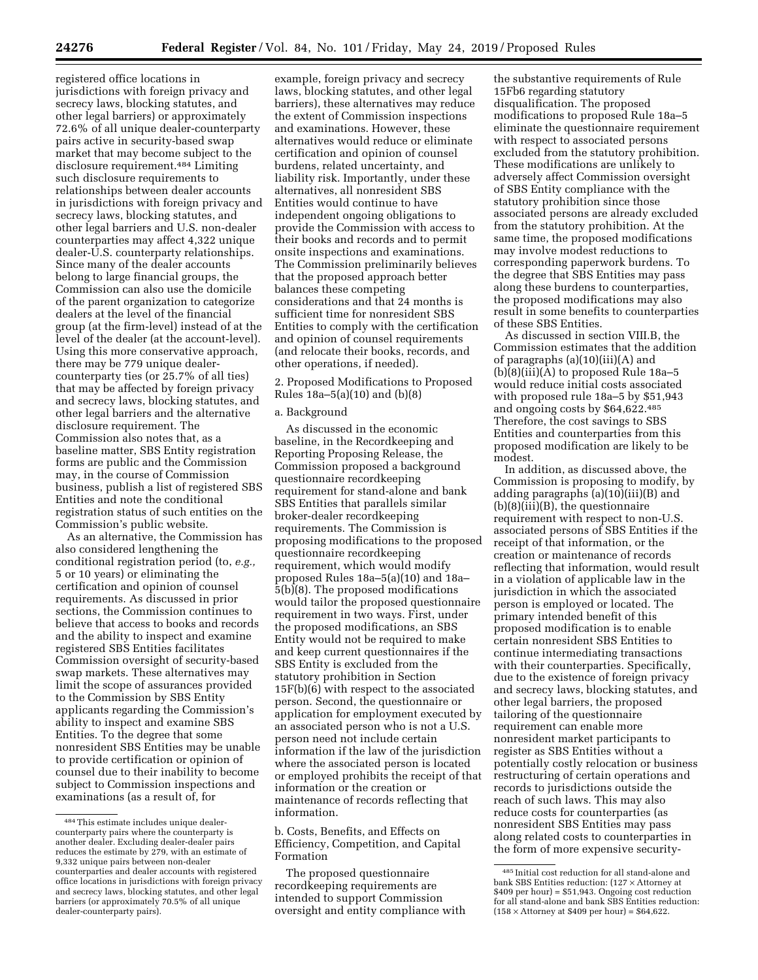registered office locations in jurisdictions with foreign privacy and secrecy laws, blocking statutes, and other legal barriers) or approximately 72.6% of all unique dealer-counterparty pairs active in security-based swap market that may become subject to the disclosure requirement.484 Limiting such disclosure requirements to relationships between dealer accounts in jurisdictions with foreign privacy and secrecy laws, blocking statutes, and other legal barriers and U.S. non-dealer counterparties may affect 4,322 unique dealer-U.S. counterparty relationships. Since many of the dealer accounts belong to large financial groups, the Commission can also use the domicile of the parent organization to categorize dealers at the level of the financial group (at the firm-level) instead of at the level of the dealer (at the account-level). Using this more conservative approach, there may be 779 unique dealercounterparty ties (or 25.7% of all ties) that may be affected by foreign privacy and secrecy laws, blocking statutes, and other legal barriers and the alternative disclosure requirement. The Commission also notes that, as a baseline matter, SBS Entity registration forms are public and the Commission may, in the course of Commission business, publish a list of registered SBS Entities and note the conditional registration status of such entities on the Commission's public website.

As an alternative, the Commission has also considered lengthening the conditional registration period (to, *e.g.,*  5 or 10 years) or eliminating the certification and opinion of counsel requirements. As discussed in prior sections, the Commission continues to believe that access to books and records and the ability to inspect and examine registered SBS Entities facilitates Commission oversight of security-based swap markets. These alternatives may limit the scope of assurances provided to the Commission by SBS Entity applicants regarding the Commission's ability to inspect and examine SBS Entities. To the degree that some nonresident SBS Entities may be unable to provide certification or opinion of counsel due to their inability to become subject to Commission inspections and examinations (as a result of, for

example, foreign privacy and secrecy laws, blocking statutes, and other legal barriers), these alternatives may reduce the extent of Commission inspections and examinations. However, these alternatives would reduce or eliminate certification and opinion of counsel burdens, related uncertainty, and liability risk. Importantly, under these alternatives, all nonresident SBS Entities would continue to have independent ongoing obligations to provide the Commission with access to their books and records and to permit onsite inspections and examinations. The Commission preliminarily believes that the proposed approach better balances these competing considerations and that 24 months is sufficient time for nonresident SBS Entities to comply with the certification and opinion of counsel requirements (and relocate their books, records, and other operations, if needed).

2. Proposed Modifications to Proposed Rules 18a–5(a)(10) and (b)(8)

### a. Background

As discussed in the economic baseline, in the Recordkeeping and Reporting Proposing Release, the Commission proposed a background questionnaire recordkeeping requirement for stand-alone and bank SBS Entities that parallels similar broker-dealer recordkeeping requirements. The Commission is proposing modifications to the proposed questionnaire recordkeeping requirement, which would modify proposed Rules 18a–5(a)(10) and 18a– 5(b)(8). The proposed modifications would tailor the proposed questionnaire requirement in two ways. First, under the proposed modifications, an SBS Entity would not be required to make and keep current questionnaires if the SBS Entity is excluded from the statutory prohibition in Section 15F(b)(6) with respect to the associated person. Second, the questionnaire or application for employment executed by an associated person who is not a U.S. person need not include certain information if the law of the jurisdiction where the associated person is located or employed prohibits the receipt of that information or the creation or maintenance of records reflecting that information.

b. Costs, Benefits, and Effects on Efficiency, Competition, and Capital Formation

The proposed questionnaire recordkeeping requirements are intended to support Commission oversight and entity compliance with

the substantive requirements of Rule 15Fb6 regarding statutory disqualification. The proposed modifications to proposed Rule 18a–5 eliminate the questionnaire requirement with respect to associated persons excluded from the statutory prohibition. These modifications are unlikely to adversely affect Commission oversight of SBS Entity compliance with the statutory prohibition since those associated persons are already excluded from the statutory prohibition. At the same time, the proposed modifications may involve modest reductions to corresponding paperwork burdens. To the degree that SBS Entities may pass along these burdens to counterparties, the proposed modifications may also result in some benefits to counterparties of these SBS Entities.

As discussed in section VIII.B, the Commission estimates that the addition of paragraphs (a)(10)(iii)(A) and (b)(8)(iii)(A) to proposed Rule 18a–5 would reduce initial costs associated with proposed rule 18a–5 by \$51,943 and ongoing costs by \$64,622.485 Therefore, the cost savings to SBS Entities and counterparties from this proposed modification are likely to be modest.

In addition, as discussed above, the Commission is proposing to modify, by adding paragraphs (a)(10)(iii)(B) and (b)(8)(iii)(B), the questionnaire requirement with respect to non-U.S. associated persons of SBS Entities if the receipt of that information, or the creation or maintenance of records reflecting that information, would result in a violation of applicable law in the jurisdiction in which the associated person is employed or located. The primary intended benefit of this proposed modification is to enable certain nonresident SBS Entities to continue intermediating transactions with their counterparties. Specifically, due to the existence of foreign privacy and secrecy laws, blocking statutes, and other legal barriers, the proposed tailoring of the questionnaire requirement can enable more nonresident market participants to register as SBS Entities without a potentially costly relocation or business restructuring of certain operations and records to jurisdictions outside the reach of such laws. This may also reduce costs for counterparties (as nonresident SBS Entities may pass along related costs to counterparties in the form of more expensive security-

<sup>484</sup>This estimate includes unique dealercounterparty pairs where the counterparty is another dealer. Excluding dealer-dealer pairs reduces the estimate by 279, with an estimate of 9,332 unique pairs between non-dealer counterparties and dealer accounts with registered office locations in jurisdictions with foreign privacy and secrecy laws, blocking statutes, and other legal barriers (or approximately 70.5% of all unique dealer-counterparty pairs).

<sup>485</sup> Initial cost reduction for all stand-alone and bank SBS Entities reduction: (127 × Attorney at \$409 per hour) = \$51,943. Ongoing cost reduction for all stand-alone and bank SBS Entities reduction:  $(158 \times$  Attorney at \$409 per hour) = \$64,622.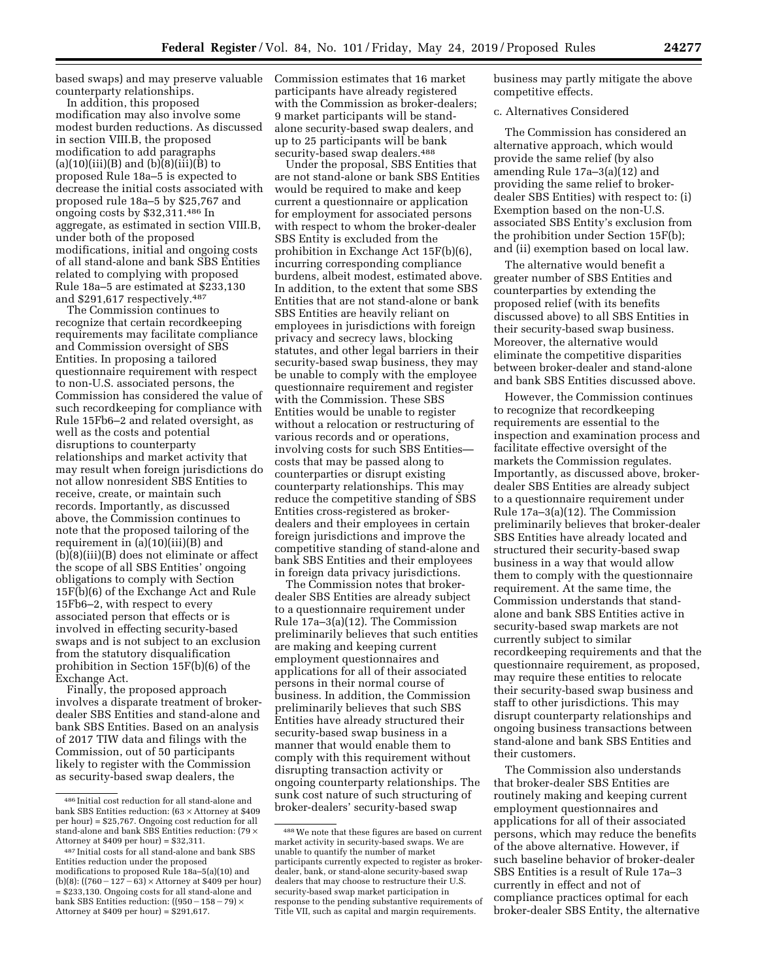based swaps) and may preserve valuable counterparty relationships.

In addition, this proposed modification may also involve some modest burden reductions. As discussed in section VIII.B, the proposed modification to add paragraphs (a)(10)(iii)(B) and (b)(8)(iii)(B) to proposed Rule 18a–5 is expected to decrease the initial costs associated with proposed rule 18a–5 by \$25,767 and ongoing costs by \$32,311.486 In aggregate, as estimated in section VIII.B, under both of the proposed modifications, initial and ongoing costs of all stand-alone and bank SBS Entities related to complying with proposed Rule 18a–5 are estimated at \$233,130 and \$291,617 respectively.487

The Commission continues to recognize that certain recordkeeping requirements may facilitate compliance and Commission oversight of SBS Entities. In proposing a tailored questionnaire requirement with respect to non-U.S. associated persons, the Commission has considered the value of such recordkeeping for compliance with Rule 15Fb6–2 and related oversight, as well as the costs and potential disruptions to counterparty relationships and market activity that may result when foreign jurisdictions do not allow nonresident SBS Entities to receive, create, or maintain such records. Importantly, as discussed above, the Commission continues to note that the proposed tailoring of the requirement in (a)(10)(iii)(B) and (b)(8)(iii)(B) does not eliminate or affect the scope of all SBS Entities' ongoing obligations to comply with Section 15F(b)(6) of the Exchange Act and Rule 15Fb6–2, with respect to every associated person that effects or is involved in effecting security-based swaps and is not subject to an exclusion from the statutory disqualification prohibition in Section 15F(b)(6) of the Exchange Act.

Finally, the proposed approach involves a disparate treatment of brokerdealer SBS Entities and stand-alone and bank SBS Entities. Based on an analysis of 2017 TIW data and filings with the Commission, out of 50 participants likely to register with the Commission as security-based swap dealers, the

Commission estimates that 16 market participants have already registered with the Commission as broker-dealers; 9 market participants will be standalone security-based swap dealers, and up to 25 participants will be bank security-based swap dealers.<sup>488</sup>

Under the proposal, SBS Entities that are not stand-alone or bank SBS Entities would be required to make and keep current a questionnaire or application for employment for associated persons with respect to whom the broker-dealer SBS Entity is excluded from the prohibition in Exchange Act 15F(b)(6), incurring corresponding compliance burdens, albeit modest, estimated above. In addition, to the extent that some SBS Entities that are not stand-alone or bank SBS Entities are heavily reliant on employees in jurisdictions with foreign privacy and secrecy laws, blocking statutes, and other legal barriers in their security-based swap business, they may be unable to comply with the employee questionnaire requirement and register with the Commission. These SBS Entities would be unable to register without a relocation or restructuring of various records and or operations, involving costs for such SBS Entities costs that may be passed along to counterparties or disrupt existing counterparty relationships. This may reduce the competitive standing of SBS Entities cross-registered as brokerdealers and their employees in certain foreign jurisdictions and improve the competitive standing of stand-alone and bank SBS Entities and their employees in foreign data privacy jurisdictions.

The Commission notes that brokerdealer SBS Entities are already subject to a questionnaire requirement under Rule 17a–3(a)(12). The Commission preliminarily believes that such entities are making and keeping current employment questionnaires and applications for all of their associated persons in their normal course of business. In addition, the Commission preliminarily believes that such SBS Entities have already structured their security-based swap business in a manner that would enable them to comply with this requirement without disrupting transaction activity or ongoing counterparty relationships. The sunk cost nature of such structuring of broker-dealers' security-based swap

business may partly mitigate the above competitive effects.

### c. Alternatives Considered

The Commission has considered an alternative approach, which would provide the same relief (by also amending Rule 17a–3(a)(12) and providing the same relief to brokerdealer SBS Entities) with respect to: (i) Exemption based on the non-U.S. associated SBS Entity's exclusion from the prohibition under Section 15F(b); and (ii) exemption based on local law.

The alternative would benefit a greater number of SBS Entities and counterparties by extending the proposed relief (with its benefits discussed above) to all SBS Entities in their security-based swap business. Moreover, the alternative would eliminate the competitive disparities between broker-dealer and stand-alone and bank SBS Entities discussed above.

However, the Commission continues to recognize that recordkeeping requirements are essential to the inspection and examination process and facilitate effective oversight of the markets the Commission regulates. Importantly, as discussed above, brokerdealer SBS Entities are already subject to a questionnaire requirement under Rule 17a–3(a)(12). The Commission preliminarily believes that broker-dealer SBS Entities have already located and structured their security-based swap business in a way that would allow them to comply with the questionnaire requirement. At the same time, the Commission understands that standalone and bank SBS Entities active in security-based swap markets are not currently subject to similar recordkeeping requirements and that the questionnaire requirement, as proposed, may require these entities to relocate their security-based swap business and staff to other jurisdictions. This may disrupt counterparty relationships and ongoing business transactions between stand-alone and bank SBS Entities and their customers.

The Commission also understands that broker-dealer SBS Entities are routinely making and keeping current employment questionnaires and applications for all of their associated persons, which may reduce the benefits of the above alternative. However, if such baseline behavior of broker-dealer SBS Entities is a result of Rule 17a–3 currently in effect and not of compliance practices optimal for each broker-dealer SBS Entity, the alternative

<sup>486</sup> Initial cost reduction for all stand-alone and bank SBS Entities reduction: (63 × Attorney at \$409 per hour) = \$25,767. Ongoing cost reduction for all stand-alone and bank SBS Entities reduction: (79  $\times$ Attorney at \$409 per hour) = \$32,311.

<sup>487</sup> Initial costs for all stand-alone and bank SBS Entities reduction under the proposed modifications to proposed Rule 18a–5(a)(10) and (b)(8): ((760 – 127 – 63)  $\times$  Attorney at \$409 per hour) = \$233,130. Ongoing costs for all stand-alone and bank SBS Entities reduction:  $((950 - 158 - 79) \times$ Attorney at \$409 per hour) = \$291,617.

<sup>488</sup>We note that these figures are based on current market activity in security-based swaps. We are unable to quantify the number of market participants currently expected to register as brokerdealer, bank, or stand-alone security-based swap dealers that may choose to restructure their U.S. security-based swap market participation in response to the pending substantive requirements of Title VII, such as capital and margin requirements.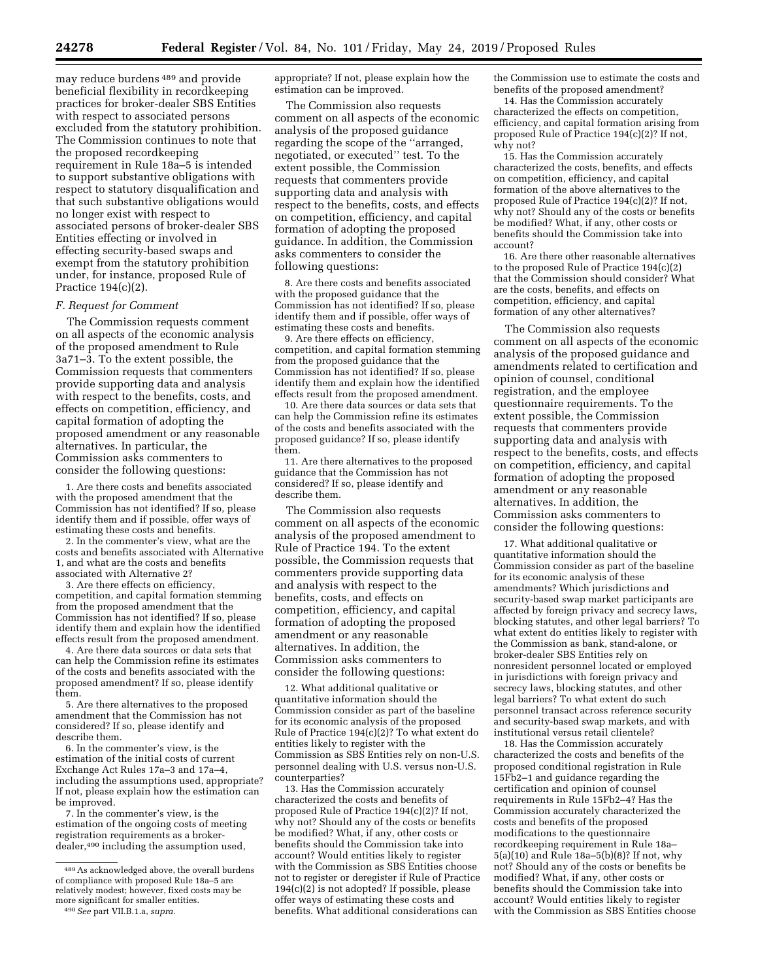may reduce burdens 489 and provide beneficial flexibility in recordkeeping practices for broker-dealer SBS Entities with respect to associated persons excluded from the statutory prohibition. The Commission continues to note that the proposed recordkeeping requirement in Rule 18a–5 is intended to support substantive obligations with respect to statutory disqualification and that such substantive obligations would no longer exist with respect to associated persons of broker-dealer SBS Entities effecting or involved in effecting security-based swaps and exempt from the statutory prohibition under, for instance, proposed Rule of Practice 194(c)(2).

#### *F. Request for Comment*

The Commission requests comment on all aspects of the economic analysis of the proposed amendment to Rule 3a71–3. To the extent possible, the Commission requests that commenters provide supporting data and analysis with respect to the benefits, costs, and effects on competition, efficiency, and capital formation of adopting the proposed amendment or any reasonable alternatives. In particular, the Commission asks commenters to consider the following questions:

1. Are there costs and benefits associated with the proposed amendment that the Commission has not identified? If so, please identify them and if possible, offer ways of estimating these costs and benefits.

2. In the commenter's view, what are the costs and benefits associated with Alternative 1, and what are the costs and benefits associated with Alternative 2?

3. Are there effects on efficiency, competition, and capital formation stemming from the proposed amendment that the Commission has not identified? If so, please identify them and explain how the identified effects result from the proposed amendment.

4. Are there data sources or data sets that can help the Commission refine its estimates of the costs and benefits associated with the proposed amendment? If so, please identify them.

5. Are there alternatives to the proposed amendment that the Commission has not considered? If so, please identify and describe them.

6. In the commenter's view, is the estimation of the initial costs of current Exchange Act Rules 17a–3 and 17a–4, including the assumptions used, appropriate? If not, please explain how the estimation can be improved.

7. In the commenter's view, is the estimation of the ongoing costs of meeting registration requirements as a brokerdealer,490 including the assumption used,

appropriate? If not, please explain how the estimation can be improved.

The Commission also requests comment on all aspects of the economic analysis of the proposed guidance regarding the scope of the ''arranged, negotiated, or executed'' test. To the extent possible, the Commission requests that commenters provide supporting data and analysis with respect to the benefits, costs, and effects on competition, efficiency, and capital formation of adopting the proposed guidance. In addition, the Commission asks commenters to consider the following questions:

8. Are there costs and benefits associated with the proposed guidance that the Commission has not identified? If so, please identify them and if possible, offer ways of estimating these costs and benefits.

9. Are there effects on efficiency, competition, and capital formation stemming from the proposed guidance that the Commission has not identified? If so, please identify them and explain how the identified effects result from the proposed amendment.

10. Are there data sources or data sets that can help the Commission refine its estimates of the costs and benefits associated with the proposed guidance? If so, please identify them.

11. Are there alternatives to the proposed guidance that the Commission has not considered? If so, please identify and describe them.

The Commission also requests comment on all aspects of the economic analysis of the proposed amendment to Rule of Practice 194. To the extent possible, the Commission requests that commenters provide supporting data and analysis with respect to the benefits, costs, and effects on competition, efficiency, and capital formation of adopting the proposed amendment or any reasonable alternatives. In addition, the Commission asks commenters to consider the following questions:

12. What additional qualitative or quantitative information should the Commission consider as part of the baseline for its economic analysis of the proposed Rule of Practice 194(c)(2)? To what extent do entities likely to register with the Commission as SBS Entities rely on non-U.S. personnel dealing with U.S. versus non-U.S. counterparties?

13. Has the Commission accurately characterized the costs and benefits of proposed Rule of Practice 194(c)(2)? If not, why not? Should any of the costs or benefits be modified? What, if any, other costs or benefits should the Commission take into account? Would entities likely to register with the Commission as SBS Entities choose not to register or deregister if Rule of Practice  $194(c)(2)$  is not adopted? If possible, please offer ways of estimating these costs and benefits. What additional considerations can

the Commission use to estimate the costs and benefits of the proposed amendment?

14. Has the Commission accurately characterized the effects on competition, efficiency, and capital formation arising from proposed Rule of Practice 194(c)(2)? If not, why not?

15. Has the Commission accurately characterized the costs, benefits, and effects on competition, efficiency, and capital formation of the above alternatives to the proposed Rule of Practice 194(c)(2)? If not, why not? Should any of the costs or benefits be modified? What, if any, other costs or benefits should the Commission take into account?

16. Are there other reasonable alternatives to the proposed Rule of Practice 194(c)(2) that the Commission should consider? What are the costs, benefits, and effects on competition, efficiency, and capital formation of any other alternatives?

The Commission also requests comment on all aspects of the economic analysis of the proposed guidance and amendments related to certification and opinion of counsel, conditional registration, and the employee questionnaire requirements. To the extent possible, the Commission requests that commenters provide supporting data and analysis with respect to the benefits, costs, and effects on competition, efficiency, and capital formation of adopting the proposed amendment or any reasonable alternatives. In addition, the Commission asks commenters to consider the following questions:

17. What additional qualitative or quantitative information should the Commission consider as part of the baseline for its economic analysis of these amendments? Which jurisdictions and security-based swap market participants are affected by foreign privacy and secrecy laws, blocking statutes, and other legal barriers? To what extent do entities likely to register with the Commission as bank, stand-alone, or broker-dealer SBS Entities rely on nonresident personnel located or employed in jurisdictions with foreign privacy and secrecy laws, blocking statutes, and other legal barriers? To what extent do such personnel transact across reference security and security-based swap markets, and with institutional versus retail clientele?

18. Has the Commission accurately characterized the costs and benefits of the proposed conditional registration in Rule 15Fb2–1 and guidance regarding the certification and opinion of counsel requirements in Rule 15Fb2–4? Has the Commission accurately characterized the costs and benefits of the proposed modifications to the questionnaire recordkeeping requirement in Rule 18a– 5(a)(10) and Rule 18a–5(b)(8)? If not, why not? Should any of the costs or benefits be modified? What, if any, other costs or benefits should the Commission take into account? Would entities likely to register with the Commission as SBS Entities choose

<sup>489</sup>As acknowledged above, the overall burdens of compliance with proposed Rule 18a–5 are relatively modest; however, fixed costs may be more significant for smaller entities.

<sup>490</sup>*See* part VII.B.1.a, *supra.*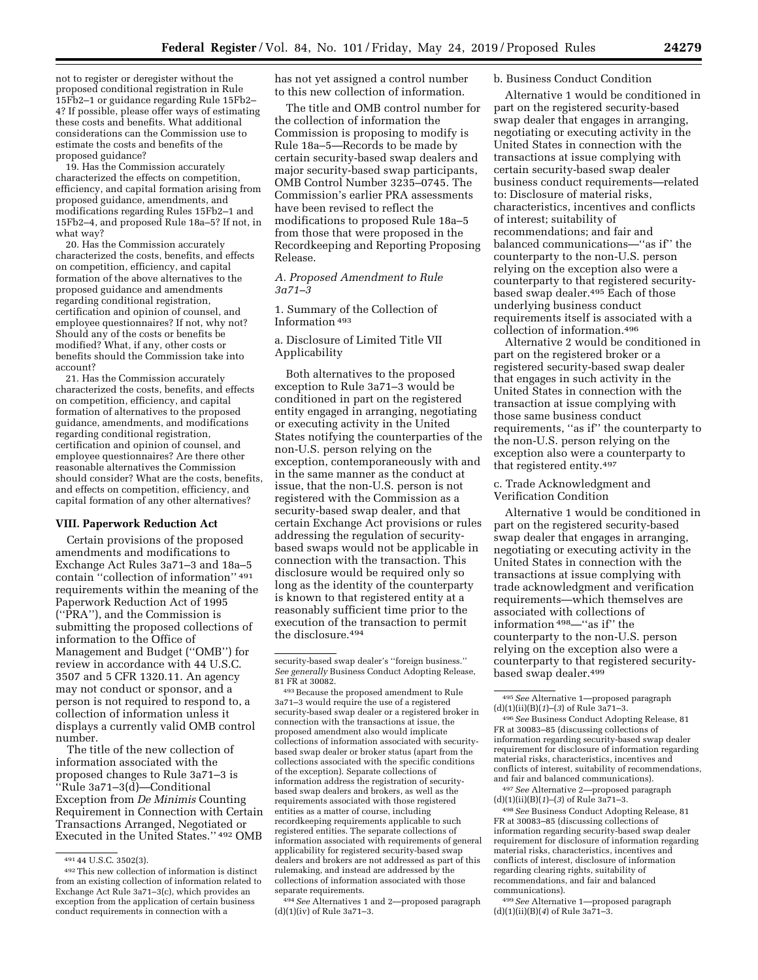not to register or deregister without the proposed conditional registration in Rule 15Fb2–1 or guidance regarding Rule 15Fb2– 4? If possible, please offer ways of estimating these costs and benefits. What additional considerations can the Commission use to estimate the costs and benefits of the proposed guidance?

19. Has the Commission accurately characterized the effects on competition, efficiency, and capital formation arising from proposed guidance, amendments, and modifications regarding Rules 15Fb2–1 and 15Fb2–4, and proposed Rule 18a–5? If not, in what way?

20. Has the Commission accurately characterized the costs, benefits, and effects on competition, efficiency, and capital formation of the above alternatives to the proposed guidance and amendments regarding conditional registration, certification and opinion of counsel, and employee questionnaires? If not, why not? Should any of the costs or benefits be modified? What, if any, other costs or benefits should the Commission take into account?

21. Has the Commission accurately characterized the costs, benefits, and effects on competition, efficiency, and capital formation of alternatives to the proposed guidance, amendments, and modifications regarding conditional registration, certification and opinion of counsel, and employee questionnaires? Are there other reasonable alternatives the Commission should consider? What are the costs, benefits, and effects on competition, efficiency, and capital formation of any other alternatives?

#### **VIII. Paperwork Reduction Act**

Certain provisions of the proposed amendments and modifications to Exchange Act Rules 3a71–3 and 18a–5 contain ''collection of information'' 491 requirements within the meaning of the Paperwork Reduction Act of 1995 (''PRA''), and the Commission is submitting the proposed collections of information to the Office of Management and Budget (''OMB'') for review in accordance with 44 U.S.C. 3507 and 5 CFR 1320.11. An agency may not conduct or sponsor, and a person is not required to respond to, a collection of information unless it displays a currently valid OMB control number.

The title of the new collection of information associated with the proposed changes to Rule 3a71–3 is ''Rule 3a71–3(d)—Conditional Exception from *De Minimis* Counting Requirement in Connection with Certain Transactions Arranged, Negotiated or Executed in the United States.'' 492 OMB

has not yet assigned a control number to this new collection of information.

The title and OMB control number for the collection of information the Commission is proposing to modify is Rule 18a–5—Records to be made by certain security-based swap dealers and major security-based swap participants, OMB Control Number 3235–0745. The Commission's earlier PRA assessments have been revised to reflect the modifications to proposed Rule 18a–5 from those that were proposed in the Recordkeeping and Reporting Proposing Release.

*A. Proposed Amendment to Rule 3a71–3* 

1. Summary of the Collection of Information 493

a. Disclosure of Limited Title VII Applicability

Both alternatives to the proposed exception to Rule 3a71–3 would be conditioned in part on the registered entity engaged in arranging, negotiating or executing activity in the United States notifying the counterparties of the non-U.S. person relying on the exception, contemporaneously with and in the same manner as the conduct at issue, that the non-U.S. person is not registered with the Commission as a security-based swap dealer, and that certain Exchange Act provisions or rules addressing the regulation of securitybased swaps would not be applicable in connection with the transaction. This disclosure would be required only so long as the identity of the counterparty is known to that registered entity at a reasonably sufficient time prior to the execution of the transaction to permit the disclosure.494

493Because the proposed amendment to Rule 3a71–3 would require the use of a registered security-based swap dealer or a registered broker in connection with the transactions at issue, the proposed amendment also would implicate collections of information associated with securitybased swap dealer or broker status (apart from the collections associated with the specific conditions of the exception). Separate collections of information address the registration of securitybased swap dealers and brokers, as well as the requirements associated with those registered entities as a matter of course, including recordkeeping requirements applicable to such registered entities. The separate collections of information associated with requirements of general applicability for registered security-based swap dealers and brokers are not addressed as part of this rulemaking, and instead are addressed by the collections of information associated with those separate requirements.

494*See* Alternatives 1 and 2—proposed paragraph (d)(1)(iv) of Rule 3a71–3.

## b. Business Conduct Condition

Alternative 1 would be conditioned in part on the registered security-based swap dealer that engages in arranging, negotiating or executing activity in the United States in connection with the transactions at issue complying with certain security-based swap dealer business conduct requirements—related to: Disclosure of material risks, characteristics, incentives and conflicts of interest; suitability of recommendations; and fair and balanced communications—''as if'' the counterparty to the non-U.S. person relying on the exception also were a counterparty to that registered securitybased swap dealer.495 Each of those underlying business conduct requirements itself is associated with a collection of information.496

Alternative 2 would be conditioned in part on the registered broker or a registered security-based swap dealer that engages in such activity in the United States in connection with the transaction at issue complying with those same business conduct requirements, ''as if'' the counterparty to the non-U.S. person relying on the exception also were a counterparty to that registered entity.497

c. Trade Acknowledgment and Verification Condition

Alternative 1 would be conditioned in part on the registered security-based swap dealer that engages in arranging, negotiating or executing activity in the United States in connection with the transactions at issue complying with trade acknowledgment and verification requirements—which themselves are associated with collections of information 498—''as if'' the counterparty to the non-U.S. person relying on the exception also were a counterparty to that registered securitybased swap dealer.499

496*See* Business Conduct Adopting Release, 81 FR at 30083–85 (discussing collections of information regarding security-based swap dealer requirement for disclosure of information regarding material risks, characteristics, incentives and conflicts of interest, suitability of recommendations, and fair and balanced communications).

497*See* Alternative 2—proposed paragraph (d)(1)(ii)(B)(*1*)–(*3*) of Rule 3a71–3.

498*See* Business Conduct Adopting Release, 81 FR at 30083–85 (discussing collections of information regarding security-based swap dealer requirement for disclosure of information regarding material risks, characteristics, incentives and conflicts of interest, disclosure of information regarding clearing rights, suitability of recommendations, and fair and balanced communications).

499*See* Alternative 1—proposed paragraph (d)(1)(ii)(B)(*4*) of Rule 3a71–3.

<sup>491</sup> 44 U.S.C. 3502(3).

<sup>492</sup>This new collection of information is distinct from an existing collection of information related to Exchange Act Rule 3a71–3(c), which provides an exception from the application of certain business conduct requirements in connection with a

security-based swap dealer's ''foreign business.'' *See generally* Business Conduct Adopting Release, 81 FR at 30082.

<sup>495</sup>*See* Alternative 1—proposed paragraph (d)(1)(ii)(B)(*1*)–(*3*) of Rule 3a71–3.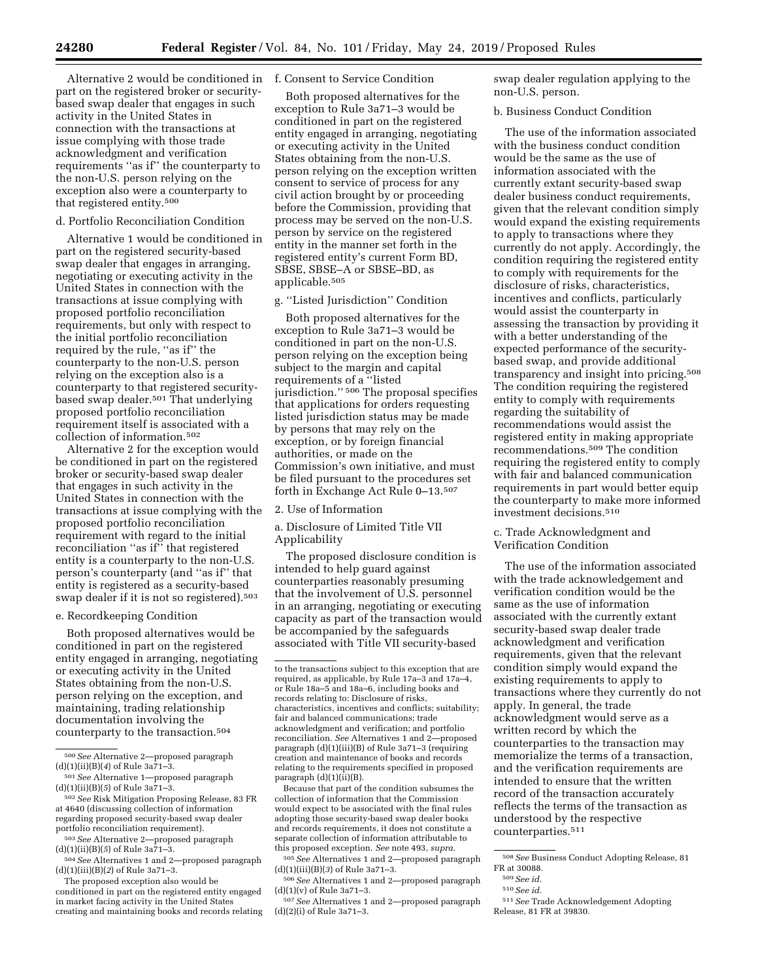Alternative 2 would be conditioned in f. Consent to Service Condition part on the registered broker or securitybased swap dealer that engages in such activity in the United States in connection with the transactions at issue complying with those trade acknowledgment and verification requirements ''as if'' the counterparty to the non-U.S. person relying on the exception also were a counterparty to that registered entity.500

## d. Portfolio Reconciliation Condition

Alternative 1 would be conditioned in part on the registered security-based swap dealer that engages in arranging, negotiating or executing activity in the United States in connection with the transactions at issue complying with proposed portfolio reconciliation requirements, but only with respect to the initial portfolio reconciliation required by the rule, "as if" the counterparty to the non-U.S. person relying on the exception also is a counterparty to that registered securitybased swap dealer.501 That underlying proposed portfolio reconciliation requirement itself is associated with a collection of information.502

Alternative 2 for the exception would be conditioned in part on the registered broker or security-based swap dealer that engages in such activity in the United States in connection with the transactions at issue complying with the proposed portfolio reconciliation requirement with regard to the initial reconciliation ''as if'' that registered entity is a counterparty to the non-U.S. person's counterparty (and ''as if'' that entity is registered as a security-based swap dealer if it is not so registered).503

## e. Recordkeeping Condition

Both proposed alternatives would be conditioned in part on the registered entity engaged in arranging, negotiating or executing activity in the United States obtaining from the non-U.S. person relying on the exception, and maintaining, trading relationship documentation involving the counterparty to the transaction.504

502*See* Risk Mitigation Proposing Release, 83 FR at 4640 (discussing collection of information regarding proposed security-based swap dealer portfolio reconciliation requirement).

503*See* Alternative 2—proposed paragraph (d)(1)(ii)(B)(*5*) of Rule 3a71–3.

The proposed exception also would be conditioned in part on the registered entity engaged in market facing activity in the United States creating and maintaining books and records relating

Both proposed alternatives for the exception to Rule 3a71–3 would be conditioned in part on the registered entity engaged in arranging, negotiating or executing activity in the United States obtaining from the non-U.S. person relying on the exception written consent to service of process for any civil action brought by or proceeding before the Commission, providing that process may be served on the non-U.S. person by service on the registered entity in the manner set forth in the registered entity's current Form BD, SBSE, SBSE–A or SBSE–BD, as applicable.505

# g. ''Listed Jurisdiction'' Condition

Both proposed alternatives for the exception to Rule 3a71–3 would be conditioned in part on the non-U.S. person relying on the exception being subject to the margin and capital requirements of a ''listed jurisdiction.'' 506 The proposal specifies that applications for orders requesting listed jurisdiction status may be made by persons that may rely on the exception, or by foreign financial authorities, or made on the Commission's own initiative, and must be filed pursuant to the procedures set forth in Exchange Act Rule 0–13.507

## 2. Use of Information

a. Disclosure of Limited Title VII Applicability

The proposed disclosure condition is intended to help guard against counterparties reasonably presuming that the involvement of U.S. personnel in an arranging, negotiating or executing capacity as part of the transaction would be accompanied by the safeguards associated with Title VII security-based

Because that part of the condition subsumes the collection of information that the Commission would expect to be associated with the final rules adopting those security-based swap dealer books and records requirements, it does not constitute a separate collection of information attributable to this proposed exception. *See* note 493, *supra.* 

505*See* Alternatives 1 and 2—proposed paragraph (d)(1)(iii)(B)(*3*) of Rule 3a71–3.

506*See* Alternatives 1 and 2—proposed paragraph (d)(1)(v) of Rule 3a71–3.

507*See* Alternatives 1 and 2—proposed paragraph (d)(2)(i) of Rule 3a71–3.

swap dealer regulation applying to the non-U.S. person.

# b. Business Conduct Condition

The use of the information associated with the business conduct condition would be the same as the use of information associated with the currently extant security-based swap dealer business conduct requirements, given that the relevant condition simply would expand the existing requirements to apply to transactions where they currently do not apply. Accordingly, the condition requiring the registered entity to comply with requirements for the disclosure of risks, characteristics, incentives and conflicts, particularly would assist the counterparty in assessing the transaction by providing it with a better understanding of the expected performance of the securitybased swap, and provide additional transparency and insight into pricing.508 The condition requiring the registered entity to comply with requirements regarding the suitability of recommendations would assist the registered entity in making appropriate recommendations.509 The condition requiring the registered entity to comply with fair and balanced communication requirements in part would better equip the counterparty to make more informed investment decisions.510

## c. Trade Acknowledgment and Verification Condition

The use of the information associated with the trade acknowledgement and verification condition would be the same as the use of information associated with the currently extant security-based swap dealer trade acknowledgment and verification requirements, given that the relevant condition simply would expand the existing requirements to apply to transactions where they currently do not apply. In general, the trade acknowledgment would serve as a written record by which the counterparties to the transaction may memorialize the terms of a transaction, and the verification requirements are intended to ensure that the written record of the transaction accurately reflects the terms of the transaction as understood by the respective counterparties.511

<sup>500</sup>*See* Alternative 2—proposed paragraph (d)(1)(ii)(B)(*4*) of Rule 3a71–3.

<sup>501</sup>*See* Alternative 1—proposed paragraph (d)(1)(ii)(B)(*5*) of Rule 3a71–3.

<sup>504</sup>*See* Alternatives 1 and 2—proposed paragraph (d)(1)(iii)(B)(*2*) of Rule 3a71–3.

to the transactions subject to this exception that are required, as applicable, by Rule 17a–3 and 17a–4, or Rule 18a–5 and 18a–6, including books and records relating to: Disclosure of risks, characteristics, incentives and conflicts; suitability; fair and balanced communications; trade acknowledgment and verification; and portfolio reconciliation. *See* Alternatives 1 and 2—proposed paragraph (d)(1)(iii)(B) of Rule 3a71–3 (requiring creation and maintenance of books and records relating to the requirements specified in proposed paragraph  $(d)(1)(ii)(B)$ .

<sup>508</sup>*See* Business Conduct Adopting Release, 81 FR at 30088.

<sup>509</sup>*See id.* 

<sup>510</sup>*See id.* 

<sup>511</sup>*See* Trade Acknowledgement Adopting Release, 81 FR at 39830.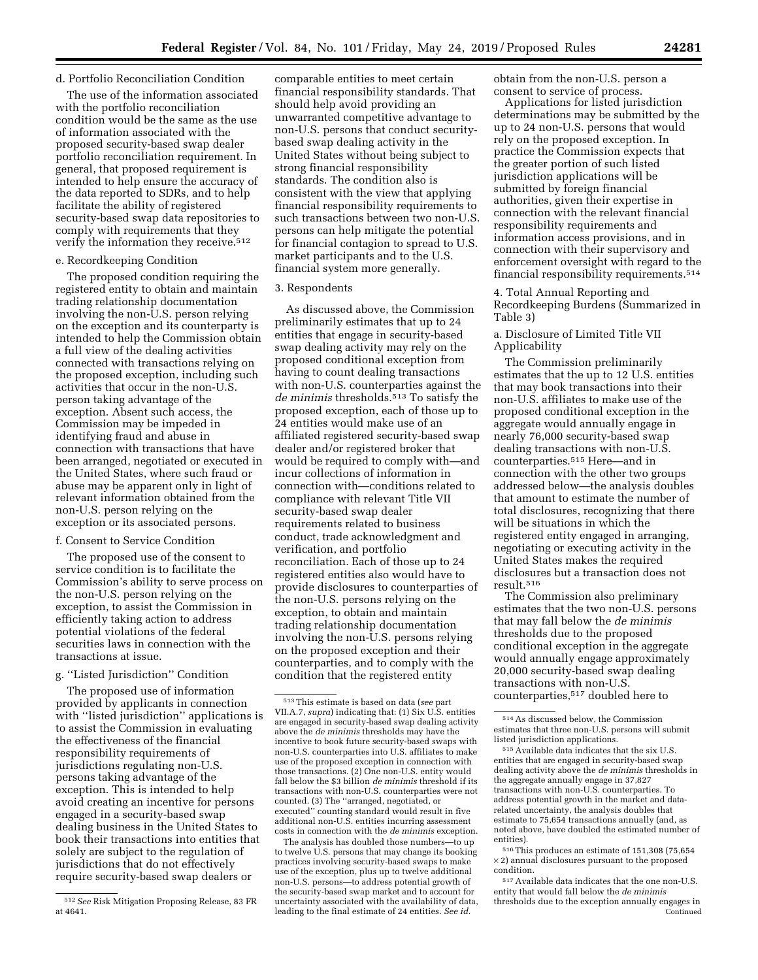#### d. Portfolio Reconciliation Condition

The use of the information associated with the portfolio reconciliation condition would be the same as the use of information associated with the proposed security-based swap dealer portfolio reconciliation requirement. In general, that proposed requirement is intended to help ensure the accuracy of the data reported to SDRs, and to help facilitate the ability of registered security-based swap data repositories to comply with requirements that they verify the information they receive.512

#### e. Recordkeeping Condition

The proposed condition requiring the registered entity to obtain and maintain trading relationship documentation involving the non-U.S. person relying on the exception and its counterparty is intended to help the Commission obtain a full view of the dealing activities connected with transactions relying on the proposed exception, including such activities that occur in the non-U.S. person taking advantage of the exception. Absent such access, the Commission may be impeded in identifying fraud and abuse in connection with transactions that have been arranged, negotiated or executed in the United States, where such fraud or abuse may be apparent only in light of relevant information obtained from the non-U.S. person relying on the exception or its associated persons.

#### f. Consent to Service Condition

The proposed use of the consent to service condition is to facilitate the Commission's ability to serve process on the non-U.S. person relying on the exception, to assist the Commission in efficiently taking action to address potential violations of the federal securities laws in connection with the transactions at issue.

## g. ''Listed Jurisdiction'' Condition

The proposed use of information provided by applicants in connection with "listed jurisdiction" applications is to assist the Commission in evaluating the effectiveness of the financial responsibility requirements of jurisdictions regulating non-U.S. persons taking advantage of the exception. This is intended to help avoid creating an incentive for persons engaged in a security-based swap dealing business in the United States to book their transactions into entities that solely are subject to the regulation of jurisdictions that do not effectively require security-based swap dealers or

comparable entities to meet certain financial responsibility standards. That should help avoid providing an unwarranted competitive advantage to non-U.S. persons that conduct securitybased swap dealing activity in the United States without being subject to strong financial responsibility standards. The condition also is consistent with the view that applying financial responsibility requirements to such transactions between two non-U.S. persons can help mitigate the potential for financial contagion to spread to U.S. market participants and to the U.S. financial system more generally.

#### 3. Respondents

As discussed above, the Commission preliminarily estimates that up to 24 entities that engage in security-based swap dealing activity may rely on the proposed conditional exception from having to count dealing transactions with non-U.S. counterparties against the *de minimis* thresholds.513 To satisfy the proposed exception, each of those up to 24 entities would make use of an affiliated registered security-based swap dealer and/or registered broker that would be required to comply with—and incur collections of information in connection with—conditions related to compliance with relevant Title VII security-based swap dealer requirements related to business conduct, trade acknowledgment and verification, and portfolio reconciliation. Each of those up to 24 registered entities also would have to provide disclosures to counterparties of the non-U.S. persons relying on the exception, to obtain and maintain trading relationship documentation involving the non-U.S. persons relying on the proposed exception and their counterparties, and to comply with the condition that the registered entity

The analysis has doubled those numbers—to up to twelve U.S. persons that may change its booking practices involving security-based swaps to make use of the exception, plus up to twelve additional non-U.S. persons—to address potential growth of the security-based swap market and to account for uncertainty associated with the availability of data, leading to the final estimate of 24 entities. *See id.* 

obtain from the non-U.S. person a consent to service of process.

Applications for listed jurisdiction determinations may be submitted by the up to 24 non-U.S. persons that would rely on the proposed exception. In practice the Commission expects that the greater portion of such listed jurisdiction applications will be submitted by foreign financial authorities, given their expertise in connection with the relevant financial responsibility requirements and information access provisions, and in connection with their supervisory and enforcement oversight with regard to the financial responsibility requirements.514

# 4. Total Annual Reporting and Recordkeeping Burdens (Summarized in Table 3)

# a. Disclosure of Limited Title VII Applicability

The Commission preliminarily estimates that the up to 12 U.S. entities that may book transactions into their non-U.S. affiliates to make use of the proposed conditional exception in the aggregate would annually engage in nearly 76,000 security-based swap dealing transactions with non-U.S. counterparties.515 Here—and in connection with the other two groups addressed below—the analysis doubles that amount to estimate the number of total disclosures, recognizing that there will be situations in which the registered entity engaged in arranging, negotiating or executing activity in the United States makes the required disclosures but a transaction does not result.516

The Commission also preliminary estimates that the two non-U.S. persons that may fall below the *de minimis*  thresholds due to the proposed conditional exception in the aggregate would annually engage approximately 20,000 security-based swap dealing transactions with non-U.S. counterparties,517 doubled here to

 $^{\rm 516}\rm{This}$  produces an estimate of 151,308 (75,654  $\times$  2) annual disclosures pursuant to the proposed condition.

517Available data indicates that the one non-U.S. entity that would fall below the *de minimis*  thresholds due to the exception annually engages in Continued

<sup>512</sup>*See* Risk Mitigation Proposing Release, 83 FR at 4641.

<sup>513</sup>This estimate is based on data (*see* part VII.A.7, *supra*) indicating that: (1) Six U.S. entities are engaged in security-based swap dealing activity above the *de minimis* thresholds may have the incentive to book future security-based swaps with non-U.S. counterparties into U.S. affiliates to make use of the proposed exception in connection with those transactions. (2) One non-U.S. entity would fall below the \$3 billion *de minimis* threshold if its transactions with non-U.S. counterparties were not counted. (3) The ''arranged, negotiated, or executed'' counting standard would result in five additional non-U.S. entities incurring assessment costs in connection with the *de minimis* exception.

<sup>514</sup>As discussed below, the Commission estimates that three non-U.S. persons will submit listed jurisdiction applications.

<sup>515</sup>Available data indicates that the six U.S. entities that are engaged in security-based swap dealing activity above the *de minimis* thresholds in the aggregate annually engage in 37,827 transactions with non-U.S. counterparties. To address potential growth in the market and datarelated uncertainty, the analysis doubles that estimate to 75,654 transactions annually (and, as noted above, have doubled the estimated number of entities).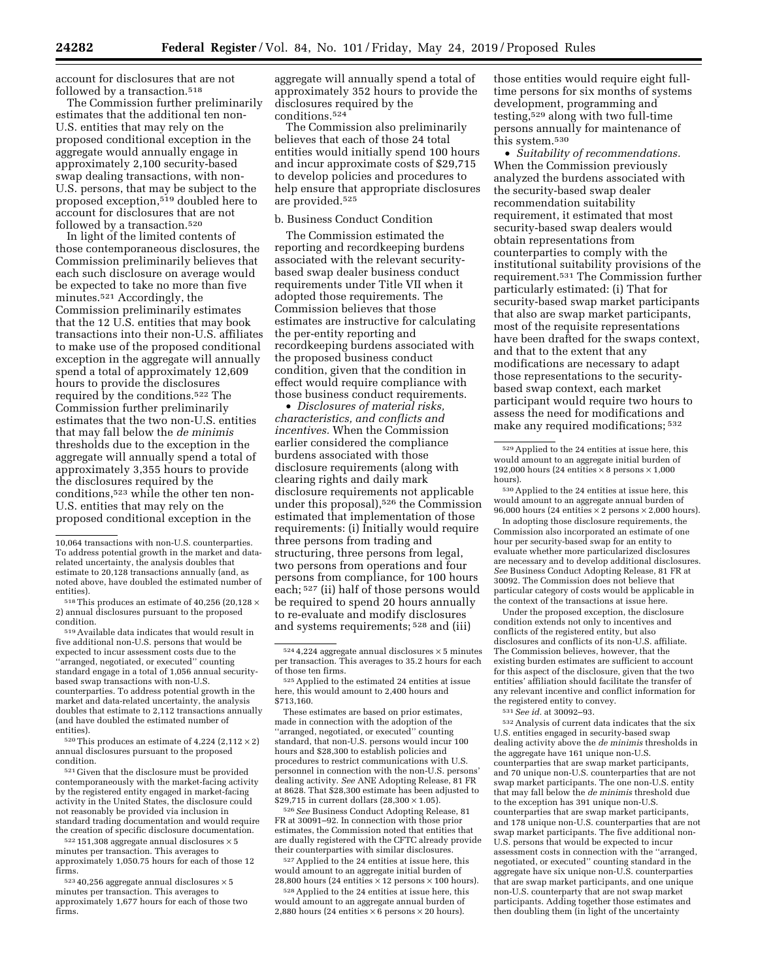account for disclosures that are not followed by a transaction.<sup>518</sup>

The Commission further preliminarily estimates that the additional ten non-U.S. entities that may rely on the proposed conditional exception in the aggregate would annually engage in approximately 2,100 security-based swap dealing transactions, with non-U.S. persons, that may be subject to the proposed exception,519 doubled here to account for disclosures that are not followed by a transaction.<sup>520</sup>

In light of the limited contents of those contemporaneous disclosures, the Commission preliminarily believes that each such disclosure on average would be expected to take no more than five minutes.521 Accordingly, the Commission preliminarily estimates that the 12 U.S. entities that may book transactions into their non-U.S. affiliates to make use of the proposed conditional exception in the aggregate will annually spend a total of approximately 12,609 hours to provide the disclosures required by the conditions.522 The Commission further preliminarily estimates that the two non-U.S. entities that may fall below the *de minimis*  thresholds due to the exception in the aggregate will annually spend a total of approximately 3,355 hours to provide the disclosures required by the conditions,523 while the other ten non-U.S. entities that may rely on the proposed conditional exception in the

519Available data indicates that would result in five additional non-U.S. persons that would be expected to incur assessment costs due to the ''arranged, negotiated, or executed'' counting standard engage in a total of 1,056 annual securitybased swap transactions with non-U.S. counterparties. To address potential growth in the market and data-related uncertainty, the analysis doubles that estimate to 2,112 transactions annually (and have doubled the estimated number of entities).

 $^{520}\mathrm{This}$  produces an estimate of  $4{,}224$   $(2{,}112 \times 2)$ annual disclosures pursuant to the proposed condition.

521 Given that the disclosure must be provided contemporaneously with the market-facing activity by the registered entity engaged in market-facing activity in the United States, the disclosure could not reasonably be provided via inclusion in standard trading documentation and would require the creation of specific disclosure documentation.

 $522$  151,308 aggregate annual disclosures  $\times$  5 minutes per transaction. This averages to approximately 1,050.75 hours for each of those 12 firms.

 $52340,256$  aggregate annual disclosures  $\times 5$ minutes per transaction. This averages to approximately 1,677 hours for each of those two firms.

aggregate will annually spend a total of approximately 352 hours to provide the disclosures required by the conditions.524

The Commission also preliminarily believes that each of those 24 total entities would initially spend 100 hours and incur approximate costs of \$29,715 to develop policies and procedures to help ensure that appropriate disclosures are provided.525

## b. Business Conduct Condition

The Commission estimated the reporting and recordkeeping burdens associated with the relevant securitybased swap dealer business conduct requirements under Title VII when it adopted those requirements. The Commission believes that those estimates are instructive for calculating the per-entity reporting and recordkeeping burdens associated with the proposed business conduct condition, given that the condition in effect would require compliance with those business conduct requirements.

• *Disclosures of material risks, characteristics, and conflicts and incentives.* When the Commission earlier considered the compliance burdens associated with those disclosure requirements (along with clearing rights and daily mark disclosure requirements not applicable under this proposal),526 the Commission estimated that implementation of those requirements: (i) Initially would require three persons from trading and structuring, three persons from legal, two persons from operations and four persons from compliance, for 100 hours each; 527 (ii) half of those persons would be required to spend 20 hours annually to re-evaluate and modify disclosures and systems requirements; 528 and (iii)

525 Applied to the estimated 24 entities at issue here, this would amount to 2,400 hours and \$713,160.

These estimates are based on prior estimates, made in connection with the adoption of the ''arranged, negotiated, or executed'' counting standard, that non-U.S. persons would incur 100 hours and \$28,300 to establish policies and procedures to restrict communications with U.S. personnel in connection with the non-U.S. persons' dealing activity. *See* ANE Adopting Release, 81 FR at 8628. That \$28,300 estimate has been adjusted to \$29,715 in current dollars  $(28,300 \times 1.05)$ .

526*See* Business Conduct Adopting Release, 81 FR at 30091–92. In connection with those prior estimates, the Commission noted that entities that are dually registered with the CFTC already provide their counterparties with similar disclosures.

527Applied to the 24 entities at issue here, this would amount to an aggregate initial burden of 28,800 hours (24 entities  $\times$  12 persons  $\times$  100 hours).

528Applied to the 24 entities at issue here, this would amount to an aggregate annual burden of 2,880 hours (24 entities  $\times$  6 persons  $\times$  20 hours).

those entities would require eight fulltime persons for six months of systems development, programming and testing,529 along with two full-time persons annually for maintenance of this system.530

• *Suitability of recommendations.*  When the Commission previously analyzed the burdens associated with the security-based swap dealer recommendation suitability requirement, it estimated that most security-based swap dealers would obtain representations from counterparties to comply with the institutional suitability provisions of the requirement.531 The Commission further particularly estimated: (i) That for security-based swap market participants that also are swap market participants, most of the requisite representations have been drafted for the swaps context, and that to the extent that any modifications are necessary to adapt those representations to the securitybased swap context, each market participant would require two hours to assess the need for modifications and make any required modifications; 532

530Applied to the 24 entities at issue here, this would amount to an aggregate annual burden of 96,000 hours (24 entities  $\times$  2 persons  $\times$  2,000 hours).

In adopting those disclosure requirements, the Commission also incorporated an estimate of one hour per security-based swap for an entity to evaluate whether more particularized disclosures are necessary and to develop additional disclosures. *See* Business Conduct Adopting Release, 81 FR at 30092. The Commission does not believe that particular category of costs would be applicable in the context of the transactions at issue here.

Under the proposed exception, the disclosure condition extends not only to incentives and conflicts of the registered entity, but also disclosures and conflicts of its non-U.S. affiliate. The Commission believes, however, that the existing burden estimates are sufficient to account for this aspect of the disclosure, given that the two entities' affiliation should facilitate the transfer of any relevant incentive and conflict information for the registered entity to convey.

531*See id.* at 30092–93.

532Analysis of current data indicates that the six U.S. entities engaged in security-based swap dealing activity above the *de minimis* thresholds in the aggregate have 161 unique non-U.S. counterparties that are swap market participants, and 70 unique non-U.S. counterparties that are not swap market participants. The one non-U.S. entity that may fall below the *de minimis* threshold due to the exception has 391 unique non-U.S. counterparties that are swap market participants, and 178 unique non-U.S. counterparties that are not swap market participants. The five additional non-U.S. persons that would be expected to incur assessment costs in connection with the ''arranged, negotiated, or executed'' counting standard in the aggregate have six unique non-U.S. counterparties that are swap market participants, and one unique non-U.S. counterparty that are not swap market participants. Adding together those estimates and then doubling them (in light of the uncertainty

<sup>10,064</sup> transactions with non-U.S. counterparties. To address potential growth in the market and datarelated uncertainty, the analysis doubles that estimate to 20,128 transactions annually (and, as noted above, have doubled the estimated number of

 $518$  This produces an estimate of 40,256 (20,128  $\times$ 2) annual disclosures pursuant to the proposed condition.

 $524$  4,224 aggregate annual disclosures  $\times$  5 minutes per transaction. This averages to 35.2 hours for each<br>of those ten firms.

<sup>529</sup>Applied to the 24 entities at issue here, this would amount to an aggregate initial burden of 192,000 hours (24 entities  $\times$  8 persons  $\times$  1,000 hours).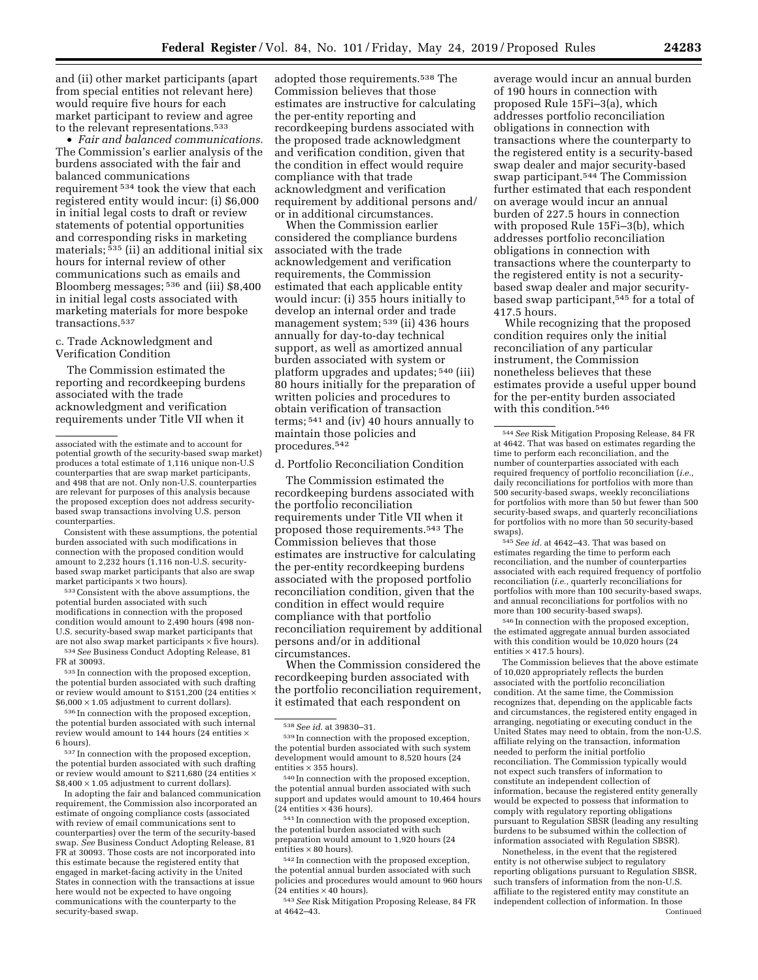and (ii) other market participants (apart from special entities not relevant here) would require five hours for each market participant to review and agree to the relevant representations.533

• *Fair and balanced communications.*  The Commission's earlier analysis of the burdens associated with the fair and balanced communications requirement 534 took the view that each registered entity would incur: (i) \$6,000 in initial legal costs to draft or review statements of potential opportunities and corresponding risks in marketing materials; 535 (ii) an additional initial six hours for internal review of other communications such as emails and Bloomberg messages; 536 and (iii) \$8,400 in initial legal costs associated with marketing materials for more bespoke transactions.537

c. Trade Acknowledgment and Verification Condition

The Commission estimated the reporting and recordkeeping burdens associated with the trade acknowledgment and verification requirements under Title VII when it

Consistent with these assumptions, the potential burden associated with such modifications in connection with the proposed condition would amount to 2,232 hours (1,116 non-U.S. securitybased swap market participants that also are swap market participants × two hours).

533Consistent with the above assumptions, the potential burden associated with such modifications in connection with the proposed condition would amount to 2,490 hours (498 non-U.S. security-based swap market participants that are not also swap market participants  $\times$  five hours).

534*See* Business Conduct Adopting Release, 81 FR at 30093.

535 In connection with the proposed exception, the potential burden associated with such drafting or review would amount to \$151,200 (24 entities  $\times$  $$6,000 \times 1.05$  adjustment to current dollars).

536 In connection with the proposed exception, the potential burden associated with such internal review would amount to 144 hours (24 entities × 6 hours).

537 In connection with the proposed exception, the potential burden associated with such drafting or review would amount to \$211,680 (24 entities  $\times$  $$8,400 \times 1.05$  adjustment to current dollars).

In adopting the fair and balanced communication requirement, the Commission also incorporated an estimate of ongoing compliance costs (associated with review of email communications sent to counterparties) over the term of the security-based swap. *See* Business Conduct Adopting Release, 81 FR at 30093. Those costs are not incorporated into this estimate because the registered entity that engaged in market-facing activity in the United States in connection with the transactions at issue here would not be expected to have ongoing communications with the counterparty to the security-based swap.

adopted those requirements.538 The Commission believes that those estimates are instructive for calculating the per-entity reporting and recordkeeping burdens associated with the proposed trade acknowledgment and verification condition, given that the condition in effect would require compliance with that trade acknowledgment and verification requirement by additional persons and/ or in additional circumstances.

When the Commission earlier considered the compliance burdens associated with the trade acknowledgement and verification requirements, the Commission estimated that each applicable entity would incur: (i) 355 hours initially to develop an internal order and trade management system; 539 (ii) 436 hours annually for day-to-day technical support, as well as amortized annual burden associated with system or platform upgrades and updates; 540 (iii) 80 hours initially for the preparation of written policies and procedures to obtain verification of transaction terms; 541 and (iv) 40 hours annually to maintain those policies and procedures.542

d. Portfolio Reconciliation Condition

The Commission estimated the recordkeeping burdens associated with the portfolio reconciliation requirements under Title VII when it proposed those requirements.543 The Commission believes that those estimates are instructive for calculating the per-entity recordkeeping burdens associated with the proposed portfolio reconciliation condition, given that the condition in effect would require compliance with that portfolio reconciliation requirement by additional persons and/or in additional circumstances.

When the Commission considered the recordkeeping burden associated with the portfolio reconciliation requirement, it estimated that each respondent on

540 In connection with the proposed exception, the potential annual burden associated with such support and updates would amount to 10,464 hours (24 entities  $\times$  436 hours).

541 In connection with the proposed exception, the potential burden associated with such preparation would amount to 1,920 hours (24 entities  $\times 80$  hours).

542 In connection with the proposed exception, the potential annual burden associated with such policies and procedures would amount to 960 hours  $(24$  entities  $\times$  40 hours).

543*See* Risk Mitigation Proposing Release, 84 FR at 4642–43.

average would incur an annual burden of 190 hours in connection with proposed Rule 15Fi–3(a), which addresses portfolio reconciliation obligations in connection with transactions where the counterparty to the registered entity is a security-based swap dealer and major security-based swap participant.544 The Commission further estimated that each respondent on average would incur an annual burden of 227.5 hours in connection with proposed Rule 15Fi–3(b), which addresses portfolio reconciliation obligations in connection with transactions where the counterparty to the registered entity is not a securitybased swap dealer and major securitybased swap participant,545 for a total of 417.5 hours.

While recognizing that the proposed condition requires only the initial reconciliation of any particular instrument, the Commission nonetheless believes that these estimates provide a useful upper bound for the per-entity burden associated with this condition.546

545*See id.* at 4642–43. That was based on estimates regarding the time to perform each reconciliation, and the number of counterparties associated with each required frequency of portfolio reconciliation (*i.e.,* quarterly reconciliations for portfolios with more than 100 security-based swaps, and annual reconciliations for portfolios with no more than 100 security-based swaps).

546 In connection with the proposed exception, the estimated aggregate annual burden associated with this condition would be 10,020 hours (24 entities  $\times$  417.5 hours).

The Commission believes that the above estimate of 10,020 appropriately reflects the burden associated with the portfolio reconciliation condition. At the same time, the Commission recognizes that, depending on the applicable facts and circumstances, the registered entity engaged in arranging, negotiating or executing conduct in the United States may need to obtain, from the non-U.S. affiliate relying on the transaction, information needed to perform the initial portfolio reconciliation. The Commission typically would not expect such transfers of information to constitute an independent collection of information, because the registered entity generally would be expected to possess that information to comply with regulatory reporting obligations pursuant to Regulation SBSR (leading any resulting burdens to be subsumed within the collection of information associated with Regulation SBSR).

Nonetheless, in the event that the registered entity is not otherwise subject to regulatory reporting obligations pursuant to Regulation SBSR, such transfers of information from the non-U.S. affiliate to the registered entity may constitute an independent collection of information. In those Continued

associated with the estimate and to account for potential growth of the security-based swap market) produces a total estimate of 1,116 unique non-U.S counterparties that are swap market participants, and 498 that are not. Only non-U.S. counterparties are relevant for purposes of this analysis because the proposed exception does not address securitybased swap transactions involving U.S. person counterparties.

<sup>538</sup>*See id.* at 39830–31.

<sup>539</sup> In connection with the proposed exception, the potential burden associated with such system development would amount to 8,520 hours (24 entities  $\times$  355 hours).

<sup>544</sup>*See* Risk Mitigation Proposing Release, 84 FR at 4642. That was based on estimates regarding the time to perform each reconciliation, and the number of counterparties associated with each required frequency of portfolio reconciliation (*i.e.,*  daily reconciliations for portfolios with more than 500 security-based swaps, weekly reconciliations for portfolios with more than 50 but fewer than 500 security-based swaps, and quarterly reconciliations for portfolios with no more than 50 security-based swaps).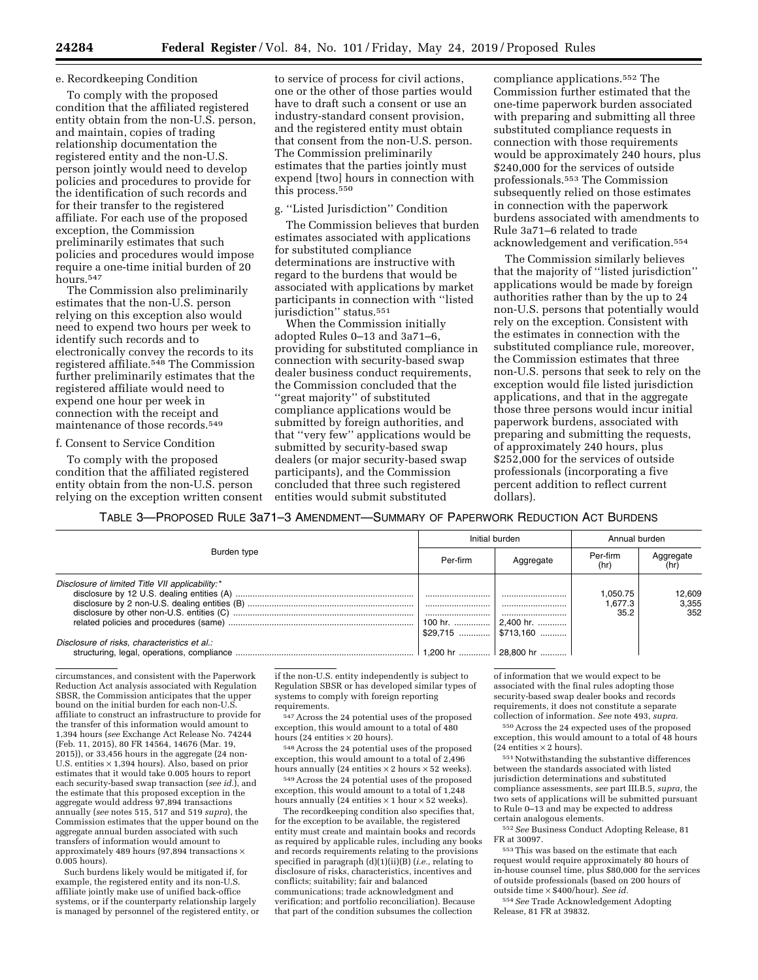#### e. Recordkeeping Condition

To comply with the proposed condition that the affiliated registered entity obtain from the non-U.S. person, and maintain, copies of trading relationship documentation the registered entity and the non-U.S. person jointly would need to develop policies and procedures to provide for the identification of such records and for their transfer to the registered affiliate. For each use of the proposed exception, the Commission preliminarily estimates that such policies and procedures would impose require a one-time initial burden of 20 hours.547

The Commission also preliminarily estimates that the non-U.S. person relying on this exception also would need to expend two hours per week to identify such records and to electronically convey the records to its registered affiliate.548 The Commission further preliminarily estimates that the registered affiliate would need to expend one hour per week in connection with the receipt and maintenance of those records.<sup>549</sup>

#### f. Consent to Service Condition

To comply with the proposed condition that the affiliated registered entity obtain from the non-U.S. person relying on the exception written consent

to service of process for civil actions, one or the other of those parties would have to draft such a consent or use an industry-standard consent provision, and the registered entity must obtain that consent from the non-U.S. person. The Commission preliminarily estimates that the parties jointly must expend [two] hours in connection with this process.550

### g. ''Listed Jurisdiction'' Condition

The Commission believes that burden estimates associated with applications for substituted compliance determinations are instructive with regard to the burdens that would be associated with applications by market participants in connection with ''listed jurisdiction" status.<sup>551</sup>

When the Commission initially adopted Rules 0–13 and 3a71–6, providing for substituted compliance in connection with security-based swap dealer business conduct requirements, the Commission concluded that the ''great majority'' of substituted compliance applications would be submitted by foreign authorities, and that ''very few'' applications would be submitted by security-based swap dealers (or major security-based swap participants), and the Commission concluded that three such registered entities would submit substituted

compliance applications.552 The Commission further estimated that the one-time paperwork burden associated with preparing and submitting all three substituted compliance requests in connection with those requirements would be approximately 240 hours, plus \$240,000 for the services of outside professionals.553 The Commission subsequently relied on those estimates in connection with the paperwork burdens associated with amendments to Rule 3a71–6 related to trade acknowledgement and verification.554

The Commission similarly believes that the majority of ''listed jurisdiction'' applications would be made by foreign authorities rather than by the up to 24 non-U.S. persons that potentially would rely on the exception. Consistent with the estimates in connection with the substituted compliance rule, moreover, the Commission estimates that three non-U.S. persons that seek to rely on the exception would file listed jurisdiction applications, and that in the aggregate those three persons would incur initial paperwork burdens, associated with preparing and submitting the requests, of approximately 240 hours, plus \$252,000 for the services of outside professionals (incorporating a five percent addition to reflect current dollars).

TABLE 3—PROPOSED RULE 3a71–3 AMENDMENT—SUMMARY OF PAPERWORK REDUCTION ACT BURDENS

| Burden type                                     | Initial burden      |                                                  | Annual burden               |                        |
|-------------------------------------------------|---------------------|--------------------------------------------------|-----------------------------|------------------------|
|                                                 | Per-firm            | Aggregate                                        | Per-firm<br>(hr)            | Aggregate              |
| Disclosure of limited Title VII applicability:* | <br><br><br>100 hr. | <br><br><br>  2.400 hr.<br>$$29,715$   \$713,160 | 1.050.75<br>1.677.3<br>35.2 | 12.609<br>3,355<br>352 |
| Disclosure of risks, characteristics et al.:    | 1.200 hr            | $ 28.800 \text{ hr}$                             |                             |                        |

circumstances, and consistent with the Paperwork Reduction Act analysis associated with Regulation SBSR, the Commission anticipates that the upper bound on the initial burden for each non-U. affiliate to construct an infrastructure to provide for the transfer of this information would amount to 1,394 hours (*see* Exchange Act Release No. 74244 (Feb. 11, 2015), 80 FR 14564, 14676 (Mar. 19, 2015)), or 33,456 hours in the aggregate (24 non-U.S. entities × 1,394 hours). Also, based on prior estimates that it would take 0.005 hours to report each security-based swap transaction (*see id.*), and the estimate that this proposed exception in the aggregate would address 97,894 transactions annually (*see* notes 515, 517 and 519 *supra*), the Commission estimates that the upper bound on the aggregate annual burden associated with such transfers of information would amount to approximately 489 hours (97,894 transactions × 0.005 hours).

Such burdens likely would be mitigated if, for example, the registered entity and its non-U.S. affiliate jointly make use of unified back-office systems, or if the counterparty relationship largely is managed by personnel of the registered entity, or if the non-U.S. entity independently is subject to Regulation SBSR or has developed similar types of systems to comply with foreign reporting requirements.

547Across the 24 potential uses of the proposed exception, this would amount to a total of 480 hours (24 entities  $\times$  20 hours).

548Across the 24 potential uses of the proposed exception, this would amount to a total of 2,496 hours annually (24 entities  $\times$  2 hours  $\times$  52 weeks).

549Across the 24 potential uses of the proposed exception, this would amount to a total of 1,248 hours annually (24 entities  $\times$  1 hour  $\times$  52 weeks).

The recordkeeping condition also specifies that, for the exception to be available, the registered entity must create and maintain books and records as required by applicable rules, including any books and records requirements relating to the provisions specified in paragraph (d)(1)(ii)(B) (*i.e.,* relating to disclosure of risks, characteristics, incentives and conflicts; suitability; fair and balanced communications; trade acknowledgment and verification; and portfolio reconciliation). Because that part of the condition subsumes the collection

of information that we would expect to be associated with the final rules adopting those security-based swap dealer books and records requirements, it does not constitute a separate collection of information. *See* note 493, *supra.* 

550Across the 24 expected uses of the proposed exception, this would amount to a total of 48 hours (24 entities  $\times$  2 hours).

 $\rm ^{551}$  Notwithstanding the substantive differences between the standards associated with listed jurisdiction determinations and substituted compliance assessments, *see* part III.B.5, *supra,* the two sets of applications will be submitted pursuant to Rule 0–13 and may be expected to address certain analogous elements.

552*See* Business Conduct Adopting Release, 81 FR at 30097.

 $^{\rm 553}\rm \, This$  was based on the estimate that each request would require approximately 80 hours of in-house counsel time, plus \$80,000 for the services of outside professionals (based on 200 hours of outside time × \$400/hour). *See id.* 

554*See* Trade Acknowledgement Adopting Release, 81 FR at 39832.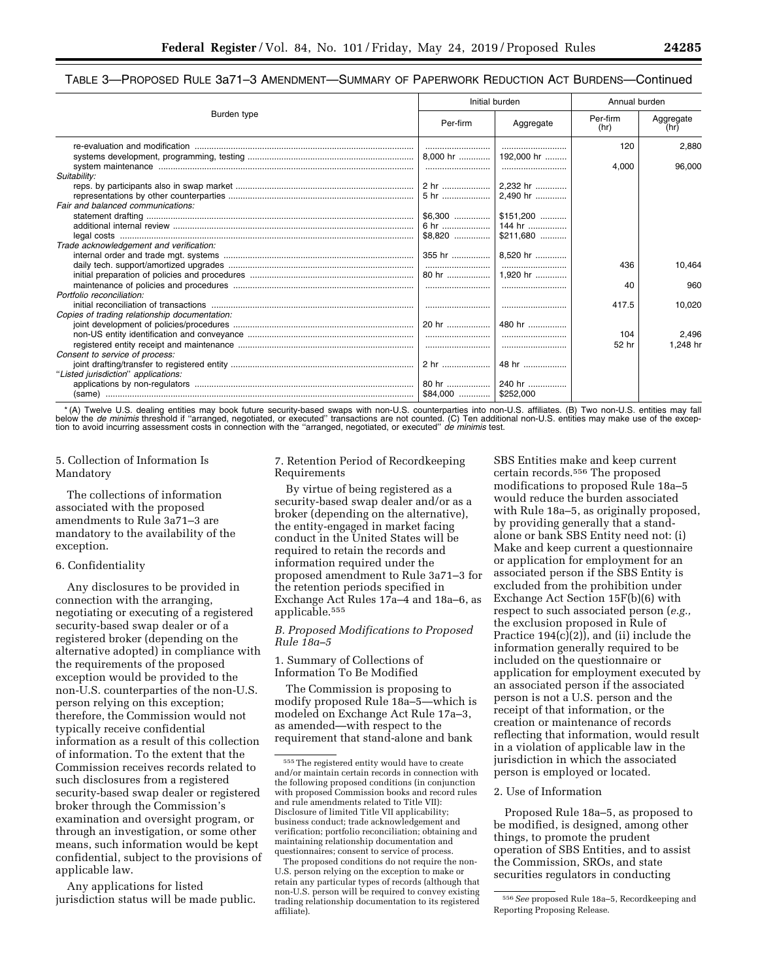# TABLE 3—PROPOSED RULE 3a71–3 AMENDMENT—SUMMARY OF PAPERWORK REDUCTION ACT BURDENS—Continued

| Burden type                                   | Initial burden |                      | Annual burden    |                   |
|-----------------------------------------------|----------------|----------------------|------------------|-------------------|
|                                               | Per-firm       | Aggregate            | Per-firm<br>(hr) | Aggregate<br>(hr) |
|                                               |                |                      | 120              | 2,880             |
|                                               |                |                      |                  |                   |
|                                               |                |                      | 4.000            | 96,000            |
| Suitability:                                  |                |                      |                  |                   |
|                                               |                |                      |                  |                   |
|                                               |                |                      |                  |                   |
| Fair and balanced communications:             |                |                      |                  |                   |
|                                               |                | $$6,300$   \$151,200 |                  |                   |
|                                               |                |                      |                  |                   |
|                                               |                |                      |                  |                   |
| Trade acknowledgement and verification:       |                |                      |                  |                   |
|                                               |                |                      |                  |                   |
|                                               |                |                      | 436              | 10,464            |
|                                               |                |                      |                  |                   |
|                                               |                |                      | 40               | 960               |
| Portfolio reconciliation:                     |                |                      |                  |                   |
|                                               |                |                      | 417.5            | 10,020            |
| Copies of trading relationship documentation: |                |                      |                  |                   |
|                                               |                | 480 hr               |                  |                   |
|                                               |                |                      | 104              | 2,496             |
|                                               |                |                      | 52 hr            | 1.248 hr          |
| Consent to service of process:                |                |                      |                  |                   |
|                                               |                |                      |                  |                   |
| "Listed jurisdiction" applications:           |                |                      |                  |                   |
|                                               |                |                      |                  |                   |
|                                               |                |                      |                  |                   |

\* (A) Twelve U.S. dealing entities may book future security-based swaps with non-U.S. counterparties into non-U.S. affiliates. (B) Two non-U.S. entities may fall below the *de minimis* threshold if "arranged, negotiated, or executed" transactions are not counted. (C) Ten additional non-U.S. entities may make use of the excep-<br>tion to avoid incurring assessment costs in connection w

5. Collection of Information Is Mandatory

The collections of information associated with the proposed amendments to Rule 3a71–3 are mandatory to the availability of the exception.

## 6. Confidentiality

Any disclosures to be provided in connection with the arranging, negotiating or executing of a registered security-based swap dealer or of a registered broker (depending on the alternative adopted) in compliance with the requirements of the proposed exception would be provided to the non-U.S. counterparties of the non-U.S. person relying on this exception; therefore, the Commission would not typically receive confidential information as a result of this collection of information. To the extent that the Commission receives records related to such disclosures from a registered security-based swap dealer or registered broker through the Commission's examination and oversight program, or through an investigation, or some other means, such information would be kept confidential, subject to the provisions of applicable law.

Any applications for listed jurisdiction status will be made public. 7. Retention Period of Recordkeeping Requirements

By virtue of being registered as a security-based swap dealer and/or as a broker (depending on the alternative), the entity-engaged in market facing conduct in the United States will be required to retain the records and information required under the proposed amendment to Rule 3a71–3 for the retention periods specified in Exchange Act Rules 17a–4 and 18a–6, as applicable.555

# *B. Proposed Modifications to Proposed Rule 18a–5*

1. Summary of Collections of Information To Be Modified

The Commission is proposing to modify proposed Rule 18a–5—which is modeled on Exchange Act Rule 17a–3, as amended—with respect to the requirement that stand-alone and bank

SBS Entities make and keep current certain records.556 The proposed modifications to proposed Rule 18a–5 would reduce the burden associated with Rule 18a–5, as originally proposed, by providing generally that a standalone or bank SBS Entity need not: (i) Make and keep current a questionnaire or application for employment for an associated person if the SBS Entity is excluded from the prohibition under Exchange Act Section 15F(b)(6) with respect to such associated person (*e.g.,*  the exclusion proposed in Rule of Practice 194(c)(2)), and (ii) include the information generally required to be included on the questionnaire or application for employment executed by an associated person if the associated person is not a U.S. person and the receipt of that information, or the creation or maintenance of records reflecting that information, would result in a violation of applicable law in the jurisdiction in which the associated person is employed or located.

## 2. Use of Information

Proposed Rule 18a–5, as proposed to be modified, is designed, among other things, to promote the prudent operation of SBS Entities, and to assist the Commission, SROs, and state securities regulators in conducting

<sup>555</sup>The registered entity would have to create and/or maintain certain records in connection with the following proposed conditions (in conjunction with proposed Commission books and record rules and rule amendments related to Title VII): Disclosure of limited Title VII applicability; business conduct; trade acknowledgement and verification; portfolio reconciliation; obtaining and maintaining relationship documentation and questionnaires; consent to service of process.

The proposed conditions do not require the non-U.S. person relying on the exception to make or retain any particular types of records (although that non-U.S. person will be required to convey existing trading relationship documentation to its registered affiliate).

<sup>556</sup>*See* proposed Rule 18a–5, Recordkeeping and Reporting Proposing Release.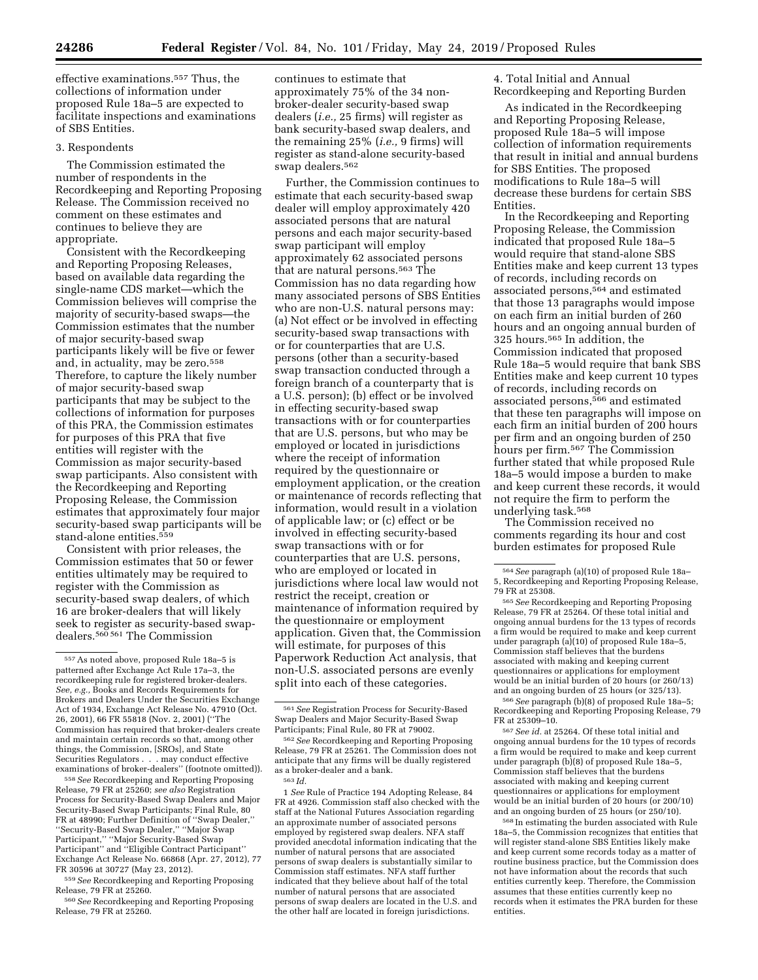effective examinations.557 Thus, the collections of information under proposed Rule 18a–5 are expected to facilitate inspections and examinations of SBS Entities.

## 3. Respondents

The Commission estimated the number of respondents in the Recordkeeping and Reporting Proposing Release. The Commission received no comment on these estimates and continues to believe they are appropriate.

Consistent with the Recordkeeping and Reporting Proposing Releases, based on available data regarding the single-name CDS market—which the Commission believes will comprise the majority of security-based swaps—the Commission estimates that the number of major security-based swap participants likely will be five or fewer and, in actuality, may be zero.558 Therefore, to capture the likely number of major security-based swap participants that may be subject to the collections of information for purposes of this PRA, the Commission estimates for purposes of this PRA that five entities will register with the Commission as major security-based swap participants. Also consistent with the Recordkeeping and Reporting Proposing Release, the Commission estimates that approximately four major security-based swap participants will be stand-alone entities.559

Consistent with prior releases, the Commission estimates that 50 or fewer entities ultimately may be required to register with the Commission as security-based swap dealers, of which 16 are broker-dealers that will likely seek to register as security-based swapdealers.560 561 The Commission

558*See* Recordkeeping and Reporting Proposing Release, 79 FR at 25260; *see also* Registration Process for Security-Based Swap Dealers and Major Security-Based Swap Participants; Final Rule, 80 FR at 48990; Further Definition of ''Swap Dealer,'' ''Security-Based Swap Dealer,'' ''Major Swap Participant,'' ''Major Security-Based Swap Participant'' and ''Eligible Contract Participant'' Exchange Act Release No. 66868 (Apr. 27, 2012), 77 FR 30596 at 30727 (May 23, 2012).

559*See* Recordkeeping and Reporting Proposing Release, 79 FR at 25260.

560*See* Recordkeeping and Reporting Proposing Release, 79 FR at 25260.

continues to estimate that approximately 75% of the 34 nonbroker-dealer security-based swap dealers (*i.e.,* 25 firms) will register as bank security-based swap dealers, and the remaining 25% (*i.e.,* 9 firms) will register as stand-alone security-based swap dealers.562

Further, the Commission continues to estimate that each security-based swap dealer will employ approximately 420 associated persons that are natural persons and each major security-based swap participant will employ approximately 62 associated persons that are natural persons.563 The Commission has no data regarding how many associated persons of SBS Entities who are non-U.S. natural persons may: (a) Not effect or be involved in effecting security-based swap transactions with or for counterparties that are U.S. persons (other than a security-based swap transaction conducted through a foreign branch of a counterparty that is a U.S. person); (b) effect or be involved in effecting security-based swap transactions with or for counterparties that are U.S. persons, but who may be employed or located in jurisdictions where the receipt of information required by the questionnaire or employment application, or the creation or maintenance of records reflecting that information, would result in a violation of applicable law; or (c) effect or be involved in effecting security-based swap transactions with or for counterparties that are U.S. persons, who are employed or located in jurisdictions where local law would not restrict the receipt, creation or maintenance of information required by the questionnaire or employment application. Given that, the Commission will estimate, for purposes of this Paperwork Reduction Act analysis, that non-U.S. associated persons are evenly split into each of these categories.

1 *See* Rule of Practice 194 Adopting Release, 84 FR at 4926. Commission staff also checked with the staff at the National Futures Association regarding an approximate number of associated persons employed by registered swap dealers. NFA staff provided anecdotal information indicating that the number of natural persons that are associated persons of swap dealers is substantially similar to Commission staff estimates. NFA staff further indicated that they believe about half of the total number of natural persons that are associated persons of swap dealers are located in the U.S. and the other half are located in foreign jurisdictions.

4. Total Initial and Annual Recordkeeping and Reporting Burden

As indicated in the Recordkeeping and Reporting Proposing Release, proposed Rule 18a–5 will impose collection of information requirements that result in initial and annual burdens for SBS Entities. The proposed modifications to Rule 18a–5 will decrease these burdens for certain SBS Entities.

In the Recordkeeping and Reporting Proposing Release, the Commission indicated that proposed Rule 18a–5 would require that stand-alone SBS Entities make and keep current 13 types of records, including records on associated persons,564 and estimated that those 13 paragraphs would impose on each firm an initial burden of 260 hours and an ongoing annual burden of 325 hours.565 In addition, the Commission indicated that proposed Rule 18a–5 would require that bank SBS Entities make and keep current 10 types of records, including records on associated persons,566 and estimated that these ten paragraphs will impose on each firm an initial burden of 200 hours per firm and an ongoing burden of 250 hours per firm.567 The Commission further stated that while proposed Rule 18a–5 would impose a burden to make and keep current these records, it would not require the firm to perform the underlying task.568

The Commission received no comments regarding its hour and cost burden estimates for proposed Rule

566*See* paragraph (b)(8) of proposed Rule 18a–5; Recordkeeping and Reporting Proposing Release, 79 FR at 25309–10.

567*See id.* at 25264. Of these total initial and ongoing annual burdens for the 10 types of records a firm would be required to make and keep current under paragraph (b)(8) of proposed Rule 18a–5, Commission staff believes that the burdens associated with making and keeping current questionnaires or applications for employment would be an initial burden of 20 hours (or 200/10) and an ongoing burden of 25 hours (or 250/10).

568 In estimating the burden associated with Rule 18a–5, the Commission recognizes that entities that will register stand-alone SBS Entities likely make and keep current some records today as a matter of routine business practice, but the Commission does not have information about the records that such entities currently keep. Therefore, the Commission assumes that these entities currently keep no records when it estimates the PRA burden for these entities.

<sup>557</sup>As noted above, proposed Rule 18a–5 is patterned after Exchange Act Rule 17a–3, the recordkeeping rule for registered broker-dealers. *See, e.g.,* Books and Records Requirements for Brokers and Dealers Under the Securities Exchange Act of 1934, Exchange Act Release No. 47910 (Oct. 26, 2001), 66 FR 55818 (Nov. 2, 2001) (''The Commission has required that broker-dealers create and maintain certain records so that, among other things, the Commission, [SROs], and State Securities Regulators . . . may conduct effective examinations of broker-dealers'' (footnote omitted)).

<sup>561</sup>*See* Registration Process for Security-Based Swap Dealers and Major Security-Based Swap Participants; Final Rule, 80 FR at 79002.

<sup>562</sup>*See* Recordkeeping and Reporting Proposing Release, 79 FR at 25261. The Commission does not anticipate that any firms will be dually registered as a broker-dealer and a bank. 563 *Id.* 

<sup>564</sup>*See* paragraph (a)(10) of proposed Rule 18a– 5, Recordkeeping and Reporting Proposing Release, 79 FR at 25308.

<sup>565</sup>*See* Recordkeeping and Reporting Proposing Release, 79 FR at 25264. Of these total initial and ongoing annual burdens for the 13 types of records a firm would be required to make and keep current under paragraph (a)(10) of proposed Rule 18a–5, Commission staff believes that the burdens associated with making and keeping current questionnaires or applications for employment would be an initial burden of 20 hours (or 260/13) and an ongoing burden of 25 hours (or 325/13).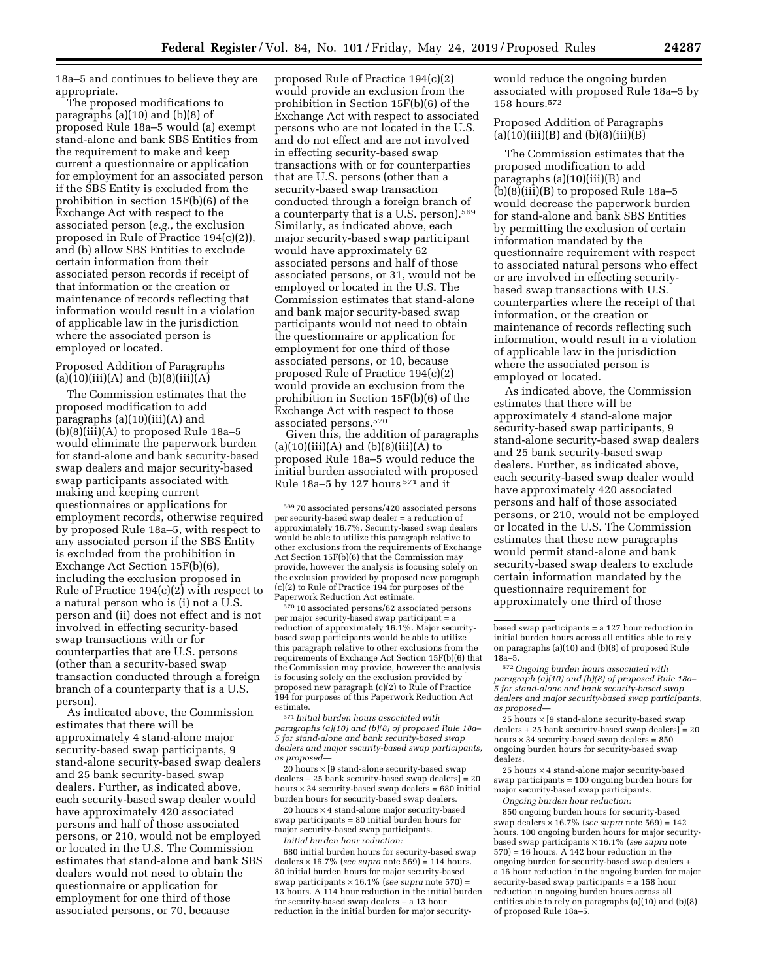18a–5 and continues to believe they are appropriate.

The proposed modifications to paragraphs (a)(10) and (b)(8) of proposed Rule 18a–5 would (a) exempt stand-alone and bank SBS Entities from the requirement to make and keep current a questionnaire or application for employment for an associated person if the SBS Entity is excluded from the prohibition in section 15F(b)(6) of the Exchange Act with respect to the associated person (*e.g.,* the exclusion proposed in Rule of Practice 194(c)(2)), and (b) allow SBS Entities to exclude certain information from their associated person records if receipt of that information or the creation or maintenance of records reflecting that information would result in a violation of applicable law in the jurisdiction where the associated person is employed or located.

# Proposed Addition of Paragraphs  $(a)(10)(iii)(A)$  and  $(b)(8)(iii)(A)$

The Commission estimates that the proposed modification to add paragraphs (a)(10)(iii)(A) and (b)(8)(iii)(A) to proposed Rule 18a–5 would eliminate the paperwork burden for stand-alone and bank security-based swap dealers and major security-based swap participants associated with making and keeping current questionnaires or applications for employment records, otherwise required by proposed Rule 18a–5, with respect to any associated person if the SBS Entity is excluded from the prohibition in Exchange Act Section 15F(b)(6), including the exclusion proposed in Rule of Practice 194(c)(2) with respect to a natural person who is (i) not a U.S. person and (ii) does not effect and is not involved in effecting security-based swap transactions with or for counterparties that are U.S. persons (other than a security-based swap transaction conducted through a foreign branch of a counterparty that is a U.S. person).

As indicated above, the Commission estimates that there will be approximately 4 stand-alone major security-based swap participants, 9 stand-alone security-based swap dealers and 25 bank security-based swap dealers. Further, as indicated above, each security-based swap dealer would have approximately 420 associated persons and half of those associated persons, or 210, would not be employed or located in the U.S. The Commission estimates that stand-alone and bank SBS dealers would not need to obtain the questionnaire or application for employment for one third of those associated persons, or 70, because

proposed Rule of Practice 194(c)(2) would provide an exclusion from the prohibition in Section 15F(b)(6) of the Exchange Act with respect to associated persons who are not located in the U.S. and do not effect and are not involved in effecting security-based swap transactions with or for counterparties that are U.S. persons (other than a security-based swap transaction conducted through a foreign branch of a counterparty that is a U.S. person).569 Similarly, as indicated above, each major security-based swap participant would have approximately 62 associated persons and half of those associated persons, or 31, would not be employed or located in the U.S. The Commission estimates that stand-alone and bank major security-based swap participants would not need to obtain the questionnaire or application for employment for one third of those associated persons, or 10, because proposed Rule of Practice 194(c)(2) would provide an exclusion from the prohibition in Section 15F(b)(6) of the Exchange Act with respect to those associated persons.570

Given this, the addition of paragraphs  $(a)(10)(iii)(A)$  and  $(b)(8)(iii)(A)$  to proposed Rule 18a–5 would reduce the initial burden associated with proposed Rule 18a–5 by 127 hours 571 and it

570 10 associated persons/62 associated persons per major security-based swap participant = a reduction of approximately 16.1%. Major securitybased swap participants would be able to utilize this paragraph relative to other exclusions from the requirements of Exchange Act Section 15F(b)(6) that the Commission may provide, however the analysis is focusing solely on the exclusion provided by proposed new paragraph (c)(2) to Rule of Practice 194 for purposes of this Paperwork Reduction Act estimate.

571 *Initial burden hours associated with paragraphs (a)(10) and (b)(8) of proposed Rule 18a– 5 for stand-alone and bank security-based swap dealers and major security-based swap participants, as proposed*—

20 hours  $\times$  [9 stand-alone security-based swap dealers + 25 bank security-based swap dealers] = 20 hours  $\times$  34 security-based swap dealers = 680 initial burden hours for security-based swap dealers.

20 hours × 4 stand-alone major security-based swap participants = 80 initial burden hours for major security-based swap participants. *Initial burden hour reduction:* 

680 initial burden hours for security-based swap dealers × 16.7% (*see supra* note 569) = 114 hours. 80 initial burden hours for major security-based swap participants × 16.1% (*see supra* note 570) = 13 hours. A 114 hour reduction in the initial burden for security-based swap dealers + a 13 hour reduction in the initial burden for major securitywould reduce the ongoing burden associated with proposed Rule 18a–5 by 158 hours.572

Proposed Addition of Paragraphs  $(a)(10)(iii)(B)$  and  $(b)(8)(iii)(B)$ 

The Commission estimates that the proposed modification to add paragraphs (a)(10)(iii)(B) and (b)(8)(iii)(B) to proposed Rule 18a–5 would decrease the paperwork burden for stand-alone and bank SBS Entities by permitting the exclusion of certain information mandated by the questionnaire requirement with respect to associated natural persons who effect or are involved in effecting securitybased swap transactions with U.S. counterparties where the receipt of that information, or the creation or maintenance of records reflecting such information, would result in a violation of applicable law in the jurisdiction where the associated person is employed or located.

As indicated above, the Commission estimates that there will be approximately 4 stand-alone major security-based swap participants, 9 stand-alone security-based swap dealers and 25 bank security-based swap dealers. Further, as indicated above, each security-based swap dealer would have approximately 420 associated persons and half of those associated persons, or 210, would not be employed or located in the U.S. The Commission estimates that these new paragraphs would permit stand-alone and bank security-based swap dealers to exclude certain information mandated by the questionnaire requirement for approximately one third of those

25 hours × 4 stand-alone major security-based swap participants = 100 ongoing burden hours for major security-based swap participants.

*Ongoing burden hour reduction:*  850 ongoing burden hours for security-based swap dealers × 16.7% (*see supra* note 569) = 142 hours. 100 ongoing burden hours for major securitybased swap participants × 16.1% (*see supra* note  $570$  = 16 hours. A 142 hour reduction in the ongoing burden for security-based swap dealers + a 16 hour reduction in the ongoing burden for major security-based swap participants = a 158 hour reduction in ongoing burden hours across all entities able to rely on paragraphs (a)(10) and (b)(8) of proposed Rule 18a–5.

<sup>569</sup> 70 associated persons/420 associated persons per security-based swap dealer = a reduction of approximately 16.7%. Security-based swap dealers would be able to utilize this paragraph relative to other exclusions from the requirements of Exchange Act Section 15F(b)(6) that the Commission may provide, however the analysis is focusing solely on the exclusion provided by proposed new paragraph (c)(2) to Rule of Practice 194 for purposes of the Paperwork Reduction Act estimate.

based swap participants = a 127 hour reduction in initial burden hours across all entities able to rely on paragraphs (a)(10) and (b)(8) of proposed Rule 18a–5.

<sup>572</sup>*Ongoing burden hours associated with paragraph (a)(10) and (b)(8) of proposed Rule 18a– 5 for stand-alone and bank security-based swap dealers and major security-based swap participants, as proposed*—

<sup>25</sup> hours  $\times$  [9 stand-alone security-based swap  $\text{dealers} + 25$  bank security-based swap dealers] = 20 hours  $\times$  34 security-based swap dealers = 850 ongoing burden hours for security-based swap dealers.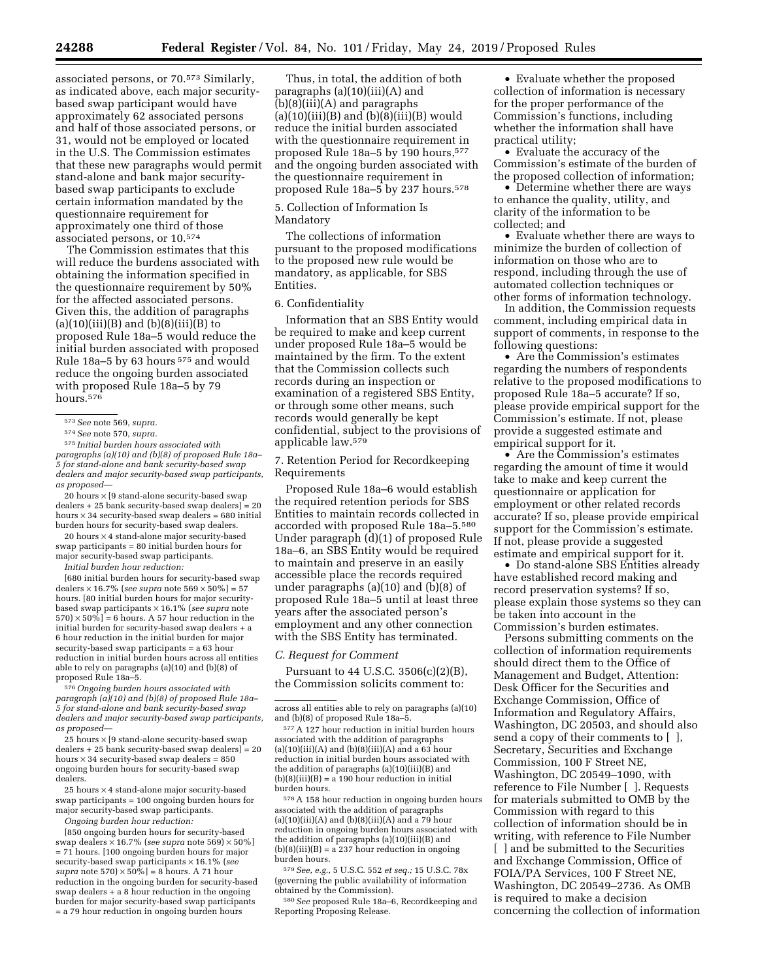associated persons, or 70.573 Similarly, as indicated above, each major securitybased swap participant would have approximately 62 associated persons and half of those associated persons, or 31, would not be employed or located in the U.S. The Commission estimates that these new paragraphs would permit stand-alone and bank major securitybased swap participants to exclude certain information mandated by the questionnaire requirement for approximately one third of those associated persons, or 10.574

The Commission estimates that this will reduce the burdens associated with obtaining the information specified in the questionnaire requirement by 50% for the affected associated persons. Given this, the addition of paragraphs  $(a)(10)(iii)(B)$  and  $(b)(8)(iii)(B)$  to proposed Rule 18a–5 would reduce the initial burden associated with proposed Rule 18a–5 by 63 hours 575 and would reduce the ongoing burden associated with proposed Rule 18a–5 by 79 hours.<sup>576</sup>

20 hours × [9 stand-alone security-based swap dealers + 25 bank security-based swap dealers] = 20 hours  $\times$  34 security-based swap dealers = 680 initial burden hours for security-based swap dealers.

20 hours × 4 stand-alone major security-based swap participants =  $80$  initial burden hours for major security-based swap participants.

*Initial burden hour reduction:* 

[680 initial burden hours for security-based swap dealers  $\times$  16.7% (*see supra* note 569  $\times$  50%] = 57 hours. [80 initial burden hours for major securitybased swap participants × 16.1% (*see supra* note  $(570) \times 50\%$ ] = 6 hours. A 57 hour reduction in the initial burden for security-based swap dealers + a 6 hour reduction in the initial burden for major security-based swap participants = a 63 hour reduction in initial burden hours across all entities able to rely on paragraphs (a)(10) and (b)(8) of proposed Rule 18a–5.

576*Ongoing burden hours associated with paragraph (a)(10) and (b)(8) of proposed Rule 18a– 5 for stand-alone and bank security-based swap dealers and major security-based swap participants, as proposed*—

25 hours  $\times$  [9 stand-alone security-based swap dealers + 25 bank security-based swap dealers] = 20 hours  $\times$  34 security-based swap dealers = 850 ongoing burden hours for security-based swap dealers.

25 hours × 4 stand-alone major security-based swap participants = 100 ongoing burden hours for major security-based swap participants.

*Ongoing burden hour reduction:* 

[850 ongoing burden hours for security-based swap dealers × 16.7% (*see supra* note 569) × 50%] = 71 hours. [100 ongoing burden hours for major security-based swap participants × 16.1% (*see*   $supra$  note 570)  $\times$  50%] = 8 hours. A 71 hour reduction in the ongoing burden for security-based swap dealers + a 8 hour reduction in the ongoing burden for major security-based swap participants = a 79 hour reduction in ongoing burden hours

Thus, in total, the addition of both paragraphs (a)(10)(iii)(A) and (b)(8)(iii)(A) and paragraphs  $(a)(10)(iii)(B)$  and  $(b)(8)(iii)(B)$  would reduce the initial burden associated with the questionnaire requirement in proposed Rule 18a–5 by 190 hours,577 and the ongoing burden associated with the questionnaire requirement in proposed Rule 18a–5 by 237 hours.578

## 5. Collection of Information Is Mandatory

The collections of information pursuant to the proposed modifications to the proposed new rule would be mandatory, as applicable, for SBS Entities.

# 6. Confidentiality

Information that an SBS Entity would be required to make and keep current under proposed Rule 18a–5 would be maintained by the firm. To the extent that the Commission collects such records during an inspection or examination of a registered SBS Entity, or through some other means, such records would generally be kept confidential, subject to the provisions of applicable law.579

7. Retention Period for Recordkeeping Requirements

Proposed Rule 18a–6 would establish the required retention periods for SBS Entities to maintain records collected in accorded with proposed Rule 18a–5.580 Under paragraph (d)(1) of proposed Rule 18a–6, an SBS Entity would be required to maintain and preserve in an easily accessible place the records required under paragraphs (a)(10) and (b)(8) of proposed Rule 18a–5 until at least three years after the associated person's employment and any other connection with the SBS Entity has terminated.

#### *C. Request for Comment*

Pursuant to 44 U.S.C. 3506(c)(2)(B), the Commission solicits comment to:

578A 158 hour reduction in ongoing burden hours associated with the addition of paragraphs  $(a)(10)(iii)(A)$  and  $(b)(8)(iii)(A)$  and a 79 hour reduction in ongoing burden hours associated with the addition of paragraphs (a)(10)(iii)(B) and  $(b)(8)(iii)(B) = a 237$  hour reduction in ongoing burden hours.

579*See, e.g.,* 5 U.S.C. 552 *et seq.;* 15 U.S.C. 78x (governing the public availability of information obtained by the Commission).

580*See* proposed Rule 18a–6, Recordkeeping and Reporting Proposing Release.

• Evaluate whether the proposed collection of information is necessary for the proper performance of the Commission's functions, including whether the information shall have practical utility;

• Evaluate the accuracy of the Commission's estimate of the burden of the proposed collection of information;

• Determine whether there are ways to enhance the quality, utility, and clarity of the information to be collected; and

• Evaluate whether there are ways to minimize the burden of collection of information on those who are to respond, including through the use of automated collection techniques or other forms of information technology.

In addition, the Commission requests comment, including empirical data in support of comments, in response to the following questions:

• Are the Commission's estimates regarding the numbers of respondents relative to the proposed modifications to proposed Rule 18a–5 accurate? If so, please provide empirical support for the Commission's estimate. If not, please provide a suggested estimate and empirical support for it.

• Are the Commission's estimates regarding the amount of time it would take to make and keep current the questionnaire or application for employment or other related records accurate? If so, please provide empirical support for the Commission's estimate. If not, please provide a suggested estimate and empirical support for it.

• Do stand-alone SBS Entities already have established record making and record preservation systems? If so, please explain those systems so they can be taken into account in the Commission's burden estimates.

Persons submitting comments on the collection of information requirements should direct them to the Office of Management and Budget, Attention: Desk Officer for the Securities and Exchange Commission, Office of Information and Regulatory Affairs, Washington, DC 20503, and should also send a copy of their comments to [ ], Secretary, Securities and Exchange Commission, 100 F Street NE, Washington, DC 20549–1090, with reference to File Number [ ]. Requests for materials submitted to OMB by the Commission with regard to this collection of information should be in writing, with reference to File Number [ ] and be submitted to the Securities and Exchange Commission, Office of FOIA/PA Services, 100 F Street NE, Washington, DC 20549–2736. As OMB is required to make a decision concerning the collection of information

<sup>573</sup>*See* note 569, *supra.* 

<sup>574</sup>*See* note 570, *supra.* 

<sup>575</sup> *Initial burden hours associated with paragraphs (a)(10) and (b)(8) of proposed Rule 18a– 5 for stand-alone and bank security-based swap dealers and major security-based swap participants, as proposed*—

across all entities able to rely on paragraphs (a)(10) and (b)(8) of proposed Rule 18a–5.

<sup>577</sup>A 127 hour reduction in initial burden hours associated with the addition of paragraphs (a)(10)(iii)(A) and (b)(8)(iii)(A) and a  $63$  hour reduction in initial burden hours associated with the addition of paragraphs (a)(10)(iii)(B) and  $(b)(8)(iii)(B) = a 190$  hour reduction in initial burden hours.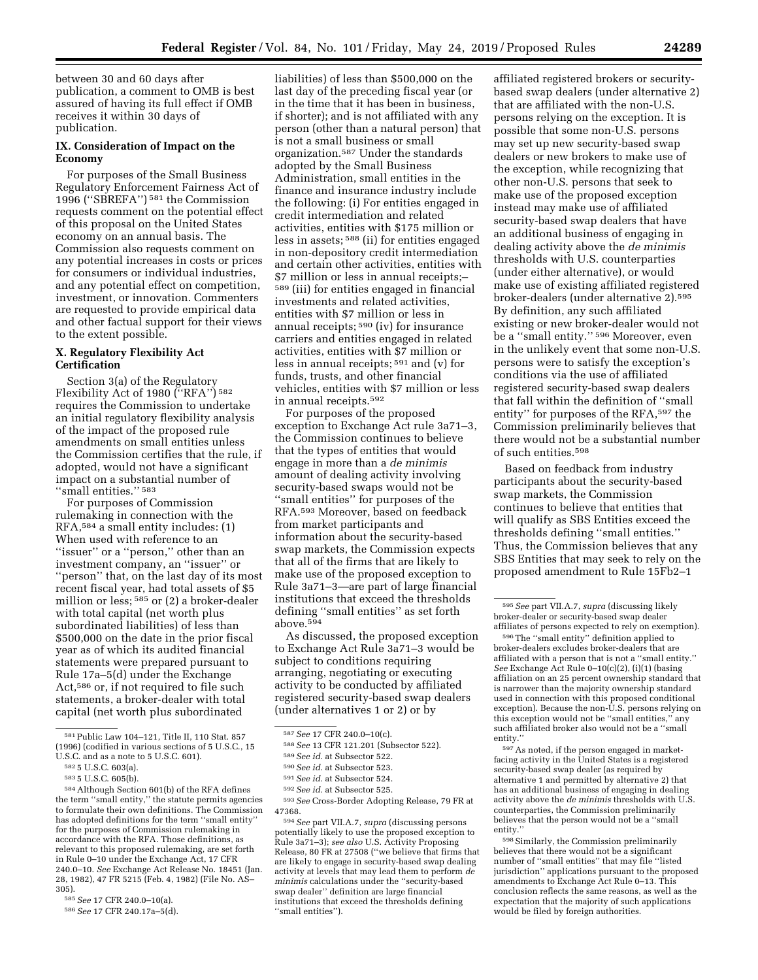between 30 and 60 days after publication, a comment to OMB is best assured of having its full effect if OMB receives it within 30 days of publication.

# **IX. Consideration of Impact on the Economy**

For purposes of the Small Business Regulatory Enforcement Fairness Act of 1996 (''SBREFA'') 581 the Commission requests comment on the potential effect of this proposal on the United States economy on an annual basis. The Commission also requests comment on any potential increases in costs or prices for consumers or individual industries, and any potential effect on competition, investment, or innovation. Commenters are requested to provide empirical data and other factual support for their views to the extent possible.

# **X. Regulatory Flexibility Act Certification**

Section 3(a) of the Regulatory Flexibility Act of 1980 ("RFA") 582 requires the Commission to undertake an initial regulatory flexibility analysis of the impact of the proposed rule amendments on small entities unless the Commission certifies that the rule, if adopted, would not have a significant impact on a substantial number of "small entities." 583

For purposes of Commission rulemaking in connection with the RFA,584 a small entity includes: (1) When used with reference to an ''issuer'' or a ''person,'' other than an investment company, an ''issuer'' or ''person'' that, on the last day of its most recent fiscal year, had total assets of \$5 million or less; 585 or (2) a broker-dealer with total capital (net worth plus subordinated liabilities) of less than \$500,000 on the date in the prior fiscal year as of which its audited financial statements were prepared pursuant to Rule 17a–5(d) under the Exchange Act,586 or, if not required to file such statements, a broker-dealer with total capital (net worth plus subordinated

liabilities) of less than \$500,000 on the last day of the preceding fiscal year (or in the time that it has been in business, if shorter); and is not affiliated with any person (other than a natural person) that is not a small business or small organization.587 Under the standards adopted by the Small Business Administration, small entities in the finance and insurance industry include the following: (i) For entities engaged in credit intermediation and related activities, entities with \$175 million or less in assets; 588 (ii) for entities engaged in non-depository credit intermediation and certain other activities, entities with \$7 million or less in annual receipts;– 589 (iii) for entities engaged in financial investments and related activities, entities with \$7 million or less in annual receipts; 590 (iv) for insurance carriers and entities engaged in related activities, entities with \$7 million or less in annual receipts; 591 and (v) for funds, trusts, and other financial vehicles, entities with \$7 million or less in annual receipts.592

For purposes of the proposed exception to Exchange Act rule 3a71–3, the Commission continues to believe that the types of entities that would engage in more than a *de minimis*  amount of dealing activity involving security-based swaps would not be ''small entities'' for purposes of the RFA.593 Moreover, based on feedback from market participants and information about the security-based swap markets, the Commission expects that all of the firms that are likely to make use of the proposed exception to Rule 3a71–3—are part of large financial institutions that exceed the thresholds defining ''small entities'' as set forth above.594

As discussed, the proposed exception to Exchange Act Rule 3a71–3 would be subject to conditions requiring arranging, negotiating or executing activity to be conducted by affiliated registered security-based swap dealers (under alternatives 1 or 2) or by

593*See* Cross-Border Adopting Release, 79 FR at 47368.

594*See* part VII.A.7, *supra* (discussing persons potentially likely to use the proposed exception to Rule 3a71–3); *see also* U.S. Activity Proposing Release, 80 FR at 27508 (''we believe that firms that are likely to engage in security-based swap dealing activity at levels that may lead them to perform *de minimis* calculations under the ''security-based swap dealer'' definition are large financial institutions that exceed the thresholds defining ''small entities'').

affiliated registered brokers or securitybased swap dealers (under alternative 2) that are affiliated with the non-U.S. persons relying on the exception. It is possible that some non-U.S. persons may set up new security-based swap dealers or new brokers to make use of the exception, while recognizing that other non-U.S. persons that seek to make use of the proposed exception instead may make use of affiliated security-based swap dealers that have an additional business of engaging in dealing activity above the *de minimis*  thresholds with U.S. counterparties (under either alternative), or would make use of existing affiliated registered broker-dealers (under alternative 2).595 By definition, any such affiliated existing or new broker-dealer would not be a ''small entity.'' 596 Moreover, even in the unlikely event that some non-U.S. persons were to satisfy the exception's conditions via the use of affiliated registered security-based swap dealers that fall within the definition of ''small entity'' for purposes of the RFA,597 the Commission preliminarily believes that there would not be a substantial number of such entities.598

Based on feedback from industry participants about the security-based swap markets, the Commission continues to believe that entities that will qualify as SBS Entities exceed the thresholds defining ''small entities.'' Thus, the Commission believes that any SBS Entities that may seek to rely on the proposed amendment to Rule 15Fb2–1

596The ''small entity'' definition applied to broker-dealers excludes broker-dealers that are affiliated with a person that is not a ''small entity.'' *See* Exchange Act Rule 0–10(c)(2), (i)(1) (basing affiliation on an 25 percent ownership standard that is narrower than the majority ownership standard used in connection with this proposed conditional exception). Because the non-U.S. persons relying on this exception would not be ''small entities,'' any such affiliated broker also would not be a ''small entity.''

597As noted, if the person engaged in marketfacing activity in the United States is a registered security-based swap dealer (as required by alternative 1 and permitted by alternative 2) that has an additional business of engaging in dealing activity above the *de minimis* thresholds with U.S. counterparties, the Commission preliminarily believes that the person would not be a ''small entity.''

 $^{598}\rm {Similarly,}$  the Commission preliminarily believes that there would not be a significant number of ''small entities'' that may file ''listed jurisdiction'' applications pursuant to the proposed amendments to Exchange Act Rule 0–13. This conclusion reflects the same reasons, as well as the expectation that the majority of such applications would be filed by foreign authorities.

<sup>581</sup>Public Law 104–121, Title II, 110 Stat. 857 (1996) (codified in various sections of 5 U.S.C., 15 U.S.C. and as a note to 5 U.S.C. 601).

<sup>582</sup> 5 U.S.C. 603(a).

<sup>583</sup> 5 U.S.C. 605(b).

<sup>584</sup>Although Section 601(b) of the RFA defines the term ''small entity,'' the statute permits agencies to formulate their own definitions. The Commission has adopted definitions for the term ''small entity'' for the purposes of Commission rulemaking in accordance with the RFA. Those definitions, as relevant to this proposed rulemaking, are set forth in Rule 0–10 under the Exchange Act, 17 CFR 240.0–10. *See* Exchange Act Release No. 18451 (Jan. 28, 1982), 47 FR 5215 (Feb. 4, 1982) (File No. AS– 305).

<sup>585</sup>*See* 17 CFR 240.0–10(a).

<sup>586</sup>*See* 17 CFR 240.17a–5(d).

<sup>587</sup>*See* 17 CFR 240.0–10(c).

<sup>588</sup>*See* 13 CFR 121.201 (Subsector 522).

<sup>589</sup>*See id.* at Subsector 522.

<sup>590</sup>*See id.* at Subsector 523.

<sup>591</sup>*See id.* at Subsector 524.

<sup>592</sup>*See id.* at Subsector 525.

<sup>595</sup>*See* part VII.A.7, *supra* (discussing likely broker-dealer or security-based swap dealer affiliates of persons expected to rely on exemption).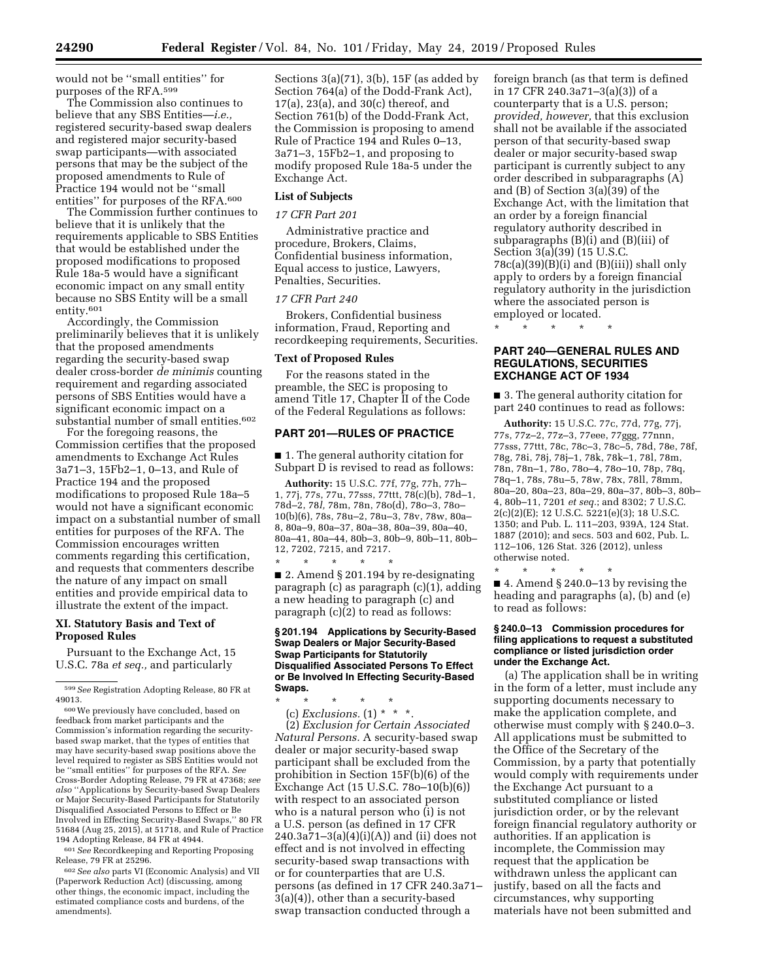would not be ''small entities'' for purposes of the RFA.599

The Commission also continues to believe that any SBS Entities—*i.e.,*  registered security-based swap dealers and registered major security-based swap participants—with associated persons that may be the subject of the proposed amendments to Rule of Practice 194 would not be ''small entities'' for purposes of the RFA.600

The Commission further continues to believe that it is unlikely that the requirements applicable to SBS Entities that would be established under the proposed modifications to proposed Rule 18a-5 would have a significant economic impact on any small entity because no SBS Entity will be a small entity.601

Accordingly, the Commission preliminarily believes that it is unlikely that the proposed amendments regarding the security-based swap dealer cross-border *de minimis* counting requirement and regarding associated persons of SBS Entities would have a significant economic impact on a substantial number of small entities.602

For the foregoing reasons, the Commission certifies that the proposed amendments to Exchange Act Rules 3a71–3, 15Fb2–1, 0–13, and Rule of Practice 194 and the proposed modifications to proposed Rule 18a–5 would not have a significant economic impact on a substantial number of small entities for purposes of the RFA. The Commission encourages written comments regarding this certification, and requests that commenters describe the nature of any impact on small entities and provide empirical data to illustrate the extent of the impact.

# **XI. Statutory Basis and Text of Proposed Rules**

Pursuant to the Exchange Act, 15 U.S.C. 78a *et seq.,* and particularly

601*See* Recordkeeping and Reporting Proposing Release, 79 FR at 25296.

602*See also* parts VI (Economic Analysis) and VII (Paperwork Reduction Act) (discussing, among other things, the economic impact, including the estimated compliance costs and burdens, of the amendments).

Sections  $3(a)(71)$ ,  $3(b)$ ,  $15F$  (as added by Section 764(a) of the Dodd-Frank Act), 17(a), 23(a), and 30(c) thereof, and Section 761(b) of the Dodd-Frank Act, the Commission is proposing to amend Rule of Practice 194 and Rules 0–13, 3a71–3, 15Fb2–1, and proposing to modify proposed Rule 18a-5 under the Exchange Act.

# **List of Subjects**

## *17 CFR Part 201*

Administrative practice and procedure, Brokers, Claims, Confidential business information, Equal access to justice, Lawyers, Penalties, Securities.

# *17 CFR Part 240*

Brokers, Confidential business information, Fraud, Reporting and recordkeeping requirements, Securities.

## **Text of Proposed Rules**

For the reasons stated in the preamble, the SEC is proposing to amend Title 17, Chapter II of the Code of the Federal Regulations as follows:

## **PART 201—RULES OF PRACTICE**

■ 1. The general authority citation for Subpart  $\bar{D}$  is revised to read as follows:

**Authority:** 15 U.S.C. 77f, 77g, 77h, 77h– 1, 77j, 77s, 77u, 77sss, 77ttt, 78(c)(b), 78d–1, 78d–2, 78*l,* 78m, 78n, 78o(d), 78o–3, 78o– 10(b)(6), 78s, 78u–2, 78u–3, 78v, 78w, 80a– 8, 80a–9, 80a–37, 80a–38, 80a–39, 80a–40, 80a–41, 80a–44, 80b–3, 80b–9, 80b–11, 80b– 12, 7202, 7215, and 7217. \* \* \* \* \*

■ 2. Amend § 201.194 by re-designating paragraph (c) as paragraph (c)(1), adding a new heading to paragraph (c) and paragraph (c)(2) to read as follows:

## **§ 201.194 Applications by Security-Based Swap Dealers or Major Security-Based Swap Participants for Statutorily Disqualified Associated Persons To Effect or Be Involved In Effecting Security-Based Swaps.**

\* \* \* \* \*  $(c)$  *Exclusions.*  $(1) * * *$ .

(2) *Exclusion for Certain Associated Natural Persons.* A security-based swap dealer or major security-based swap participant shall be excluded from the prohibition in Section 15F(b)(6) of the Exchange Act (15 U.S.C. 78o–10(b)(6)) with respect to an associated person who is a natural person who (i) is not a U.S. person (as defined in 17 CFR  $240.3a71-3(a)(4)(i)(A)$  and (ii) does not effect and is not involved in effecting security-based swap transactions with or for counterparties that are U.S. persons (as defined in 17 CFR 240.3a71– 3(a)(4)), other than a security-based swap transaction conducted through a

foreign branch (as that term is defined in 17 CFR 240.3a71–3(a)(3)) of a counterparty that is a U.S. person; *provided, however,* that this exclusion shall not be available if the associated person of that security-based swap dealer or major security-based swap participant is currently subject to any order described in subparagraphs (A) and (B) of Section 3(a)(39) of the Exchange Act, with the limitation that an order by a foreign financial regulatory authority described in subparagraphs (B)(i) and (B)(iii) of Section 3(a)(39) (15 U.S.C.  $78c(a)(39)(B)(i)$  and  $(B)(iii)$  shall only apply to orders by a foreign financial regulatory authority in the jurisdiction where the associated person is employed or located.

\* \* \* \* \*

## **PART 240—GENERAL RULES AND REGULATIONS, SECURITIES EXCHANGE ACT OF 1934**

■ 3. The general authority citation for part 240 continues to read as follows:

**Authority:** 15 U.S.C. 77c, 77d, 77g, 77j, 77s, 77z–2, 77z–3, 77eee, 77ggg, 77nnn, 77sss, 77ttt, 78c, 78c–3, 78c–5, 78d, 78e, 78f, 78g, 78i, 78j, 78j–1, 78k, 78k–1, 78l, 78m, 78n, 78n–1, 78o, 78o–4, 78o–10, 78p, 78q, 78q–1, 78s, 78u–5, 78w, 78x, 78ll, 78mm, 80a–20, 80a–23, 80a–29, 80a–37, 80b–3, 80b– 4, 80b–11, 7201 *et seq.*; and 8302; 7 U.S.C. 2(c)(2)(E); 12 U.S.C. 5221(e)(3); 18 U.S.C. 1350; and Pub. L. 111–203, 939A, 124 Stat. 1887 (2010); and secs. 503 and 602, Pub. L. 112–106, 126 Stat. 326 (2012), unless otherwise noted.

\* \* \* \* \* ■ 4. Amend § 240.0–13 by revising the heading and paragraphs (a), (b) and (e) to read as follows:

#### **§ 240.0–13 Commission procedures for filing applications to request a substituted compliance or listed jurisdiction order under the Exchange Act.**

(a) The application shall be in writing in the form of a letter, must include any supporting documents necessary to make the application complete, and otherwise must comply with § 240.0–3. All applications must be submitted to the Office of the Secretary of the Commission, by a party that potentially would comply with requirements under the Exchange Act pursuant to a substituted compliance or listed jurisdiction order, or by the relevant foreign financial regulatory authority or authorities. If an application is incomplete, the Commission may request that the application be withdrawn unless the applicant can justify, based on all the facts and circumstances, why supporting materials have not been submitted and

<sup>599</sup>*See* Registration Adopting Release, 80 FR at 49013.

<sup>600</sup>We previously have concluded, based on feedback from market participants and the Commission's information regarding the securitybased swap market, that the types of entities that may have security-based swap positions above the level required to register as SBS Entities would not be ''small entities'' for purposes of the RFA. *See*  Cross-Border Adopting Release, 79 FR at 47368; *see also* ''Applications by Security-based Swap Dealers or Major Security-Based Participants for Statutorily Disqualified Associated Persons to Effect or Be Involved in Effecting Security-Based Swaps,'' 80 FR 51684 (Aug 25, 2015), at 51718, and Rule of Practice 194 Adopting Release, 84 FR at 4944.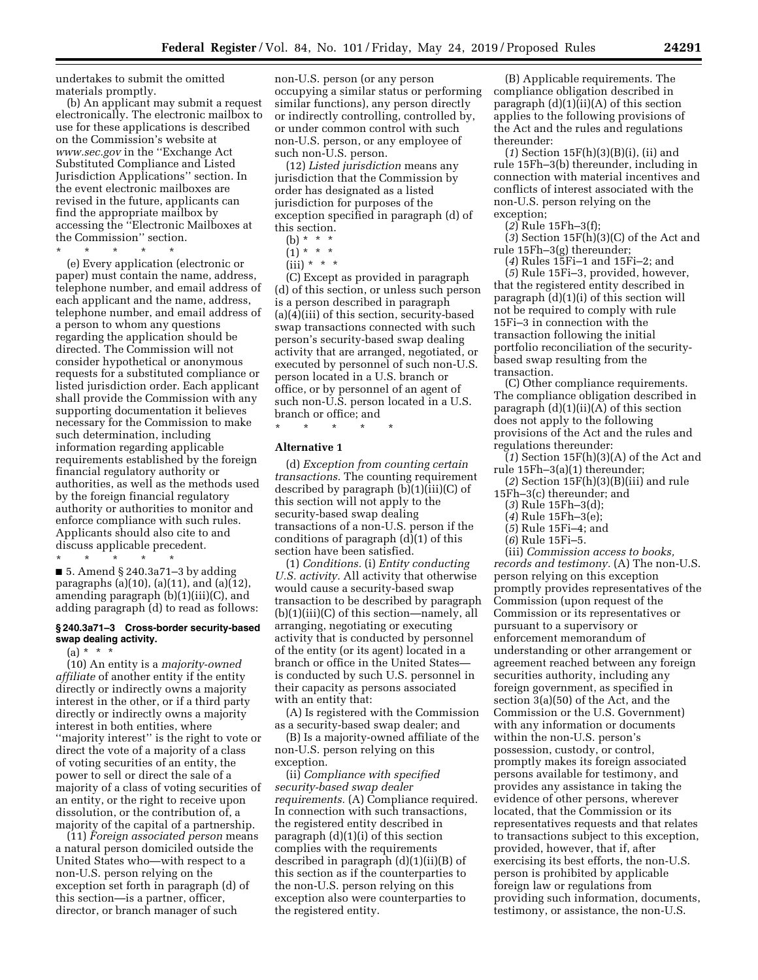undertakes to submit the omitted materials promptly.

(b) An applicant may submit a request electronically. The electronic mailbox to use for these applications is described on the Commission's website at *[www.sec.gov](http://www.sec.gov)* in the ''Exchange Act Substituted Compliance and Listed Jurisdiction Applications'' section. In the event electronic mailboxes are revised in the future, applicants can find the appropriate mailbox by accessing the ''Electronic Mailboxes at the Commission'' section.

\* \* \* \* \*

(e) Every application (electronic or paper) must contain the name, address, telephone number, and email address of each applicant and the name, address, telephone number, and email address of a person to whom any questions regarding the application should be directed. The Commission will not consider hypothetical or anonymous requests for a substituted compliance or listed jurisdiction order. Each applicant shall provide the Commission with any supporting documentation it believes necessary for the Commission to make such determination, including information regarding applicable requirements established by the foreign financial regulatory authority or authorities, as well as the methods used by the foreign financial regulatory authority or authorities to monitor and enforce compliance with such rules. Applicants should also cite to and discuss applicable precedent.

\* \* \* \* \* ■ 5. Amend § 240.3a71–3 by adding paragraphs (a)(10), (a)(11), and (a)(12), amending paragraph (b)(1)(iii)(C), and adding paragraph (d) to read as follows:

#### **§ 240.3a71–3 Cross-border security-based swap dealing activity.**

 $(a) * * * *$ 

(10) An entity is a *majority-owned affiliate* of another entity if the entity directly or indirectly owns a majority interest in the other, or if a third party directly or indirectly owns a majority interest in both entities, where ''majority interest'' is the right to vote or direct the vote of a majority of a class of voting securities of an entity, the power to sell or direct the sale of a majority of a class of voting securities of an entity, or the right to receive upon dissolution, or the contribution of, a majority of the capital of a partnership.

(11) *Foreign associated person* means a natural person domiciled outside the United States who—with respect to a non-U.S. person relying on the exception set forth in paragraph (d) of this section—is a partner, officer, director, or branch manager of such

non-U.S. person (or any person occupying a similar status or performing similar functions), any person directly or indirectly controlling, controlled by, or under common control with such non-U.S. person, or any employee of such non-U.S. person.

(12) *Listed jurisdiction* means any jurisdiction that the Commission by order has designated as a listed jurisdiction for purposes of the exception specified in paragraph (d) of this section.

(b) \* \* \*

 $(1) * * * *$ 

 $(iii) * * * *$ 

(C) Except as provided in paragraph (d) of this section, or unless such person is a person described in paragraph (a)(4)(iii) of this section, security-based swap transactions connected with such person's security-based swap dealing activity that are arranged, negotiated, or executed by personnel of such non-U.S. person located in a U.S. branch or office, or by personnel of an agent of such non-U.S. person located in a U.S. branch or office; and

\* \* \* \* \*

# **Alternative 1**

(d) *Exception from counting certain transactions.* The counting requirement described by paragraph (b)(1)(iii)(C) of this section will not apply to the security-based swap dealing transactions of a non-U.S. person if the conditions of paragraph (d)(1) of this section have been satisfied.

(1) *Conditions.* (i) *Entity conducting U.S. activity.* All activity that otherwise would cause a security-based swap transaction to be described by paragraph (b)(1)(iii)(C) of this section—namely, all arranging, negotiating or executing activity that is conducted by personnel of the entity (or its agent) located in a branch or office in the United States is conducted by such U.S. personnel in their capacity as persons associated with an entity that:

(A) Is registered with the Commission as a security-based swap dealer; and

(B) Is a majority-owned affiliate of the non-U.S. person relying on this exception.

(ii) *Compliance with specified security-based swap dealer requirements.* (A) Compliance required. In connection with such transactions, the registered entity described in paragraph  $(d)(1)(i)$  of this section complies with the requirements described in paragraph (d)(1)(ii)(B) of this section as if the counterparties to the non-U.S. person relying on this exception also were counterparties to the registered entity.

(B) Applicable requirements. The compliance obligation described in paragraph  $(d)(1)(ii)(A)$  of this section applies to the following provisions of the Act and the rules and regulations thereunder:

(*1*) Section 15F(h)(3)(B)(i), (ii) and rule 15Fh–3(b) thereunder, including in connection with material incentives and conflicts of interest associated with the non-U.S. person relying on the exception;

(*2*) Rule 15Fh–3(f);

(*3*) Section 15F(h)(3)(C) of the Act and rule 15Fh–3(g) thereunder;

(*4*) Rules 15Fi–1 and 15Fi–2; and (*5*) Rule 15Fi–3, provided, however, that the registered entity described in paragraph  $(d)(1)(i)$  of this section will not be required to comply with rule 15Fi–3 in connection with the transaction following the initial portfolio reconciliation of the securitybased swap resulting from the transaction.

(C) Other compliance requirements. The compliance obligation described in paragraph  $(d)(1)(ii)(A)$  of this section does not apply to the following provisions of the Act and the rules and regulations thereunder:

(*1*) Section 15F(h)(3)(A) of the Act and rule 15Fh–3(a)(1) thereunder;

(*2*) Section 15F(h)(3)(B)(iii) and rule 15Fh–3(c) thereunder; and

- (*3*) Rule 15Fh–3(d);
- (*4*) Rule 15Fh–3(e);
- (*5*) Rule 15Fi–4; and
- (*6*) Rule 15Fi–5.

(iii) *Commission access to books, records and testimony.* (A) The non-U.S. person relying on this exception promptly provides representatives of the Commission (upon request of the Commission or its representatives or pursuant to a supervisory or enforcement memorandum of understanding or other arrangement or agreement reached between any foreign securities authority, including any foreign government, as specified in section 3(a)(50) of the Act, and the Commission or the U.S. Government) with any information or documents within the non-U.S. person's possession, custody, or control, promptly makes its foreign associated persons available for testimony, and provides any assistance in taking the evidence of other persons, wherever located, that the Commission or its representatives requests and that relates to transactions subject to this exception, provided, however, that if, after exercising its best efforts, the non-U.S. person is prohibited by applicable foreign law or regulations from providing such information, documents, testimony, or assistance, the non-U.S.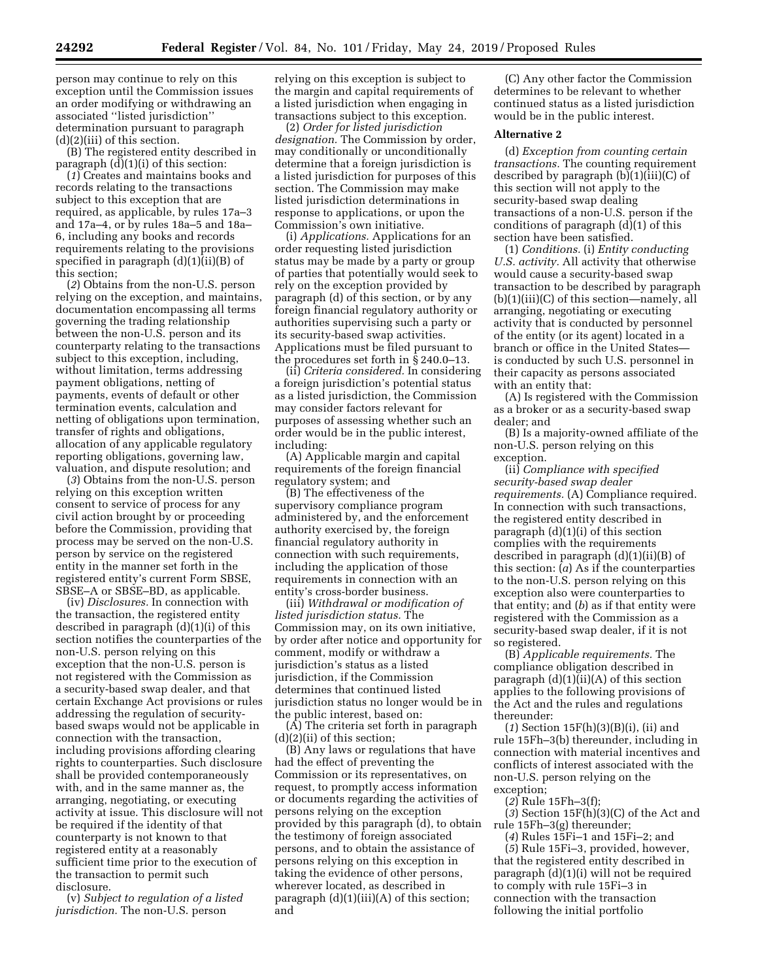person may continue to rely on this exception until the Commission issues an order modifying or withdrawing an associated ''listed jurisdiction'' determination pursuant to paragraph (d)(2)(iii) of this section.

(B) The registered entity described in paragraph (d)(1)(i) of this section:

(*1*) Creates and maintains books and records relating to the transactions subject to this exception that are required, as applicable, by rules 17a–3 and 17a–4, or by rules 18a–5 and 18a– 6, including any books and records requirements relating to the provisions specified in paragraph  $(d)(1)(ii)(B)$  of this section;

(*2*) Obtains from the non-U.S. person relying on the exception, and maintains, documentation encompassing all terms governing the trading relationship between the non-U.S. person and its counterparty relating to the transactions subject to this exception, including, without limitation, terms addressing payment obligations, netting of payments, events of default or other termination events, calculation and netting of obligations upon termination, transfer of rights and obligations, allocation of any applicable regulatory reporting obligations, governing law, valuation, and dispute resolution; and

(*3*) Obtains from the non-U.S. person relying on this exception written consent to service of process for any civil action brought by or proceeding before the Commission, providing that process may be served on the non-U.S. person by service on the registered entity in the manner set forth in the registered entity's current Form SBSE, SBSE–A or SBSE–BD, as applicable.

(iv) *Disclosures.* In connection with the transaction, the registered entity described in paragraph (d)(1)(i) of this section notifies the counterparties of the non-U.S. person relying on this exception that the non-U.S. person is not registered with the Commission as a security-based swap dealer, and that certain Exchange Act provisions or rules addressing the regulation of securitybased swaps would not be applicable in connection with the transaction, including provisions affording clearing rights to counterparties. Such disclosure shall be provided contemporaneously with, and in the same manner as, the arranging, negotiating, or executing activity at issue. This disclosure will not be required if the identity of that counterparty is not known to that registered entity at a reasonably sufficient time prior to the execution of the transaction to permit such disclosure.

(v) *Subject to regulation of a listed jurisdiction.* The non-U.S. person

relying on this exception is subject to the margin and capital requirements of a listed jurisdiction when engaging in transactions subject to this exception.

(2) *Order for listed jurisdiction designation.* The Commission by order, may conditionally or unconditionally determine that a foreign jurisdiction is a listed jurisdiction for purposes of this section. The Commission may make listed jurisdiction determinations in response to applications, or upon the Commission's own initiative.

(i) *Applications.* Applications for an order requesting listed jurisdiction status may be made by a party or group of parties that potentially would seek to rely on the exception provided by paragraph (d) of this section, or by any foreign financial regulatory authority or authorities supervising such a party or its security-based swap activities. Applications must be filed pursuant to the procedures set forth in § 240.0–13.

(ii) *Criteria considered.* In considering a foreign jurisdiction's potential status as a listed jurisdiction, the Commission may consider factors relevant for purposes of assessing whether such an order would be in the public interest, including:

(A) Applicable margin and capital requirements of the foreign financial regulatory system; and

(B) The effectiveness of the supervisory compliance program administered by, and the enforcement authority exercised by, the foreign financial regulatory authority in connection with such requirements, including the application of those requirements in connection with an entity's cross-border business.

(iii) *Withdrawal or modification of listed jurisdiction status.* The Commission may, on its own initiative, by order after notice and opportunity for comment, modify or withdraw a jurisdiction's status as a listed jurisdiction, if the Commission determines that continued listed jurisdiction status no longer would be in the public interest, based on:

(A) The criteria set forth in paragraph (d)(2)(ii) of this section;

(B) Any laws or regulations that have had the effect of preventing the Commission or its representatives, on request, to promptly access information or documents regarding the activities of persons relying on the exception provided by this paragraph (d), to obtain the testimony of foreign associated persons, and to obtain the assistance of persons relying on this exception in taking the evidence of other persons, wherever located, as described in paragraph  $(d)(1)(iii)(A)$  of this section; and

(C) Any other factor the Commission determines to be relevant to whether continued status as a listed jurisdiction would be in the public interest.

## **Alternative 2**

(d) *Exception from counting certain transactions.* The counting requirement described by paragraph  $(b)(1)(iii)(C)$  of this section will not apply to the security-based swap dealing transactions of a non-U.S. person if the conditions of paragraph (d)(1) of this section have been satisfied.

(1) *Conditions.* (i) *Entity conducting U.S. activity.* All activity that otherwise would cause a security-based swap transaction to be described by paragraph (b)(1)(iii)(C) of this section—namely, all arranging, negotiating or executing activity that is conducted by personnel of the entity (or its agent) located in a branch or office in the United States is conducted by such U.S. personnel in their capacity as persons associated with an entity that:

(A) Is registered with the Commission as a broker or as a security-based swap dealer; and

(B) Is a majority-owned affiliate of the non-U.S. person relying on this exception.

(ii) *Compliance with specified security-based swap dealer requirements.* (A) Compliance required. In connection with such transactions, the registered entity described in paragraph (d)(1)(i) of this section complies with the requirements described in paragraph (d)(1)(ii)(B) of this section: (*a*) As if the counterparties to the non-U.S. person relying on this exception also were counterparties to that entity; and (*b*) as if that entity were registered with the Commission as a security-based swap dealer, if it is not so registered.

(B) *Applicable requirements.* The compliance obligation described in paragraph  $(d)(1)(ii)(A)$  of this section applies to the following provisions of the Act and the rules and regulations thereunder:

(*1*) Section 15F(h)(3)(B)(i), (ii) and rule 15Fh–3(b) thereunder, including in connection with material incentives and conflicts of interest associated with the non-U.S. person relying on the exception;

(*2*) Rule 15Fh–3(f);

(*3*) Section 15F(h)(3)(C) of the Act and rule 15Fh–3(g) thereunder;

(*4*) Rules 15Fi–1 and 15Fi–2; and

(*5*) Rule 15Fi–3, provided, however, that the registered entity described in paragraph (d)(1)(i) will not be required to comply with rule 15Fi–3 in connection with the transaction following the initial portfolio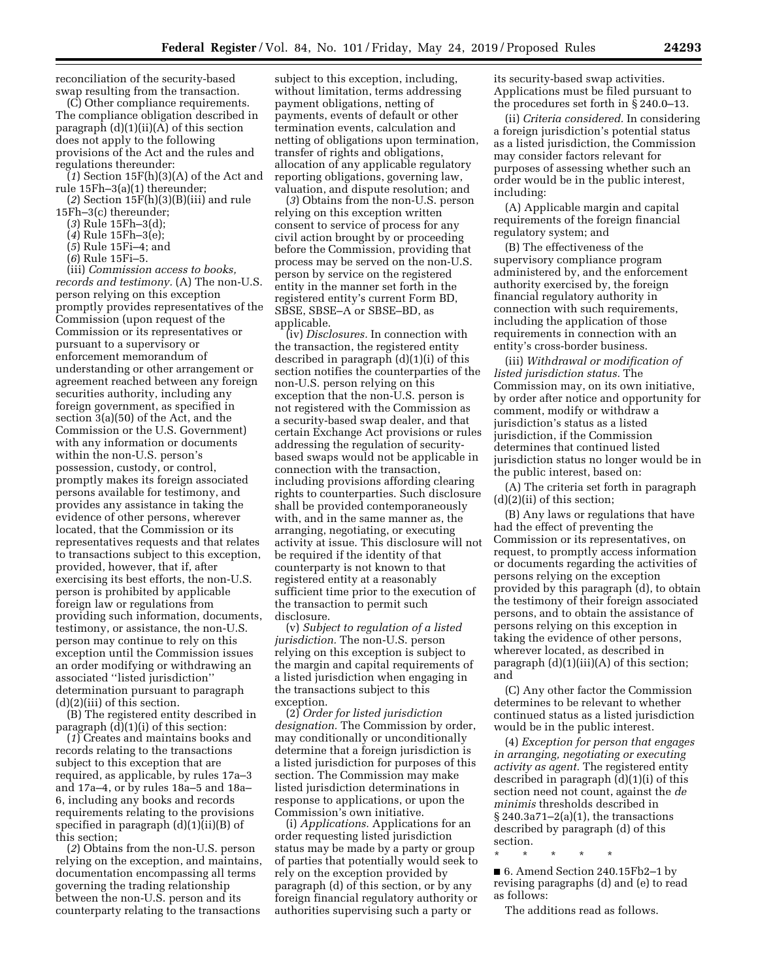reconciliation of the security-based swap resulting from the transaction.

(C) Other compliance requirements. The compliance obligation described in paragraph  $(d)(1)(ii)(A)$  of this section does not apply to the following provisions of the Act and the rules and regulations thereunder:

(*1*) Section 15F(h)(3)(A) of the Act and rule 15Fh–3(a)(1) thereunder;

(*2*) Section 15F(h)(3)(B)(iii) and rule

- 15Fh–3(c) thereunder;
	- (*3*) Rule 15Fh–3(d);
	- (*4*) Rule 15Fh–3(e);
	- (*5*) Rule 15Fi–4; and
	- (*6*) Rule 15Fi–5.

(iii) *Commission access to books, records and testimony.* (A) The non-U.S. person relying on this exception promptly provides representatives of the Commission (upon request of the Commission or its representatives or pursuant to a supervisory or enforcement memorandum of understanding or other arrangement or agreement reached between any foreign securities authority, including any foreign government, as specified in section 3(a)(50) of the Act, and the Commission or the U.S. Government) with any information or documents within the non-U.S. person's possession, custody, or control, promptly makes its foreign associated persons available for testimony, and provides any assistance in taking the evidence of other persons, wherever located, that the Commission or its representatives requests and that relates to transactions subject to this exception, provided, however, that if, after exercising its best efforts, the non-U.S. person is prohibited by applicable foreign law or regulations from providing such information, documents, testimony, or assistance, the non-U.S. person may continue to rely on this exception until the Commission issues an order modifying or withdrawing an associated ''listed jurisdiction'' determination pursuant to paragraph  $(d)(2)(iii)$  of this section.

(B) The registered entity described in paragraph (d)(1)(i) of this section:

(*1*) Creates and maintains books and records relating to the transactions subject to this exception that are required, as applicable, by rules 17a–3 and 17a–4, or by rules 18a–5 and 18a– 6, including any books and records requirements relating to the provisions specified in paragraph (d)(1)(ii)(B) of this section;

(*2*) Obtains from the non-U.S. person relying on the exception, and maintains, documentation encompassing all terms governing the trading relationship between the non-U.S. person and its counterparty relating to the transactions

subject to this exception, including, without limitation, terms addressing payment obligations, netting of payments, events of default or other termination events, calculation and netting of obligations upon termination, transfer of rights and obligations, allocation of any applicable regulatory reporting obligations, governing law, valuation, and dispute resolution; and

(*3*) Obtains from the non-U.S. person relying on this exception written consent to service of process for any civil action brought by or proceeding before the Commission, providing that process may be served on the non-U.S. person by service on the registered entity in the manner set forth in the registered entity's current Form BD, SBSE, SBSE–A or SBSE–BD, as applicable.

(iv) *Disclosures.* In connection with the transaction, the registered entity described in paragraph (d)(1)(i) of this section notifies the counterparties of the non-U.S. person relying on this exception that the non-U.S. person is not registered with the Commission as a security-based swap dealer, and that certain Exchange Act provisions or rules addressing the regulation of securitybased swaps would not be applicable in connection with the transaction, including provisions affording clearing rights to counterparties. Such disclosure shall be provided contemporaneously with, and in the same manner as, the arranging, negotiating, or executing activity at issue. This disclosure will not be required if the identity of that counterparty is not known to that registered entity at a reasonably sufficient time prior to the execution of the transaction to permit such disclosure.

(v) *Subject to regulation of a listed jurisdiction.* The non-U.S. person relying on this exception is subject to the margin and capital requirements of a listed jurisdiction when engaging in the transactions subject to this exception.

(2) *Order for listed jurisdiction designation.* The Commission by order, may conditionally or unconditionally determine that a foreign jurisdiction is a listed jurisdiction for purposes of this section. The Commission may make listed jurisdiction determinations in response to applications, or upon the Commission's own initiative.

(i) *Applications.* Applications for an order requesting listed jurisdiction status may be made by a party or group of parties that potentially would seek to rely on the exception provided by paragraph (d) of this section, or by any foreign financial regulatory authority or authorities supervising such a party or

its security-based swap activities. Applications must be filed pursuant to the procedures set forth in § 240.0–13.

(ii) *Criteria considered.* In considering a foreign jurisdiction's potential status as a listed jurisdiction, the Commission may consider factors relevant for purposes of assessing whether such an order would be in the public interest, including:

(A) Applicable margin and capital requirements of the foreign financial regulatory system; and

(B) The effectiveness of the supervisory compliance program administered by, and the enforcement authority exercised by, the foreign financial regulatory authority in connection with such requirements, including the application of those requirements in connection with an entity's cross-border business.

(iii) *Withdrawal or modification of listed jurisdiction status.* The Commission may, on its own initiative, by order after notice and opportunity for comment, modify or withdraw a jurisdiction's status as a listed jurisdiction, if the Commission determines that continued listed jurisdiction status no longer would be in the public interest, based on:

(A) The criteria set forth in paragraph (d)(2)(ii) of this section;

(B) Any laws or regulations that have had the effect of preventing the Commission or its representatives, on request, to promptly access information or documents regarding the activities of persons relying on the exception provided by this paragraph (d), to obtain the testimony of their foreign associated persons, and to obtain the assistance of persons relying on this exception in taking the evidence of other persons, wherever located, as described in paragraph  $(d)(1)(iii)(A)$  of this section; and

(C) Any other factor the Commission determines to be relevant to whether continued status as a listed jurisdiction would be in the public interest.

(4) *Exception for person that engages in arranging, negotiating or executing activity as agent.* The registered entity described in paragraph (d)(1)(i) of this section need not count, against the *de minimis* thresholds described in  $\S 240.3a71-2(a)(1)$ , the transactions described by paragraph (d) of this section.

■ 6. Amend Section 240.15Fb2-1 by revising paragraphs (d) and (e) to read as follows:

The additions read as follows.

\* \* \* \* \*